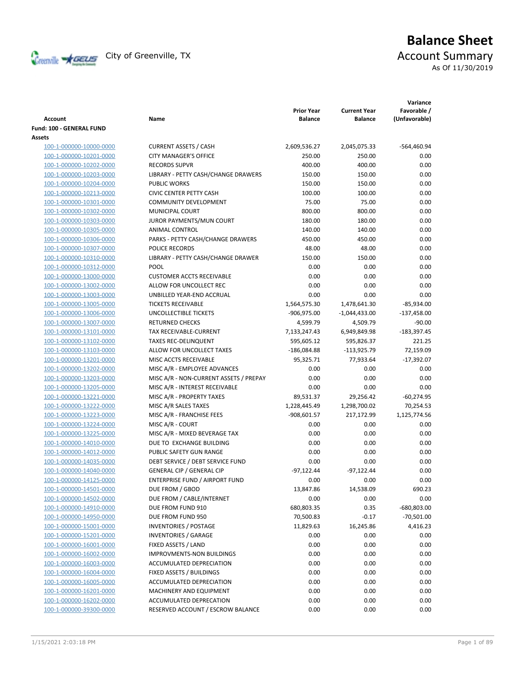

# **Balance Sheet** Creenville **X** GEUS</del> City of Greenville, TX **ACCOUNT** Summary As Of 11/30/2019

| <b>Account</b>                  | Name                                               | <b>Prior Year</b><br><b>Balance</b> | <b>Current Year</b><br><b>Balance</b> | Variance<br>Favorable /<br>(Unfavorable) |
|---------------------------------|----------------------------------------------------|-------------------------------------|---------------------------------------|------------------------------------------|
| <b>Fund: 100 - GENERAL FUND</b> |                                                    |                                     |                                       |                                          |
| Assets                          |                                                    |                                     |                                       |                                          |
| 100-1-000000-10000-0000         | <b>CURRENT ASSETS / CASH</b>                       | 2,609,536.27                        | 2,045,075.33                          | -564,460.94                              |
| 100-1-000000-10201-0000         | <b>CITY MANAGER'S OFFICE</b>                       | 250.00                              | 250.00                                | 0.00                                     |
| 100-1-000000-10202-0000         | <b>RECORDS SUPVR</b>                               | 400.00                              | 400.00                                | 0.00                                     |
| 100-1-000000-10203-0000         | LIBRARY - PETTY CASH/CHANGE DRAWERS                | 150.00                              | 150.00                                | 0.00                                     |
| 100-1-000000-10204-0000         | <b>PUBLIC WORKS</b>                                | 150.00                              | 150.00                                | 0.00                                     |
| 100-1-000000-10213-0000         | <b>CIVIC CENTER PETTY CASH</b>                     | 100.00                              | 100.00                                | 0.00                                     |
| 100-1-000000-10301-0000         | COMMUNITY DEVELOPMENT                              | 75.00                               | 75.00                                 | 0.00                                     |
| 100-1-000000-10302-0000         | MUNICIPAL COURT                                    | 800.00                              | 800.00                                | 0.00                                     |
| 100-1-000000-10303-0000         | JUROR PAYMENTS/MUN COURT                           | 180.00                              | 180.00                                | 0.00                                     |
| 100-1-000000-10305-0000         | ANIMAL CONTROL                                     | 140.00                              | 140.00                                | 0.00                                     |
| 100-1-000000-10306-0000         | PARKS - PETTY CASH/CHANGE DRAWERS                  | 450.00                              | 450.00                                | 0.00                                     |
| 100-1-000000-10307-0000         | POLICE RECORDS                                     | 48.00                               | 48.00                                 | 0.00                                     |
| 100-1-000000-10310-0000         | LIBRARY - PETTY CASH/CHANGE DRAWER                 | 150.00                              | 150.00                                | 0.00                                     |
| 100-1-000000-10312-0000         | <b>POOL</b>                                        | 0.00                                | 0.00                                  | 0.00                                     |
| 100-1-000000-13000-0000         | <b>CUSTOMER ACCTS RECEIVABLE</b>                   | 0.00                                | 0.00                                  | 0.00                                     |
| 100-1-000000-13002-0000         | ALLOW FOR UNCOLLECT REC                            | 0.00                                | 0.00                                  | 0.00                                     |
| 100-1-000000-13003-0000         | UNBILLED YEAR-END ACCRUAL                          | 0.00                                | 0.00                                  | 0.00                                     |
| 100-1-000000-13005-0000         | <b>TICKETS RECEIVABLE</b>                          | 1,564,575.30                        | 1,478,641.30                          | $-85,934.00$                             |
| 100-1-000000-13006-0000         | UNCOLLECTIBLE TICKETS                              | -906,975.00                         | $-1,044,433.00$                       | $-137,458.00$                            |
| 100-1-000000-13007-0000         | <b>RETURNED CHECKS</b>                             | 4,599.79                            | 4,509.79                              | $-90.00$                                 |
| 100-1-000000-13101-0000         | TAX RECEIVABLE-CURRENT                             | 7,133,247.43                        | 6,949,849.98                          | $-183,397.45$                            |
| 100-1-000000-13102-0000         | <b>TAXES REC-DELINQUENT</b>                        | 595,605.12                          | 595,826.37                            | 221.25                                   |
| 100-1-000000-13103-0000         | ALLOW FOR UNCOLLECT TAXES                          | $-186,084.88$                       | $-113,925.79$                         | 72,159.09                                |
| 100-1-000000-13201-0000         | MISC ACCTS RECEIVABLE                              | 95,325.71                           | 77,933.64                             | $-17,392.07$                             |
| 100-1-000000-13202-0000         | MISC A/R - EMPLOYEE ADVANCES                       | 0.00                                | 0.00                                  | 0.00                                     |
| 100-1-000000-13203-0000         | MISC A/R - NON-CURRENT ASSETS / PREPAY             | 0.00                                | 0.00                                  | 0.00                                     |
| 100-1-000000-13205-0000         | MISC A/R - INTEREST RECEIVABLE                     | 0.00                                | 0.00                                  | 0.00                                     |
| 100-1-000000-13221-0000         | MISC A/R - PROPERTY TAXES                          | 89,531.37                           | 29,256.42                             | $-60,274.95$                             |
| 100-1-000000-13222-0000         | MISC A/R SALES TAXES                               | 1,228,445.49                        | 1,298,700.02                          | 70,254.53                                |
| 100-1-000000-13223-0000         | MISC A/R - FRANCHISE FEES                          | $-908,601.57$                       | 217,172.99                            | 1,125,774.56                             |
| 100-1-000000-13224-0000         | MISC A/R - COURT                                   | 0.00                                | 0.00                                  | 0.00                                     |
| 100-1-000000-13225-0000         | MISC A/R - MIXED BEVERAGE TAX                      | 0.00                                | 0.00                                  | 0.00                                     |
| 100-1-000000-14010-0000         | DUE TO EXCHANGE BUILDING                           | 0.00                                | 0.00                                  | 0.00                                     |
| 100-1-000000-14012-0000         | PUBLIC SAFETY GUN RANGE                            | 0.00                                | 0.00                                  | 0.00                                     |
| 100-1-000000-14035-0000         | DEBT SERVICE / DEBT SERVICE FUND                   | 0.00                                | 0.00                                  | 0.00                                     |
| 100-1-000000-14040-0000         | <b>GENERAL CIP / GENERAL CIP</b>                   | $-97,122.44$                        | $-97,122.44$                          | 0.00                                     |
| 100-1-000000-14125-0000         | <b>ENTERPRISE FUND / AIRPORT FUND</b>              | 0.00                                | 0.00                                  | 0.00                                     |
| 100-1-000000-14501-0000         | DUE FROM / GBOD                                    |                                     | 14,538.09                             |                                          |
| 100-1-000000-14502-0000         | DUE FROM / CABLE/INTERNET                          | 13,847.86<br>0.00                   | 0.00                                  | 690.23<br>0.00                           |
| 100-1-000000-14910-0000         | DUE FROM FUND 910                                  | 680,803.35                          | 0.35                                  | -680,803.00                              |
|                                 | DUE FROM FUND 950                                  | 70,500.83                           |                                       |                                          |
| 100-1-000000-14950-0000         |                                                    |                                     | $-0.17$                               | $-70,501.00$                             |
| 100-1-000000-15001-0000         | <b>INVENTORIES / POSTAGE</b>                       | 11,829.63                           | 16,245.86                             | 4,416.23                                 |
| 100-1-000000-15201-0000         | <b>INVENTORIES / GARAGE</b><br>FIXED ASSETS / LAND | 0.00<br>0.00                        | 0.00<br>0.00                          | 0.00<br>0.00                             |
| 100-1-000000-16001-0000         |                                                    |                                     |                                       |                                          |
| 100-1-000000-16002-0000         | <b>IMPROVMENTS-NON BUILDINGS</b>                   | 0.00                                | 0.00                                  | 0.00                                     |
| 100-1-000000-16003-0000         | ACCUMULATED DEPRECIATION                           | 0.00                                | 0.00                                  | 0.00                                     |
| 100-1-000000-16004-0000         | FIXED ASSETS / BUILDINGS                           | 0.00                                | 0.00                                  | 0.00                                     |
| 100-1-000000-16005-0000         | ACCUMULATED DEPRECIATION                           | 0.00                                | 0.00                                  | 0.00                                     |
| 100-1-000000-16201-0000         | MACHINERY AND EQUIPMENT                            | 0.00                                | 0.00                                  | 0.00                                     |
| 100-1-000000-16202-0000         | ACCUMULATED DEPRECATION                            | 0.00                                | 0.00                                  | 0.00                                     |
| 100-1-000000-39300-0000         | RESERVED ACCOUNT / ESCROW BALANCE                  | 0.00                                | 0.00                                  | 0.00                                     |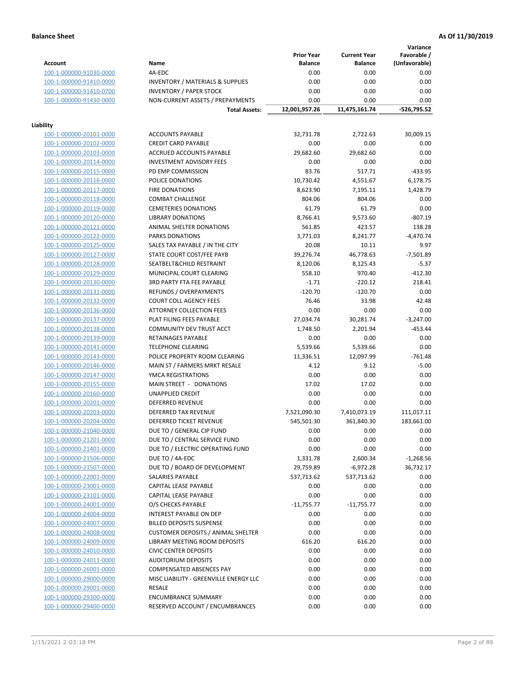**Variance**

|                         |                                                     | <b>Prior Year</b> | <b>Current Year</b> | Favorable /   |
|-------------------------|-----------------------------------------------------|-------------------|---------------------|---------------|
| <b>Account</b>          | Name                                                | <b>Balance</b>    | <b>Balance</b>      | (Unfavorable) |
| 100-1-000000-91030-0000 | 4A-EDC                                              | 0.00              | 0.00                | 0.00          |
| 100-1-000000-91410-0000 | <b>INVENTORY / MATERIALS &amp; SUPPLIES</b>         | 0.00              | 0.00                | 0.00          |
| 100-1-000000-91410-0700 | <b>INVENTORY / PAPER STOCK</b>                      | 0.00              | 0.00                | 0.00          |
| 100-1-000000-91430-0000 | NON-CURRENT ASSETS / PREPAYMENTS                    | 0.00              | 0.00                | 0.00          |
|                         | <b>Total Assets:</b>                                | 12,001,957.26     | 11,475,161.74       | $-526,795.52$ |
|                         |                                                     |                   |                     |               |
| Liability               |                                                     |                   |                     |               |
| 100-1-000000-20101-0000 | <b>ACCOUNTS PAYABLE</b>                             | 32,731.78         | 2,722.63            | 30,009.15     |
| 100-1-000000-20102-0000 | <b>CREDIT CARD PAYABLE</b>                          | 0.00              | 0.00                | 0.00          |
| 100-1-000000-20103-0000 | ACCRUED ACCOUNTS PAYABLE                            | 29,682.60         | 29,682.60           | 0.00          |
| 100-1-000000-20114-0000 | <b>INVESTMENT ADVISORY FEES</b>                     | 0.00              | 0.00                | 0.00          |
| 100-1-000000-20115-0000 | PD EMP COMMISSION                                   | 83.76             | 517.71              | $-433.95$     |
| 100-1-000000-20116-0000 | POLICE DONATIONS                                    | 10,730.42         | 4,551.67            | 6,178.75      |
| 100-1-000000-20117-0000 | <b>FIRE DONATIONS</b>                               | 8,623.90          | 7,195.11            | 1,428.79      |
| 100-1-000000-20118-0000 | <b>COMBAT CHALLENGE</b>                             | 804.06            | 804.06              | 0.00          |
| 100-1-000000-20119-0000 | <b>CEMETERIES DONATIONS</b>                         | 61.79             | 61.79               | 0.00          |
| 100-1-000000-20120-0000 | <b>LIBRARY DONATIONS</b>                            | 8,766.41          | 9,573.60            | $-807.19$     |
| 100-1-000000-20121-0000 | ANIMAL SHELTER DONATIONS                            | 561.85            | 423.57              | 138.28        |
| 100-1-000000-20122-0000 | PARKS DONATIONS                                     | 3,771.03          | 8,241.77            | $-4,470.74$   |
| 100-1-000000-20125-0000 | SALES TAX PAYABLE / IN THE CITY                     | 20.08             | 10.11               | 9.97          |
| 100-1-000000-20127-0000 | STATE COURT COST/FEE PAYB                           | 39,276.74         | 46,778.63           | $-7,501.89$   |
| 100-1-000000-20128-0000 | SEATBELT&CHILD RESTRAINT                            | 8,120.06          | 8,125.43            | $-5.37$       |
| 100-1-000000-20129-0000 | MUNICIPAL COURT CLEARING                            | 558.10            | 970.40              | $-412.30$     |
| 100-1-000000-20130-0000 | 3RD PARTY FTA FEE PAYABLE                           | $-1.71$           | $-220.12$           | 218.41        |
| 100-1-000000-20131-0000 | REFUNDS / OVERPAYMENTS                              | $-120.70$         | $-120.70$           | 0.00          |
| 100-1-000000-20132-0000 | <b>COURT COLL AGENCY FEES</b>                       | 76.46             | 33.98               | 42.48         |
| 100-1-000000-20136-0000 | <b>ATTORNEY COLLECTION FEES</b>                     | 0.00              | 0.00                | 0.00          |
| 100-1-000000-20137-0000 | PLAT FILING FEES PAYABLE                            | 27,034.74         | 30,281.74           | $-3,247.00$   |
| 100-1-000000-20138-0000 | COMMUNITY DEV TRUST ACCT                            | 1,748.50          | 2,201.94            | $-453.44$     |
| 100-1-000000-20139-0000 | RETAINAGES PAYABLE                                  | 0.00              | 0.00                | 0.00          |
| 100-1-000000-20141-0000 | <b>TELEPHONE CLEARING</b>                           | 5,539.66          | 5,539.66            | 0.00          |
| 100-1-000000-20143-0000 | POLICE PROPERTY ROOM CLEARING                       | 11,336.51         | 12,097.99           | $-761.48$     |
| 100-1-000000-20146-0000 | MAIN ST / FARMERS MRKT RESALE                       | 4.12              | 9.12                | $-5.00$       |
| 100-1-000000-20147-0000 | YMCA REGISTRATIONS                                  | 0.00              | 0.00                | 0.00          |
| 100-1-000000-20155-0000 | MAIN STREET - DONATIONS                             | 17.02             | 17.02               | 0.00          |
| 100-1-000000-20160-0000 | <b>UNAPPLIED CREDIT</b>                             | 0.00              | 0.00                | 0.00          |
| 100-1-000000-20201-0000 | <b>DEFERRED REVENUE</b>                             | 0.00              | 0.00                | 0.00          |
| 100-1-000000-20203-0000 | DEFERRED TAX REVENUE                                | 7,521,090.30      | 7,410,073.19        | 111,017.11    |
| 100-1-000000-20204-0000 | DEFERRED TICKET REVENUE                             | 545,501.30        | 361,840.30          | 183,661.00    |
| 100-1-000000-21040-0000 | DUE TO / GENERAL CIP FUND                           | 0.00              | 0.00                | 0.00          |
| 100-1-000000-21201-0000 | DUE TO / CENTRAL SERVICE FUND                       | 0.00              | 0.00                | 0.00          |
|                         |                                                     |                   |                     |               |
| 100-1-000000-21401-0000 | DUE TO / ELECTRIC OPERATING FUND<br>DUE TO / 4A-EDC | 0.00              | 0.00                | 0.00          |
| 100-1-000000-21506-0000 |                                                     | 1,331.78          | 2,600.34            | $-1,268.56$   |
| 100-1-000000-21507-0000 | DUE TO / BOARD OF DEVELOPMENT                       | 29,759.89         | -6,972.28           | 36,732.17     |
| 100-1-000000-22001-0000 | SALARIES PAYABLE                                    | 537,713.62        | 537,713.62          | 0.00          |
| 100-1-000000-23001-0000 | CAPITAL LEASE PAYABLE                               | 0.00              | 0.00                | 0.00          |
| 100-1-000000-23101-0000 | CAPITAL LEASE PAYABLE                               | 0.00              | 0.00                | 0.00          |
| 100-1-000000-24001-0000 | O/S CHECKS PAYABLE                                  | $-11,755.77$      | $-11,755.77$        | 0.00          |
| 100-1-000000-24004-0000 | INTEREST PAYABLE ON DEP                             | 0.00              | 0.00                | 0.00          |
| 100-1-000000-24007-0000 | <b>BILLED DEPOSITS SUSPENSE</b>                     | 0.00              | 0.00                | 0.00          |
| 100-1-000000-24008-0000 | <b>CUSTOMER DEPOSITS / ANIMAL SHELTER</b>           | 0.00              | 0.00                | 0.00          |
| 100-1-000000-24009-0000 | LIBRARY MEETING ROOM DEPOSITS                       | 616.20            | 616.20              | 0.00          |
| 100-1-000000-24010-0000 | <b>CIVIC CENTER DEPOSITS</b>                        | 0.00              | 0.00                | 0.00          |
| 100-1-000000-24011-0000 | <b>AUDITORIUM DEPOSITS</b>                          | 0.00              | 0.00                | 0.00          |
| 100-1-000000-26001-0000 | COMPENSATED ABSENCES PAY                            | 0.00              | 0.00                | 0.00          |
| 100-1-000000-29000-0000 | MISC LIABILITY - GREENVILLE ENERGY LLC              | 0.00              | 0.00                | 0.00          |
| 100-1-000000-29001-0000 | <b>RESALE</b>                                       | 0.00              | 0.00                | 0.00          |
| 100-1-000000-29300-0000 | <b>ENCUMBRANCE SUMMARY</b>                          | 0.00              | 0.00                | 0.00          |
| 100-1-000000-29400-0000 | RESERVED ACCOUNT / ENCUMBRANCES                     | 0.00              | 0.00                | 0.00          |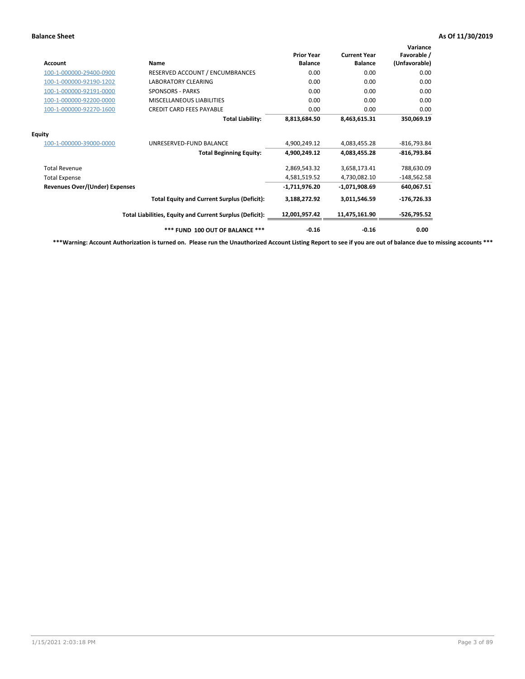| Account                               | Name                                                     | <b>Prior Year</b><br><b>Balance</b> | <b>Current Year</b><br><b>Balance</b> | Variance<br>Favorable /<br>(Unfavorable) |
|---------------------------------------|----------------------------------------------------------|-------------------------------------|---------------------------------------|------------------------------------------|
| 100-1-000000-29400-0900               | RESERVED ACCOUNT / ENCUMBRANCES                          | 0.00                                | 0.00                                  | 0.00                                     |
| 100-1-000000-92190-1202               | <b>LABORATORY CLEARING</b>                               | 0.00                                | 0.00                                  | 0.00                                     |
| 100-1-000000-92191-0000               | <b>SPONSORS - PARKS</b>                                  | 0.00                                | 0.00                                  | 0.00                                     |
| 100-1-000000-92200-0000               | <b>MISCELLANEOUS LIABILITIES</b>                         | 0.00                                | 0.00                                  | 0.00                                     |
| 100-1-000000-92270-1600               | <b>CREDIT CARD FEES PAYABLE</b>                          | 0.00                                | 0.00                                  | 0.00                                     |
|                                       | <b>Total Liability:</b>                                  | 8,813,684.50                        | 8,463,615.31                          | 350,069.19                               |
| <b>Equity</b>                         |                                                          |                                     |                                       |                                          |
| 100-1-000000-39000-0000               | UNRESERVED-FUND BALANCE                                  | 4,900,249.12                        | 4,083,455.28                          | $-816,793.84$                            |
|                                       | <b>Total Beginning Equity:</b>                           | 4,900,249.12                        | 4,083,455.28                          | $-816,793.84$                            |
| <b>Total Revenue</b>                  |                                                          | 2,869,543.32                        | 3,658,173.41                          | 788,630.09                               |
| <b>Total Expense</b>                  |                                                          | 4,581,519.52                        | 4,730,082.10                          | $-148,562.58$                            |
| <b>Revenues Over/(Under) Expenses</b> |                                                          | -1,711,976.20                       | -1,071,908.69                         | 640,067.51                               |
|                                       | <b>Total Equity and Current Surplus (Deficit):</b>       | 3,188,272.92                        | 3,011,546.59                          | $-176,726.33$                            |
|                                       | Total Liabilities, Equity and Current Surplus (Deficit): | 12,001,957.42                       | 11,475,161.90                         | -526,795.52                              |
|                                       | *** FUND 100 OUT OF BALANCE ***                          | $-0.16$                             | $-0.16$                               | 0.00                                     |

**\*\*\*Warning: Account Authorization is turned on. Please run the Unauthorized Account Listing Report to see if you are out of balance due to missing accounts \*\*\***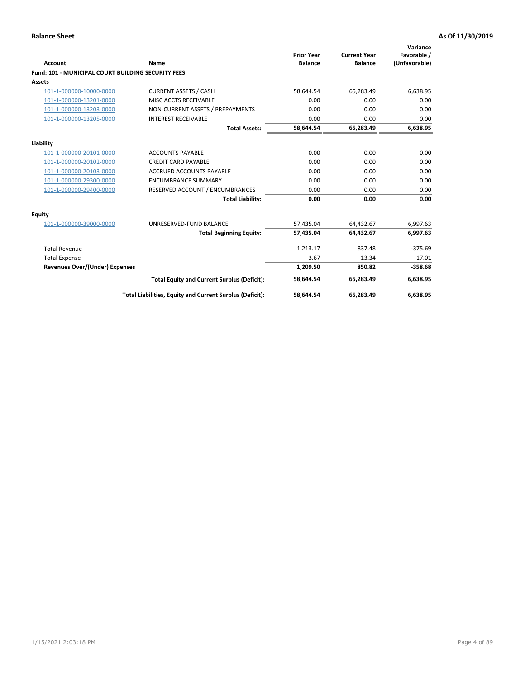| Account                                                   | Name                                                     | <b>Prior Year</b><br><b>Balance</b> | <b>Current Year</b><br><b>Balance</b> | Variance<br>Favorable /<br>(Unfavorable) |
|-----------------------------------------------------------|----------------------------------------------------------|-------------------------------------|---------------------------------------|------------------------------------------|
| <b>Fund: 101 - MUNICIPAL COURT BUILDING SECURITY FEES</b> |                                                          |                                     |                                       |                                          |
| Assets                                                    |                                                          |                                     |                                       |                                          |
| 101-1-000000-10000-0000                                   | <b>CURRENT ASSETS / CASH</b>                             | 58,644.54                           | 65,283.49                             | 6,638.95                                 |
| 101-1-000000-13201-0000                                   | MISC ACCTS RECEIVABLE                                    | 0.00                                | 0.00                                  | 0.00                                     |
| 101-1-000000-13203-0000                                   | NON-CURRENT ASSETS / PREPAYMENTS                         | 0.00                                | 0.00                                  | 0.00                                     |
| 101-1-000000-13205-0000                                   | <b>INTEREST RECEIVABLE</b>                               | 0.00                                | 0.00                                  | 0.00                                     |
|                                                           | <b>Total Assets:</b>                                     | 58,644.54                           | 65,283.49                             | 6,638.95                                 |
| Liability                                                 |                                                          |                                     |                                       |                                          |
| 101-1-000000-20101-0000                                   | <b>ACCOUNTS PAYABLE</b>                                  | 0.00                                | 0.00                                  | 0.00                                     |
| 101-1-000000-20102-0000                                   | <b>CREDIT CARD PAYABLE</b>                               | 0.00                                | 0.00                                  | 0.00                                     |
| 101-1-000000-20103-0000                                   | <b>ACCRUED ACCOUNTS PAYABLE</b>                          | 0.00                                | 0.00                                  | 0.00                                     |
| 101-1-000000-29300-0000                                   | <b>ENCUMBRANCE SUMMARY</b>                               | 0.00                                | 0.00                                  | 0.00                                     |
| 101-1-000000-29400-0000                                   | RESERVED ACCOUNT / ENCUMBRANCES                          | 0.00                                | 0.00                                  | 0.00                                     |
|                                                           | <b>Total Liability:</b>                                  | 0.00                                | 0.00                                  | 0.00                                     |
| <b>Equity</b>                                             |                                                          |                                     |                                       |                                          |
| 101-1-000000-39000-0000                                   | UNRESERVED-FUND BALANCE                                  | 57,435.04                           | 64,432.67                             | 6,997.63                                 |
|                                                           | <b>Total Beginning Equity:</b>                           | 57,435.04                           | 64,432.67                             | 6,997.63                                 |
| <b>Total Revenue</b>                                      |                                                          | 1,213.17                            | 837.48                                | $-375.69$                                |
| <b>Total Expense</b>                                      |                                                          | 3.67                                | $-13.34$                              | 17.01                                    |
| <b>Revenues Over/(Under) Expenses</b>                     |                                                          | 1,209.50                            | 850.82                                | $-358.68$                                |
|                                                           | <b>Total Equity and Current Surplus (Deficit):</b>       | 58.644.54                           | 65.283.49                             | 6,638.95                                 |
|                                                           | Total Liabilities, Equity and Current Surplus (Deficit): | 58,644.54                           | 65,283.49                             | 6,638.95                                 |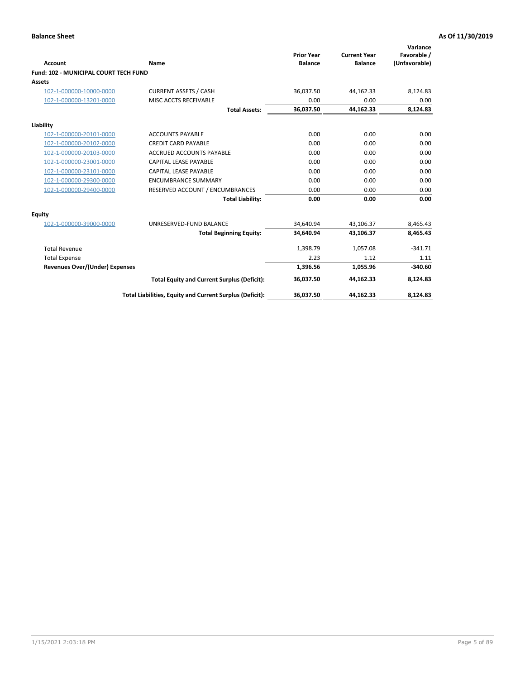| Account                                      | <b>Name</b>                                              | <b>Prior Year</b><br><b>Balance</b> | <b>Current Year</b><br><b>Balance</b> | Variance<br>Favorable /<br>(Unfavorable) |
|----------------------------------------------|----------------------------------------------------------|-------------------------------------|---------------------------------------|------------------------------------------|
| <b>Fund: 102 - MUNICIPAL COURT TECH FUND</b> |                                                          |                                     |                                       |                                          |
| Assets                                       |                                                          |                                     |                                       |                                          |
| 102-1-000000-10000-0000                      | <b>CURRENT ASSETS / CASH</b>                             | 36,037.50                           | 44,162.33                             | 8,124.83                                 |
| 102-1-000000-13201-0000                      | MISC ACCTS RECEIVABLE                                    | 0.00                                | 0.00                                  | 0.00                                     |
|                                              | <b>Total Assets:</b>                                     | 36,037.50                           | 44,162.33                             | 8,124.83                                 |
| Liability                                    |                                                          |                                     |                                       |                                          |
| 102-1-000000-20101-0000                      | <b>ACCOUNTS PAYABLE</b>                                  | 0.00                                | 0.00                                  | 0.00                                     |
| 102-1-000000-20102-0000                      | <b>CREDIT CARD PAYABLE</b>                               | 0.00                                | 0.00                                  | 0.00                                     |
| 102-1-000000-20103-0000                      | <b>ACCRUED ACCOUNTS PAYABLE</b>                          | 0.00                                | 0.00                                  | 0.00                                     |
| 102-1-000000-23001-0000                      | <b>CAPITAL LEASE PAYABLE</b>                             | 0.00                                | 0.00                                  | 0.00                                     |
| 102-1-000000-23101-0000                      | <b>CAPITAL LEASE PAYABLE</b>                             | 0.00                                | 0.00                                  | 0.00                                     |
| 102-1-000000-29300-0000                      | <b>ENCUMBRANCE SUMMARY</b>                               | 0.00                                | 0.00                                  | 0.00                                     |
| 102-1-000000-29400-0000                      | RESERVED ACCOUNT / ENCUMBRANCES                          | 0.00                                | 0.00                                  | 0.00                                     |
|                                              | <b>Total Liability:</b>                                  | 0.00                                | 0.00                                  | 0.00                                     |
| Equity                                       |                                                          |                                     |                                       |                                          |
| 102-1-000000-39000-0000                      | UNRESERVED-FUND BALANCE                                  | 34,640.94                           | 43,106.37                             | 8,465.43                                 |
|                                              | <b>Total Beginning Equity:</b>                           | 34,640.94                           | 43,106.37                             | 8,465.43                                 |
| <b>Total Revenue</b>                         |                                                          | 1,398.79                            | 1,057.08                              | $-341.71$                                |
| <b>Total Expense</b>                         |                                                          | 2.23                                | 1.12                                  | 1.11                                     |
| <b>Revenues Over/(Under) Expenses</b>        |                                                          | 1,396.56                            | 1,055.96                              | $-340.60$                                |
|                                              | <b>Total Equity and Current Surplus (Deficit):</b>       | 36,037.50                           | 44,162.33                             | 8,124.83                                 |
|                                              | Total Liabilities, Equity and Current Surplus (Deficit): | 36,037.50                           | 44,162.33                             | 8,124.83                                 |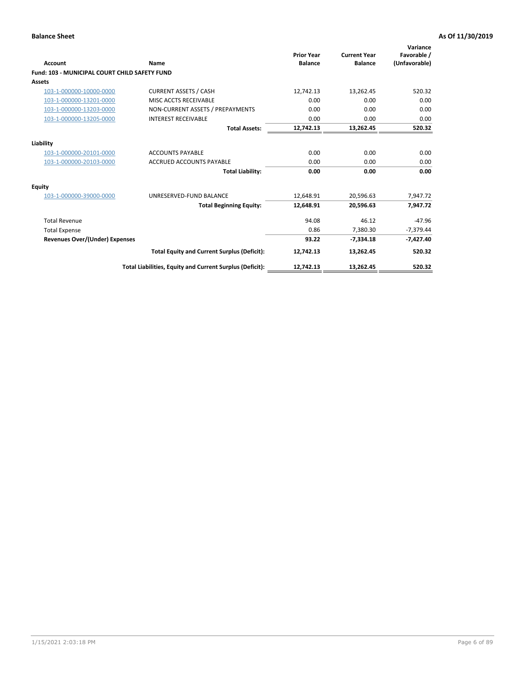| <b>Account</b>                                       | Name                                                     | <b>Prior Year</b><br><b>Balance</b> | <b>Current Year</b><br><b>Balance</b> | Variance<br>Favorable /<br>(Unfavorable) |
|------------------------------------------------------|----------------------------------------------------------|-------------------------------------|---------------------------------------|------------------------------------------|
| <b>Fund: 103 - MUNICIPAL COURT CHILD SAFETY FUND</b> |                                                          |                                     |                                       |                                          |
| <b>Assets</b>                                        |                                                          |                                     |                                       |                                          |
| 103-1-000000-10000-0000                              | <b>CURRENT ASSETS / CASH</b>                             | 12,742.13                           | 13,262.45                             | 520.32                                   |
| 103-1-000000-13201-0000                              | MISC ACCTS RECEIVABLE                                    | 0.00                                | 0.00                                  | 0.00                                     |
| 103-1-000000-13203-0000                              | NON-CURRENT ASSETS / PREPAYMENTS                         | 0.00                                | 0.00                                  | 0.00                                     |
| 103-1-000000-13205-0000                              | <b>INTEREST RECEIVABLE</b>                               | 0.00                                | 0.00                                  | 0.00                                     |
|                                                      | <b>Total Assets:</b>                                     | 12,742.13                           | 13,262.45                             | 520.32                                   |
| Liability                                            |                                                          |                                     |                                       |                                          |
| 103-1-000000-20101-0000                              | <b>ACCOUNTS PAYABLE</b>                                  | 0.00                                | 0.00                                  | 0.00                                     |
| 103-1-000000-20103-0000                              | <b>ACCRUED ACCOUNTS PAYABLE</b>                          | 0.00                                | 0.00                                  | 0.00                                     |
|                                                      | <b>Total Liability:</b>                                  | 0.00                                | 0.00                                  | 0.00                                     |
| Equity                                               |                                                          |                                     |                                       |                                          |
| 103-1-000000-39000-0000                              | UNRESERVED-FUND BALANCE                                  | 12,648.91                           | 20,596.63                             | 7,947.72                                 |
|                                                      | <b>Total Beginning Equity:</b>                           | 12,648.91                           | 20,596.63                             | 7,947.72                                 |
| <b>Total Revenue</b>                                 |                                                          | 94.08                               | 46.12                                 | $-47.96$                                 |
| <b>Total Expense</b>                                 |                                                          | 0.86                                | 7,380.30                              | $-7,379.44$                              |
| Revenues Over/(Under) Expenses                       |                                                          | 93.22                               | $-7,334.18$                           | $-7,427.40$                              |
|                                                      | <b>Total Equity and Current Surplus (Deficit):</b>       | 12,742.13                           | 13,262.45                             | 520.32                                   |
|                                                      | Total Liabilities, Equity and Current Surplus (Deficit): | 12,742.13                           | 13,262.45                             | 520.32                                   |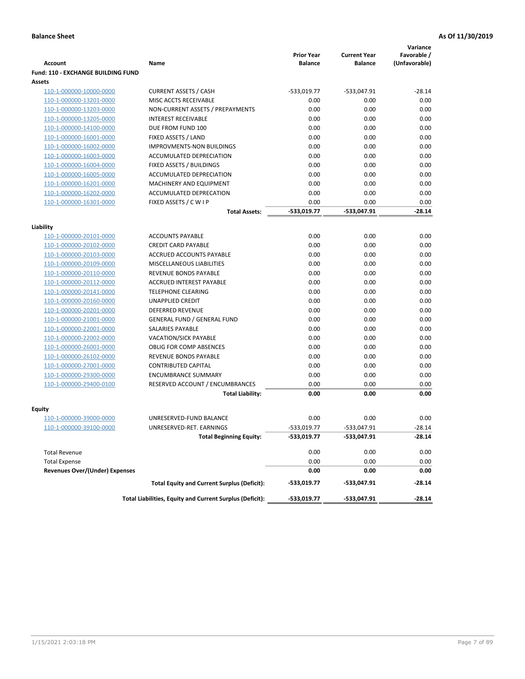|                                           |                                                          |                                     |                                       | Variance                     |
|-------------------------------------------|----------------------------------------------------------|-------------------------------------|---------------------------------------|------------------------------|
| <b>Account</b>                            | Name                                                     | <b>Prior Year</b><br><b>Balance</b> | <b>Current Year</b><br><b>Balance</b> | Favorable /<br>(Unfavorable) |
| <b>Fund: 110 - EXCHANGE BUILDING FUND</b> |                                                          |                                     |                                       |                              |
| <b>Assets</b>                             |                                                          |                                     |                                       |                              |
| 110-1-000000-10000-0000                   | <b>CURRENT ASSETS / CASH</b>                             | -533,019.77                         | -533,047.91                           | $-28.14$                     |
| 110-1-000000-13201-0000                   | MISC ACCTS RECEIVABLE                                    | 0.00                                | 0.00                                  | 0.00                         |
| 110-1-000000-13203-0000                   | NON-CURRENT ASSETS / PREPAYMENTS                         | 0.00                                | 0.00                                  | 0.00                         |
| 110-1-000000-13205-0000                   | <b>INTEREST RECEIVABLE</b>                               | 0.00                                | 0.00                                  | 0.00                         |
| 110-1-000000-14100-0000                   | DUE FROM FUND 100                                        | 0.00                                | 0.00                                  | 0.00                         |
| 110-1-000000-16001-0000                   | FIXED ASSETS / LAND                                      | 0.00                                | 0.00                                  | 0.00                         |
| 110-1-000000-16002-0000                   | <b>IMPROVMENTS-NON BUILDINGS</b>                         | 0.00                                | 0.00                                  | 0.00                         |
| 110-1-000000-16003-0000                   | ACCUMULATED DEPRECIATION                                 | 0.00                                | 0.00                                  | 0.00                         |
| 110-1-000000-16004-0000                   | FIXED ASSETS / BUILDINGS                                 | 0.00                                | 0.00                                  | 0.00                         |
| 110-1-000000-16005-0000                   | ACCUMULATED DEPRECIATION                                 | 0.00                                | 0.00                                  | 0.00                         |
| 110-1-000000-16201-0000                   | <b>MACHINERY AND EQUIPMENT</b>                           | 0.00                                | 0.00                                  | 0.00                         |
| 110-1-000000-16202-0000                   | ACCUMULATED DEPRECATION                                  | 0.00                                | 0.00                                  | 0.00                         |
| 110-1-000000-16301-0000                   | FIXED ASSETS / C W I P                                   | 0.00                                | 0.00                                  | 0.00                         |
|                                           | <b>Total Assets:</b>                                     | $-533,019.77$                       | -533,047.91                           | $-28.14$                     |
|                                           |                                                          |                                     |                                       |                              |
| Liability<br>110-1-000000-20101-0000      | <b>ACCOUNTS PAYABLE</b>                                  | 0.00                                | 0.00                                  | 0.00                         |
| 110-1-000000-20102-0000                   | <b>CREDIT CARD PAYABLE</b>                               | 0.00                                | 0.00                                  | 0.00                         |
| 110-1-000000-20103-0000                   | ACCRUED ACCOUNTS PAYABLE                                 | 0.00                                | 0.00                                  | 0.00                         |
| 110-1-000000-20109-0000                   | MISCELLANEOUS LIABILITIES                                | 0.00                                | 0.00                                  | 0.00                         |
| 110-1-000000-20110-0000                   | REVENUE BONDS PAYABLE                                    | 0.00                                | 0.00                                  | 0.00                         |
| 110-1-000000-20112-0000                   | <b>ACCRUED INTEREST PAYABLE</b>                          | 0.00                                | 0.00                                  | 0.00                         |
| 110-1-000000-20141-0000                   | <b>TELEPHONE CLEARING</b>                                | 0.00                                | 0.00                                  | 0.00                         |
| 110-1-000000-20160-0000                   | <b>UNAPPLIED CREDIT</b>                                  | 0.00                                | 0.00                                  | 0.00                         |
| 110-1-000000-20201-0000                   | <b>DEFERRED REVENUE</b>                                  | 0.00                                | 0.00                                  | 0.00                         |
| 110-1-000000-21001-0000                   | <b>GENERAL FUND / GENERAL FUND</b>                       | 0.00                                | 0.00                                  | 0.00                         |
| 110-1-000000-22001-0000                   | SALARIES PAYABLE                                         | 0.00                                | 0.00                                  | 0.00                         |
| 110-1-000000-22002-0000                   | <b>VACATION/SICK PAYABLE</b>                             | 0.00                                | 0.00                                  | 0.00                         |
| 110-1-000000-26001-0000                   | <b>OBLIG FOR COMP ABSENCES</b>                           | 0.00                                | 0.00                                  | 0.00                         |
| 110-1-000000-26102-0000                   | REVENUE BONDS PAYABLE                                    | 0.00                                | 0.00                                  | 0.00                         |
| 110-1-000000-27001-0000                   | <b>CONTRIBUTED CAPITAL</b>                               | 0.00                                | 0.00                                  | 0.00                         |
| 110-1-000000-29300-0000                   | <b>ENCUMBRANCE SUMMARY</b>                               | 0.00                                | 0.00                                  | 0.00                         |
| 110-1-000000-29400-0100                   | RESERVED ACCOUNT / ENCUMBRANCES                          | 0.00                                | 0.00                                  | 0.00                         |
|                                           | <b>Total Liability:</b>                                  | 0.00                                | 0.00                                  | 0.00                         |
|                                           |                                                          |                                     |                                       |                              |
| <b>Equity</b>                             |                                                          |                                     |                                       |                              |
| 110-1-000000-39000-0000                   | UNRESERVED-FUND BALANCE                                  | 0.00                                | 0.00                                  | 0.00                         |
| <u>110-1-000000-39100-0000</u>            | UNRESERVED-RET. EARNINGS                                 | -533,019.77                         | $-533,047.91$                         | $-28.14$                     |
|                                           | <b>Total Beginning Equity:</b>                           | -533,019.77                         | -533,047.91                           | $-28.14$                     |
| <b>Total Revenue</b>                      |                                                          | 0.00                                | 0.00                                  | 0.00                         |
| <b>Total Expense</b>                      |                                                          | 0.00                                | 0.00                                  | 0.00                         |
| <b>Revenues Over/(Under) Expenses</b>     |                                                          | 0.00                                | 0.00                                  | 0.00                         |
|                                           | <b>Total Equity and Current Surplus (Deficit):</b>       | -533,019.77                         | -533,047.91                           | -28.14                       |
|                                           | Total Liabilities, Equity and Current Surplus (Deficit): | -533,019.77                         | -533,047.91                           | $-28.14$                     |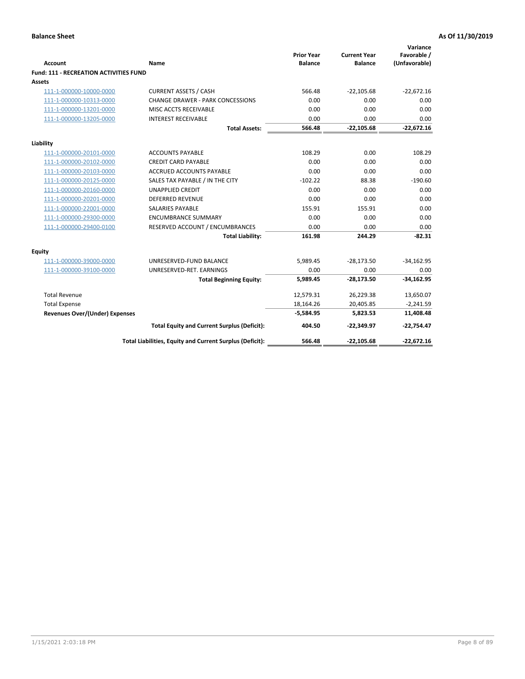|                                               |                                                          | <b>Prior Year</b> | <b>Current Year</b> | Variance<br>Favorable / |
|-----------------------------------------------|----------------------------------------------------------|-------------------|---------------------|-------------------------|
| Account                                       | Name                                                     | <b>Balance</b>    | <b>Balance</b>      | (Unfavorable)           |
| <b>Fund: 111 - RECREATION ACTIVITIES FUND</b> |                                                          |                   |                     |                         |
| <b>Assets</b>                                 |                                                          |                   |                     |                         |
| 111-1-000000-10000-0000                       | <b>CURRENT ASSETS / CASH</b>                             | 566.48            | $-22,105.68$        | $-22,672.16$            |
| 111-1-000000-10313-0000                       | <b>CHANGE DRAWER - PARK CONCESSIONS</b>                  | 0.00              | 0.00                | 0.00                    |
| 111-1-000000-13201-0000                       | MISC ACCTS RECEIVABLE                                    | 0.00              | 0.00                | 0.00                    |
| 111-1-000000-13205-0000                       | <b>INTEREST RECEIVABLE</b>                               | 0.00              | 0.00                | 0.00                    |
|                                               | <b>Total Assets:</b>                                     | 566.48            | $-22,105.68$        | $-22,672.16$            |
| Liability                                     |                                                          |                   |                     |                         |
| 111-1-000000-20101-0000                       | <b>ACCOUNTS PAYABLE</b>                                  | 108.29            | 0.00                | 108.29                  |
| 111-1-000000-20102-0000                       | <b>CREDIT CARD PAYABLE</b>                               | 0.00              | 0.00                | 0.00                    |
| 111-1-000000-20103-0000                       | <b>ACCRUED ACCOUNTS PAYABLE</b>                          | 0.00              | 0.00                | 0.00                    |
| 111-1-000000-20125-0000                       | SALES TAX PAYABLE / IN THE CITY                          | $-102.22$         | 88.38               | $-190.60$               |
| 111-1-000000-20160-0000                       | <b>UNAPPLIED CREDIT</b>                                  | 0.00              | 0.00                | 0.00                    |
| 111-1-000000-20201-0000                       | <b>DEFERRED REVENUE</b>                                  | 0.00              | 0.00                | 0.00                    |
| 111-1-000000-22001-0000                       | <b>SALARIES PAYABLE</b>                                  | 155.91            | 155.91              | 0.00                    |
| 111-1-000000-29300-0000                       | <b>ENCUMBRANCE SUMMARY</b>                               | 0.00              | 0.00                | 0.00                    |
| 111-1-000000-29400-0100                       | RESERVED ACCOUNT / ENCUMBRANCES                          | 0.00              | 0.00                | 0.00                    |
|                                               | <b>Total Liability:</b>                                  | 161.98            | 244.29              | $-82.31$                |
| Equity                                        |                                                          |                   |                     |                         |
| 111-1-000000-39000-0000                       | UNRESERVED-FUND BALANCE                                  | 5,989.45          | $-28,173.50$        | $-34,162.95$            |
| 111-1-000000-39100-0000                       | UNRESERVED-RET. EARNINGS                                 | 0.00              | 0.00                | 0.00                    |
|                                               | <b>Total Beginning Equity:</b>                           | 5,989.45          | $-28,173.50$        | $-34,162.95$            |
| <b>Total Revenue</b>                          |                                                          | 12,579.31         | 26,229.38           | 13,650.07               |
| <b>Total Expense</b>                          |                                                          | 18,164.26         | 20,405.85           | $-2,241.59$             |
| <b>Revenues Over/(Under) Expenses</b>         |                                                          | $-5,584.95$       | 5,823.53            | 11,408.48               |
|                                               | <b>Total Equity and Current Surplus (Deficit):</b>       | 404.50            | $-22,349.97$        | $-22,754.47$            |
|                                               | Total Liabilities, Equity and Current Surplus (Deficit): | 566.48            | $-22,105.68$        | $-22,672.16$            |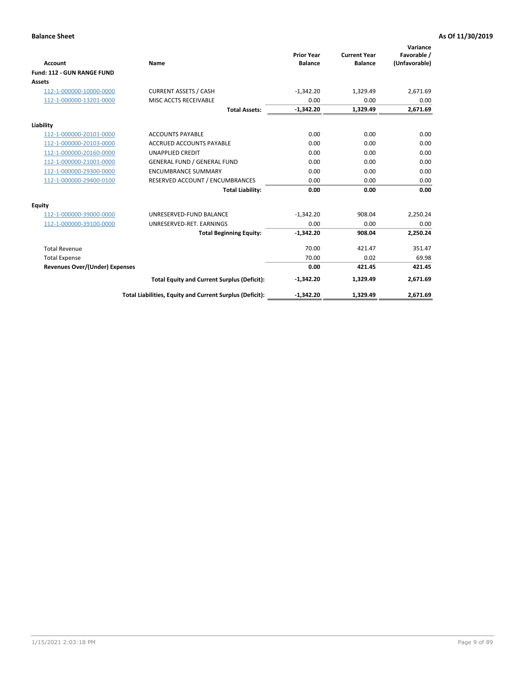|                                       |                                                          |                                     |                                       | Variance                     |
|---------------------------------------|----------------------------------------------------------|-------------------------------------|---------------------------------------|------------------------------|
| <b>Account</b>                        | Name                                                     | <b>Prior Year</b><br><b>Balance</b> | <b>Current Year</b><br><b>Balance</b> | Favorable /<br>(Unfavorable) |
| Fund: 112 - GUN RANGE FUND            |                                                          |                                     |                                       |                              |
| <b>Assets</b>                         |                                                          |                                     |                                       |                              |
| 112-1-000000-10000-0000               | <b>CURRENT ASSETS / CASH</b>                             | $-1,342.20$                         | 1,329.49                              | 2,671.69                     |
| 112-1-000000-13201-0000               | MISC ACCTS RECEIVABLE                                    | 0.00                                | 0.00                                  | 0.00                         |
|                                       | <b>Total Assets:</b>                                     | $-1,342.20$                         | 1,329.49                              | 2,671.69                     |
| Liability                             |                                                          |                                     |                                       |                              |
| 112-1-000000-20101-0000               | <b>ACCOUNTS PAYABLE</b>                                  | 0.00                                | 0.00                                  | 0.00                         |
| 112-1-000000-20103-0000               | <b>ACCRUED ACCOUNTS PAYABLE</b>                          | 0.00                                | 0.00                                  | 0.00                         |
| 112-1-000000-20160-0000               | <b>UNAPPLIED CREDIT</b>                                  | 0.00                                | 0.00                                  | 0.00                         |
| 112-1-000000-21001-0000               | <b>GENERAL FUND / GENERAL FUND</b>                       | 0.00                                | 0.00                                  | 0.00                         |
| 112-1-000000-29300-0000               | <b>ENCUMBRANCE SUMMARY</b>                               | 0.00                                | 0.00                                  | 0.00                         |
| 112-1-000000-29400-0100               | RESERVED ACCOUNT / ENCUMBRANCES                          | 0.00                                | 0.00                                  | 0.00                         |
|                                       | <b>Total Liability:</b>                                  | 0.00                                | 0.00                                  | 0.00                         |
| Equity                                |                                                          |                                     |                                       |                              |
| 112-1-000000-39000-0000               | UNRESERVED-FUND BALANCE                                  | $-1,342.20$                         | 908.04                                | 2,250.24                     |
| 112-1-000000-39100-0000               | UNRESERVED-RET. EARNINGS                                 | 0.00                                | 0.00                                  | 0.00                         |
|                                       | <b>Total Beginning Equity:</b>                           | $-1.342.20$                         | 908.04                                | 2.250.24                     |
| <b>Total Revenue</b>                  |                                                          | 70.00                               | 421.47                                | 351.47                       |
| <b>Total Expense</b>                  |                                                          | 70.00                               | 0.02                                  | 69.98                        |
| <b>Revenues Over/(Under) Expenses</b> |                                                          | 0.00                                | 421.45                                | 421.45                       |
|                                       | <b>Total Equity and Current Surplus (Deficit):</b>       | $-1,342.20$                         | 1,329.49                              | 2,671.69                     |
|                                       | Total Liabilities, Equity and Current Surplus (Deficit): | $-1,342.20$                         | 1,329.49                              | 2,671.69                     |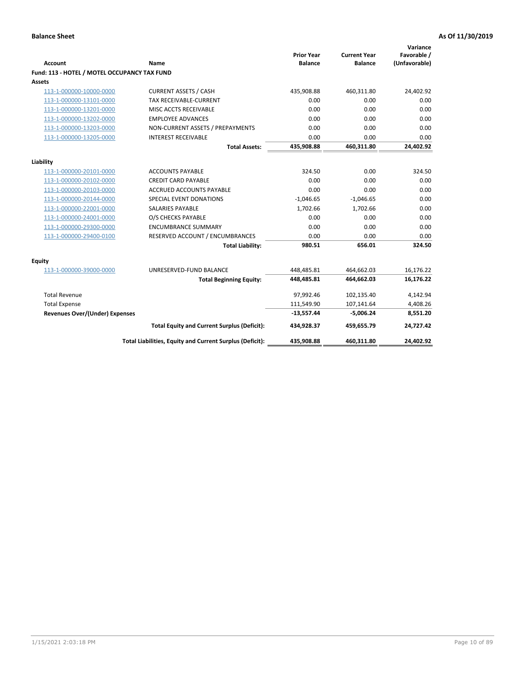| <b>Account</b>                               | Name                                                     | <b>Prior Year</b><br><b>Balance</b> | <b>Current Year</b><br><b>Balance</b> | Variance<br>Favorable /<br>(Unfavorable) |
|----------------------------------------------|----------------------------------------------------------|-------------------------------------|---------------------------------------|------------------------------------------|
| Fund: 113 - HOTEL / MOTEL OCCUPANCY TAX FUND |                                                          |                                     |                                       |                                          |
| Assets                                       |                                                          |                                     |                                       |                                          |
| 113-1-000000-10000-0000                      | <b>CURRENT ASSETS / CASH</b>                             | 435,908.88                          | 460,311.80                            | 24,402.92                                |
| 113-1-000000-13101-0000                      | TAX RECEIVABLE-CURRENT                                   | 0.00                                | 0.00                                  | 0.00                                     |
| 113-1-000000-13201-0000                      | MISC ACCTS RECEIVABLE                                    | 0.00                                | 0.00                                  | 0.00                                     |
| 113-1-000000-13202-0000                      | <b>EMPLOYEE ADVANCES</b>                                 | 0.00                                | 0.00                                  | 0.00                                     |
| 113-1-000000-13203-0000                      | NON-CURRENT ASSETS / PREPAYMENTS                         | 0.00                                | 0.00                                  | 0.00                                     |
| 113-1-000000-13205-0000                      | <b>INTEREST RECEIVABLE</b>                               | 0.00                                | 0.00                                  | 0.00                                     |
|                                              | <b>Total Assets:</b>                                     | 435,908.88                          | 460,311.80                            | 24,402.92                                |
| Liability                                    |                                                          |                                     |                                       |                                          |
| 113-1-000000-20101-0000                      | <b>ACCOUNTS PAYABLE</b>                                  | 324.50                              | 0.00                                  | 324.50                                   |
| 113-1-000000-20102-0000                      | <b>CREDIT CARD PAYABLE</b>                               | 0.00                                | 0.00                                  | 0.00                                     |
| 113-1-000000-20103-0000                      | ACCRUED ACCOUNTS PAYABLE                                 | 0.00                                | 0.00                                  | 0.00                                     |
| 113-1-000000-20144-0000                      | SPECIAL EVENT DONATIONS                                  | $-1,046.65$                         | $-1,046.65$                           | 0.00                                     |
| 113-1-000000-22001-0000                      | <b>SALARIES PAYABLE</b>                                  | 1,702.66                            | 1,702.66                              | 0.00                                     |
| 113-1-000000-24001-0000                      | O/S CHECKS PAYABLE                                       | 0.00                                | 0.00                                  | 0.00                                     |
| 113-1-000000-29300-0000                      | <b>ENCUMBRANCE SUMMARY</b>                               | 0.00                                | 0.00                                  | 0.00                                     |
| 113-1-000000-29400-0100                      | RESERVED ACCOUNT / ENCUMBRANCES                          | 0.00                                | 0.00                                  | 0.00                                     |
|                                              | <b>Total Liability:</b>                                  | 980.51                              | 656.01                                | 324.50                                   |
| Equity                                       |                                                          |                                     |                                       |                                          |
| 113-1-000000-39000-0000                      | UNRESERVED-FUND BALANCE                                  | 448,485.81                          | 464,662.03                            | 16,176.22                                |
|                                              | <b>Total Beginning Equity:</b>                           | 448,485.81                          | 464,662.03                            | 16,176.22                                |
|                                              |                                                          |                                     |                                       |                                          |
| <b>Total Revenue</b>                         |                                                          | 97,992.46                           | 102,135.40                            | 4,142.94                                 |
| <b>Total Expense</b>                         |                                                          | 111,549.90                          | 107,141.64                            | 4,408.26                                 |
| <b>Revenues Over/(Under) Expenses</b>        |                                                          | $-13,557.44$                        | $-5,006.24$                           | 8,551.20                                 |
|                                              | <b>Total Equity and Current Surplus (Deficit):</b>       | 434,928.37                          | 459,655.79                            | 24,727.42                                |
|                                              | Total Liabilities, Equity and Current Surplus (Deficit): | 435,908.88                          | 460,311.80                            | 24,402.92                                |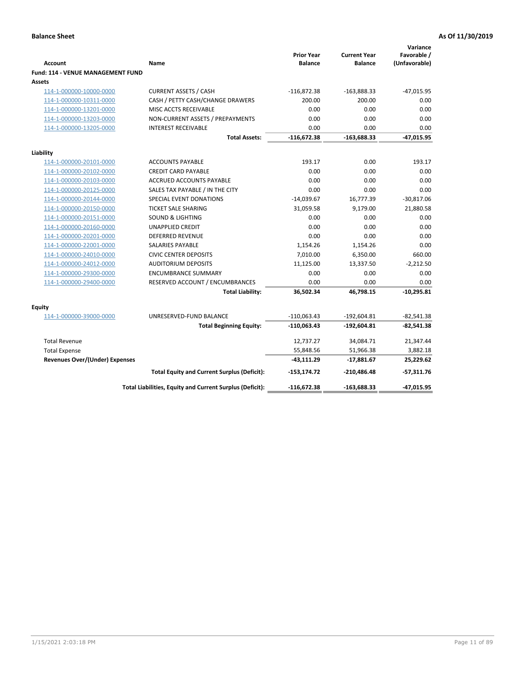| <b>Account</b><br>Fund: 114 - VENUE MANAGEMENT FUND | Name                                                     | <b>Prior Year</b><br><b>Balance</b> | <b>Current Year</b><br><b>Balance</b> | Variance<br>Favorable /<br>(Unfavorable) |
|-----------------------------------------------------|----------------------------------------------------------|-------------------------------------|---------------------------------------|------------------------------------------|
| Assets                                              |                                                          |                                     |                                       |                                          |
| 114-1-000000-10000-0000                             | <b>CURRENT ASSETS / CASH</b>                             | $-116,872.38$                       | $-163,888.33$                         | $-47,015.95$                             |
| 114-1-000000-10311-0000                             | CASH / PETTY CASH/CHANGE DRAWERS                         | 200.00                              | 200.00                                | 0.00                                     |
| 114-1-000000-13201-0000                             | MISC ACCTS RECEIVABLE                                    | 0.00                                | 0.00                                  | 0.00                                     |
| 114-1-000000-13203-0000                             | NON-CURRENT ASSETS / PREPAYMENTS                         | 0.00                                | 0.00                                  | 0.00                                     |
| 114-1-000000-13205-0000                             | <b>INTEREST RECEIVABLE</b>                               | 0.00                                | 0.00                                  | 0.00                                     |
|                                                     | <b>Total Assets:</b>                                     | $-116,672.38$                       | $-163,688.33$                         | $-47,015.95$                             |
| Liability                                           |                                                          |                                     |                                       |                                          |
| 114-1-000000-20101-0000                             | <b>ACCOUNTS PAYABLE</b>                                  | 193.17                              | 0.00                                  | 193.17                                   |
| 114-1-000000-20102-0000                             | <b>CREDIT CARD PAYABLE</b>                               | 0.00                                | 0.00                                  | 0.00                                     |
| 114-1-000000-20103-0000                             | <b>ACCRUED ACCOUNTS PAYABLE</b>                          | 0.00                                | 0.00                                  | 0.00                                     |
| 114-1-000000-20125-0000                             | SALES TAX PAYABLE / IN THE CITY                          | 0.00                                | 0.00                                  | 0.00                                     |
| 114-1-000000-20144-0000                             | SPECIAL EVENT DONATIONS                                  | $-14,039.67$                        | 16,777.39                             | $-30,817.06$                             |
| 114-1-000000-20150-0000                             | <b>TICKET SALE SHARING</b>                               | 31,059.58                           | 9,179.00                              | 21,880.58                                |
| 114-1-000000-20151-0000                             | <b>SOUND &amp; LIGHTING</b>                              | 0.00                                | 0.00                                  | 0.00                                     |
| 114-1-000000-20160-0000                             | <b>UNAPPLIED CREDIT</b>                                  | 0.00                                | 0.00                                  | 0.00                                     |
| 114-1-000000-20201-0000                             | <b>DEFERRED REVENUE</b>                                  | 0.00                                | 0.00                                  | 0.00                                     |
| 114-1-000000-22001-0000                             | SALARIES PAYABLE                                         | 1,154.26                            | 1,154.26                              | 0.00                                     |
| 114-1-000000-24010-0000                             | <b>CIVIC CENTER DEPOSITS</b>                             | 7,010.00                            | 6,350.00                              | 660.00                                   |
| 114-1-000000-24012-0000                             | <b>AUDITORIUM DEPOSITS</b>                               | 11,125.00                           | 13,337.50                             | $-2,212.50$                              |
| 114-1-000000-29300-0000                             | <b>ENCUMBRANCE SUMMARY</b>                               | 0.00                                | 0.00                                  | 0.00                                     |
| 114-1-000000-29400-0000                             | RESERVED ACCOUNT / ENCUMBRANCES                          | 0.00                                | 0.00                                  | 0.00                                     |
|                                                     | <b>Total Liability:</b>                                  | 36,502.34                           | 46,798.15                             | $-10,295.81$                             |
| Equity                                              |                                                          |                                     |                                       |                                          |
| 114-1-000000-39000-0000                             | UNRESERVED-FUND BALANCE                                  | $-110,063.43$                       | $-192,604.81$                         | $-82,541.38$                             |
|                                                     | <b>Total Beginning Equity:</b>                           | $-110,063.43$                       | $-192,604.81$                         | $-82,541.38$                             |
| <b>Total Revenue</b>                                |                                                          | 12,737.27                           | 34,084.71                             | 21,347.44                                |
| <b>Total Expense</b>                                |                                                          | 55,848.56                           | 51,966.38                             | 3,882.18                                 |
| <b>Revenues Over/(Under) Expenses</b>               |                                                          | $-43,111.29$                        | $-17,881.67$                          | 25,229.62                                |
|                                                     | <b>Total Equity and Current Surplus (Deficit):</b>       | $-153, 174.72$                      | -210,486.48                           | $-57,311.76$                             |
|                                                     | Total Liabilities, Equity and Current Surplus (Deficit): | -116,672.38                         | $-163,688.33$                         | $-47,015.95$                             |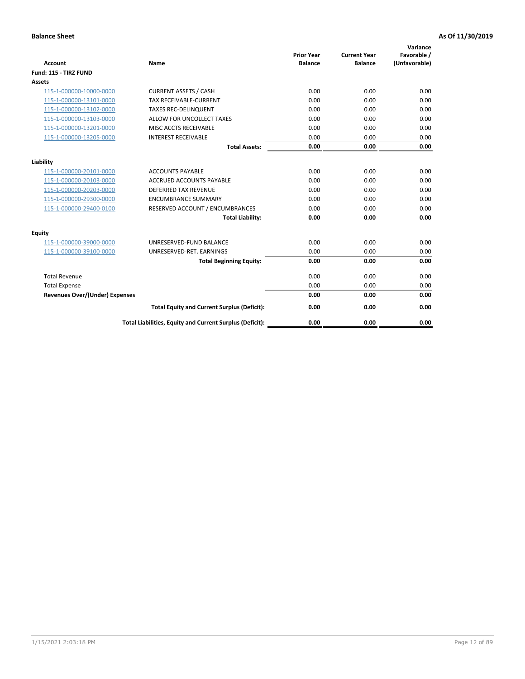| <b>Account</b>                        | <b>Name</b>                                              | <b>Prior Year</b><br><b>Balance</b> | <b>Current Year</b><br><b>Balance</b> | Variance<br>Favorable /<br>(Unfavorable) |
|---------------------------------------|----------------------------------------------------------|-------------------------------------|---------------------------------------|------------------------------------------|
| Fund: 115 - TIRZ FUND                 |                                                          |                                     |                                       |                                          |
| <b>Assets</b>                         |                                                          |                                     |                                       |                                          |
| 115-1-000000-10000-0000               | <b>CURRENT ASSETS / CASH</b>                             | 0.00                                | 0.00                                  | 0.00                                     |
| 115-1-000000-13101-0000               | <b>TAX RECEIVABLE-CURRENT</b>                            | 0.00                                | 0.00                                  | 0.00                                     |
| 115-1-000000-13102-0000               | <b>TAXES REC-DELINQUENT</b>                              | 0.00                                | 0.00                                  | 0.00                                     |
| 115-1-000000-13103-0000               | ALLOW FOR UNCOLLECT TAXES                                | 0.00                                | 0.00                                  | 0.00                                     |
| 115-1-000000-13201-0000               | MISC ACCTS RECEIVABLE                                    | 0.00                                | 0.00                                  | 0.00                                     |
| 115-1-000000-13205-0000               | <b>INTEREST RECEIVABLE</b>                               | 0.00                                | 0.00                                  | 0.00                                     |
|                                       | <b>Total Assets:</b>                                     | 0.00                                | 0.00                                  | 0.00                                     |
| Liability                             |                                                          |                                     |                                       |                                          |
| 115-1-000000-20101-0000               | <b>ACCOUNTS PAYABLE</b>                                  | 0.00                                | 0.00                                  | 0.00                                     |
| 115-1-000000-20103-0000               | <b>ACCRUED ACCOUNTS PAYABLE</b>                          | 0.00                                | 0.00                                  | 0.00                                     |
| 115-1-000000-20203-0000               | <b>DEFERRED TAX REVENUE</b>                              | 0.00                                | 0.00                                  | 0.00                                     |
| 115-1-000000-29300-0000               | <b>ENCUMBRANCE SUMMARY</b>                               | 0.00                                | 0.00                                  | 0.00                                     |
| 115-1-000000-29400-0100               | RESERVED ACCOUNT / ENCUMBRANCES                          | 0.00                                | 0.00                                  | 0.00                                     |
|                                       | <b>Total Liability:</b>                                  | 0.00                                | 0.00                                  | 0.00                                     |
| Equity                                |                                                          |                                     |                                       |                                          |
| 115-1-000000-39000-0000               | UNRESERVED-FUND BALANCE                                  | 0.00                                | 0.00                                  | 0.00                                     |
| 115-1-000000-39100-0000               | UNRESERVED-RET. EARNINGS                                 | 0.00                                | 0.00                                  | 0.00                                     |
|                                       | <b>Total Beginning Equity:</b>                           | 0.00                                | 0.00                                  | 0.00                                     |
| <b>Total Revenue</b>                  |                                                          | 0.00                                | 0.00                                  | 0.00                                     |
| <b>Total Expense</b>                  |                                                          | 0.00                                | 0.00                                  | 0.00                                     |
| <b>Revenues Over/(Under) Expenses</b> |                                                          | 0.00                                | 0.00                                  | 0.00                                     |
|                                       | <b>Total Equity and Current Surplus (Deficit):</b>       | 0.00                                | 0.00                                  | 0.00                                     |
|                                       | Total Liabilities, Equity and Current Surplus (Deficit): | 0.00                                | 0.00                                  | 0.00                                     |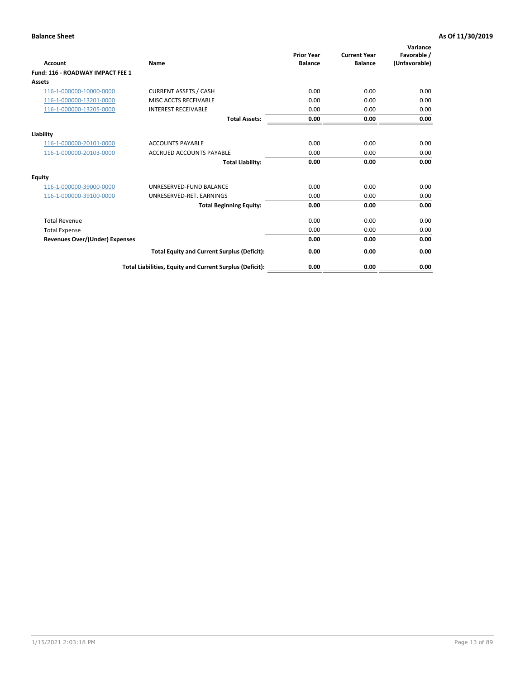| <b>Account</b>                        | <b>Name</b>                                              | <b>Prior Year</b><br><b>Balance</b> | <b>Current Year</b><br><b>Balance</b> | Variance<br>Favorable /<br>(Unfavorable) |
|---------------------------------------|----------------------------------------------------------|-------------------------------------|---------------------------------------|------------------------------------------|
| Fund: 116 - ROADWAY IMPACT FEE 1      |                                                          |                                     |                                       |                                          |
| <b>Assets</b>                         |                                                          |                                     |                                       |                                          |
| 116-1-000000-10000-0000               | <b>CURRENT ASSETS / CASH</b>                             | 0.00                                | 0.00                                  | 0.00                                     |
| 116-1-000000-13201-0000               | MISC ACCTS RECEIVABLE                                    | 0.00                                | 0.00                                  | 0.00                                     |
| 116-1-000000-13205-0000               | <b>INTEREST RECEIVABLE</b>                               | 0.00                                | 0.00                                  | 0.00                                     |
|                                       | <b>Total Assets:</b>                                     | 0.00                                | 0.00                                  | 0.00                                     |
| Liability                             |                                                          |                                     |                                       |                                          |
| 116-1-000000-20101-0000               | <b>ACCOUNTS PAYABLE</b>                                  | 0.00                                | 0.00                                  | 0.00                                     |
| 116-1-000000-20103-0000               | <b>ACCRUED ACCOUNTS PAYABLE</b>                          | 0.00                                | 0.00                                  | 0.00                                     |
|                                       | <b>Total Liability:</b>                                  | 0.00                                | 0.00                                  | 0.00                                     |
| Equity                                |                                                          |                                     |                                       |                                          |
| 116-1-000000-39000-0000               | UNRESERVED-FUND BALANCE                                  | 0.00                                | 0.00                                  | 0.00                                     |
| 116-1-000000-39100-0000               | UNRESERVED-RET. EARNINGS                                 | 0.00                                | 0.00                                  | 0.00                                     |
|                                       | <b>Total Beginning Equity:</b>                           | 0.00                                | 0.00                                  | 0.00                                     |
| <b>Total Revenue</b>                  |                                                          | 0.00                                | 0.00                                  | 0.00                                     |
| <b>Total Expense</b>                  |                                                          | 0.00                                | 0.00                                  | 0.00                                     |
| <b>Revenues Over/(Under) Expenses</b> |                                                          | 0.00                                | 0.00                                  | 0.00                                     |
|                                       | <b>Total Equity and Current Surplus (Deficit):</b>       | 0.00                                | 0.00                                  | 0.00                                     |
|                                       | Total Liabilities, Equity and Current Surplus (Deficit): | 0.00                                | 0.00                                  | 0.00                                     |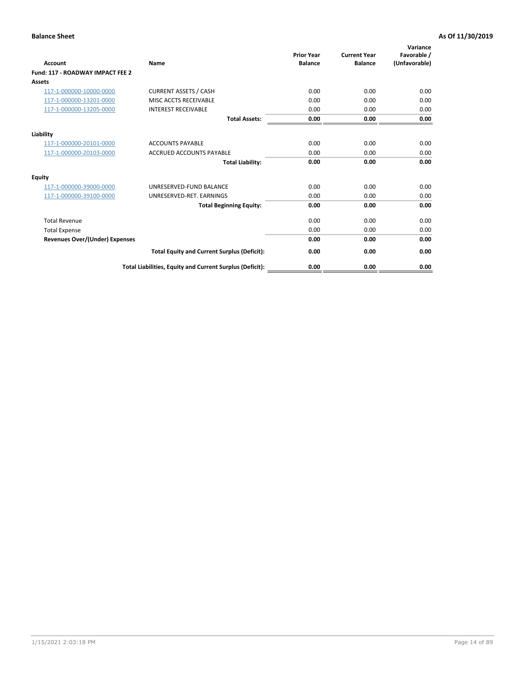| Account                               | <b>Name</b>                                              | <b>Prior Year</b><br><b>Balance</b> | <b>Current Year</b><br><b>Balance</b> | Variance<br>Favorable /<br>(Unfavorable) |
|---------------------------------------|----------------------------------------------------------|-------------------------------------|---------------------------------------|------------------------------------------|
| Fund: 117 - ROADWAY IMPACT FEE 2      |                                                          |                                     |                                       |                                          |
| Assets                                |                                                          |                                     |                                       |                                          |
| 117-1-000000-10000-0000               | <b>CURRENT ASSETS / CASH</b>                             | 0.00                                | 0.00                                  | 0.00                                     |
| 117-1-000000-13201-0000               | MISC ACCTS RECEIVABLE                                    | 0.00                                | 0.00                                  | 0.00                                     |
| 117-1-000000-13205-0000               | <b>INTEREST RECEIVABLE</b>                               | 0.00                                | 0.00                                  | 0.00                                     |
|                                       | <b>Total Assets:</b>                                     | 0.00                                | 0.00                                  | 0.00                                     |
| Liability                             |                                                          |                                     |                                       |                                          |
| 117-1-000000-20101-0000               | <b>ACCOUNTS PAYABLE</b>                                  | 0.00                                | 0.00                                  | 0.00                                     |
| 117-1-000000-20103-0000               | <b>ACCRUED ACCOUNTS PAYABLE</b>                          | 0.00                                | 0.00                                  | 0.00                                     |
|                                       | <b>Total Liability:</b>                                  | 0.00                                | 0.00                                  | 0.00                                     |
| Equity                                |                                                          |                                     |                                       |                                          |
| 117-1-000000-39000-0000               | UNRESERVED-FUND BALANCE                                  | 0.00                                | 0.00                                  | 0.00                                     |
| 117-1-000000-39100-0000               | UNRESERVED-RET. EARNINGS                                 | 0.00                                | 0.00                                  | 0.00                                     |
|                                       | <b>Total Beginning Equity:</b>                           | 0.00                                | 0.00                                  | 0.00                                     |
| <b>Total Revenue</b>                  |                                                          | 0.00                                | 0.00                                  | 0.00                                     |
| <b>Total Expense</b>                  |                                                          | 0.00                                | 0.00                                  | 0.00                                     |
| <b>Revenues Over/(Under) Expenses</b> |                                                          | 0.00                                | 0.00                                  | 0.00                                     |
|                                       | <b>Total Equity and Current Surplus (Deficit):</b>       | 0.00                                | 0.00                                  | 0.00                                     |
|                                       | Total Liabilities, Equity and Current Surplus (Deficit): | 0.00                                | 0.00                                  | 0.00                                     |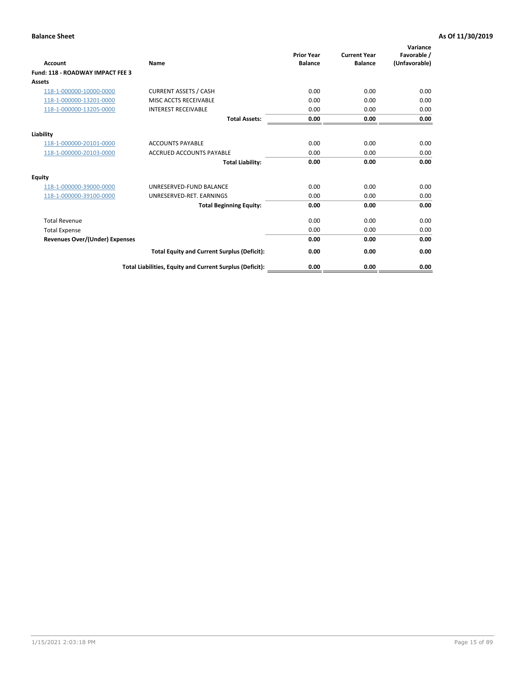| <b>Account</b>                        | Name                                                     | <b>Prior Year</b><br><b>Balance</b> | <b>Current Year</b><br><b>Balance</b> | Variance<br>Favorable /<br>(Unfavorable) |
|---------------------------------------|----------------------------------------------------------|-------------------------------------|---------------------------------------|------------------------------------------|
| Fund: 118 - ROADWAY IMPACT FEE 3      |                                                          |                                     |                                       |                                          |
| Assets                                |                                                          |                                     |                                       |                                          |
| 118-1-000000-10000-0000               | <b>CURRENT ASSETS / CASH</b>                             | 0.00                                | 0.00                                  | 0.00                                     |
| 118-1-000000-13201-0000               | MISC ACCTS RECEIVABLE                                    | 0.00                                | 0.00                                  | 0.00                                     |
| 118-1-000000-13205-0000               | <b>INTEREST RECEIVABLE</b>                               | 0.00                                | 0.00                                  | 0.00                                     |
|                                       | <b>Total Assets:</b>                                     | 0.00                                | 0.00                                  | 0.00                                     |
| Liability                             |                                                          |                                     |                                       |                                          |
| 118-1-000000-20101-0000               | <b>ACCOUNTS PAYABLE</b>                                  | 0.00                                | 0.00                                  | 0.00                                     |
| 118-1-000000-20103-0000               | <b>ACCRUED ACCOUNTS PAYABLE</b>                          | 0.00                                | 0.00                                  | 0.00                                     |
|                                       | <b>Total Liability:</b>                                  | 0.00                                | 0.00                                  | 0.00                                     |
| Equity                                |                                                          |                                     |                                       |                                          |
| 118-1-000000-39000-0000               | UNRESERVED-FUND BALANCE                                  | 0.00                                | 0.00                                  | 0.00                                     |
| 118-1-000000-39100-0000               | UNRESERVED-RET. EARNINGS                                 | 0.00                                | 0.00                                  | 0.00                                     |
|                                       | <b>Total Beginning Equity:</b>                           | 0.00                                | 0.00                                  | 0.00                                     |
| <b>Total Revenue</b>                  |                                                          | 0.00                                | 0.00                                  | 0.00                                     |
| <b>Total Expense</b>                  |                                                          | 0.00                                | 0.00                                  | 0.00                                     |
| <b>Revenues Over/(Under) Expenses</b> |                                                          | 0.00                                | 0.00                                  | 0.00                                     |
|                                       | <b>Total Equity and Current Surplus (Deficit):</b>       | 0.00                                | 0.00                                  | 0.00                                     |
|                                       | Total Liabilities, Equity and Current Surplus (Deficit): | 0.00                                | 0.00                                  | 0.00                                     |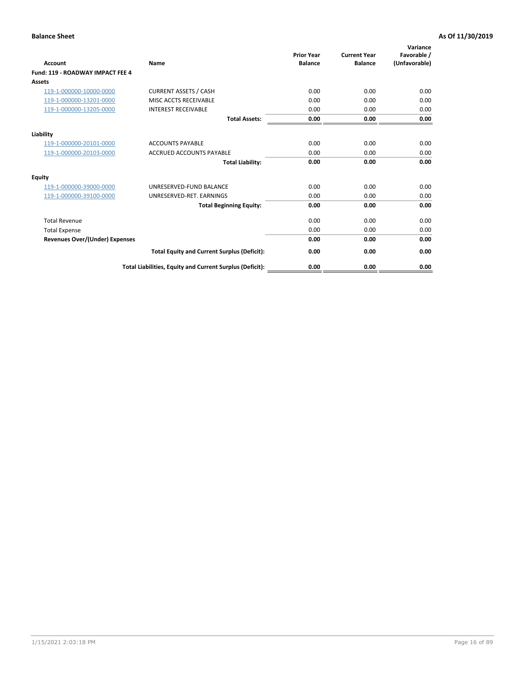| <b>Account</b>                        | <b>Name</b>                                              | <b>Prior Year</b><br><b>Balance</b> | <b>Current Year</b><br><b>Balance</b> | Variance<br>Favorable /<br>(Unfavorable) |
|---------------------------------------|----------------------------------------------------------|-------------------------------------|---------------------------------------|------------------------------------------|
| Fund: 119 - ROADWAY IMPACT FEE 4      |                                                          |                                     |                                       |                                          |
| Assets                                |                                                          |                                     |                                       |                                          |
| 119-1-000000-10000-0000               | <b>CURRENT ASSETS / CASH</b>                             | 0.00                                | 0.00                                  | 0.00                                     |
| 119-1-000000-13201-0000               | MISC ACCTS RECEIVABLE                                    | 0.00                                | 0.00                                  | 0.00                                     |
| 119-1-000000-13205-0000               | <b>INTEREST RECEIVABLE</b>                               | 0.00                                | 0.00                                  | 0.00                                     |
|                                       | <b>Total Assets:</b>                                     | 0.00                                | 0.00                                  | 0.00                                     |
| Liability                             |                                                          |                                     |                                       |                                          |
| 119-1-000000-20101-0000               | <b>ACCOUNTS PAYABLE</b>                                  | 0.00                                | 0.00                                  | 0.00                                     |
| 119-1-000000-20103-0000               | <b>ACCRUED ACCOUNTS PAYABLE</b>                          | 0.00                                | 0.00                                  | 0.00                                     |
|                                       | <b>Total Liability:</b>                                  | 0.00                                | 0.00                                  | 0.00                                     |
| Equity                                |                                                          |                                     |                                       |                                          |
| 119-1-000000-39000-0000               | UNRESERVED-FUND BALANCE                                  | 0.00                                | 0.00                                  | 0.00                                     |
| 119-1-000000-39100-0000               | UNRESERVED-RET, EARNINGS                                 | 0.00                                | 0.00                                  | 0.00                                     |
|                                       | <b>Total Beginning Equity:</b>                           | 0.00                                | 0.00                                  | 0.00                                     |
| <b>Total Revenue</b>                  |                                                          | 0.00                                | 0.00                                  | 0.00                                     |
| <b>Total Expense</b>                  |                                                          | 0.00                                | 0.00                                  | 0.00                                     |
| <b>Revenues Over/(Under) Expenses</b> |                                                          | 0.00                                | 0.00                                  | 0.00                                     |
|                                       | <b>Total Equity and Current Surplus (Deficit):</b>       | 0.00                                | 0.00                                  | 0.00                                     |
|                                       | Total Liabilities, Equity and Current Surplus (Deficit): | 0.00                                | 0.00                                  | 0.00                                     |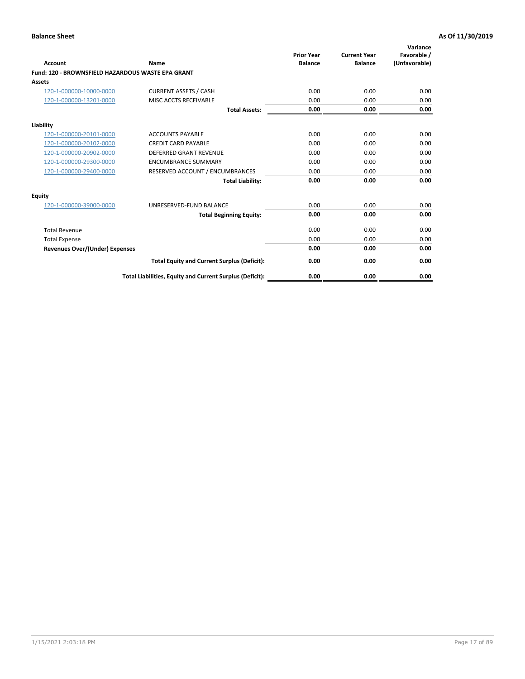|                                                   |                                                          | <b>Prior Year</b> | <b>Current Year</b> | Variance<br>Favorable / |
|---------------------------------------------------|----------------------------------------------------------|-------------------|---------------------|-------------------------|
| <b>Account</b>                                    | <b>Name</b>                                              | <b>Balance</b>    | <b>Balance</b>      | (Unfavorable)           |
| Fund: 120 - BROWNSFIELD HAZARDOUS WASTE EPA GRANT |                                                          |                   |                     |                         |
| <b>Assets</b>                                     |                                                          |                   |                     |                         |
| 120-1-000000-10000-0000                           | <b>CURRENT ASSETS / CASH</b>                             | 0.00              | 0.00                | 0.00                    |
| 120-1-000000-13201-0000                           | MISC ACCTS RECEIVABLE                                    | 0.00              | 0.00                | 0.00                    |
|                                                   | <b>Total Assets:</b>                                     | 0.00              | 0.00                | 0.00                    |
| Liability                                         |                                                          |                   |                     |                         |
| 120-1-000000-20101-0000                           | <b>ACCOUNTS PAYABLE</b>                                  | 0.00              | 0.00                | 0.00                    |
| 120-1-000000-20102-0000                           | <b>CREDIT CARD PAYABLE</b>                               | 0.00              | 0.00                | 0.00                    |
| 120-1-000000-20902-0000                           | <b>DEFERRED GRANT REVENUE</b>                            | 0.00              | 0.00                | 0.00                    |
| 120-1-000000-29300-0000                           | <b>ENCUMBRANCE SUMMARY</b>                               | 0.00              | 0.00                | 0.00                    |
| 120-1-000000-29400-0000                           | RESERVED ACCOUNT / ENCUMBRANCES                          | 0.00              | 0.00                | 0.00                    |
|                                                   | <b>Total Liability:</b>                                  | 0.00              | 0.00                | 0.00                    |
| Equity                                            |                                                          |                   |                     |                         |
| 120-1-000000-39000-0000                           | UNRESERVED-FUND BALANCE                                  | 0.00              | 0.00                | 0.00                    |
|                                                   | <b>Total Beginning Equity:</b>                           | 0.00              | 0.00                | 0.00                    |
| <b>Total Revenue</b>                              |                                                          | 0.00              | 0.00                | 0.00                    |
| <b>Total Expense</b>                              |                                                          | 0.00              | 0.00                | 0.00                    |
| <b>Revenues Over/(Under) Expenses</b>             |                                                          | 0.00              | 0.00                | 0.00                    |
|                                                   | <b>Total Equity and Current Surplus (Deficit):</b>       | 0.00              | 0.00                | 0.00                    |
|                                                   | Total Liabilities, Equity and Current Surplus (Deficit): | 0.00              | 0.00                | 0.00                    |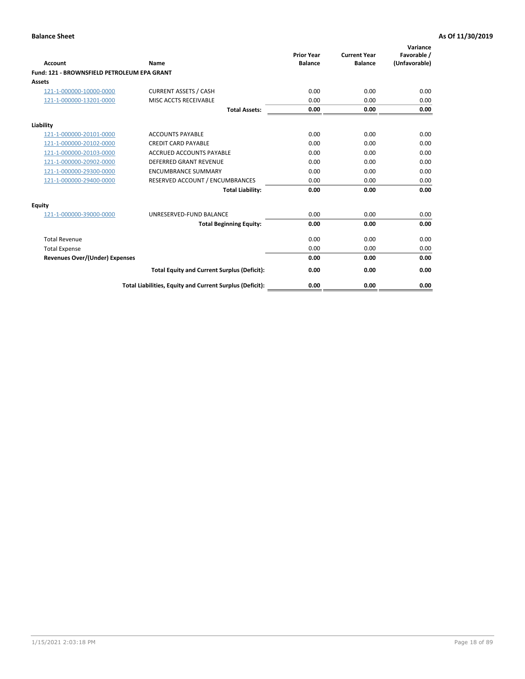| Account                                     | Name                                                     | <b>Prior Year</b><br><b>Balance</b> | <b>Current Year</b><br><b>Balance</b> | Variance<br>Favorable /<br>(Unfavorable) |
|---------------------------------------------|----------------------------------------------------------|-------------------------------------|---------------------------------------|------------------------------------------|
| Fund: 121 - BROWNSFIELD PETROLEUM EPA GRANT |                                                          |                                     |                                       |                                          |
| <b>Assets</b>                               |                                                          |                                     |                                       |                                          |
| 121-1-000000-10000-0000                     | <b>CURRENT ASSETS / CASH</b>                             | 0.00                                | 0.00                                  | 0.00                                     |
| 121-1-000000-13201-0000                     | MISC ACCTS RECEIVABLE                                    | 0.00                                | 0.00                                  | 0.00                                     |
|                                             | <b>Total Assets:</b>                                     | 0.00                                | 0.00                                  | 0.00                                     |
| Liability                                   |                                                          |                                     |                                       |                                          |
| 121-1-000000-20101-0000                     | <b>ACCOUNTS PAYABLE</b>                                  | 0.00                                | 0.00                                  | 0.00                                     |
| 121-1-000000-20102-0000                     | <b>CREDIT CARD PAYABLE</b>                               | 0.00                                | 0.00                                  | 0.00                                     |
| 121-1-000000-20103-0000                     | <b>ACCRUED ACCOUNTS PAYABLE</b>                          | 0.00                                | 0.00                                  | 0.00                                     |
| 121-1-000000-20902-0000                     | <b>DEFERRED GRANT REVENUE</b>                            | 0.00                                | 0.00                                  | 0.00                                     |
| 121-1-000000-29300-0000                     | <b>ENCUMBRANCE SUMMARY</b>                               | 0.00                                | 0.00                                  | 0.00                                     |
| 121-1-000000-29400-0000                     | RESERVED ACCOUNT / ENCUMBRANCES                          | 0.00                                | 0.00                                  | 0.00                                     |
|                                             | <b>Total Liability:</b>                                  | 0.00                                | 0.00                                  | 0.00                                     |
| <b>Equity</b>                               |                                                          |                                     |                                       |                                          |
| 121-1-000000-39000-0000                     | UNRESERVED-FUND BALANCE                                  | 0.00                                | 0.00                                  | 0.00                                     |
|                                             | <b>Total Beginning Equity:</b>                           | 0.00                                | 0.00                                  | 0.00                                     |
| <b>Total Revenue</b>                        |                                                          | 0.00                                | 0.00                                  | 0.00                                     |
| <b>Total Expense</b>                        |                                                          | 0.00                                | 0.00                                  | 0.00                                     |
| <b>Revenues Over/(Under) Expenses</b>       |                                                          | 0.00                                | 0.00                                  | 0.00                                     |
|                                             | <b>Total Equity and Current Surplus (Deficit):</b>       | 0.00                                | 0.00                                  | 0.00                                     |
|                                             | Total Liabilities, Equity and Current Surplus (Deficit): | 0.00                                | 0.00                                  | 0.00                                     |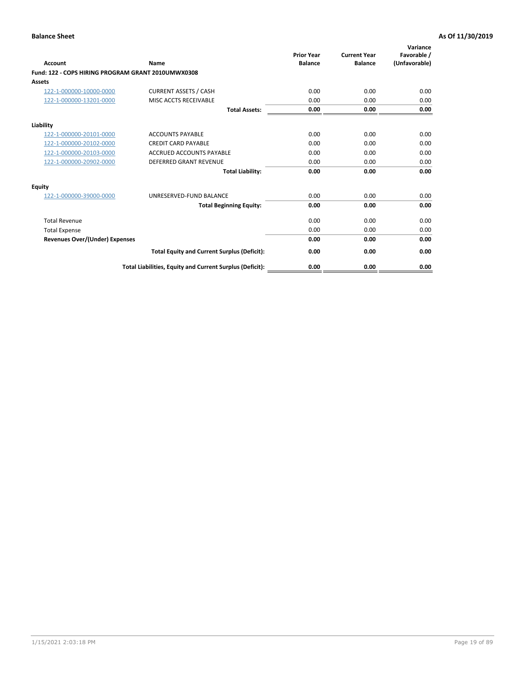| <b>Account</b>                                     | Name                                                     | <b>Prior Year</b><br><b>Balance</b> | <b>Current Year</b><br><b>Balance</b> | Variance<br>Favorable /<br>(Unfavorable) |
|----------------------------------------------------|----------------------------------------------------------|-------------------------------------|---------------------------------------|------------------------------------------|
| Fund: 122 - COPS HIRING PROGRAM GRANT 2010UMWX0308 |                                                          |                                     |                                       |                                          |
| Assets                                             |                                                          |                                     |                                       |                                          |
| 122-1-000000-10000-0000                            | <b>CURRENT ASSETS / CASH</b>                             | 0.00                                | 0.00                                  | 0.00                                     |
| 122-1-000000-13201-0000                            | MISC ACCTS RECEIVABLE                                    | 0.00                                | 0.00                                  | 0.00                                     |
|                                                    | <b>Total Assets:</b>                                     | 0.00                                | 0.00                                  | 0.00                                     |
| Liability                                          |                                                          |                                     |                                       |                                          |
| 122-1-000000-20101-0000                            | <b>ACCOUNTS PAYABLE</b>                                  | 0.00                                | 0.00                                  | 0.00                                     |
| 122-1-000000-20102-0000                            | <b>CREDIT CARD PAYABLE</b>                               | 0.00                                | 0.00                                  | 0.00                                     |
| 122-1-000000-20103-0000                            | <b>ACCRUED ACCOUNTS PAYABLE</b>                          | 0.00                                | 0.00                                  | 0.00                                     |
| 122-1-000000-20902-0000                            | <b>DEFERRED GRANT REVENUE</b>                            | 0.00                                | 0.00                                  | 0.00                                     |
|                                                    | <b>Total Liability:</b>                                  | 0.00                                | 0.00                                  | 0.00                                     |
| Equity                                             |                                                          |                                     |                                       |                                          |
| 122-1-000000-39000-0000                            | UNRESERVED-FUND BALANCE                                  | 0.00                                | 0.00                                  | 0.00                                     |
|                                                    | <b>Total Beginning Equity:</b>                           | 0.00                                | 0.00                                  | 0.00                                     |
| <b>Total Revenue</b>                               |                                                          | 0.00                                | 0.00                                  | 0.00                                     |
| <b>Total Expense</b>                               |                                                          | 0.00                                | 0.00                                  | 0.00                                     |
| <b>Revenues Over/(Under) Expenses</b>              |                                                          | 0.00                                | 0.00                                  | 0.00                                     |
|                                                    | <b>Total Equity and Current Surplus (Deficit):</b>       | 0.00                                | 0.00                                  | 0.00                                     |
|                                                    | Total Liabilities, Equity and Current Surplus (Deficit): | 0.00                                | 0.00                                  | 0.00                                     |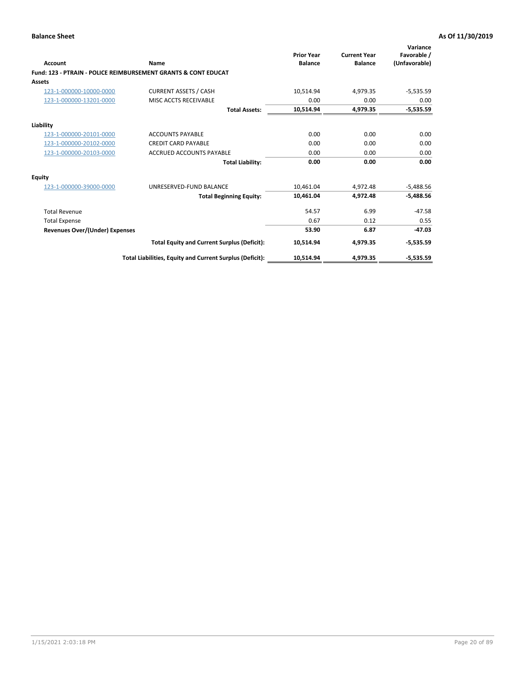| Account                        | Name                                                           | <b>Prior Year</b><br><b>Balance</b> | <b>Current Year</b><br><b>Balance</b> | Variance<br>Favorable /<br>(Unfavorable) |
|--------------------------------|----------------------------------------------------------------|-------------------------------------|---------------------------------------|------------------------------------------|
|                                | Fund: 123 - PTRAIN - POLICE REIMBURSEMENT GRANTS & CONT EDUCAT |                                     |                                       |                                          |
| Assets                         |                                                                |                                     |                                       |                                          |
| 123-1-000000-10000-0000        | <b>CURRENT ASSETS / CASH</b>                                   | 10,514.94                           | 4,979.35                              | $-5,535.59$                              |
| 123-1-000000-13201-0000        | MISC ACCTS RECEIVABLE                                          | 0.00                                | 0.00                                  | 0.00                                     |
|                                | <b>Total Assets:</b>                                           | 10,514.94                           | 4.979.35                              | $-5,535.59$                              |
| Liability                      |                                                                |                                     |                                       |                                          |
| 123-1-000000-20101-0000        | <b>ACCOUNTS PAYABLE</b>                                        | 0.00                                | 0.00                                  | 0.00                                     |
| 123-1-000000-20102-0000        | <b>CREDIT CARD PAYABLE</b>                                     | 0.00                                | 0.00                                  | 0.00                                     |
| 123-1-000000-20103-0000        | ACCRUED ACCOUNTS PAYABLE                                       | 0.00                                | 0.00                                  | 0.00                                     |
|                                | <b>Total Liability:</b>                                        | 0.00                                | 0.00                                  | 0.00                                     |
| Equity                         |                                                                |                                     |                                       |                                          |
| 123-1-000000-39000-0000        | UNRESERVED-FUND BALANCE                                        | 10,461.04                           | 4,972.48                              | $-5,488.56$                              |
|                                | <b>Total Beginning Equity:</b>                                 | 10,461.04                           | 4,972.48                              | $-5,488.56$                              |
| <b>Total Revenue</b>           |                                                                | 54.57                               | 6.99                                  | $-47.58$                                 |
| <b>Total Expense</b>           |                                                                | 0.67                                | 0.12                                  | 0.55                                     |
| Revenues Over/(Under) Expenses |                                                                | 53.90                               | 6.87                                  | $-47.03$                                 |
|                                | <b>Total Equity and Current Surplus (Deficit):</b>             | 10,514.94                           | 4,979.35                              | $-5,535.59$                              |
|                                | Total Liabilities, Equity and Current Surplus (Deficit):       | 10,514.94                           | 4,979.35                              | $-5,535.59$                              |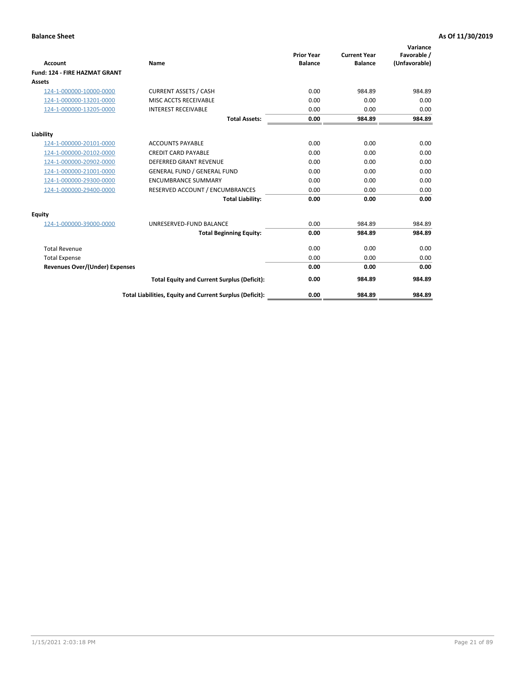|                                      |                                                          |                                     |                                       | Variance                     |
|--------------------------------------|----------------------------------------------------------|-------------------------------------|---------------------------------------|------------------------------|
| <b>Account</b>                       | <b>Name</b>                                              | <b>Prior Year</b><br><b>Balance</b> | <b>Current Year</b><br><b>Balance</b> | Favorable /<br>(Unfavorable) |
| <b>Fund: 124 - FIRE HAZMAT GRANT</b> |                                                          |                                     |                                       |                              |
| <b>Assets</b>                        |                                                          |                                     |                                       |                              |
| 124-1-000000-10000-0000              | <b>CURRENT ASSETS / CASH</b>                             | 0.00                                | 984.89                                | 984.89                       |
| 124-1-000000-13201-0000              | MISC ACCTS RECEIVABLE                                    | 0.00                                | 0.00                                  | 0.00                         |
| 124-1-000000-13205-0000              | <b>INTEREST RECEIVABLE</b>                               | 0.00                                | 0.00                                  | 0.00                         |
|                                      | <b>Total Assets:</b>                                     | 0.00                                | 984.89                                | 984.89                       |
| Liability                            |                                                          |                                     |                                       |                              |
| 124-1-000000-20101-0000              | <b>ACCOUNTS PAYABLE</b>                                  | 0.00                                | 0.00                                  | 0.00                         |
| 124-1-000000-20102-0000              | <b>CREDIT CARD PAYABLE</b>                               | 0.00                                | 0.00                                  | 0.00                         |
| 124-1-000000-20902-0000              | <b>DEFERRED GRANT REVENUE</b>                            | 0.00                                | 0.00                                  | 0.00                         |
| 124-1-000000-21001-0000              | <b>GENERAL FUND / GENERAL FUND</b>                       | 0.00                                | 0.00                                  | 0.00                         |
| 124-1-000000-29300-0000              | <b>ENCUMBRANCE SUMMARY</b>                               | 0.00                                | 0.00                                  | 0.00                         |
| 124-1-000000-29400-0000              | RESERVED ACCOUNT / ENCUMBRANCES                          | 0.00                                | 0.00                                  | 0.00                         |
|                                      | <b>Total Liability:</b>                                  | 0.00                                | 0.00                                  | 0.00                         |
| Equity                               |                                                          |                                     |                                       |                              |
| 124-1-000000-39000-0000              | UNRESERVED-FUND BALANCE                                  | 0.00                                | 984.89                                | 984.89                       |
|                                      | <b>Total Beginning Equity:</b>                           | 0.00                                | 984.89                                | 984.89                       |
| <b>Total Revenue</b>                 |                                                          | 0.00                                | 0.00                                  | 0.00                         |
| <b>Total Expense</b>                 |                                                          | 0.00                                | 0.00                                  | 0.00                         |
| Revenues Over/(Under) Expenses       |                                                          | 0.00                                | 0.00                                  | 0.00                         |
|                                      | <b>Total Equity and Current Surplus (Deficit):</b>       | 0.00                                | 984.89                                | 984.89                       |
|                                      | Total Liabilities, Equity and Current Surplus (Deficit): | 0.00                                | 984.89                                | 984.89                       |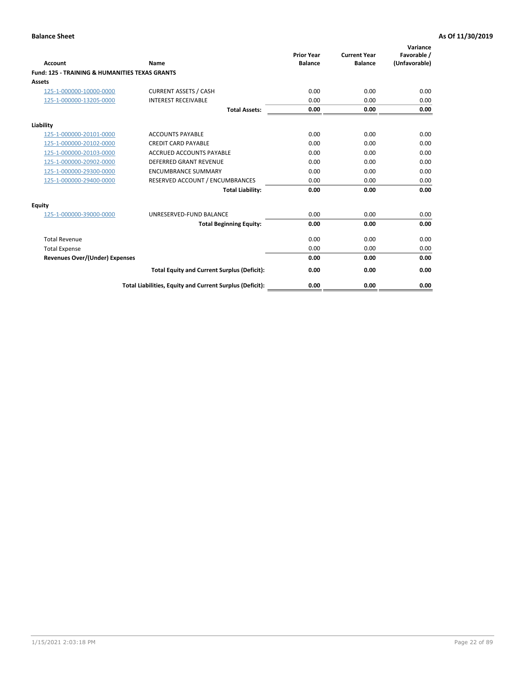| Account                                                   | Name                                                     | <b>Prior Year</b><br><b>Balance</b> | <b>Current Year</b><br><b>Balance</b> | Variance<br>Favorable /<br>(Unfavorable) |
|-----------------------------------------------------------|----------------------------------------------------------|-------------------------------------|---------------------------------------|------------------------------------------|
| <b>Fund: 125 - TRAINING &amp; HUMANITIES TEXAS GRANTS</b> |                                                          |                                     |                                       |                                          |
| <b>Assets</b>                                             |                                                          |                                     |                                       |                                          |
| 125-1-000000-10000-0000                                   | <b>CURRENT ASSETS / CASH</b>                             | 0.00                                | 0.00                                  | 0.00                                     |
| 125-1-000000-13205-0000                                   | <b>INTEREST RECEIVABLE</b>                               | 0.00                                | 0.00                                  | 0.00                                     |
|                                                           | <b>Total Assets:</b>                                     | 0.00                                | 0.00                                  | 0.00                                     |
| Liability                                                 |                                                          |                                     |                                       |                                          |
| 125-1-000000-20101-0000                                   | <b>ACCOUNTS PAYABLE</b>                                  | 0.00                                | 0.00                                  | 0.00                                     |
| 125-1-000000-20102-0000                                   | <b>CREDIT CARD PAYABLE</b>                               | 0.00                                | 0.00                                  | 0.00                                     |
| 125-1-000000-20103-0000                                   | <b>ACCRUED ACCOUNTS PAYABLE</b>                          | 0.00                                | 0.00                                  | 0.00                                     |
| 125-1-000000-20902-0000                                   | <b>DEFERRED GRANT REVENUE</b>                            | 0.00                                | 0.00                                  | 0.00                                     |
| 125-1-000000-29300-0000                                   | <b>ENCUMBRANCE SUMMARY</b>                               | 0.00                                | 0.00                                  | 0.00                                     |
| 125-1-000000-29400-0000                                   | RESERVED ACCOUNT / ENCUMBRANCES                          | 0.00                                | 0.00                                  | 0.00                                     |
|                                                           | <b>Total Liability:</b>                                  | 0.00                                | 0.00                                  | 0.00                                     |
| <b>Equity</b>                                             |                                                          |                                     |                                       |                                          |
| 125-1-000000-39000-0000                                   | UNRESERVED-FUND BALANCE                                  | 0.00                                | 0.00                                  | 0.00                                     |
|                                                           | <b>Total Beginning Equity:</b>                           | 0.00                                | 0.00                                  | 0.00                                     |
| <b>Total Revenue</b>                                      |                                                          | 0.00                                | 0.00                                  | 0.00                                     |
| <b>Total Expense</b>                                      |                                                          | 0.00                                | 0.00                                  | 0.00                                     |
| <b>Revenues Over/(Under) Expenses</b>                     |                                                          | 0.00                                | 0.00                                  | 0.00                                     |
|                                                           | <b>Total Equity and Current Surplus (Deficit):</b>       | 0.00                                | 0.00                                  | 0.00                                     |
|                                                           | Total Liabilities, Equity and Current Surplus (Deficit): | 0.00                                | 0.00                                  | 0.00                                     |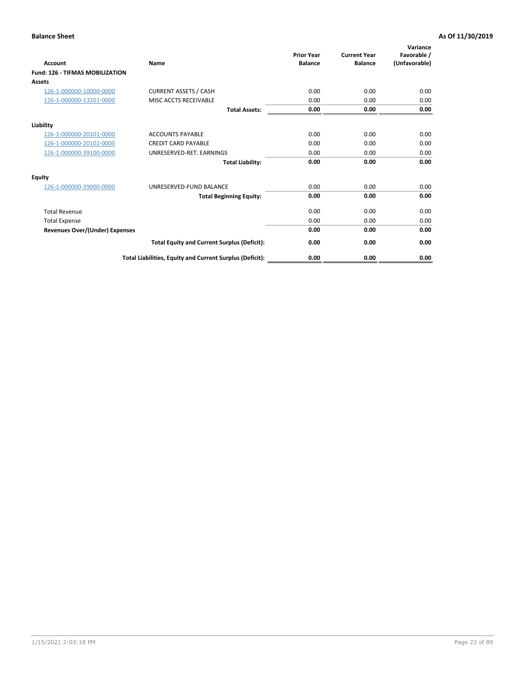| Account                                | Name                                                     | <b>Prior Year</b><br><b>Balance</b> | <b>Current Year</b><br><b>Balance</b> | Variance<br>Favorable /<br>(Unfavorable) |
|----------------------------------------|----------------------------------------------------------|-------------------------------------|---------------------------------------|------------------------------------------|
| <b>Fund: 126 - TIFMAS MOBILIZATION</b> |                                                          |                                     |                                       |                                          |
| Assets                                 |                                                          |                                     |                                       |                                          |
| 126-1-000000-10000-0000                | <b>CURRENT ASSETS / CASH</b>                             | 0.00                                | 0.00                                  | 0.00                                     |
| 126-1-000000-13201-0000                | MISC ACCTS RECEIVABLE                                    | 0.00                                | 0.00                                  | 0.00                                     |
|                                        | <b>Total Assets:</b>                                     | 0.00                                | 0.00                                  | 0.00                                     |
| Liability                              |                                                          |                                     |                                       |                                          |
| 126-1-000000-20101-0000                | <b>ACCOUNTS PAYABLE</b>                                  | 0.00                                | 0.00                                  | 0.00                                     |
| 126-1-000000-20102-0000                | <b>CREDIT CARD PAYABLE</b>                               | 0.00                                | 0.00                                  | 0.00                                     |
| 126-1-000000-39100-0000                | UNRESERVED-RET. EARNINGS                                 | 0.00                                | 0.00                                  | 0.00                                     |
|                                        | <b>Total Liability:</b>                                  | 0.00                                | 0.00                                  | 0.00                                     |
| Equity                                 |                                                          |                                     |                                       |                                          |
| 126-1-000000-39000-0000                | UNRESERVED-FUND BALANCE                                  | 0.00                                | 0.00                                  | 0.00                                     |
|                                        | <b>Total Beginning Equity:</b>                           | 0.00                                | 0.00                                  | 0.00                                     |
| <b>Total Revenue</b>                   |                                                          | 0.00                                | 0.00                                  | 0.00                                     |
| <b>Total Expense</b>                   |                                                          | 0.00                                | 0.00                                  | 0.00                                     |
| Revenues Over/(Under) Expenses         |                                                          | 0.00                                | 0.00                                  | 0.00                                     |
|                                        | <b>Total Equity and Current Surplus (Deficit):</b>       | 0.00                                | 0.00                                  | 0.00                                     |
|                                        | Total Liabilities, Equity and Current Surplus (Deficit): | 0.00                                | 0.00                                  | 0.00                                     |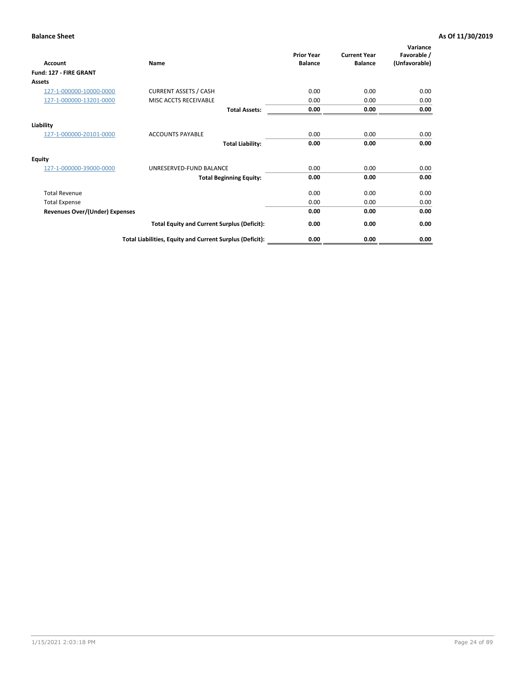| <b>Account</b>                        | Name                                                     | <b>Prior Year</b><br><b>Balance</b> | <b>Current Year</b><br><b>Balance</b> | Variance<br>Favorable /<br>(Unfavorable) |
|---------------------------------------|----------------------------------------------------------|-------------------------------------|---------------------------------------|------------------------------------------|
| Fund: 127 - FIRE GRANT                |                                                          |                                     |                                       |                                          |
| Assets                                |                                                          |                                     |                                       |                                          |
| 127-1-000000-10000-0000               | <b>CURRENT ASSETS / CASH</b>                             | 0.00                                | 0.00                                  | 0.00                                     |
| 127-1-000000-13201-0000               | MISC ACCTS RECEIVABLE                                    | 0.00                                | 0.00                                  | 0.00                                     |
|                                       | <b>Total Assets:</b>                                     | 0.00                                | 0.00                                  | 0.00                                     |
| Liability                             |                                                          |                                     |                                       |                                          |
| 127-1-000000-20101-0000               | <b>ACCOUNTS PAYABLE</b>                                  | 0.00                                | 0.00                                  | 0.00                                     |
|                                       | <b>Total Liability:</b>                                  | 0.00                                | 0.00                                  | 0.00                                     |
| <b>Equity</b>                         |                                                          |                                     |                                       |                                          |
| 127-1-000000-39000-0000               | UNRESERVED-FUND BALANCE                                  | 0.00                                | 0.00                                  | 0.00                                     |
|                                       | <b>Total Beginning Equity:</b>                           | 0.00                                | 0.00                                  | 0.00                                     |
| <b>Total Revenue</b>                  |                                                          | 0.00                                | 0.00                                  | 0.00                                     |
| <b>Total Expense</b>                  |                                                          | 0.00                                | 0.00                                  | 0.00                                     |
| <b>Revenues Over/(Under) Expenses</b> |                                                          | 0.00                                | 0.00                                  | 0.00                                     |
|                                       | <b>Total Equity and Current Surplus (Deficit):</b>       | 0.00                                | 0.00                                  | 0.00                                     |
|                                       | Total Liabilities, Equity and Current Surplus (Deficit): | 0.00                                | 0.00                                  | 0.00                                     |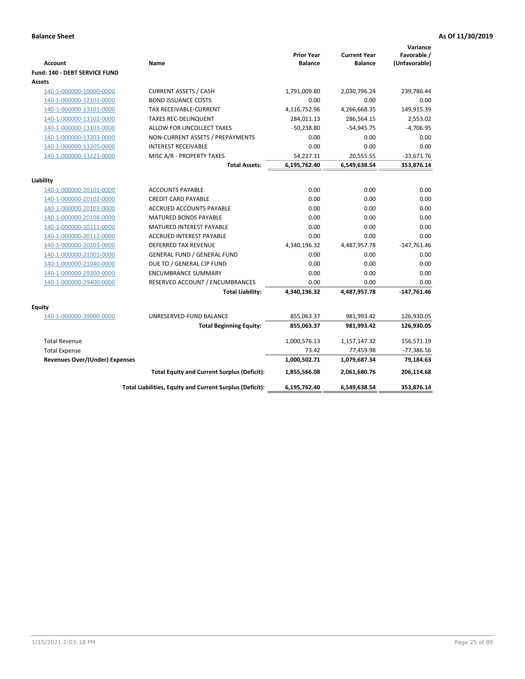| <b>Account</b>                        | Name                                                     | <b>Prior Year</b><br><b>Balance</b> | <b>Current Year</b><br><b>Balance</b> | Variance<br>Favorable /<br>(Unfavorable) |
|---------------------------------------|----------------------------------------------------------|-------------------------------------|---------------------------------------|------------------------------------------|
| Fund: 140 - DEBT SERVICE FUND         |                                                          |                                     |                                       |                                          |
| Assets                                |                                                          |                                     |                                       |                                          |
| 140-1-000000-10000-0000               | <b>CURRENT ASSETS / CASH</b>                             | 1,791,009.80                        | 2,030,796.24                          | 239,786.44                               |
| 140-1-000000-12101-0000               | <b>BOND ISSUANCE COSTS</b>                               | 0.00                                | 0.00                                  | 0.00                                     |
| 140-1-000000-13101-0000               | TAX RECEIVABLE-CURRENT                                   | 4,116,752.96                        | 4,266,668.35                          | 149,915.39                               |
| 140-1-000000-13102-0000               | <b>TAXES REC-DELINQUENT</b>                              | 284,011.13                          | 286,564.15                            | 2,553.02                                 |
| 140-1-000000-13103-0000               | ALLOW FOR UNCOLLECT TAXES                                | $-50,238.80$                        | $-54,945.75$                          | $-4,706.95$                              |
| 140-1-000000-13203-0000               | NON-CURRENT ASSETS / PREPAYMENTS                         | 0.00                                | 0.00                                  | 0.00                                     |
| 140-1-000000-13205-0000               | <b>INTEREST RECEIVABLE</b>                               | 0.00                                | 0.00                                  | 0.00                                     |
| 140-1-000000-13221-0000               | MISC A/R - PROPERTY TAXES                                | 54,227.31                           | 20,555.55                             | $-33,671.76$                             |
|                                       | <b>Total Assets:</b>                                     | 6,195,762.40                        | 6,549,638.54                          | 353,876.14                               |
| Liability                             |                                                          |                                     |                                       |                                          |
| 140-1-000000-20101-0000               | <b>ACCOUNTS PAYABLE</b>                                  | 0.00                                | 0.00                                  | 0.00                                     |
| 140-1-000000-20102-0000               | <b>CREDIT CARD PAYABLE</b>                               | 0.00                                | 0.00                                  | 0.00                                     |
| 140-1-000000-20103-0000               | ACCRUED ACCOUNTS PAYABLE                                 | 0.00                                | 0.00                                  | 0.00                                     |
| 140-1-000000-20108-0000               | <b>MATURED BONDS PAYABLE</b>                             | 0.00                                | 0.00                                  | 0.00                                     |
| 140-1-000000-20111-0000               | MATURED INTEREST PAYABLE                                 | 0.00                                | 0.00                                  | 0.00                                     |
| 140-1-000000-20112-0000               | <b>ACCRUED INTEREST PAYABLE</b>                          | 0.00                                | 0.00                                  | 0.00                                     |
| 140-1-000000-20203-0000               | <b>DEFERRED TAX REVENUE</b>                              | 4,340,196.32                        | 4,487,957.78                          | $-147,761.46$                            |
| 140-1-000000-21001-0000               | <b>GENERAL FUND / GENERAL FUND</b>                       | 0.00                                | 0.00                                  | 0.00                                     |
| 140-1-000000-21040-0000               | DUE TO / GENERAL CIP FUND                                | 0.00                                | 0.00                                  | 0.00                                     |
| 140-1-000000-29300-0000               | <b>ENCUMBRANCE SUMMARY</b>                               | 0.00                                | 0.00                                  | 0.00                                     |
| 140-1-000000-29400-0000               | RESERVED ACCOUNT / ENCUMBRANCES                          | 0.00                                | 0.00                                  | 0.00                                     |
|                                       | <b>Total Liability:</b>                                  | 4,340,196.32                        | 4,487,957.78                          | $-147,761.46$                            |
| Equity                                |                                                          |                                     |                                       |                                          |
| 140-1-000000-39000-0000               | UNRESERVED-FUND BALANCE                                  | 855,063.37                          | 981,993.42                            | 126,930.05                               |
|                                       | <b>Total Beginning Equity:</b>                           | 855,063.37                          | 981,993.42                            | 126,930.05                               |
| <b>Total Revenue</b>                  |                                                          | 1,000,576.13                        | 1,157,147.32                          | 156,571.19                               |
| <b>Total Expense</b>                  |                                                          | 73.42                               | 77,459.98                             | -77,386.56                               |
| <b>Revenues Over/(Under) Expenses</b> |                                                          | 1,000,502.71                        | 1,079,687.34                          | 79,184.63                                |
|                                       | <b>Total Equity and Current Surplus (Deficit):</b>       | 1,855,566.08                        | 2,061,680.76                          | 206,114.68                               |
|                                       | Total Liabilities, Equity and Current Surplus (Deficit): | 6,195,762.40                        | 6,549,638.54                          | 353,876.14                               |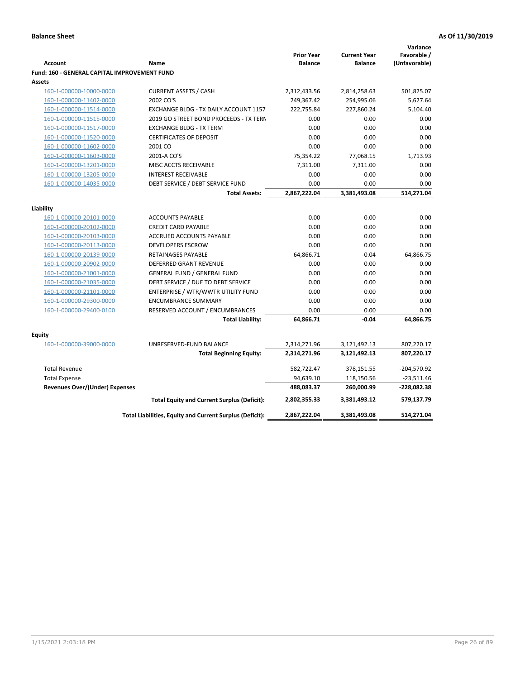|                                                     |                                                          |                                     |                                       | Variance                     |
|-----------------------------------------------------|----------------------------------------------------------|-------------------------------------|---------------------------------------|------------------------------|
| <b>Account</b>                                      | Name                                                     | <b>Prior Year</b><br><b>Balance</b> | <b>Current Year</b><br><b>Balance</b> | Favorable /<br>(Unfavorable) |
| <b>Fund: 160 - GENERAL CAPITAL IMPROVEMENT FUND</b> |                                                          |                                     |                                       |                              |
| <b>Assets</b>                                       |                                                          |                                     |                                       |                              |
| 160-1-000000-10000-0000                             | <b>CURRENT ASSETS / CASH</b>                             | 2,312,433.56                        | 2,814,258.63                          | 501,825.07                   |
| 160-1-000000-11402-0000                             | 2002 CO'S                                                | 249,367.42                          | 254,995.06                            | 5,627.64                     |
| 160-1-000000-11514-0000                             | EXCHANGE BLDG - TX DAILY ACCOUNT 1157                    | 222,755.84                          | 227,860.24                            | 5,104.40                     |
| 160-1-000000-11515-0000                             | 2019 GO STREET BOND PROCEEDS - TX TERN                   | 0.00                                | 0.00                                  | 0.00                         |
| 160-1-000000-11517-0000                             | <b>EXCHANGE BLDG - TX TERM</b>                           | 0.00                                | 0.00                                  | 0.00                         |
| 160-1-000000-11520-0000                             | <b>CERTIFICATES OF DEPOSIT</b>                           | 0.00                                | 0.00                                  | 0.00                         |
| 160-1-000000-11602-0000                             | 2001 CO                                                  | 0.00                                | 0.00                                  | 0.00                         |
| 160-1-000000-11603-0000                             | 2001-A CO'S                                              | 75,354.22                           | 77,068.15                             | 1,713.93                     |
| 160-1-000000-13201-0000                             | MISC ACCTS RECEIVABLE                                    | 7,311.00                            | 7,311.00                              | 0.00                         |
| 160-1-000000-13205-0000                             | <b>INTEREST RECEIVABLE</b>                               | 0.00                                | 0.00                                  | 0.00                         |
| 160-1-000000-14035-0000                             | DEBT SERVICE / DEBT SERVICE FUND                         | 0.00                                | 0.00                                  | 0.00                         |
|                                                     | <b>Total Assets:</b>                                     | 2,867,222.04                        | 3,381,493.08                          | 514,271.04                   |
|                                                     |                                                          |                                     |                                       |                              |
| Liability                                           |                                                          |                                     |                                       |                              |
| 160-1-000000-20101-0000                             | <b>ACCOUNTS PAYABLE</b>                                  | 0.00                                | 0.00                                  | 0.00                         |
| 160-1-000000-20102-0000                             | <b>CREDIT CARD PAYABLE</b>                               | 0.00                                | 0.00                                  | 0.00                         |
| 160-1-000000-20103-0000                             | ACCRUED ACCOUNTS PAYABLE                                 | 0.00                                | 0.00                                  | 0.00                         |
| 160-1-000000-20113-0000                             | <b>DEVELOPERS ESCROW</b>                                 | 0.00                                | 0.00                                  | 0.00                         |
| 160-1-000000-20139-0000                             | <b>RETAINAGES PAYABLE</b>                                | 64,866.71                           | $-0.04$                               | 64,866.75                    |
| 160-1-000000-20902-0000                             | <b>DEFERRED GRANT REVENUE</b>                            | 0.00                                | 0.00                                  | 0.00                         |
| 160-1-000000-21001-0000                             | <b>GENERAL FUND / GENERAL FUND</b>                       | 0.00                                | 0.00                                  | 0.00                         |
| 160-1-000000-21035-0000                             | DEBT SERVICE / DUE TO DEBT SERVICE                       | 0.00                                | 0.00                                  | 0.00                         |
| 160-1-000000-21101-0000                             | ENTERPRISE / WTR/WWTR UTILITY FUND                       | 0.00                                | 0.00                                  | 0.00                         |
| 160-1-000000-29300-0000                             | <b>ENCUMBRANCE SUMMARY</b>                               | 0.00                                | 0.00                                  | 0.00                         |
| 160-1-000000-29400-0100                             | RESERVED ACCOUNT / ENCUMBRANCES                          | 0.00                                | 0.00                                  | 0.00                         |
|                                                     | <b>Total Liability:</b>                                  | 64,866.71                           | $-0.04$                               | 64,866.75                    |
| Equity                                              |                                                          |                                     |                                       |                              |
| 160-1-000000-39000-0000                             | UNRESERVED-FUND BALANCE                                  | 2,314,271.96                        | 3,121,492.13                          | 807,220.17                   |
|                                                     | <b>Total Beginning Equity:</b>                           | 2,314,271.96                        | 3,121,492.13                          | 807,220.17                   |
| <b>Total Revenue</b>                                |                                                          | 582,722.47                          | 378,151.55                            | $-204,570.92$                |
| <b>Total Expense</b>                                |                                                          | 94,639.10                           | 118,150.56                            | $-23,511.46$                 |
| <b>Revenues Over/(Under) Expenses</b>               |                                                          | 488,083.37                          | 260,000.99                            | -228,082.38                  |
|                                                     | <b>Total Equity and Current Surplus (Deficit):</b>       | 2,802,355.33                        | 3,381,493.12                          | 579,137.79                   |
|                                                     |                                                          |                                     |                                       |                              |
|                                                     | Total Liabilities, Equity and Current Surplus (Deficit): | 2,867,222.04                        | 3,381,493.08                          | 514,271.04                   |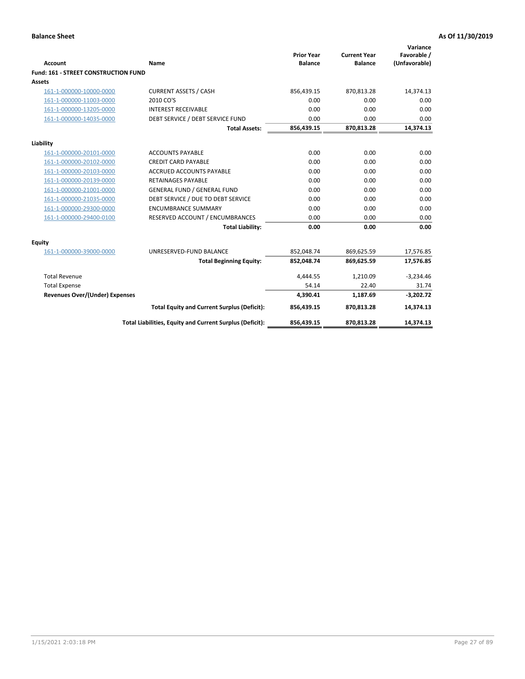| <b>Account</b>                       | Name                                                     | <b>Prior Year</b><br><b>Balance</b> | <b>Current Year</b><br><b>Balance</b> | Variance<br>Favorable /<br>(Unfavorable) |
|--------------------------------------|----------------------------------------------------------|-------------------------------------|---------------------------------------|------------------------------------------|
| Fund: 161 - STREET CONSTRUCTION FUND |                                                          |                                     |                                       |                                          |
| <b>Assets</b>                        |                                                          |                                     |                                       |                                          |
| 161-1-000000-10000-0000              | <b>CURRENT ASSETS / CASH</b>                             | 856,439.15                          | 870,813.28                            | 14,374.13                                |
| 161-1-000000-11003-0000              | 2010 CO'S                                                | 0.00                                | 0.00                                  | 0.00                                     |
| 161-1-000000-13205-0000              | <b>INTEREST RECEIVABLE</b>                               | 0.00                                | 0.00                                  | 0.00                                     |
| 161-1-000000-14035-0000              | DEBT SERVICE / DEBT SERVICE FUND                         | 0.00                                | 0.00                                  | 0.00                                     |
|                                      | <b>Total Assets:</b>                                     | 856,439.15                          | 870,813.28                            | 14,374.13                                |
| Liability                            |                                                          |                                     |                                       |                                          |
| 161-1-000000-20101-0000              | <b>ACCOUNTS PAYABLE</b>                                  | 0.00                                | 0.00                                  | 0.00                                     |
| 161-1-000000-20102-0000              | <b>CREDIT CARD PAYABLE</b>                               | 0.00                                | 0.00                                  | 0.00                                     |
| 161-1-000000-20103-0000              | <b>ACCRUED ACCOUNTS PAYABLE</b>                          | 0.00                                | 0.00                                  | 0.00                                     |
| 161-1-000000-20139-0000              | <b>RETAINAGES PAYABLE</b>                                | 0.00                                | 0.00                                  | 0.00                                     |
| 161-1-000000-21001-0000              | <b>GENERAL FUND / GENERAL FUND</b>                       | 0.00                                | 0.00                                  | 0.00                                     |
| 161-1-000000-21035-0000              | DEBT SERVICE / DUE TO DEBT SERVICE                       | 0.00                                | 0.00                                  | 0.00                                     |
| 161-1-000000-29300-0000              | <b>ENCUMBRANCE SUMMARY</b>                               | 0.00                                | 0.00                                  | 0.00                                     |
| 161-1-000000-29400-0100              | RESERVED ACCOUNT / ENCUMBRANCES                          | 0.00                                | 0.00                                  | 0.00                                     |
|                                      | <b>Total Liability:</b>                                  | 0.00                                | 0.00                                  | 0.00                                     |
| Equity                               |                                                          |                                     |                                       |                                          |
| 161-1-000000-39000-0000              | UNRESERVED-FUND BALANCE                                  | 852,048.74                          | 869,625.59                            | 17,576.85                                |
|                                      | <b>Total Beginning Equity:</b>                           | 852,048.74                          | 869,625.59                            | 17,576.85                                |
| <b>Total Revenue</b>                 |                                                          | 4.444.55                            | 1,210.09                              | $-3,234.46$                              |
| <b>Total Expense</b>                 |                                                          | 54.14                               | 22.40                                 | 31.74                                    |
| Revenues Over/(Under) Expenses       |                                                          | 4,390.41                            | 1,187.69                              | $-3,202.72$                              |
|                                      | <b>Total Equity and Current Surplus (Deficit):</b>       | 856,439.15                          | 870,813.28                            | 14,374.13                                |
|                                      | Total Liabilities, Equity and Current Surplus (Deficit): | 856,439.15                          | 870,813.28                            | 14,374.13                                |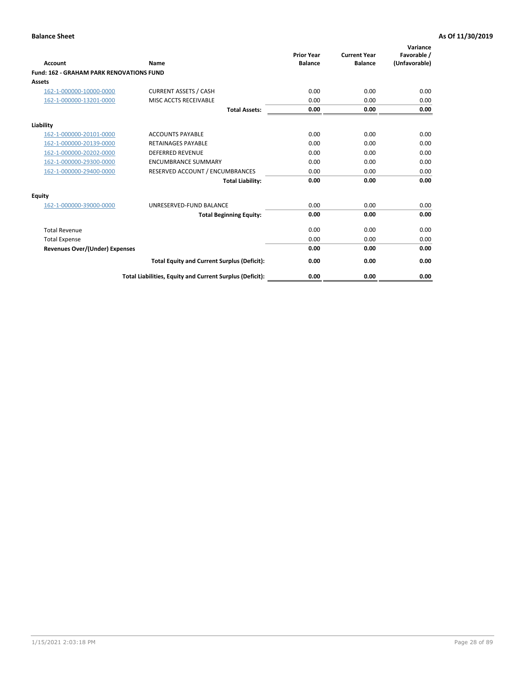|                                                 |                                                          | <b>Prior Year</b><br><b>Balance</b> | <b>Current Year</b> | Variance<br>Favorable / |
|-------------------------------------------------|----------------------------------------------------------|-------------------------------------|---------------------|-------------------------|
| <b>Account</b>                                  | Name                                                     |                                     | <b>Balance</b>      | (Unfavorable)           |
| <b>Fund: 162 - GRAHAM PARK RENOVATIONS FUND</b> |                                                          |                                     |                     |                         |
| <b>Assets</b>                                   |                                                          |                                     |                     |                         |
| 162-1-000000-10000-0000                         | <b>CURRENT ASSETS / CASH</b>                             | 0.00                                | 0.00                | 0.00                    |
| 162-1-000000-13201-0000                         | MISC ACCTS RECEIVABLE                                    | 0.00                                | 0.00                | 0.00                    |
|                                                 | <b>Total Assets:</b>                                     | 0.00                                | 0.00                | 0.00                    |
| Liability                                       |                                                          |                                     |                     |                         |
| 162-1-000000-20101-0000                         | <b>ACCOUNTS PAYABLE</b>                                  | 0.00                                | 0.00                | 0.00                    |
| 162-1-000000-20139-0000                         | <b>RETAINAGES PAYABLE</b>                                | 0.00                                | 0.00                | 0.00                    |
| 162-1-000000-20202-0000                         | <b>DEFERRED REVENUE</b>                                  | 0.00                                | 0.00                | 0.00                    |
| 162-1-000000-29300-0000                         | <b>ENCUMBRANCE SUMMARY</b>                               | 0.00                                | 0.00                | 0.00                    |
| 162-1-000000-29400-0000                         | RESERVED ACCOUNT / ENCUMBRANCES                          | 0.00                                | 0.00                | 0.00                    |
|                                                 | <b>Total Liability:</b>                                  | 0.00                                | 0.00                | 0.00                    |
| Equity                                          |                                                          |                                     |                     |                         |
| 162-1-000000-39000-0000                         | UNRESERVED-FUND BALANCE                                  | 0.00                                | 0.00                | 0.00                    |
|                                                 | <b>Total Beginning Equity:</b>                           | 0.00                                | 0.00                | 0.00                    |
| <b>Total Revenue</b>                            |                                                          | 0.00                                | 0.00                | 0.00                    |
| <b>Total Expense</b>                            |                                                          | 0.00                                | 0.00                | 0.00                    |
| Revenues Over/(Under) Expenses                  |                                                          | 0.00                                | 0.00                | 0.00                    |
|                                                 | <b>Total Equity and Current Surplus (Deficit):</b>       | 0.00                                | 0.00                | 0.00                    |
|                                                 | Total Liabilities, Equity and Current Surplus (Deficit): | 0.00                                | 0.00                | 0.00                    |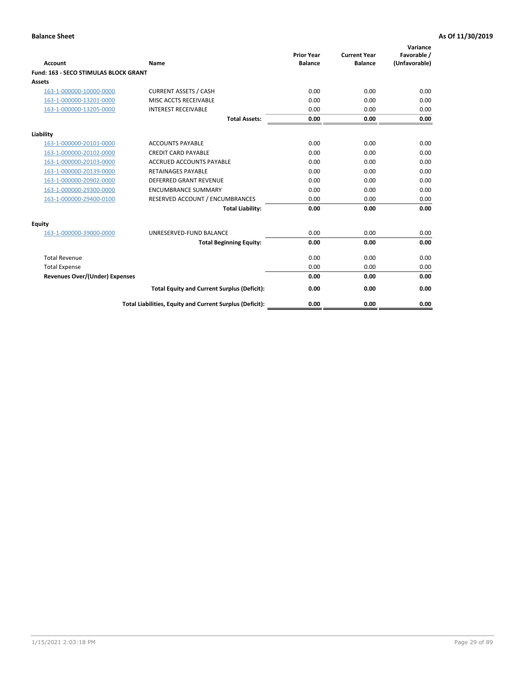| Account                               | Name                                                     | <b>Prior Year</b><br><b>Balance</b> | <b>Current Year</b><br><b>Balance</b> | Variance<br>Favorable /<br>(Unfavorable) |
|---------------------------------------|----------------------------------------------------------|-------------------------------------|---------------------------------------|------------------------------------------|
| Fund: 163 - SECO STIMULAS BLOCK GRANT |                                                          |                                     |                                       |                                          |
| <b>Assets</b>                         |                                                          |                                     |                                       |                                          |
| 163-1-000000-10000-0000               | <b>CURRENT ASSETS / CASH</b>                             | 0.00                                | 0.00                                  | 0.00                                     |
| 163-1-000000-13201-0000               | MISC ACCTS RECEIVABLE                                    | 0.00                                | 0.00                                  | 0.00                                     |
| 163-1-000000-13205-0000               | <b>INTEREST RECEIVABLE</b>                               | 0.00                                | 0.00                                  | 0.00                                     |
|                                       | <b>Total Assets:</b>                                     | 0.00                                | 0.00                                  | 0.00                                     |
| Liability                             |                                                          |                                     |                                       |                                          |
| 163-1-000000-20101-0000               | <b>ACCOUNTS PAYABLE</b>                                  | 0.00                                | 0.00                                  | 0.00                                     |
| 163-1-000000-20102-0000               | <b>CREDIT CARD PAYABLE</b>                               | 0.00                                | 0.00                                  | 0.00                                     |
| 163-1-000000-20103-0000               | <b>ACCRUED ACCOUNTS PAYABLE</b>                          | 0.00                                | 0.00                                  | 0.00                                     |
| 163-1-000000-20139-0000               | <b>RETAINAGES PAYABLE</b>                                | 0.00                                | 0.00                                  | 0.00                                     |
| 163-1-000000-20902-0000               | DEFERRED GRANT REVENUE                                   | 0.00                                | 0.00                                  | 0.00                                     |
| 163-1-000000-29300-0000               | <b>ENCUMBRANCE SUMMARY</b>                               | 0.00                                | 0.00                                  | 0.00                                     |
| 163-1-000000-29400-0100               | RESERVED ACCOUNT / ENCUMBRANCES                          | 0.00                                | 0.00                                  | 0.00                                     |
|                                       | <b>Total Liability:</b>                                  | 0.00                                | 0.00                                  | 0.00                                     |
| <b>Equity</b>                         |                                                          |                                     |                                       |                                          |
| 163-1-000000-39000-0000               | UNRESERVED-FUND BALANCE                                  | 0.00                                | 0.00                                  | 0.00                                     |
|                                       | <b>Total Beginning Equity:</b>                           | 0.00                                | 0.00                                  | 0.00                                     |
| <b>Total Revenue</b>                  |                                                          | 0.00                                | 0.00                                  | 0.00                                     |
| <b>Total Expense</b>                  |                                                          | 0.00                                | 0.00                                  | 0.00                                     |
| <b>Revenues Over/(Under) Expenses</b> |                                                          | 0.00                                | 0.00                                  | 0.00                                     |
|                                       | <b>Total Equity and Current Surplus (Deficit):</b>       | 0.00                                | 0.00                                  | 0.00                                     |
|                                       | Total Liabilities, Equity and Current Surplus (Deficit): | 0.00                                | 0.00                                  | 0.00                                     |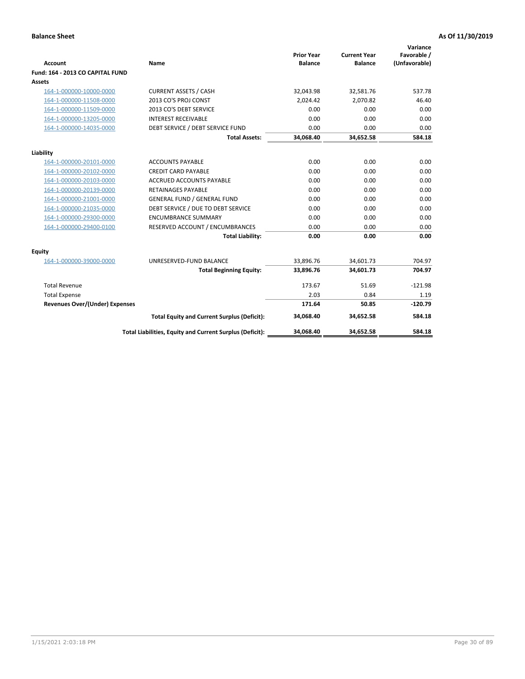| <b>Account</b>                   | Name                                                     | <b>Prior Year</b><br><b>Balance</b> | <b>Current Year</b><br><b>Balance</b> | Variance<br>Favorable /<br>(Unfavorable) |
|----------------------------------|----------------------------------------------------------|-------------------------------------|---------------------------------------|------------------------------------------|
| Fund: 164 - 2013 CO CAPITAL FUND |                                                          |                                     |                                       |                                          |
| <b>Assets</b>                    |                                                          |                                     |                                       |                                          |
| 164-1-000000-10000-0000          | <b>CURRENT ASSETS / CASH</b>                             | 32,043.98                           | 32,581.76                             | 537.78                                   |
| 164-1-000000-11508-0000          | 2013 CO'S PROJ CONST                                     | 2,024.42                            | 2,070.82                              | 46.40                                    |
| 164-1-000000-11509-0000          | 2013 CO'S DEBT SERVICE                                   | 0.00                                | 0.00                                  | 0.00                                     |
| 164-1-000000-13205-0000          | <b>INTEREST RECEIVABLE</b>                               | 0.00                                | 0.00                                  | 0.00                                     |
| 164-1-000000-14035-0000          | DEBT SERVICE / DEBT SERVICE FUND                         | 0.00                                | 0.00                                  | 0.00                                     |
|                                  | <b>Total Assets:</b>                                     | 34,068.40                           | 34,652.58                             | 584.18                                   |
| Liability                        |                                                          |                                     |                                       |                                          |
| 164-1-000000-20101-0000          | <b>ACCOUNTS PAYABLE</b>                                  | 0.00                                | 0.00                                  | 0.00                                     |
| 164-1-000000-20102-0000          | <b>CREDIT CARD PAYABLE</b>                               | 0.00                                | 0.00                                  | 0.00                                     |
| 164-1-000000-20103-0000          | <b>ACCRUED ACCOUNTS PAYABLE</b>                          | 0.00                                | 0.00                                  | 0.00                                     |
| 164-1-000000-20139-0000          | <b>RETAINAGES PAYABLE</b>                                | 0.00                                | 0.00                                  | 0.00                                     |
| 164-1-000000-21001-0000          | <b>GENERAL FUND / GENERAL FUND</b>                       | 0.00                                | 0.00                                  | 0.00                                     |
| 164-1-000000-21035-0000          | DEBT SERVICE / DUE TO DEBT SERVICE                       | 0.00                                | 0.00                                  | 0.00                                     |
| 164-1-000000-29300-0000          | <b>ENCUMBRANCE SUMMARY</b>                               | 0.00                                | 0.00                                  | 0.00                                     |
| 164-1-000000-29400-0100          | RESERVED ACCOUNT / ENCUMBRANCES                          | 0.00                                | 0.00                                  | 0.00                                     |
|                                  | <b>Total Liability:</b>                                  | 0.00                                | 0.00                                  | 0.00                                     |
| Equity                           |                                                          |                                     |                                       |                                          |
| 164-1-000000-39000-0000          | UNRESERVED-FUND BALANCE                                  | 33,896.76                           | 34,601.73                             | 704.97                                   |
|                                  | <b>Total Beginning Equity:</b>                           | 33,896.76                           | 34,601.73                             | 704.97                                   |
| <b>Total Revenue</b>             |                                                          | 173.67                              | 51.69                                 | $-121.98$                                |
| <b>Total Expense</b>             |                                                          | 2.03                                | 0.84                                  | 1.19                                     |
| Revenues Over/(Under) Expenses   |                                                          | 171.64                              | 50.85                                 | $-120.79$                                |
|                                  | <b>Total Equity and Current Surplus (Deficit):</b>       | 34,068.40                           | 34,652.58                             | 584.18                                   |
|                                  | Total Liabilities, Equity and Current Surplus (Deficit): | 34,068.40                           | 34,652.58                             | 584.18                                   |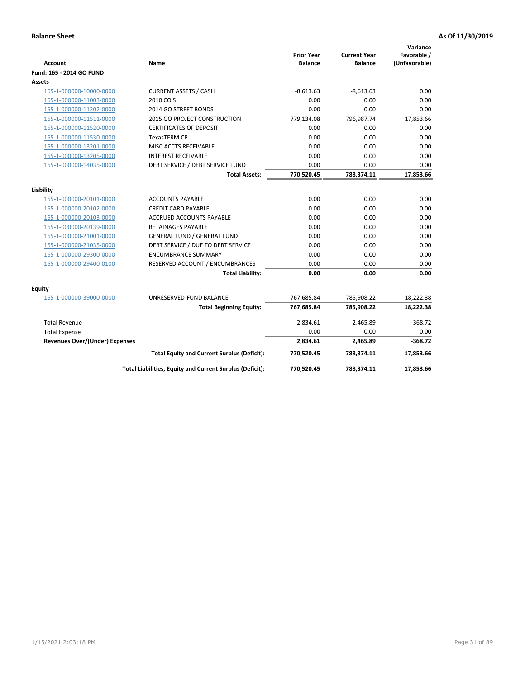| <b>Account</b>                        | Name                                                     | <b>Prior Year</b><br><b>Balance</b> | <b>Current Year</b><br><b>Balance</b> | Variance<br>Favorable /<br>(Unfavorable) |
|---------------------------------------|----------------------------------------------------------|-------------------------------------|---------------------------------------|------------------------------------------|
| Fund: 165 - 2014 GO FUND              |                                                          |                                     |                                       |                                          |
| Assets                                |                                                          |                                     |                                       |                                          |
| 165-1-000000-10000-0000               | <b>CURRENT ASSETS / CASH</b>                             | $-8,613.63$                         | $-8,613.63$                           | 0.00                                     |
| 165-1-000000-11003-0000               | 2010 CO'S                                                | 0.00                                | 0.00                                  | 0.00                                     |
| 165-1-000000-11202-0000               | 2014 GO STREET BONDS                                     | 0.00                                | 0.00                                  | 0.00                                     |
| 165-1-000000-11511-0000               | 2015 GO PROJECT CONSTRUCTION                             | 779,134.08                          | 796,987.74                            | 17,853.66                                |
| 165-1-000000-11520-0000               | <b>CERTIFICATES OF DEPOSIT</b>                           | 0.00                                | 0.00                                  | 0.00                                     |
| 165-1-000000-11530-0000               | <b>TexasTERM CP</b>                                      | 0.00                                | 0.00                                  | 0.00                                     |
| 165-1-000000-13201-0000               | MISC ACCTS RECEIVABLE                                    | 0.00                                | 0.00                                  | 0.00                                     |
| 165-1-000000-13205-0000               | <b>INTEREST RECEIVABLE</b>                               | 0.00                                | 0.00                                  | 0.00                                     |
| 165-1-000000-14035-0000               | DEBT SERVICE / DEBT SERVICE FUND                         | 0.00                                | 0.00                                  | 0.00                                     |
|                                       | <b>Total Assets:</b>                                     | 770,520.45                          | 788,374.11                            | 17,853.66                                |
| Liability                             |                                                          |                                     |                                       |                                          |
| 165-1-000000-20101-0000               | <b>ACCOUNTS PAYABLE</b>                                  | 0.00                                | 0.00                                  | 0.00                                     |
| 165-1-000000-20102-0000               | <b>CREDIT CARD PAYABLE</b>                               | 0.00                                | 0.00                                  | 0.00                                     |
| 165-1-000000-20103-0000               | <b>ACCRUED ACCOUNTS PAYABLE</b>                          | 0.00                                | 0.00                                  | 0.00                                     |
| 165-1-000000-20139-0000               | <b>RETAINAGES PAYABLE</b>                                | 0.00                                | 0.00                                  | 0.00                                     |
| 165-1-000000-21001-0000               | <b>GENERAL FUND / GENERAL FUND</b>                       | 0.00                                | 0.00                                  | 0.00                                     |
| 165-1-000000-21035-0000               | DEBT SERVICE / DUE TO DEBT SERVICE                       | 0.00                                | 0.00                                  | 0.00                                     |
| 165-1-000000-29300-0000               | <b>ENCUMBRANCE SUMMARY</b>                               | 0.00                                | 0.00                                  | 0.00                                     |
| 165-1-000000-29400-0100               | RESERVED ACCOUNT / ENCUMBRANCES                          | 0.00                                | 0.00                                  | 0.00                                     |
|                                       | <b>Total Liability:</b>                                  | 0.00                                | 0.00                                  | 0.00                                     |
| Equity                                |                                                          |                                     |                                       |                                          |
| 165-1-000000-39000-0000               | UNRESERVED-FUND BALANCE                                  | 767,685.84                          | 785,908.22                            | 18,222.38                                |
|                                       | <b>Total Beginning Equity:</b>                           | 767,685.84                          | 785,908.22                            | 18,222.38                                |
| <b>Total Revenue</b>                  |                                                          | 2,834.61                            | 2,465.89                              | $-368.72$                                |
| <b>Total Expense</b>                  |                                                          | 0.00                                | 0.00                                  | 0.00                                     |
| <b>Revenues Over/(Under) Expenses</b> |                                                          | 2,834.61                            | 2,465.89                              | $-368.72$                                |
|                                       | <b>Total Equity and Current Surplus (Deficit):</b>       | 770,520.45                          | 788,374.11                            | 17,853.66                                |
|                                       | Total Liabilities, Equity and Current Surplus (Deficit): | 770,520.45                          | 788,374.11                            | 17.853.66                                |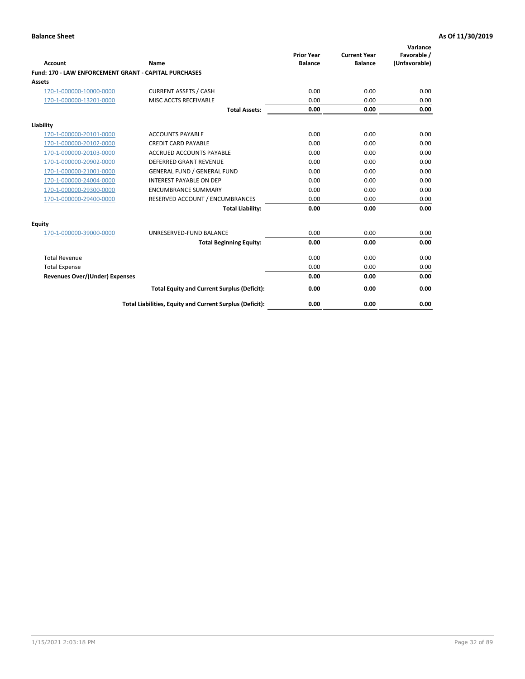| Account                                                      | Name                                                     | <b>Prior Year</b><br><b>Balance</b> | <b>Current Year</b><br><b>Balance</b> | Variance<br>Favorable /<br>(Unfavorable) |
|--------------------------------------------------------------|----------------------------------------------------------|-------------------------------------|---------------------------------------|------------------------------------------|
| <b>Fund: 170 - LAW ENFORCEMENT GRANT - CAPITAL PURCHASES</b> |                                                          |                                     |                                       |                                          |
| <b>Assets</b>                                                |                                                          |                                     |                                       |                                          |
| 170-1-000000-10000-0000                                      | <b>CURRENT ASSETS / CASH</b>                             | 0.00                                | 0.00                                  | 0.00                                     |
| 170-1-000000-13201-0000                                      | MISC ACCTS RECEIVABLE                                    | 0.00                                | 0.00                                  | 0.00                                     |
|                                                              | <b>Total Assets:</b>                                     | 0.00                                | 0.00                                  | 0.00                                     |
| Liability                                                    |                                                          |                                     |                                       |                                          |
| 170-1-000000-20101-0000                                      | <b>ACCOUNTS PAYABLE</b>                                  | 0.00                                | 0.00                                  | 0.00                                     |
| 170-1-000000-20102-0000                                      | <b>CREDIT CARD PAYABLE</b>                               | 0.00                                | 0.00                                  | 0.00                                     |
| 170-1-000000-20103-0000                                      | <b>ACCRUED ACCOUNTS PAYABLE</b>                          | 0.00                                | 0.00                                  | 0.00                                     |
| 170-1-000000-20902-0000                                      | <b>DEFERRED GRANT REVENUE</b>                            | 0.00                                | 0.00                                  | 0.00                                     |
| 170-1-000000-21001-0000                                      | <b>GENERAL FUND / GENERAL FUND</b>                       | 0.00                                | 0.00                                  | 0.00                                     |
| 170-1-000000-24004-0000                                      | <b>INTEREST PAYABLE ON DEP</b>                           | 0.00                                | 0.00                                  | 0.00                                     |
| 170-1-000000-29300-0000                                      | <b>ENCUMBRANCE SUMMARY</b>                               | 0.00                                | 0.00                                  | 0.00                                     |
| 170-1-000000-29400-0000                                      | RESERVED ACCOUNT / ENCUMBRANCES                          | 0.00                                | 0.00                                  | 0.00                                     |
|                                                              | <b>Total Liability:</b>                                  | 0.00                                | 0.00                                  | 0.00                                     |
| <b>Equity</b>                                                |                                                          |                                     |                                       |                                          |
| 170-1-000000-39000-0000                                      | UNRESERVED-FUND BALANCE                                  | 0.00                                | 0.00                                  | 0.00                                     |
|                                                              | <b>Total Beginning Equity:</b>                           | 0.00                                | 0.00                                  | 0.00                                     |
| <b>Total Revenue</b>                                         |                                                          | 0.00                                | 0.00                                  | 0.00                                     |
| <b>Total Expense</b>                                         |                                                          | 0.00                                | 0.00                                  | 0.00                                     |
| <b>Revenues Over/(Under) Expenses</b>                        |                                                          | 0.00                                | 0.00                                  | 0.00                                     |
|                                                              | <b>Total Equity and Current Surplus (Deficit):</b>       | 0.00                                | 0.00                                  | 0.00                                     |
|                                                              | Total Liabilities, Equity and Current Surplus (Deficit): | 0.00                                | 0.00                                  | 0.00                                     |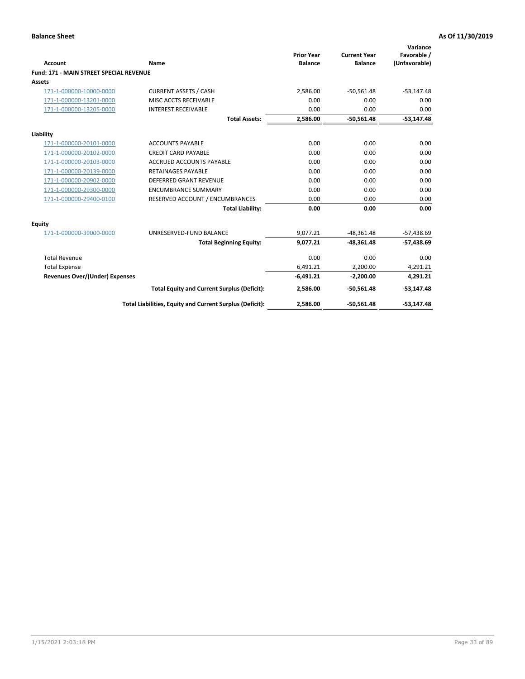| Account                                        | Name                                                     | <b>Prior Year</b><br><b>Balance</b> | <b>Current Year</b><br><b>Balance</b> | Variance<br>Favorable /<br>(Unfavorable) |
|------------------------------------------------|----------------------------------------------------------|-------------------------------------|---------------------------------------|------------------------------------------|
| <b>Fund: 171 - MAIN STREET SPECIAL REVENUE</b> |                                                          |                                     |                                       |                                          |
| <b>Assets</b>                                  |                                                          |                                     |                                       |                                          |
| 171-1-000000-10000-0000                        | <b>CURRENT ASSETS / CASH</b>                             | 2,586.00                            | $-50,561.48$                          | $-53,147.48$                             |
| 171-1-000000-13201-0000                        | MISC ACCTS RECEIVABLE                                    | 0.00                                | 0.00                                  | 0.00                                     |
| 171-1-000000-13205-0000                        | <b>INTEREST RECEIVABLE</b>                               | 0.00                                | 0.00                                  | 0.00                                     |
|                                                | <b>Total Assets:</b>                                     | 2.586.00                            | $-50.561.48$                          | $-53,147.48$                             |
| Liability                                      |                                                          |                                     |                                       |                                          |
| 171-1-000000-20101-0000                        | <b>ACCOUNTS PAYABLE</b>                                  | 0.00                                | 0.00                                  | 0.00                                     |
| 171-1-000000-20102-0000                        | <b>CREDIT CARD PAYABLE</b>                               | 0.00                                | 0.00                                  | 0.00                                     |
| 171-1-000000-20103-0000                        | <b>ACCRUED ACCOUNTS PAYABLE</b>                          | 0.00                                | 0.00                                  | 0.00                                     |
| 171-1-000000-20139-0000                        | <b>RETAINAGES PAYABLE</b>                                | 0.00                                | 0.00                                  | 0.00                                     |
| 171-1-000000-20902-0000                        | DEFERRED GRANT REVENUE                                   | 0.00                                | 0.00                                  | 0.00                                     |
| 171-1-000000-29300-0000                        | <b>ENCUMBRANCE SUMMARY</b>                               | 0.00                                | 0.00                                  | 0.00                                     |
| 171-1-000000-29400-0100                        | RESERVED ACCOUNT / ENCUMBRANCES                          | 0.00                                | 0.00                                  | 0.00                                     |
|                                                | <b>Total Liability:</b>                                  | 0.00                                | 0.00                                  | 0.00                                     |
| <b>Equity</b>                                  |                                                          |                                     |                                       |                                          |
| 171-1-000000-39000-0000                        | UNRESERVED-FUND BALANCE                                  | 9,077.21                            | $-48,361.48$                          | $-57,438.69$                             |
|                                                | <b>Total Beginning Equity:</b>                           | 9.077.21                            | $-48.361.48$                          | $-57,438.69$                             |
| <b>Total Revenue</b>                           |                                                          | 0.00                                | 0.00                                  | 0.00                                     |
| <b>Total Expense</b>                           |                                                          | 6,491.21                            | 2,200.00                              | 4,291.21                                 |
| Revenues Over/(Under) Expenses                 |                                                          | $-6,491.21$                         | $-2,200.00$                           | 4,291.21                                 |
|                                                | <b>Total Equity and Current Surplus (Deficit):</b>       | 2,586.00                            | $-50,561.48$                          | $-53,147.48$                             |
|                                                | Total Liabilities, Equity and Current Surplus (Deficit): | 2,586.00                            | $-50,561.48$                          | $-53,147.48$                             |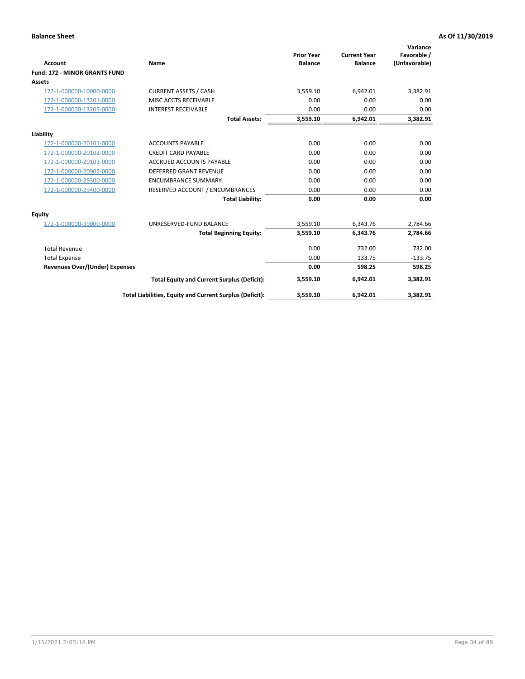|                                       |                                                          |                                     |                                       | Variance                     |
|---------------------------------------|----------------------------------------------------------|-------------------------------------|---------------------------------------|------------------------------|
| <b>Account</b>                        | <b>Name</b>                                              | <b>Prior Year</b><br><b>Balance</b> | <b>Current Year</b><br><b>Balance</b> | Favorable /<br>(Unfavorable) |
| <b>Fund: 172 - MINOR GRANTS FUND</b>  |                                                          |                                     |                                       |                              |
| <b>Assets</b>                         |                                                          |                                     |                                       |                              |
| 172-1-000000-10000-0000               | <b>CURRENT ASSETS / CASH</b>                             | 3,559.10                            | 6,942.01                              | 3,382.91                     |
| 172-1-000000-13201-0000               | MISC ACCTS RECEIVABLE                                    | 0.00                                | 0.00                                  | 0.00                         |
| 172-1-000000-13205-0000               | <b>INTEREST RECEIVABLE</b>                               | 0.00                                | 0.00                                  | 0.00                         |
|                                       | <b>Total Assets:</b>                                     | 3,559.10                            | 6,942.01                              | 3,382.91                     |
| Liability                             |                                                          |                                     |                                       |                              |
| 172-1-000000-20101-0000               | <b>ACCOUNTS PAYABLE</b>                                  | 0.00                                | 0.00                                  | 0.00                         |
| 172-1-000000-20102-0000               | <b>CREDIT CARD PAYABLE</b>                               | 0.00                                | 0.00                                  | 0.00                         |
| 172-1-000000-20103-0000               | <b>ACCRUED ACCOUNTS PAYABLE</b>                          | 0.00                                | 0.00                                  | 0.00                         |
| 172-1-000000-20902-0000               | <b>DEFERRED GRANT REVENUE</b>                            | 0.00                                | 0.00                                  | 0.00                         |
| 172-1-000000-29300-0000               | <b>ENCUMBRANCE SUMMARY</b>                               | 0.00                                | 0.00                                  | 0.00                         |
| 172-1-000000-29400-0000               | RESERVED ACCOUNT / ENCUMBRANCES                          | 0.00                                | 0.00                                  | 0.00                         |
|                                       | <b>Total Liability:</b>                                  | 0.00                                | 0.00                                  | 0.00                         |
| Equity                                |                                                          |                                     |                                       |                              |
| 172-1-000000-39000-0000               | UNRESERVED-FUND BALANCE                                  | 3,559.10                            | 6.343.76                              | 2,784.66                     |
|                                       | <b>Total Beginning Equity:</b>                           | 3,559.10                            | 6,343.76                              | 2,784.66                     |
| <b>Total Revenue</b>                  |                                                          | 0.00                                | 732.00                                | 732.00                       |
| <b>Total Expense</b>                  |                                                          | 0.00                                | 133.75                                | $-133.75$                    |
| <b>Revenues Over/(Under) Expenses</b> |                                                          | 0.00                                | 598.25                                | 598.25                       |
|                                       | <b>Total Equity and Current Surplus (Deficit):</b>       | 3,559.10                            | 6,942.01                              | 3,382.91                     |
|                                       | Total Liabilities, Equity and Current Surplus (Deficit): | 3,559.10                            | 6,942.01                              | 3,382.91                     |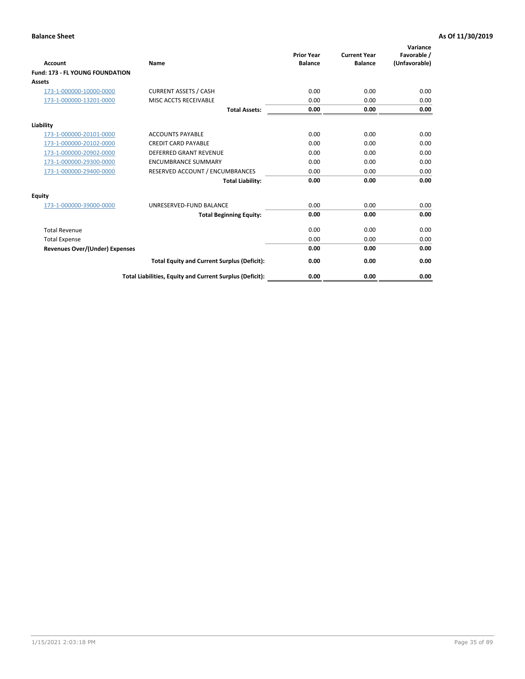| <b>Account</b>                         | <b>Name</b>                                              | <b>Prior Year</b><br><b>Balance</b> | <b>Current Year</b><br><b>Balance</b> | Variance<br>Favorable /<br>(Unfavorable) |
|----------------------------------------|----------------------------------------------------------|-------------------------------------|---------------------------------------|------------------------------------------|
| <b>Fund: 173 - FL YOUNG FOUNDATION</b> |                                                          |                                     |                                       |                                          |
| Assets                                 |                                                          |                                     |                                       |                                          |
| 173-1-000000-10000-0000                | <b>CURRENT ASSETS / CASH</b>                             | 0.00                                | 0.00                                  | 0.00                                     |
| 173-1-000000-13201-0000                | MISC ACCTS RECEIVABLE                                    | 0.00                                | 0.00                                  | 0.00                                     |
|                                        | <b>Total Assets:</b>                                     | 0.00                                | 0.00                                  | 0.00                                     |
| Liability                              |                                                          |                                     |                                       |                                          |
| 173-1-000000-20101-0000                | <b>ACCOUNTS PAYABLE</b>                                  | 0.00                                | 0.00                                  | 0.00                                     |
| 173-1-000000-20102-0000                | <b>CREDIT CARD PAYABLE</b>                               | 0.00                                | 0.00                                  | 0.00                                     |
| 173-1-000000-20902-0000                | <b>DEFERRED GRANT REVENUE</b>                            | 0.00                                | 0.00                                  | 0.00                                     |
| 173-1-000000-29300-0000                | <b>ENCUMBRANCE SUMMARY</b>                               | 0.00                                | 0.00                                  | 0.00                                     |
| 173-1-000000-29400-0000                | RESERVED ACCOUNT / ENCUMBRANCES                          | 0.00                                | 0.00                                  | 0.00                                     |
|                                        | <b>Total Liability:</b>                                  | 0.00                                | 0.00                                  | 0.00                                     |
| Equity                                 |                                                          |                                     |                                       |                                          |
| 173-1-000000-39000-0000                | UNRESERVED-FUND BALANCE                                  | 0.00                                | 0.00                                  | 0.00                                     |
|                                        | <b>Total Beginning Equity:</b>                           | 0.00                                | 0.00                                  | 0.00                                     |
| <b>Total Revenue</b>                   |                                                          | 0.00                                | 0.00                                  | 0.00                                     |
| <b>Total Expense</b>                   |                                                          | 0.00                                | 0.00                                  | 0.00                                     |
| <b>Revenues Over/(Under) Expenses</b>  |                                                          | 0.00                                | 0.00                                  | 0.00                                     |
|                                        | <b>Total Equity and Current Surplus (Deficit):</b>       | 0.00                                | 0.00                                  | 0.00                                     |
|                                        | Total Liabilities, Equity and Current Surplus (Deficit): | 0.00                                | 0.00                                  | 0.00                                     |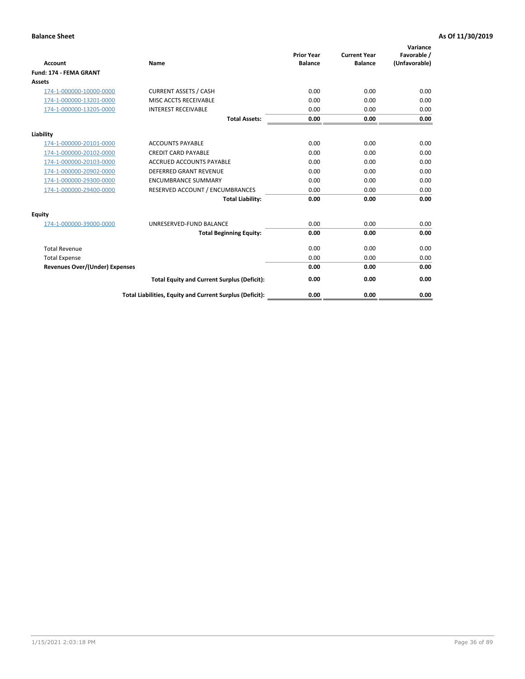| <b>Account</b>                        | Name                                                     | <b>Prior Year</b><br><b>Balance</b> | <b>Current Year</b><br><b>Balance</b> | Variance<br>Favorable /<br>(Unfavorable) |
|---------------------------------------|----------------------------------------------------------|-------------------------------------|---------------------------------------|------------------------------------------|
| <b>Fund: 174 - FEMA GRANT</b>         |                                                          |                                     |                                       |                                          |
| Assets                                |                                                          |                                     |                                       |                                          |
| 174-1-000000-10000-0000               | <b>CURRENT ASSETS / CASH</b>                             | 0.00                                | 0.00                                  | 0.00                                     |
| 174-1-000000-13201-0000               | MISC ACCTS RECEIVABLE                                    | 0.00                                | 0.00                                  | 0.00                                     |
| 174-1-000000-13205-0000               | <b>INTEREST RECEIVABLE</b>                               | 0.00                                | 0.00                                  | 0.00                                     |
|                                       | <b>Total Assets:</b>                                     | 0.00                                | 0.00                                  | 0.00                                     |
| Liability                             |                                                          |                                     |                                       |                                          |
| 174-1-000000-20101-0000               | <b>ACCOUNTS PAYABLE</b>                                  | 0.00                                | 0.00                                  | 0.00                                     |
| 174-1-000000-20102-0000               | <b>CREDIT CARD PAYABLE</b>                               | 0.00                                | 0.00                                  | 0.00                                     |
| 174-1-000000-20103-0000               | <b>ACCRUED ACCOUNTS PAYABLE</b>                          | 0.00                                | 0.00                                  | 0.00                                     |
| 174-1-000000-20902-0000               | <b>DEFERRED GRANT REVENUE</b>                            | 0.00                                | 0.00                                  | 0.00                                     |
| 174-1-000000-29300-0000               | <b>ENCUMBRANCE SUMMARY</b>                               | 0.00                                | 0.00                                  | 0.00                                     |
| 174-1-000000-29400-0000               | RESERVED ACCOUNT / ENCUMBRANCES                          | 0.00                                | 0.00                                  | 0.00                                     |
|                                       | <b>Total Liability:</b>                                  | 0.00                                | 0.00                                  | 0.00                                     |
| <b>Equity</b>                         |                                                          |                                     |                                       |                                          |
| 174-1-000000-39000-0000               | UNRESERVED-FUND BALANCE                                  | 0.00                                | 0.00                                  | 0.00                                     |
|                                       | <b>Total Beginning Equity:</b>                           | 0.00                                | 0.00                                  | 0.00                                     |
| <b>Total Revenue</b>                  |                                                          | 0.00                                | 0.00                                  | 0.00                                     |
| <b>Total Expense</b>                  |                                                          | 0.00                                | 0.00                                  | 0.00                                     |
| <b>Revenues Over/(Under) Expenses</b> |                                                          | 0.00                                | 0.00                                  | 0.00                                     |
|                                       | <b>Total Equity and Current Surplus (Deficit):</b>       | 0.00                                | 0.00                                  | 0.00                                     |
|                                       | Total Liabilities, Equity and Current Surplus (Deficit): | 0.00                                | 0.00                                  | 0.00                                     |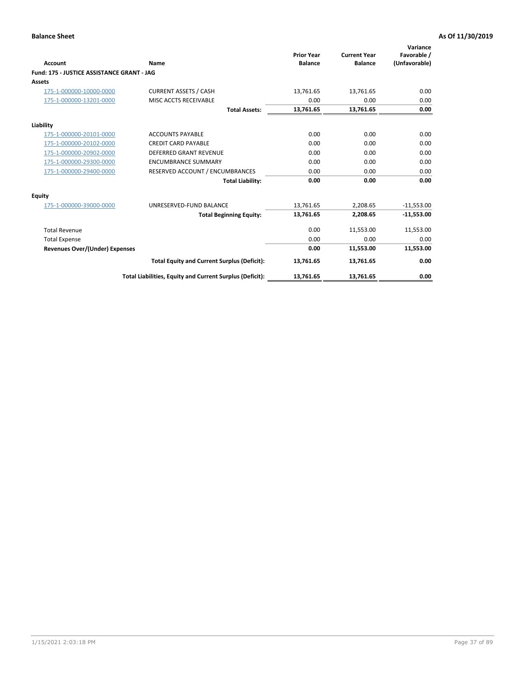|                                            |                                                          |                                     |                                       | Variance                     |
|--------------------------------------------|----------------------------------------------------------|-------------------------------------|---------------------------------------|------------------------------|
| Account                                    | Name                                                     | <b>Prior Year</b><br><b>Balance</b> | <b>Current Year</b><br><b>Balance</b> | Favorable /<br>(Unfavorable) |
| Fund: 175 - JUSTICE ASSISTANCE GRANT - JAG |                                                          |                                     |                                       |                              |
| <b>Assets</b>                              |                                                          |                                     |                                       |                              |
| 175-1-000000-10000-0000                    | <b>CURRENT ASSETS / CASH</b>                             | 13,761.65                           | 13,761.65                             | 0.00                         |
| 175-1-000000-13201-0000                    | MISC ACCTS RECEIVABLE                                    | 0.00                                | 0.00                                  | 0.00                         |
|                                            | <b>Total Assets:</b>                                     | 13,761.65                           | 13,761.65                             | 0.00                         |
| Liability                                  |                                                          |                                     |                                       |                              |
| 175-1-000000-20101-0000                    | <b>ACCOUNTS PAYABLE</b>                                  | 0.00                                | 0.00                                  | 0.00                         |
| 175-1-000000-20102-0000                    | <b>CREDIT CARD PAYABLE</b>                               | 0.00                                | 0.00                                  | 0.00                         |
| 175-1-000000-20902-0000                    | <b>DEFERRED GRANT REVENUE</b>                            | 0.00                                | 0.00                                  | 0.00                         |
| 175-1-000000-29300-0000                    | <b>ENCUMBRANCE SUMMARY</b>                               | 0.00                                | 0.00                                  | 0.00                         |
| 175-1-000000-29400-0000                    | RESERVED ACCOUNT / ENCUMBRANCES                          | 0.00                                | 0.00                                  | 0.00                         |
|                                            | <b>Total Liability:</b>                                  | 0.00                                | 0.00                                  | 0.00                         |
| <b>Equity</b>                              |                                                          |                                     |                                       |                              |
| 175-1-000000-39000-0000                    | UNRESERVED-FUND BALANCE                                  | 13,761.65                           | 2,208.65                              | $-11,553.00$                 |
|                                            | <b>Total Beginning Equity:</b>                           | 13,761.65                           | 2,208.65                              | $-11,553.00$                 |
| <b>Total Revenue</b>                       |                                                          | 0.00                                | 11,553.00                             | 11,553.00                    |
| <b>Total Expense</b>                       |                                                          | 0.00                                | 0.00                                  | 0.00                         |
| <b>Revenues Over/(Under) Expenses</b>      |                                                          | 0.00                                | 11,553.00                             | 11,553.00                    |
|                                            | <b>Total Equity and Current Surplus (Deficit):</b>       | 13,761.65                           | 13,761.65                             | 0.00                         |
|                                            | Total Liabilities, Equity and Current Surplus (Deficit): | 13,761.65                           | 13,761.65                             | 0.00                         |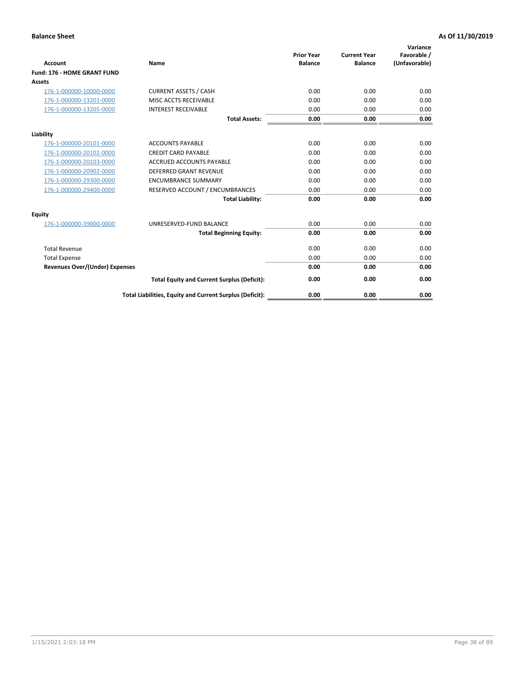| Account                               | Name                                                     | <b>Prior Year</b><br><b>Balance</b> | <b>Current Year</b><br><b>Balance</b> | Variance<br>Favorable /<br>(Unfavorable) |
|---------------------------------------|----------------------------------------------------------|-------------------------------------|---------------------------------------|------------------------------------------|
| Fund: 176 - HOME GRANT FUND           |                                                          |                                     |                                       |                                          |
| Assets                                |                                                          |                                     |                                       |                                          |
| 176-1-000000-10000-0000               | <b>CURRENT ASSETS / CASH</b>                             | 0.00                                | 0.00                                  | 0.00                                     |
| 176-1-000000-13201-0000               | MISC ACCTS RECEIVABLE                                    | 0.00                                | 0.00                                  | 0.00                                     |
| 176-1-000000-13205-0000               | <b>INTEREST RECEIVABLE</b>                               | 0.00                                | 0.00                                  | 0.00                                     |
|                                       | <b>Total Assets:</b>                                     | 0.00                                | 0.00                                  | 0.00                                     |
| Liability                             |                                                          |                                     |                                       |                                          |
| 176-1-000000-20101-0000               | <b>ACCOUNTS PAYABLE</b>                                  | 0.00                                | 0.00                                  | 0.00                                     |
| 176-1-000000-20102-0000               | <b>CREDIT CARD PAYABLE</b>                               | 0.00                                | 0.00                                  | 0.00                                     |
| 176-1-000000-20103-0000               | <b>ACCRUED ACCOUNTS PAYABLE</b>                          | 0.00                                | 0.00                                  | 0.00                                     |
| 176-1-000000-20902-0000               | <b>DEFERRED GRANT REVENUE</b>                            | 0.00                                | 0.00                                  | 0.00                                     |
| 176-1-000000-29300-0000               | <b>ENCUMBRANCE SUMMARY</b>                               | 0.00                                | 0.00                                  | 0.00                                     |
| 176-1-000000-29400-0000               | RESERVED ACCOUNT / ENCUMBRANCES                          | 0.00                                | 0.00                                  | 0.00                                     |
|                                       | <b>Total Liability:</b>                                  | 0.00                                | 0.00                                  | 0.00                                     |
| <b>Equity</b>                         |                                                          |                                     |                                       |                                          |
| 176-1-000000-39000-0000               | UNRESERVED-FUND BALANCE                                  | 0.00                                | 0.00                                  | 0.00                                     |
|                                       | <b>Total Beginning Equity:</b>                           | 0.00                                | 0.00                                  | 0.00                                     |
| <b>Total Revenue</b>                  |                                                          | 0.00                                | 0.00                                  | 0.00                                     |
| <b>Total Expense</b>                  |                                                          | 0.00                                | 0.00                                  | 0.00                                     |
| <b>Revenues Over/(Under) Expenses</b> |                                                          | 0.00                                | 0.00                                  | 0.00                                     |
|                                       | <b>Total Equity and Current Surplus (Deficit):</b>       | 0.00                                | 0.00                                  | 0.00                                     |
|                                       | Total Liabilities, Equity and Current Surplus (Deficit): | 0.00                                | 0.00                                  | 0.00                                     |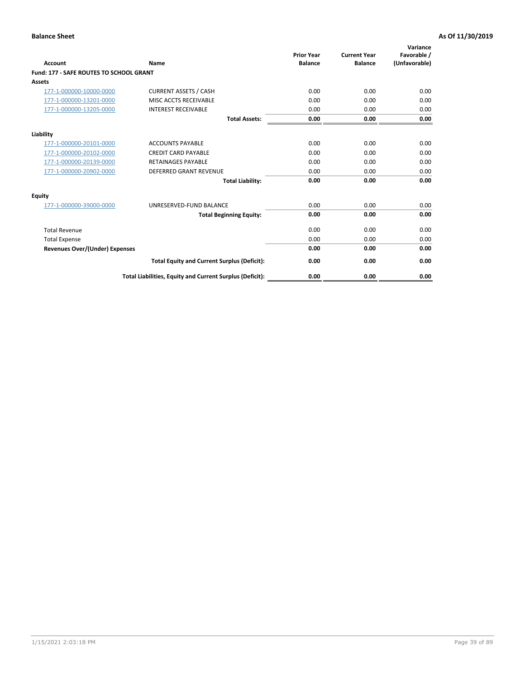| Account                                        | Name                                                     | <b>Prior Year</b><br><b>Balance</b> | <b>Current Year</b><br><b>Balance</b> | Variance<br>Favorable /<br>(Unfavorable) |
|------------------------------------------------|----------------------------------------------------------|-------------------------------------|---------------------------------------|------------------------------------------|
| <b>Fund: 177 - SAFE ROUTES TO SCHOOL GRANT</b> |                                                          |                                     |                                       |                                          |
| <b>Assets</b>                                  |                                                          |                                     |                                       |                                          |
| 177-1-000000-10000-0000                        | <b>CURRENT ASSETS / CASH</b>                             | 0.00                                | 0.00                                  | 0.00                                     |
| 177-1-000000-13201-0000                        | MISC ACCTS RECEIVABLE                                    | 0.00                                | 0.00                                  | 0.00                                     |
| 177-1-000000-13205-0000                        | <b>INTEREST RECEIVABLE</b>                               | 0.00                                | 0.00                                  | 0.00                                     |
|                                                | <b>Total Assets:</b>                                     | 0.00                                | 0.00                                  | 0.00                                     |
| Liability                                      |                                                          |                                     |                                       |                                          |
| 177-1-000000-20101-0000                        | <b>ACCOUNTS PAYABLE</b>                                  | 0.00                                | 0.00                                  | 0.00                                     |
| 177-1-000000-20102-0000                        | <b>CREDIT CARD PAYABLE</b>                               | 0.00                                | 0.00                                  | 0.00                                     |
| 177-1-000000-20139-0000                        | <b>RETAINAGES PAYABLE</b>                                | 0.00                                | 0.00                                  | 0.00                                     |
| 177-1-000000-20902-0000                        | <b>DEFERRED GRANT REVENUE</b>                            | 0.00                                | 0.00                                  | 0.00                                     |
|                                                | <b>Total Liability:</b>                                  | 0.00                                | 0.00                                  | 0.00                                     |
| Equity                                         |                                                          |                                     |                                       |                                          |
| 177-1-000000-39000-0000                        | UNRESERVED-FUND BALANCE                                  | 0.00                                | 0.00                                  | 0.00                                     |
|                                                | <b>Total Beginning Equity:</b>                           | 0.00                                | 0.00                                  | 0.00                                     |
| <b>Total Revenue</b>                           |                                                          | 0.00                                | 0.00                                  | 0.00                                     |
| <b>Total Expense</b>                           |                                                          | 0.00                                | 0.00                                  | 0.00                                     |
| <b>Revenues Over/(Under) Expenses</b>          |                                                          | 0.00                                | 0.00                                  | 0.00                                     |
|                                                | <b>Total Equity and Current Surplus (Deficit):</b>       | 0.00                                | 0.00                                  | 0.00                                     |
|                                                | Total Liabilities, Equity and Current Surplus (Deficit): | 0.00                                | 0.00                                  | 0.00                                     |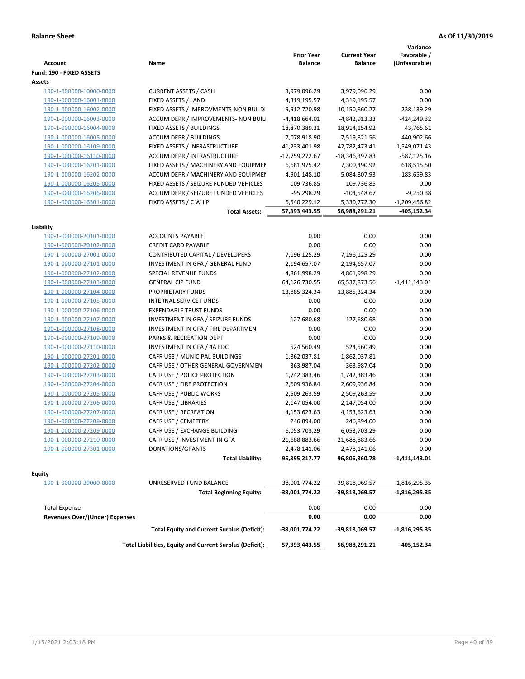| <b>Account</b>                                     | Name                                                     | <b>Prior Year</b><br><b>Balance</b> | <b>Current Year</b><br><b>Balance</b> | Variance<br>Favorable /<br>(Unfavorable) |
|----------------------------------------------------|----------------------------------------------------------|-------------------------------------|---------------------------------------|------------------------------------------|
| Fund: 190 - FIXED ASSETS<br>Assets                 |                                                          |                                     |                                       |                                          |
| 190-1-000000-10000-0000                            | <b>CURRENT ASSETS / CASH</b>                             | 3,979,096.29                        | 3,979,096.29                          | 0.00                                     |
| 190-1-000000-16001-0000                            | FIXED ASSETS / LAND                                      | 4,319,195.57                        | 4,319,195.57                          | 0.00                                     |
| 190-1-000000-16002-0000                            | FIXED ASSETS / IMPROVMENTS-NON BUILDI                    | 9,912,720.98                        | 10,150,860.27                         | 238,139.29                               |
| 190-1-000000-16003-0000                            | ACCUM DEPR / IMPROVEMENTS- NON BUIL                      | $-4,418,664.01$                     | -4,842,913.33                         | $-424,249.32$                            |
| 190-1-000000-16004-0000                            | FIXED ASSETS / BUILDINGS                                 | 18,870,389.31                       | 18,914,154.92                         | 43,765.61                                |
| 190-1-000000-16005-0000                            | <b>ACCUM DEPR / BUILDINGS</b>                            | -7,078,918.90                       | -7,519,821.56                         | -440,902.66                              |
| 190-1-000000-16109-0000                            | FIXED ASSETS / INFRASTRUCTURE                            | 41,233,401.98                       | 42,782,473.41                         | 1,549,071.43                             |
| 190-1-000000-16110-0000                            | ACCUM DEPR / INFRASTRUCTURE                              | -17,759,272.67                      | -18,346,397.83                        | -587,125.16                              |
| 190-1-000000-16201-0000                            | FIXED ASSETS / MACHINERY AND EQUIPMEN                    | 6,681,975.42                        | 7,300,490.92                          | 618,515.50                               |
| 190-1-000000-16202-0000                            | ACCUM DEPR / MACHINERY AND EQUIPMEI                      | $-4,901,148.10$                     | -5,084,807.93                         | -183,659.83                              |
| 190-1-000000-16205-0000                            | FIXED ASSETS / SEIZURE FUNDED VEHICLES                   | 109,736.85                          | 109,736.85                            | 0.00                                     |
| 190-1-000000-16206-0000                            | ACCUM DEPR / SEIZURE FUNDED VEHICLES                     | $-95,298.29$                        | $-104,548.67$                         | $-9,250.38$                              |
| 190-1-000000-16301-0000                            | FIXED ASSETS / C W I P                                   | 6,540,229.12                        | 5,330,772.30                          | $-1,209,456.82$                          |
|                                                    | <b>Total Assets:</b>                                     | 57,393,443.55                       | 56,988,291.21                         | -405,152.34                              |
|                                                    |                                                          |                                     |                                       |                                          |
| Liability                                          |                                                          |                                     |                                       |                                          |
| 190-1-000000-20101-0000<br>190-1-000000-20102-0000 | <b>ACCOUNTS PAYABLE</b>                                  | 0.00                                | 0.00                                  | 0.00                                     |
|                                                    | <b>CREDIT CARD PAYABLE</b>                               | 0.00                                | 0.00                                  | 0.00                                     |
| 190-1-000000-27001-0000                            | CONTRIBUTED CAPITAL / DEVELOPERS                         | 7,196,125.29                        | 7,196,125.29                          | 0.00                                     |
| 190-1-000000-27101-0000                            | INVESTMENT IN GFA / GENERAL FUND                         | 2,194,657.07                        | 2,194,657.07                          | 0.00                                     |
| 190-1-000000-27102-0000                            | SPECIAL REVENUE FUNDS                                    | 4,861,998.29                        | 4,861,998.29                          | 0.00                                     |
| 190-1-000000-27103-0000                            | <b>GENERAL CIP FUND</b>                                  | 64,126,730.55                       | 65,537,873.56                         | $-1,411,143.01$                          |
| 190-1-000000-27104-0000                            | PROPRIETARY FUNDS                                        | 13,885,324.34                       | 13,885,324.34                         | 0.00                                     |
| 190-1-000000-27105-0000                            | <b>INTERNAL SERVICE FUNDS</b>                            | 0.00                                | 0.00                                  | 0.00                                     |
| 190-1-000000-27106-0000                            | <b>EXPENDABLE TRUST FUNDS</b>                            | 0.00                                | 0.00                                  | 0.00                                     |
| 190-1-000000-27107-0000                            | INVESTMENT IN GFA / SEIZURE FUNDS                        | 127,680.68                          | 127,680.68                            | 0.00                                     |
| 190-1-000000-27108-0000                            | INVESTMENT IN GFA / FIRE DEPARTMEN                       | 0.00                                | 0.00                                  | 0.00                                     |
| 190-1-000000-27109-0000                            | PARKS & RECREATION DEPT                                  | 0.00                                | 0.00                                  | 0.00                                     |
| 190-1-000000-27110-0000                            | INVESTMENT IN GFA / 4A EDC                               | 524,560.49                          | 524,560.49                            | 0.00                                     |
| 190-1-000000-27201-0000                            | CAFR USE / MUNICIPAL BUILDINGS                           | 1,862,037.81                        | 1,862,037.81                          | 0.00                                     |
| 190-1-000000-27202-0000                            | CAFR USE / OTHER GENERAL GOVERNMEN                       | 363,987.04                          | 363,987.04                            | 0.00                                     |
| 190-1-000000-27203-0000                            | CAFR USE / POLICE PROTECTION                             | 1,742,383.46                        | 1,742,383.46                          | 0.00                                     |
| 190-1-000000-27204-0000                            | CAFR USE / FIRE PROTECTION                               | 2,609,936.84                        | 2,609,936.84                          | 0.00                                     |
| 190-1-000000-27205-0000                            | CAFR USE / PUBLIC WORKS                                  | 2,509,263.59                        | 2,509,263.59                          | 0.00                                     |
| 190-1-000000-27206-0000                            | CAFR USE / LIBRARIES                                     | 2,147,054.00                        | 2,147,054.00                          | 0.00                                     |
| 190-1-000000-27207-0000                            | CAFR USE / RECREATION<br>CAFR USE / CEMETERY             | 4,153,623.63                        | 4,153,623.63                          | 0.00                                     |
| 190-1-000000-27208-0000<br>190-1-000000-27209-0000 |                                                          | 246,894.00                          | 246,894.00                            | 0.00                                     |
|                                                    | CAFR USE / EXCHANGE BUILDING                             | 6,053,703.29                        | 6,053,703.29                          | 0.00                                     |
| 190-1-000000-27210-0000                            | CAFR USE / INVESTMENT IN GFA                             | -21,688,883.66                      | $-21,688,883.66$                      | 0.00                                     |
| 190-1-000000-27301-0000                            | DONATIONS/GRANTS<br><b>Total Liability:</b>              | 2,478,141.06<br>95,395,217.77       | 2,478,141.06<br>96,806,360.78         | 0.00<br>-1,411,143.01                    |
|                                                    |                                                          |                                     |                                       |                                          |
| <b>Equity</b>                                      |                                                          |                                     |                                       |                                          |
| 190-1-000000-39000-0000                            | UNRESERVED-FUND BALANCE                                  | -38,001,774.22                      | -39,818,069.57                        | $-1,816,295.35$                          |
|                                                    | <b>Total Beginning Equity:</b>                           | -38,001,774.22                      | -39,818,069.57                        | $-1,816,295.35$                          |
| <b>Total Expense</b>                               |                                                          | 0.00                                | 0.00                                  | 0.00                                     |
| <b>Revenues Over/(Under) Expenses</b>              |                                                          | 0.00                                | 0.00                                  | 0.00                                     |
|                                                    | <b>Total Equity and Current Surplus (Deficit):</b>       | -38,001,774.22                      | -39,818,069.57                        | $-1,816,295.35$                          |
|                                                    | Total Liabilities, Equity and Current Surplus (Deficit): | 57,393,443.55                       | 56,988,291.21                         | -405,152.34                              |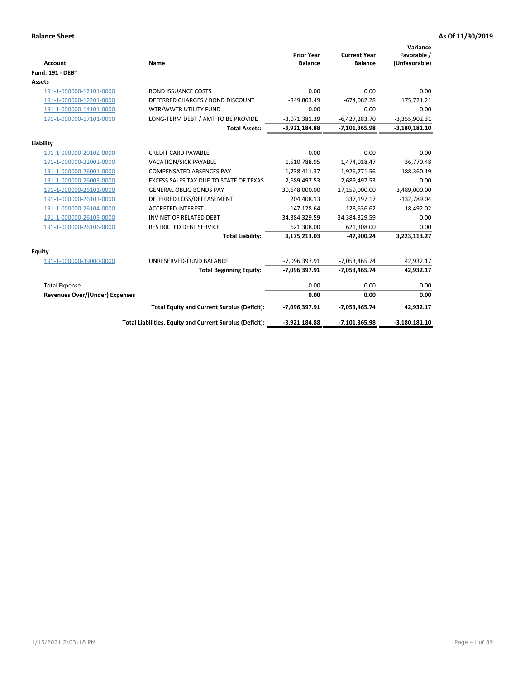| <b>Account</b>                 | Name                                                     | <b>Prior Year</b><br><b>Balance</b> | <b>Current Year</b><br><b>Balance</b> | Variance<br>Favorable /<br>(Unfavorable) |
|--------------------------------|----------------------------------------------------------|-------------------------------------|---------------------------------------|------------------------------------------|
| <b>Fund: 191 - DEBT</b>        |                                                          |                                     |                                       |                                          |
| <b>Assets</b>                  |                                                          |                                     |                                       |                                          |
| 191-1-000000-12101-0000        | <b>BOND ISSUANCE COSTS</b>                               | 0.00                                | 0.00                                  | 0.00                                     |
| 191-1-000000-12201-0000        | DEFERRED CHARGES / BOND DISCOUNT                         | -849,803.49                         | $-674,082.28$                         | 175,721.21                               |
| 191-1-000000-14101-0000        | WTR/WWTR UTILITY FUND                                    | 0.00                                | 0.00                                  | 0.00                                     |
| 191-1-000000-17101-0000        | LONG-TERM DEBT / AMT TO BE PROVIDE                       | $-3,071,381.39$                     | $-6,427,283.70$                       | $-3,355,902.31$                          |
|                                | <b>Total Assets:</b>                                     | $-3,921,184.88$                     | $-7,101,365.98$                       | $-3,180,181.10$                          |
| Liability                      |                                                          |                                     |                                       |                                          |
| 191-1-000000-20102-0000        | <b>CREDIT CARD PAYABLE</b>                               | 0.00                                | 0.00                                  | 0.00                                     |
| 191-1-000000-22002-0000        | VACATION/SICK PAYABLE                                    | 1,510,788.95                        | 1,474,018.47                          | 36,770.48                                |
| 191-1-000000-26001-0000        | <b>COMPENSATED ABSENCES PAY</b>                          | 1,738,411.37                        | 1,926,771.56                          | $-188,360.19$                            |
| 191-1-000000-26003-0000        | EXCESS SALES TAX DUE TO STATE OF TEXAS                   | 2,689,497.53                        | 2,689,497.53                          | 0.00                                     |
| 191-1-000000-26101-0000        | <b>GENERAL OBLIG BONDS PAY</b>                           | 30,648,000.00                       | 27,159,000.00                         | 3,489,000.00                             |
| 191-1-000000-26103-0000        | DEFERRED LOSS/DEFEASEMENT                                | 204,408.13                          | 337,197.17                            | $-132,789.04$                            |
| 191-1-000000-26104-0000        | <b>ACCRETED INTEREST</b>                                 | 147,128.64                          | 128,636.62                            | 18,492.02                                |
| 191-1-000000-26105-0000        | INV NET OF RELATED DEBT                                  | -34,384,329.59                      | -34,384,329.59                        | 0.00                                     |
| 191-1-000000-26106-0000        | <b>RESTRICTED DEBT SERVICE</b>                           | 621,308.00                          | 621,308.00                            | 0.00                                     |
|                                | <b>Total Liability:</b>                                  | 3,175,213.03                        | -47,900.24                            | 3,223,113.27                             |
| Equity                         |                                                          |                                     |                                       |                                          |
| 191-1-000000-39000-0000        | UNRESERVED-FUND BALANCE                                  | -7,096,397.91                       | $-7,053,465.74$                       | 42,932.17                                |
|                                | <b>Total Beginning Equity:</b>                           | -7,096,397.91                       | $-7,053,465.74$                       | 42,932.17                                |
| <b>Total Expense</b>           |                                                          | 0.00                                | 0.00                                  | 0.00                                     |
| Revenues Over/(Under) Expenses |                                                          | 0.00                                | 0.00                                  | 0.00                                     |
|                                | <b>Total Equity and Current Surplus (Deficit):</b>       | -7,096,397.91                       | $-7,053,465.74$                       | 42,932.17                                |
|                                | Total Liabilities, Equity and Current Surplus (Deficit): | $-3,921,184.88$                     | $-7,101,365.98$                       | $-3,180,181.10$                          |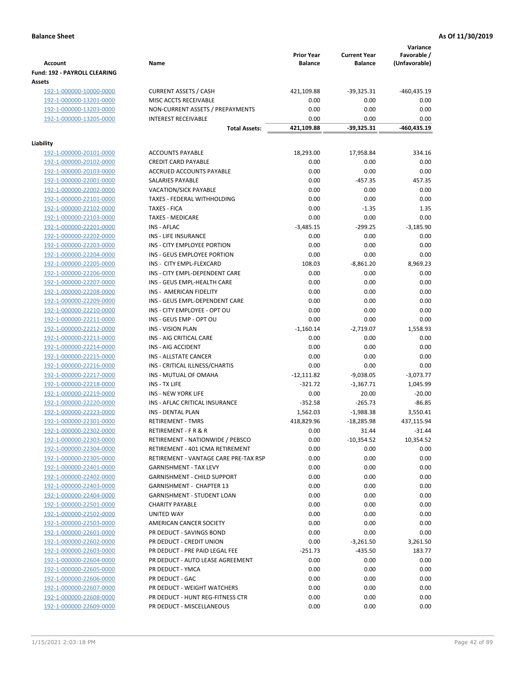| <b>Account</b>                                | Name                                  | <b>Prior Year</b><br><b>Balance</b> | <b>Current Year</b><br><b>Balance</b> | Variance<br>Favorable /<br>(Unfavorable) |
|-----------------------------------------------|---------------------------------------|-------------------------------------|---------------------------------------|------------------------------------------|
| <b>Fund: 192 - PAYROLL CLEARING</b><br>Assets |                                       |                                     |                                       |                                          |
| 192-1-000000-10000-0000                       | <b>CURRENT ASSETS / CASH</b>          | 421,109.88                          | -39,325.31                            | $-460,435.19$                            |
| 192-1-000000-13201-0000                       | MISC ACCTS RECEIVABLE                 | 0.00                                | 0.00                                  | 0.00                                     |
| 192-1-000000-13203-0000                       | NON-CURRENT ASSETS / PREPAYMENTS      | 0.00                                | 0.00                                  | 0.00                                     |
| 192-1-000000-13205-0000                       | <b>INTEREST RECEIVABLE</b>            | 0.00                                | 0.00                                  | 0.00                                     |
|                                               | <b>Total Assets:</b>                  | 421,109.88                          | $-39,325.31$                          | -460,435.19                              |
| Liability                                     |                                       |                                     |                                       |                                          |
| 192-1-000000-20101-0000                       | <b>ACCOUNTS PAYABLE</b>               | 18,293.00                           | 17,958.84                             | 334.16                                   |
| 192-1-000000-20102-0000                       | <b>CREDIT CARD PAYABLE</b>            | 0.00                                | 0.00                                  | 0.00                                     |
| 192-1-000000-20103-0000                       | ACCRUED ACCOUNTS PAYABLE              | 0.00                                | 0.00                                  | 0.00                                     |
| 192-1-000000-22001-0000                       | SALARIES PAYABLE                      | 0.00                                | $-457.35$                             | 457.35                                   |
| 192-1-000000-22002-0000                       | <b>VACATION/SICK PAYABLE</b>          | 0.00                                | 0.00                                  | 0.00                                     |
| 192-1-000000-22101-0000                       | TAXES - FEDERAL WITHHOLDING           | 0.00                                | 0.00                                  | 0.00                                     |
| 192-1-000000-22102-0000                       | <b>TAXES - FICA</b>                   | 0.00                                | $-1.35$                               | 1.35                                     |
| 192-1-000000-22103-0000                       | <b>TAXES - MEDICARE</b>               | 0.00                                | 0.00                                  | 0.00                                     |
| 192-1-000000-22201-0000                       | <b>INS - AFLAC</b>                    | $-3,485.15$                         | $-299.25$                             | $-3,185.90$                              |
| 192-1-000000-22202-0000                       | INS - LIFE INSURANCE                  | 0.00                                | 0.00                                  | 0.00                                     |
| 192-1-000000-22203-0000                       | INS - CITY EMPLOYEE PORTION           | 0.00                                | 0.00                                  | 0.00                                     |
| 192-1-000000-22204-0000                       | INS - GEUS EMPLOYEE PORTION           | 0.00                                | 0.00                                  | 0.00                                     |
|                                               | INS - CITY EMPL-FLEXCARD              | 108.03                              | $-8,861.20$                           | 8,969.23                                 |
| 192-1-000000-22205-0000                       | INS - CITY EMPL-DEPENDENT CARE        | 0.00                                |                                       |                                          |
| 192-1-000000-22206-0000                       | INS - GEUS EMPL-HEALTH CARE           |                                     | 0.00                                  | 0.00                                     |
| 192-1-000000-22207-0000                       |                                       | 0.00                                | 0.00                                  | 0.00                                     |
| 192-1-000000-22208-0000                       | INS - AMERICAN FIDELITY               | 0.00                                | 0.00                                  | 0.00                                     |
| 192-1-000000-22209-0000                       | INS - GEUS EMPL-DEPENDENT CARE        | 0.00                                | 0.00                                  | 0.00                                     |
| 192-1-000000-22210-0000                       | INS - CITY EMPLOYEE - OPT OU          | 0.00                                | 0.00                                  | 0.00                                     |
| 192-1-000000-22211-0000                       | INS - GEUS EMP - OPT OU               | 0.00                                | 0.00                                  | 0.00                                     |
| 192-1-000000-22212-0000                       | <b>INS - VISION PLAN</b>              | $-1,160.14$                         | $-2,719.07$                           | 1,558.93                                 |
| 192-1-000000-22213-0000                       | INS - AIG CRITICAL CARE               | 0.00                                | 0.00                                  | 0.00                                     |
| 192-1-000000-22214-0000                       | INS - AIG ACCIDENT                    | 0.00                                | 0.00                                  | 0.00                                     |
| 192-1-000000-22215-0000                       | INS - ALLSTATE CANCER                 | 0.00                                | 0.00                                  | 0.00                                     |
| 192-1-000000-22216-0000                       | INS - CRITICAL ILLNESS/CHARTIS        | 0.00                                | 0.00                                  | 0.00                                     |
| 192-1-000000-22217-0000                       | INS - MUTUAL OF OMAHA                 | $-12,111.82$                        | $-9,038.05$                           | $-3,073.77$                              |
| 192-1-000000-22218-0000                       | INS - TX LIFE                         | $-321.72$                           | $-1,367.71$                           | 1,045.99                                 |
| 192-1-000000-22219-0000                       | <b>INS - NEW YORK LIFE</b>            | 0.00                                | 20.00                                 | $-20.00$                                 |
| 192-1-000000-22220-0000                       | INS - AFLAC CRITICAL INSURANCE        | $-352.58$                           | $-265.73$                             | $-86.85$                                 |
| 192-1-000000-22223-0000                       | INS - DENTAL PLAN                     | 1,562.03                            | $-1,988.38$                           | 3,550.41                                 |
| 192-1-000000-22301-0000                       | <b>RETIREMENT - TMRS</b>              | 418,829.96                          | $-18,285.98$                          | 437,115.94                               |
| 192-1-000000-22302-0000                       | RETIREMENT - F R & R                  | 0.00                                | 31.44                                 | $-31.44$                                 |
| 192-1-000000-22303-0000                       | RETIREMENT - NATIONWIDE / PEBSCO      | 0.00                                | $-10,354.52$                          | 10,354.52                                |
| 192-1-000000-22304-0000                       | RETIREMENT - 401 ICMA RETIREMENT      | 0.00                                | 0.00                                  | 0.00                                     |
| 192-1-000000-22305-0000                       | RETIREMENT - VANTAGE CARE PRE-TAX RSP | 0.00                                | 0.00                                  | 0.00                                     |
| 192-1-000000-22401-0000                       | <b>GARNISHMENT - TAX LEVY</b>         | 0.00                                | 0.00                                  | 0.00                                     |
| 192-1-000000-22402-0000                       | GARNISHMENT - CHILD SUPPORT           | 0.00                                | 0.00                                  | 0.00                                     |
| 192-1-000000-22403-0000                       | <b>GARNISHMENT - CHAPTER 13</b>       | 0.00                                | 0.00                                  | 0.00                                     |
| 192-1-000000-22404-0000                       | <b>GARNISHMENT - STUDENT LOAN</b>     | 0.00                                | 0.00                                  | 0.00                                     |
| 192-1-000000-22501-0000                       | <b>CHARITY PAYABLE</b>                | 0.00                                | 0.00                                  | 0.00                                     |
| 192-1-000000-22502-0000                       | UNITED WAY                            | 0.00                                | 0.00                                  | 0.00                                     |
| 192-1-000000-22503-0000                       | AMERICAN CANCER SOCIETY               | 0.00                                | 0.00                                  | 0.00                                     |
| 192-1-000000-22601-0000                       | PR DEDUCT - SAVINGS BOND              | 0.00                                | 0.00                                  | 0.00                                     |
| 192-1-000000-22602-0000                       | PR DEDUCT - CREDIT UNION              | 0.00                                | $-3,261.50$                           | 3,261.50                                 |
| 192-1-000000-22603-0000                       | PR DEDUCT - PRE PAID LEGAL FEE        | $-251.73$                           | $-435.50$                             | 183.77                                   |
| 192-1-000000-22604-0000                       | PR DEDUCT - AUTO LEASE AGREEMENT      | 0.00                                | 0.00                                  | 0.00                                     |
| 192-1-000000-22605-0000                       | PR DEDUCT - YMCA                      | 0.00                                | 0.00                                  | 0.00                                     |
| 192-1-000000-22606-0000                       | PR DEDUCT - GAC                       | 0.00                                | 0.00                                  | 0.00                                     |
| 192-1-000000-22607-0000                       | PR DEDUCT - WEIGHT WATCHERS           | 0.00                                | 0.00                                  | 0.00                                     |
| 192-1-000000-22608-0000                       | PR DEDUCT - HUNT REG-FITNESS CTR      | 0.00                                | 0.00                                  | 0.00                                     |
| 192-1-000000-22609-0000                       | PR DEDUCT - MISCELLANEOUS             | 0.00                                | 0.00                                  | 0.00                                     |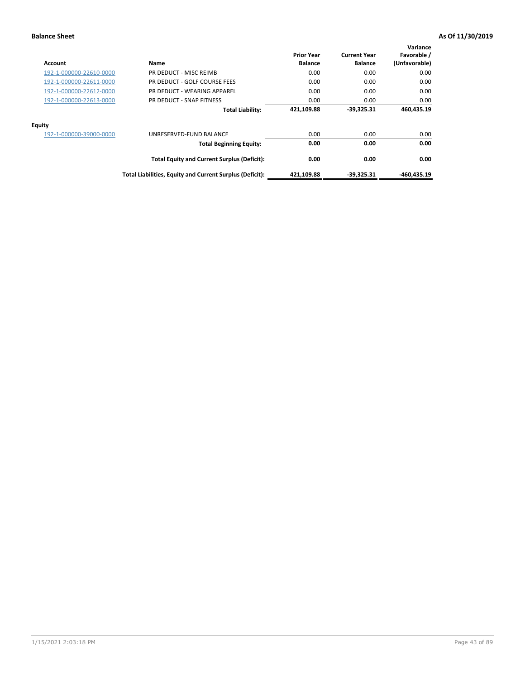| <b>Account</b>          | Name                                                     | <b>Prior Year</b><br><b>Balance</b> | <b>Current Year</b><br><b>Balance</b> | Variance<br>Favorable /<br>(Unfavorable) |
|-------------------------|----------------------------------------------------------|-------------------------------------|---------------------------------------|------------------------------------------|
| 192-1-000000-22610-0000 | PR DEDUCT - MISC REIMB                                   | 0.00                                | 0.00                                  | 0.00                                     |
| 192-1-000000-22611-0000 | PR DEDUCT - GOLF COURSE FEES                             | 0.00                                | 0.00                                  | 0.00                                     |
| 192-1-000000-22612-0000 | PR DEDUCT - WEARING APPAREL                              | 0.00                                | 0.00                                  | 0.00                                     |
| 192-1-000000-22613-0000 | PR DEDUCT - SNAP FITNESS                                 | 0.00                                | 0.00                                  | 0.00                                     |
|                         | <b>Total Liability:</b>                                  | 421,109.88                          | $-39.325.31$                          | 460,435.19                               |
| <b>Equity</b>           |                                                          |                                     |                                       |                                          |
| 192-1-000000-39000-0000 | UNRESERVED-FUND BALANCE                                  | 0.00                                | 0.00                                  | 0.00                                     |
|                         | <b>Total Beginning Equity:</b>                           | 0.00                                | 0.00                                  | 0.00                                     |
|                         | <b>Total Equity and Current Surplus (Deficit):</b>       | 0.00                                | 0.00                                  | 0.00                                     |
|                         | Total Liabilities, Equity and Current Surplus (Deficit): | 421,109.88                          | $-39.325.31$                          | -460.435.19                              |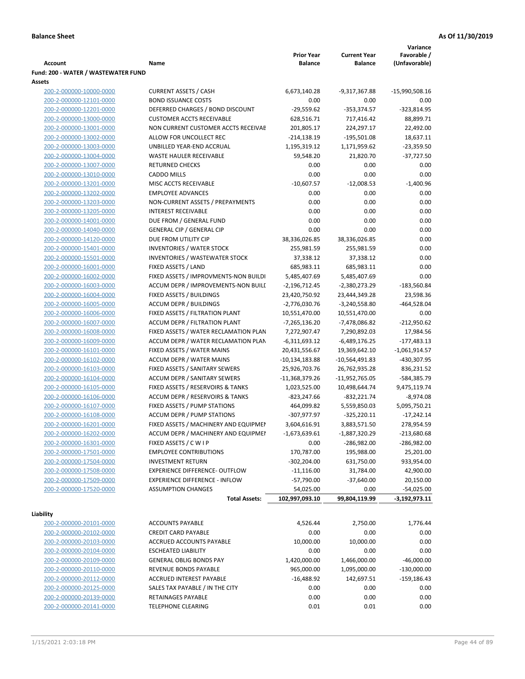|                                     |                                       |                   |                     | Variance        |
|-------------------------------------|---------------------------------------|-------------------|---------------------|-----------------|
|                                     |                                       | <b>Prior Year</b> | <b>Current Year</b> | Favorable /     |
| <b>Account</b>                      | Name                                  | <b>Balance</b>    | <b>Balance</b>      | (Unfavorable)   |
| Fund: 200 - WATER / WASTEWATER FUND |                                       |                   |                     |                 |
| Assets                              |                                       |                   |                     |                 |
| 200-2-000000-10000-0000             | <b>CURRENT ASSETS / CASH</b>          | 6,673,140.28      | -9,317,367.88       | -15,990,508.16  |
| 200-2-000000-12101-0000             | <b>BOND ISSUANCE COSTS</b>            | 0.00              | 0.00                | 0.00            |
| 200-2-000000-12201-0000             | DEFERRED CHARGES / BOND DISCOUNT      | $-29,559.62$      | $-353,374.57$       | $-323,814.95$   |
| 200-2-000000-13000-0000             | <b>CUSTOMER ACCTS RECEIVABLE</b>      | 628,516.71        | 717,416.42          | 88,899.71       |
| 200-2-000000-13001-0000             | NON CURRENT CUSTOMER ACCTS RECEIVAE   | 201,805.17        | 224,297.17          | 22,492.00       |
| 200-2-000000-13002-0000             | ALLOW FOR UNCOLLECT REC               | $-214,138.19$     | $-195,501.08$       | 18,637.11       |
| 200-2-000000-13003-0000             | UNBILLED YEAR-END ACCRUAL             | 1,195,319.12      | 1,171,959.62        | $-23,359.50$    |
| 200-2-000000-13004-0000             | <b>WASTE HAULER RECEIVABLE</b>        | 59,548.20         | 21,820.70           | $-37,727.50$    |
| 200-2-000000-13007-0000             | <b>RETURNED CHECKS</b>                | 0.00              | 0.00                | 0.00            |
| 200-2-000000-13010-0000             | <b>CADDO MILLS</b>                    | 0.00              | 0.00                | 0.00            |
| 200-2-000000-13201-0000             | MISC ACCTS RECEIVABLE                 | $-10,607.57$      | $-12,008.53$        | $-1,400.96$     |
| 200-2-000000-13202-0000             | <b>EMPLOYEE ADVANCES</b>              | 0.00              | 0.00                | 0.00            |
| 200-2-000000-13203-0000             | NON-CURRENT ASSETS / PREPAYMENTS      | 0.00              | 0.00                | 0.00            |
| 200-2-000000-13205-0000             | <b>INTEREST RECEIVABLE</b>            | 0.00              | 0.00                | 0.00            |
| 200-2-000000-14001-0000             | DUE FROM / GENERAL FUND               | 0.00              | 0.00                | 0.00            |
| 200-2-000000-14040-0000             | <b>GENERAL CIP / GENERAL CIP</b>      | 0.00              | 0.00                | 0.00            |
| 200-2-000000-14120-0000             | DUE FROM UTILITY CIP                  | 38,336,026.85     | 38,336,026.85       | 0.00            |
| 200-2-000000-15401-0000             | <b>INVENTORIES / WATER STOCK</b>      | 255,981.59        | 255,981.59          | 0.00            |
| 200-2-000000-15501-0000             | <b>INVENTORIES / WASTEWATER STOCK</b> | 37,338.12         | 37,338.12           | 0.00            |
|                                     | FIXED ASSETS / LAND                   | 685,983.11        | 685,983.11          | 0.00            |
| 200-2-000000-16001-0000             |                                       |                   |                     |                 |
| 200-2-000000-16002-0000             | FIXED ASSETS / IMPROVMENTS-NON BUILDI | 5,485,407.69      | 5,485,407.69        | 0.00            |
| 200-2-000000-16003-0000             | ACCUM DEPR / IMPROVEMENTS-NON BUILL   | $-2,196,712.45$   | -2,380,273.29       | $-183,560.84$   |
| 200-2-000000-16004-0000             | FIXED ASSETS / BUILDINGS              | 23,420,750.92     | 23,444,349.28       | 23,598.36       |
| 200-2-000000-16005-0000             | <b>ACCUM DEPR / BUILDINGS</b>         | $-2,776,030.76$   | $-3,240,558.80$     | $-464,528.04$   |
| 200-2-000000-16006-0000             | FIXED ASSETS / FILTRATION PLANT       | 10,551,470.00     | 10,551,470.00       | 0.00            |
| 200-2-000000-16007-0000             | ACCUM DEPR / FILTRATION PLANT         | -7,265,136.20     | -7,478,086.82       | $-212,950.62$   |
| 200-2-000000-16008-0000             | FIXED ASSETS / WATER RECLAMATION PLAN | 7,272,907.47      | 7,290,892.03        | 17,984.56       |
| 200-2-000000-16009-0000             | ACCUM DEPR / WATER RECLAMATION PLAN   | $-6,311,693.12$   | $-6,489,176.25$     | $-177,483.13$   |
| 200-2-000000-16101-0000             | FIXED ASSETS / WATER MAINS            | 20,431,556.67     | 19,369,642.10       | $-1,061,914.57$ |
| 200-2-000000-16102-0000             | <b>ACCUM DEPR / WATER MAINS</b>       | -10,134,183.88    | -10,564,491.83      | -430,307.95     |
| 200-2-000000-16103-0000             | FIXED ASSETS / SANITARY SEWERS        | 25,926,703.76     | 26,762,935.28       | 836,231.52      |
| 200-2-000000-16104-0000             | <b>ACCUM DEPR / SANITARY SEWERS</b>   | $-11,368,379.26$  | -11,952,765.05      | -584,385.79     |
| 200-2-000000-16105-0000             | FIXED ASSETS / RESERVOIRS & TANKS     | 1,023,525.00      | 10,498,644.74       | 9,475,119.74    |
| 200-2-000000-16106-0000             | ACCUM DEPR / RESERVOIRS & TANKS       | -823,247.66       | $-832,221.74$       | $-8,974.08$     |
| 200-2-000000-16107-0000             | FIXED ASSETS / PUMP STATIONS          | 464,099.82        | 5,559,850.03        | 5,095,750.21    |
| 200-2-000000-16108-0000             | <b>ACCUM DEPR / PUMP STATIONS</b>     | -307,977.97       | $-325,220.11$       | $-17,242.14$    |
| 200-2-000000-16201-0000             | FIXED ASSETS / MACHINERY AND EQUIPMEN | 3,604,616.91      | 3,883,571.50        | 278,954.59      |
| 200-2-000000-16202-0000             | ACCUM DEPR / MACHINERY AND EQUIPMEI   | $-1,673,639.61$   | $-1,887,320.29$     | $-213,680.68$   |
| 200-2-000000-16301-0000             | FIXED ASSETS / C W I P                | 0.00              | -286,982.00         | $-286,982.00$   |
| 200-2-000000-17501-0000             | <b>EMPLOYEE CONTRIBUTIONS</b>         | 170,787.00        | 195,988.00          | 25,201.00       |
| 200-2-000000-17504-0000             | <b>INVESTMENT RETURN</b>              | $-302,204.00$     | 631,750.00          | 933,954.00      |
| 200-2-000000-17508-0000             | EXPERIENCE DIFFERENCE- OUTFLOW        | $-11,116.00$      | 31,784.00           | 42,900.00       |
| 200-2-000000-17509-0000             | <b>EXPERIENCE DIFFERENCE - INFLOW</b> | $-57,790.00$      | $-37,640.00$        | 20,150.00       |
| 200-2-000000-17520-0000             | <b>ASSUMPTION CHANGES</b>             | 54,025.00         | 0.00                | $-54,025.00$    |
|                                     | <b>Total Assets:</b>                  | 102,997,093.10    | 99,804,119.99       | $-3,192,973.11$ |
|                                     |                                       |                   |                     |                 |
| Liability                           |                                       |                   |                     |                 |
| 200-2-000000-20101-0000             | <b>ACCOUNTS PAYABLE</b>               | 4,526.44          | 2,750.00            | 1,776.44        |
| 200-2-000000-20102-0000             | <b>CREDIT CARD PAYABLE</b>            | 0.00              | 0.00                | 0.00            |
| 200-2-000000-20103-0000             | ACCRUED ACCOUNTS PAYABLE              | 10,000.00         | 10,000.00           | 0.00            |
| 200-2-000000-20104-0000             | <b>ESCHEATED LIABILITY</b>            | 0.00              | 0.00                | 0.00            |
| 200-2-000000-20109-0000             | <b>GENERAL OBLIG BONDS PAY</b>        | 1,420,000.00      | 1,466,000.00        | $-46,000.00$    |
| 200-2-000000-20110-0000             | REVENUE BONDS PAYABLE                 | 965,000.00        | 1,095,000.00        | $-130,000.00$   |
| 200-2-000000-20112-0000             | ACCRUED INTEREST PAYABLE              | $-16,488.92$      | 142,697.51          | $-159,186.43$   |
| 200-2-000000-20125-0000             | SALES TAX PAYABLE / IN THE CITY       | 0.00              | 0.00                | 0.00            |
| 200-2-000000-20139-0000             | RETAINAGES PAYABLE                    | 0.00              | 0.00                | 0.00            |
| 200-2-000000-20141-0000             | <b>TELEPHONE CLEARING</b>             | 0.01              | 0.01                | 0.00            |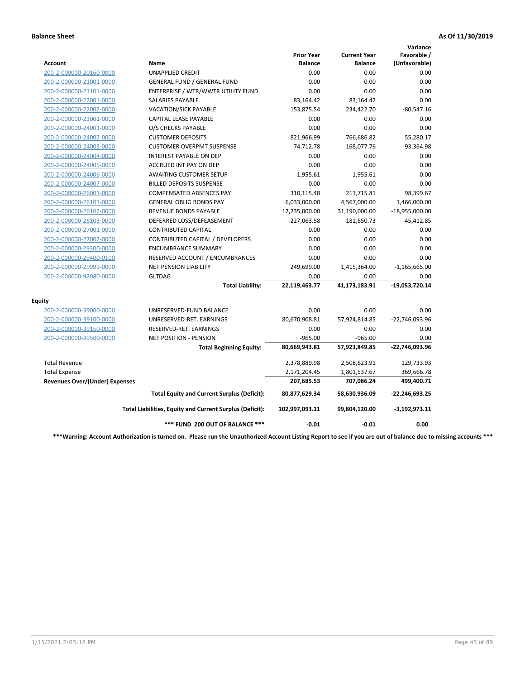|                                       |                                                          |                                     |                                       | Variance                     |
|---------------------------------------|----------------------------------------------------------|-------------------------------------|---------------------------------------|------------------------------|
| Account                               | <b>Name</b>                                              | <b>Prior Year</b><br><b>Balance</b> | <b>Current Year</b><br><b>Balance</b> | Favorable /<br>(Unfavorable) |
| 200-2-000000-20160-0000               | <b>UNAPPLIED CREDIT</b>                                  | 0.00                                | 0.00                                  | 0.00                         |
| 200-2-000000-21001-0000               | <b>GENERAL FUND / GENERAL FUND</b>                       | 0.00                                | 0.00                                  | 0.00                         |
| 200-2-000000-21101-0000               | ENTERPRISE / WTR/WWTR UTILITY FUND                       | 0.00                                | 0.00                                  | 0.00                         |
| 200-2-000000-22001-0000               | <b>SALARIES PAYABLE</b>                                  | 83,164.42                           | 83,164.42                             | 0.00                         |
| 200-2-000000-22002-0000               | <b>VACATION/SICK PAYABLE</b>                             | 153,875.54                          | 234,422.70                            | $-80,547.16$                 |
| 200-2-000000-23001-0000               | CAPITAL LEASE PAYABLE                                    | 0.00                                | 0.00                                  | 0.00                         |
| 200-2-000000-24001-0000               | O/S CHECKS PAYABLE                                       | 0.00                                | 0.00                                  | 0.00                         |
| 200-2-000000-24002-0000               | <b>CUSTOMER DEPOSITS</b>                                 | 821,966.99                          | 766,686.82                            | 55,280.17                    |
| 200-2-000000-24003-0000               | <b>CUSTOMER OVERPMT SUSPENSE</b>                         | 74,712.78                           | 168,077.76                            | $-93,364.98$                 |
| 200-2-000000-24004-0000               | <b>INTEREST PAYABLE ON DEP</b>                           | 0.00                                | 0.00                                  | 0.00                         |
| 200-2-000000-24005-0000               | <b>ACCRUED INT PAY ON DEP</b>                            | 0.00                                | 0.00                                  | 0.00                         |
| 200-2-000000-24006-0000               | <b>AWAITING CUSTOMER SETUP</b>                           | 1.955.61                            | 1,955.61                              | 0.00                         |
| 200-2-000000-24007-0000               | <b>BILLED DEPOSITS SUSPENSE</b>                          | 0.00                                | 0.00                                  | 0.00                         |
| 200-2-000000-26001-0000               | <b>COMPENSATED ABSENCES PAY</b>                          | 310,115.48                          | 211,715.81                            | 98,399.67                    |
| 200-2-000000-26101-0000               | <b>GENERAL OBLIG BONDS PAY</b>                           | 6,033,000.00                        | 4,567,000.00                          | 1,466,000.00                 |
| 200-2-000000-26102-0000               | <b>REVENUE BONDS PAYABLE</b>                             | 12,235,000.00                       | 31,190,000.00                         | $-18,955,000.00$             |
| 200-2-000000-26103-0000               | DEFERRED LOSS/DEFEASEMENT                                | $-227,063.58$                       | $-181,650.73$                         | $-45,412.85$                 |
| 200-2-000000-27001-0000               | <b>CONTRIBUTED CAPITAL</b>                               | 0.00                                | 0.00                                  | 0.00                         |
| 200-2-000000-27002-0000               | CONTRIBUTED CAPITAL / DEVELOPERS                         | 0.00                                | 0.00                                  | 0.00                         |
| 200-2-000000-29300-0000               | <b>ENCUMBRANCE SUMMARY</b>                               | 0.00                                | 0.00                                  | 0.00                         |
| 200-2-000000-29400-0100               | RESERVED ACCOUNT / ENCUMBRANCES                          | 0.00                                | 0.00                                  | 0.00                         |
| 200-2-000000-29999-0000               | <b>NET PENSION LIABILITY</b>                             | 249,699.00                          | 1,415,364.00                          | $-1,165,665.00$              |
| 200-2-000000-92080-0000               | <b>GLTDAG</b>                                            | 0.00                                | 0.00                                  | 0.00                         |
|                                       | <b>Total Liability:</b>                                  | 22,119,463.77                       | 41,173,183.91                         | -19,053,720.14               |
| <b>Equity</b>                         |                                                          |                                     |                                       |                              |
| 200-2-000000-39000-0000               | UNRESERVED-FUND BALANCE                                  | 0.00                                | 0.00                                  | 0.00                         |
| 200-2-000000-39100-0000               | UNRESERVED-RET. EARNINGS                                 | 80,670,908.81                       | 57,924,814.85                         | -22,746,093.96               |
| 200-2-000000-39150-0000               | RESERVED-RET. EARNINGS                                   | 0.00                                | 0.00                                  | 0.00                         |
| 200-2-000000-39500-0000               | NET POSITION - PENSION                                   | $-965.00$                           | $-965.00$                             | 0.00                         |
|                                       | <b>Total Beginning Equity:</b>                           | 80,669,943.81                       | 57,923,849.85                         | -22,746,093.96               |
| <b>Total Revenue</b>                  |                                                          | 2,378,889.98                        | 2,508,623.91                          | 129,733.93                   |
| <b>Total Expense</b>                  |                                                          | 2,171,204.45                        | 1,801,537.67                          | 369,666.78                   |
| <b>Revenues Over/(Under) Expenses</b> |                                                          | 207,685.53                          | 707,086.24                            | 499,400.71                   |
|                                       | <b>Total Equity and Current Surplus (Deficit):</b>       | 80,877,629.34                       | 58,630,936.09                         | $-22,246,693.25$             |
|                                       | Total Liabilities, Equity and Current Surplus (Deficit): | 102,997,093.11                      | 99,804,120.00                         | $-3,192,973.11$              |
|                                       | *** FUND 200 OUT OF BALANCE ***                          | $-0.01$                             | $-0.01$                               | 0.00                         |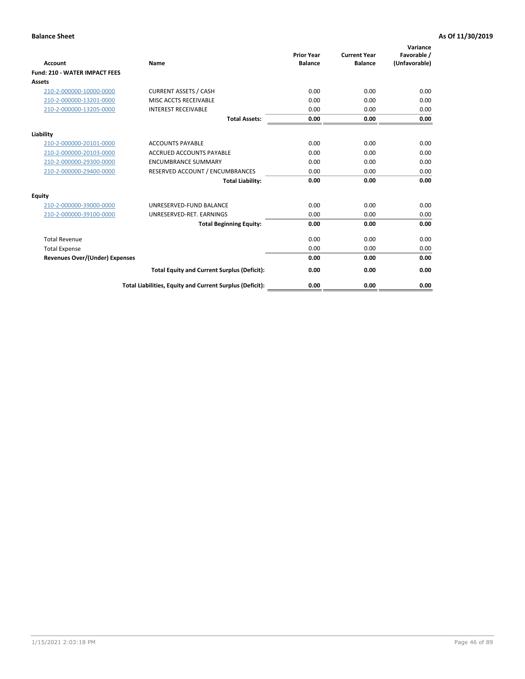| Account                               | Name                                                     | <b>Prior Year</b><br><b>Balance</b> | <b>Current Year</b><br><b>Balance</b> | Variance<br>Favorable /<br>(Unfavorable) |
|---------------------------------------|----------------------------------------------------------|-------------------------------------|---------------------------------------|------------------------------------------|
| <b>Fund: 210 - WATER IMPACT FEES</b>  |                                                          |                                     |                                       |                                          |
| <b>Assets</b>                         |                                                          |                                     |                                       |                                          |
| 210-2-000000-10000-0000               | <b>CURRENT ASSETS / CASH</b>                             | 0.00                                | 0.00                                  | 0.00                                     |
| 210-2-000000-13201-0000               | MISC ACCTS RECEIVABLE                                    | 0.00                                | 0.00                                  | 0.00                                     |
| 210-2-000000-13205-0000               | <b>INTEREST RECEIVABLE</b>                               | 0.00                                | 0.00                                  | 0.00                                     |
|                                       | <b>Total Assets:</b>                                     | 0.00                                | 0.00                                  | 0.00                                     |
| Liability                             |                                                          |                                     |                                       |                                          |
| 210-2-000000-20101-0000               | <b>ACCOUNTS PAYABLE</b>                                  | 0.00                                | 0.00                                  | 0.00                                     |
| 210-2-000000-20103-0000               | <b>ACCRUED ACCOUNTS PAYABLE</b>                          | 0.00                                | 0.00                                  | 0.00                                     |
| 210-2-000000-29300-0000               | <b>ENCUMBRANCE SUMMARY</b>                               | 0.00                                | 0.00                                  | 0.00                                     |
| 210-2-000000-29400-0000               | RESERVED ACCOUNT / ENCUMBRANCES                          | 0.00                                | 0.00                                  | 0.00                                     |
|                                       | <b>Total Liability:</b>                                  | 0.00                                | 0.00                                  | 0.00                                     |
| <b>Equity</b>                         |                                                          |                                     |                                       |                                          |
| 210-2-000000-39000-0000               | UNRESERVED-FUND BALANCE                                  | 0.00                                | 0.00                                  | 0.00                                     |
| 210-2-000000-39100-0000               | UNRESERVED-RET. EARNINGS                                 | 0.00                                | 0.00                                  | 0.00                                     |
|                                       | <b>Total Beginning Equity:</b>                           | 0.00                                | 0.00                                  | 0.00                                     |
| <b>Total Revenue</b>                  |                                                          | 0.00                                | 0.00                                  | 0.00                                     |
| <b>Total Expense</b>                  |                                                          | 0.00                                | 0.00                                  | 0.00                                     |
| <b>Revenues Over/(Under) Expenses</b> |                                                          | 0.00                                | 0.00                                  | 0.00                                     |
|                                       | <b>Total Equity and Current Surplus (Deficit):</b>       | 0.00                                | 0.00                                  | 0.00                                     |
|                                       | Total Liabilities, Equity and Current Surplus (Deficit): | 0.00                                | 0.00                                  | 0.00                                     |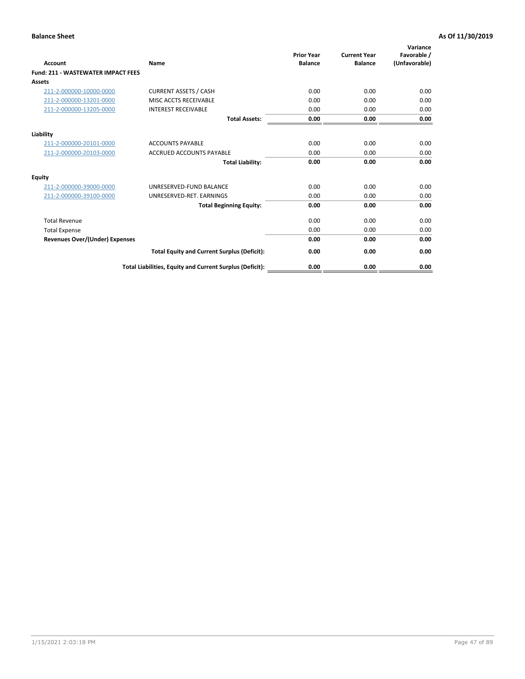| Account                                   | Name                                                     | <b>Prior Year</b><br><b>Balance</b> | <b>Current Year</b><br><b>Balance</b> | Variance<br>Favorable /<br>(Unfavorable) |
|-------------------------------------------|----------------------------------------------------------|-------------------------------------|---------------------------------------|------------------------------------------|
| <b>Fund: 211 - WASTEWATER IMPACT FEES</b> |                                                          |                                     |                                       |                                          |
| <b>Assets</b>                             |                                                          |                                     |                                       |                                          |
| 211-2-000000-10000-0000                   | <b>CURRENT ASSETS / CASH</b>                             | 0.00                                | 0.00                                  | 0.00                                     |
| 211-2-000000-13201-0000                   | MISC ACCTS RECEIVABLE                                    | 0.00                                | 0.00                                  | 0.00                                     |
| 211-2-000000-13205-0000                   | <b>INTEREST RECEIVABLE</b>                               | 0.00                                | 0.00                                  | 0.00                                     |
|                                           | <b>Total Assets:</b>                                     | 0.00                                | 0.00                                  | 0.00                                     |
| Liability                                 |                                                          |                                     |                                       |                                          |
| 211-2-000000-20101-0000                   | <b>ACCOUNTS PAYABLE</b>                                  | 0.00                                | 0.00                                  | 0.00                                     |
| 211-2-000000-20103-0000                   | <b>ACCRUED ACCOUNTS PAYABLE</b>                          | 0.00                                | 0.00                                  | 0.00                                     |
|                                           | <b>Total Liability:</b>                                  | 0.00                                | 0.00                                  | 0.00                                     |
| Equity                                    |                                                          |                                     |                                       |                                          |
| 211-2-000000-39000-0000                   | UNRESERVED-FUND BALANCE                                  | 0.00                                | 0.00                                  | 0.00                                     |
| 211-2-000000-39100-0000                   | UNRESERVED-RET. EARNINGS                                 | 0.00                                | 0.00                                  | 0.00                                     |
|                                           | <b>Total Beginning Equity:</b>                           | 0.00                                | 0.00                                  | 0.00                                     |
| <b>Total Revenue</b>                      |                                                          | 0.00                                | 0.00                                  | 0.00                                     |
| <b>Total Expense</b>                      |                                                          | 0.00                                | 0.00                                  | 0.00                                     |
| <b>Revenues Over/(Under) Expenses</b>     |                                                          | 0.00                                | 0.00                                  | 0.00                                     |
|                                           | <b>Total Equity and Current Surplus (Deficit):</b>       | 0.00                                | 0.00                                  | 0.00                                     |
|                                           | Total Liabilities, Equity and Current Surplus (Deficit): | 0.00                                | 0.00                                  | 0.00                                     |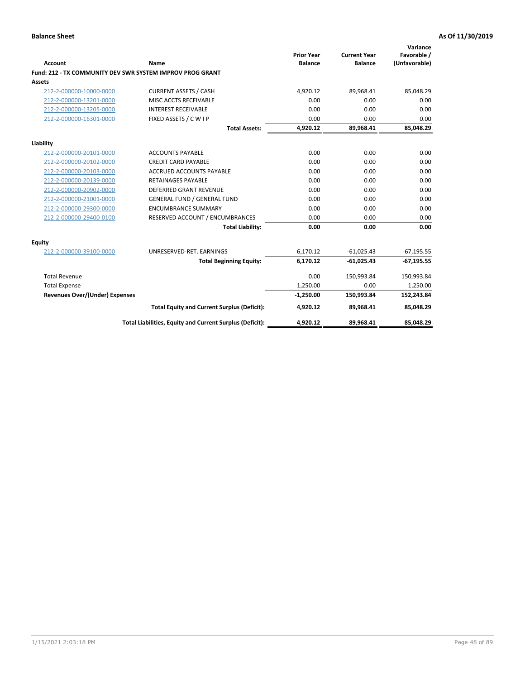| <b>Account</b>                        | Name                                                             | <b>Prior Year</b><br><b>Balance</b> | <b>Current Year</b><br><b>Balance</b> | Variance<br>Favorable /<br>(Unfavorable) |
|---------------------------------------|------------------------------------------------------------------|-------------------------------------|---------------------------------------|------------------------------------------|
|                                       | <b>Fund: 212 - TX COMMUNITY DEV SWR SYSTEM IMPROV PROG GRANT</b> |                                     |                                       |                                          |
| <b>Assets</b>                         |                                                                  |                                     |                                       |                                          |
| 212-2-000000-10000-0000               | <b>CURRENT ASSETS / CASH</b>                                     | 4.920.12                            | 89,968.41                             | 85,048.29                                |
| 212-2-000000-13201-0000               | MISC ACCTS RECEIVABLE                                            | 0.00                                | 0.00                                  | 0.00                                     |
| 212-2-000000-13205-0000               | <b>INTEREST RECEIVABLE</b>                                       | 0.00                                | 0.00                                  | 0.00                                     |
| 212-2-000000-16301-0000               | FIXED ASSETS / C W I P                                           | 0.00                                | 0.00                                  | 0.00                                     |
|                                       | <b>Total Assets:</b>                                             | 4,920.12                            | 89,968.41                             | 85,048.29                                |
| Liability                             |                                                                  |                                     |                                       |                                          |
| 212-2-000000-20101-0000               | <b>ACCOUNTS PAYABLE</b>                                          | 0.00                                | 0.00                                  | 0.00                                     |
| 212-2-000000-20102-0000               | <b>CREDIT CARD PAYABLE</b>                                       | 0.00                                | 0.00                                  | 0.00                                     |
| 212-2-000000-20103-0000               | <b>ACCRUED ACCOUNTS PAYABLE</b>                                  | 0.00                                | 0.00                                  | 0.00                                     |
| 212-2-000000-20139-0000               | <b>RETAINAGES PAYABLE</b>                                        | 0.00                                | 0.00                                  | 0.00                                     |
| 212-2-000000-20902-0000               | <b>DEFERRED GRANT REVENUE</b>                                    | 0.00                                | 0.00                                  | 0.00                                     |
| 212-2-000000-21001-0000               | <b>GENERAL FUND / GENERAL FUND</b>                               | 0.00                                | 0.00                                  | 0.00                                     |
| 212-2-000000-29300-0000               | <b>ENCUMBRANCE SUMMARY</b>                                       | 0.00                                | 0.00                                  | 0.00                                     |
| 212-2-000000-29400-0100               | RESERVED ACCOUNT / ENCUMBRANCES                                  | 0.00                                | 0.00                                  | 0.00                                     |
|                                       | <b>Total Liability:</b>                                          | 0.00                                | 0.00                                  | 0.00                                     |
| <b>Equity</b>                         |                                                                  |                                     |                                       |                                          |
| 212-2-000000-39100-0000               | UNRESERVED-RET. EARNINGS                                         | 6,170.12                            | $-61,025.43$                          | $-67,195.55$                             |
|                                       | <b>Total Beginning Equity:</b>                                   | 6,170.12                            | $-61,025.43$                          | $-67,195.55$                             |
| <b>Total Revenue</b>                  |                                                                  | 0.00                                | 150,993.84                            | 150,993.84                               |
| <b>Total Expense</b>                  |                                                                  | 1.250.00                            | 0.00                                  | 1,250.00                                 |
| <b>Revenues Over/(Under) Expenses</b> |                                                                  | $-1,250.00$                         | 150,993.84                            | 152,243.84                               |
|                                       | <b>Total Equity and Current Surplus (Deficit):</b>               | 4,920.12                            | 89,968.41                             | 85,048.29                                |
|                                       | Total Liabilities, Equity and Current Surplus (Deficit):         | 4,920.12                            | 89,968.41                             | 85,048.29                                |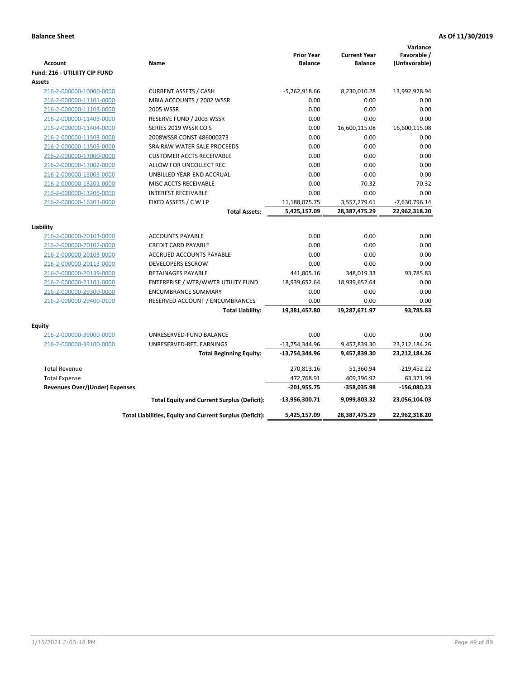| <b>Account</b><br><b>Fund: 216 - UTILIITY CIP FUND</b> | Name                                                     | <b>Prior Year</b><br><b>Balance</b> | <b>Current Year</b><br><b>Balance</b> | Variance<br>Favorable /<br>(Unfavorable) |
|--------------------------------------------------------|----------------------------------------------------------|-------------------------------------|---------------------------------------|------------------------------------------|
| <b>Assets</b>                                          |                                                          |                                     |                                       |                                          |
| 216-2-000000-10000-0000                                | <b>CURRENT ASSETS / CASH</b>                             | $-5,762,918.66$                     | 8,230,010.28                          | 13,992,928.94                            |
| 216-2-000000-11101-0000                                | MBIA ACCOUNTS / 2002 WSSR                                | 0.00                                | 0.00                                  | 0.00                                     |
| 216-2-000000-11103-0000                                | 2005 WSSR                                                | 0.00                                | 0.00                                  | 0.00                                     |
| 216-2-000000-11403-0000                                | RESERVE FUND / 2003 WSSR                                 | 0.00                                | 0.00                                  | 0.00                                     |
| 216-2-000000-11404-0000                                | SERIES 2019 WSSR CO'S                                    | 0.00                                | 16,600,115.08                         | 16,600,115.08                            |
| 216-2-000000-11503-0000                                | 2008WSSR CONST 486000273                                 | 0.00                                | 0.00                                  | 0.00                                     |
| 216-2-000000-11505-0000                                | SRA RAW WATER SALE PROCEEDS                              | 0.00                                | 0.00                                  | 0.00                                     |
| 216-2-000000-13000-0000                                | <b>CUSTOMER ACCTS RECEIVABLE</b>                         | 0.00                                | 0.00                                  | 0.00                                     |
| 216-2-000000-13002-0000                                | ALLOW FOR UNCOLLECT REC                                  | 0.00                                | 0.00                                  | 0.00                                     |
| 216-2-000000-13003-0000                                | UNBILLED YEAR-END ACCRUAL                                | 0.00                                | 0.00                                  | 0.00                                     |
| 216-2-000000-13201-0000                                | MISC ACCTS RECEIVABLE                                    | 0.00                                | 70.32                                 | 70.32                                    |
| 216-2-000000-13205-0000                                | <b>INTEREST RECEIVABLE</b>                               | 0.00                                | 0.00                                  | 0.00                                     |
| 216-2-000000-16301-0000                                | FIXED ASSETS / C W I P                                   | 11,188,075.75                       | 3,557,279.61                          | -7,630,796.14                            |
|                                                        | <b>Total Assets:</b>                                     | 5,425,157.09                        | 28,387,475.29                         | 22,962,318.20                            |
|                                                        |                                                          |                                     |                                       |                                          |
| Liability                                              | <b>ACCOUNTS PAYABLE</b>                                  | 0.00                                | 0.00                                  | 0.00                                     |
| 216-2-000000-20101-0000                                | <b>CREDIT CARD PAYABLE</b>                               | 0.00                                | 0.00                                  | 0.00                                     |
| 216-2-000000-20102-0000<br>216-2-000000-20103-0000     | ACCRUED ACCOUNTS PAYABLE                                 | 0.00                                | 0.00                                  | 0.00                                     |
| 216-2-000000-20113-0000                                | <b>DEVELOPERS ESCROW</b>                                 | 0.00                                | 0.00                                  | 0.00                                     |
| 216-2-000000-20139-0000                                | RETAINAGES PAYABLE                                       | 441,805.16                          | 348,019.33                            | 93,785.83                                |
| 216-2-000000-21101-0000                                | ENTERPRISE / WTR/WWTR UTILITY FUND                       | 18,939,652.64                       | 18,939,652.64                         | 0.00                                     |
| 216-2-000000-29300-0000                                | <b>ENCUMBRANCE SUMMARY</b>                               | 0.00                                | 0.00                                  | 0.00                                     |
| 216-2-000000-29400-0100                                | RESERVED ACCOUNT / ENCUMBRANCES                          | 0.00                                | 0.00                                  | 0.00                                     |
|                                                        | <b>Total Liability:</b>                                  | 19,381,457.80                       | 19,287,671.97                         | 93,785.83                                |
|                                                        |                                                          |                                     |                                       |                                          |
| <b>Equity</b>                                          |                                                          |                                     |                                       |                                          |
| 216-2-000000-39000-0000                                | UNRESERVED-FUND BALANCE                                  | 0.00                                | 0.00                                  | 0.00                                     |
| 216-2-000000-39100-0000                                | UNRESERVED-RET. EARNINGS                                 | $-13,754,344.96$                    | 9,457,839.30                          | 23,212,184.26                            |
|                                                        | <b>Total Beginning Equity:</b>                           | -13,754,344.96                      | 9,457,839.30                          | 23,212,184.26                            |
| <b>Total Revenue</b>                                   |                                                          | 270,813.16                          | 51,360.94                             | $-219,452.22$                            |
| <b>Total Expense</b>                                   |                                                          | 472,768.91                          | 409,396.92                            | 63,371.99                                |
| Revenues Over/(Under) Expenses                         |                                                          | $-201,955.75$                       | -358,035.98                           | $-156,080.23$                            |
|                                                        | <b>Total Equity and Current Surplus (Deficit):</b>       | -13,956,300.71                      | 9,099,803.32                          | 23,056,104.03                            |
|                                                        | Total Liabilities, Equity and Current Surplus (Deficit): | 5,425,157.09                        | 28,387,475.29                         | 22,962,318.20                            |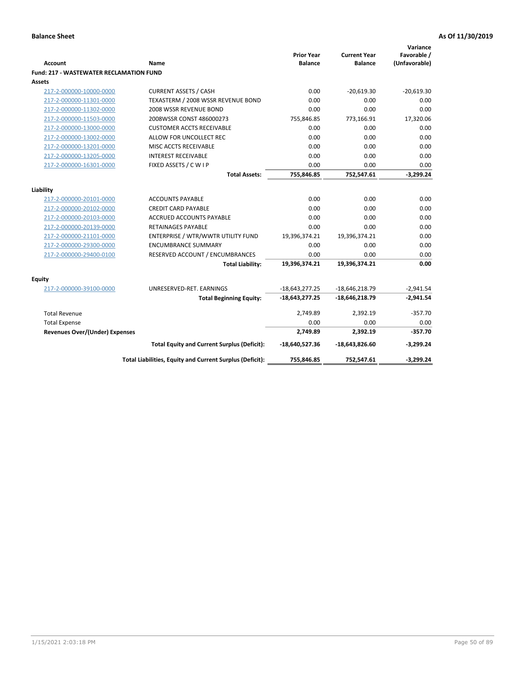|                                                |                                                          | <b>Prior Year</b> | <b>Current Year</b> | Variance<br>Favorable / |
|------------------------------------------------|----------------------------------------------------------|-------------------|---------------------|-------------------------|
| <b>Account</b>                                 | Name                                                     | <b>Balance</b>    | <b>Balance</b>      | (Unfavorable)           |
| <b>Fund: 217 - WASTEWATER RECLAMATION FUND</b> |                                                          |                   |                     |                         |
| <b>Assets</b>                                  |                                                          |                   |                     |                         |
| 217-2-000000-10000-0000                        | <b>CURRENT ASSETS / CASH</b>                             | 0.00              | $-20,619.30$        | $-20,619.30$            |
| 217-2-000000-11301-0000                        | TEXASTERM / 2008 WSSR REVENUE BOND                       | 0.00              | 0.00                | 0.00                    |
| 217-2-000000-11302-0000                        | 2008 WSSR REVENUE BOND                                   | 0.00              | 0.00                | 0.00                    |
| 217-2-000000-11503-0000                        | 2008WSSR CONST 486000273                                 | 755,846.85        | 773,166.91          | 17,320.06               |
| 217-2-000000-13000-0000                        | <b>CUSTOMER ACCTS RECEIVABLE</b>                         | 0.00              | 0.00                | 0.00                    |
| 217-2-000000-13002-0000                        | ALLOW FOR UNCOLLECT REC                                  | 0.00              | 0.00                | 0.00                    |
| 217-2-000000-13201-0000                        | MISC ACCTS RECEIVABLE                                    | 0.00              | 0.00                | 0.00                    |
| 217-2-000000-13205-0000                        | <b>INTEREST RECEIVABLE</b>                               | 0.00              | 0.00                | 0.00                    |
| 217-2-000000-16301-0000                        | FIXED ASSETS / C W I P                                   | 0.00              | 0.00                | 0.00                    |
|                                                | <b>Total Assets:</b>                                     | 755,846.85        | 752,547.61          | $-3,299.24$             |
|                                                |                                                          |                   |                     |                         |
| Liability                                      |                                                          |                   |                     |                         |
| 217-2-000000-20101-0000                        | <b>ACCOUNTS PAYABLE</b>                                  | 0.00              | 0.00                | 0.00<br>0.00            |
| 217-2-000000-20102-0000                        | <b>CREDIT CARD PAYABLE</b>                               | 0.00              | 0.00                |                         |
| 217-2-000000-20103-0000                        | ACCRUED ACCOUNTS PAYABLE                                 | 0.00              | 0.00                | 0.00                    |
| 217-2-000000-20139-0000                        | <b>RETAINAGES PAYABLE</b>                                | 0.00              | 0.00                | 0.00<br>0.00            |
| 217-2-000000-21101-0000                        | ENTERPRISE / WTR/WWTR UTILITY FUND                       | 19,396,374.21     | 19,396,374.21       |                         |
| 217-2-000000-29300-0000                        | <b>ENCUMBRANCE SUMMARY</b>                               | 0.00              | 0.00                | 0.00<br>0.00            |
| 217-2-000000-29400-0100                        | RESERVED ACCOUNT / ENCUMBRANCES                          | 0.00              | 0.00                |                         |
|                                                | <b>Total Liability:</b>                                  | 19,396,374.21     | 19,396,374.21       | 0.00                    |
| <b>Equity</b>                                  |                                                          |                   |                     |                         |
| 217-2-000000-39100-0000                        | UNRESERVED-RET. EARNINGS                                 | $-18,643,277.25$  | $-18,646,218.79$    | $-2,941.54$             |
|                                                | <b>Total Beginning Equity:</b>                           | -18,643,277.25    | $-18,646,218.79$    | $-2,941.54$             |
| <b>Total Revenue</b>                           |                                                          | 2,749.89          | 2,392.19            | $-357.70$               |
| <b>Total Expense</b>                           |                                                          | 0.00              | 0.00                | 0.00                    |
| <b>Revenues Over/(Under) Expenses</b>          |                                                          | 2,749.89          | 2,392.19            | $-357.70$               |
|                                                | <b>Total Equity and Current Surplus (Deficit):</b>       | -18,640,527.36    | -18,643,826.60      | $-3,299.24$             |
|                                                | Total Liabilities, Equity and Current Surplus (Deficit): | 755,846.85        | 752,547.61          | $-3,299.24$             |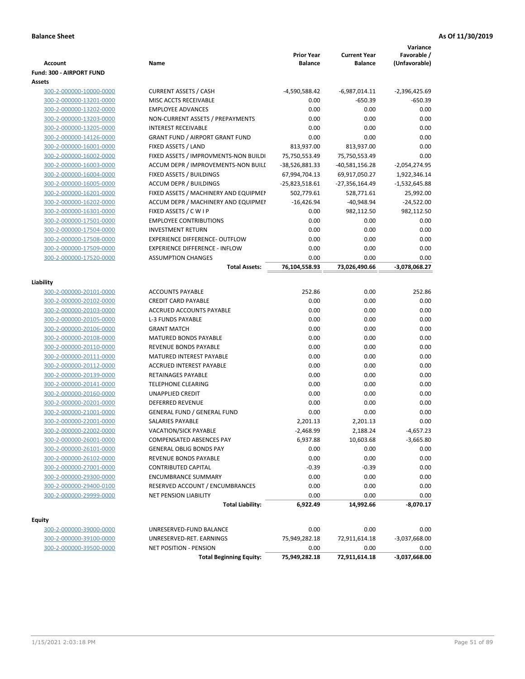|                                   |                                        | <b>Prior Year</b> | <b>Current Year</b>        | Variance<br>Favorable /      |
|-----------------------------------|----------------------------------------|-------------------|----------------------------|------------------------------|
| Account                           | Name                                   | <b>Balance</b>    | <b>Balance</b>             | (Unfavorable)                |
| Fund: 300 - AIRPORT FUND          |                                        |                   |                            |                              |
| Assets<br>300-2-000000-10000-0000 | <b>CURRENT ASSETS / CASH</b>           | -4,590,588.42     |                            |                              |
| 300-2-000000-13201-0000           | MISC ACCTS RECEIVABLE                  | 0.00              | -6,987,014.11<br>$-650.39$ | $-2,396,425.69$<br>$-650.39$ |
| 300-2-000000-13202-0000           | <b>EMPLOYEE ADVANCES</b>               | 0.00              | 0.00                       | 0.00                         |
| 300-2-000000-13203-0000           | NON-CURRENT ASSETS / PREPAYMENTS       | 0.00              | 0.00                       | 0.00                         |
| 300-2-000000-13205-0000           | <b>INTEREST RECEIVABLE</b>             | 0.00              | 0.00                       | 0.00                         |
| 300-2-000000-14126-0000           | <b>GRANT FUND / AIRPORT GRANT FUND</b> | 0.00              | 0.00                       | 0.00                         |
| 300-2-000000-16001-0000           | FIXED ASSETS / LAND                    | 813,937.00        | 813,937.00                 | 0.00                         |
|                                   |                                        |                   |                            |                              |
| 300-2-000000-16002-0000           | FIXED ASSETS / IMPROVMENTS-NON BUILDI  | 75,750,553.49     | 75,750,553.49              | 0.00                         |
| 300-2-000000-16003-0000           | ACCUM DEPR / IMPROVEMENTS-NON BUILL    | -38,526,881.33    | $-40,581,156.28$           | $-2,054,274.95$              |
| 300-2-000000-16004-0000           | FIXED ASSETS / BUILDINGS               | 67,994,704.13     | 69,917,050.27              | 1,922,346.14                 |
| 300-2-000000-16005-0000           | <b>ACCUM DEPR / BUILDINGS</b>          | -25,823,518.61    | -27,356,164.49             | $-1,532,645.88$              |
| 300-2-000000-16201-0000           | FIXED ASSETS / MACHINERY AND EQUIPMEN  | 502,779.61        | 528,771.61                 | 25,992.00                    |
| 300-2-000000-16202-0000           | ACCUM DEPR / MACHINERY AND EQUIPMEI    | $-16,426.94$      | $-40,948.94$               | $-24,522.00$                 |
| 300-2-000000-16301-0000           | FIXED ASSETS / C W I P                 | 0.00              | 982,112.50                 | 982,112.50                   |
| 300-2-000000-17501-0000           | <b>EMPLOYEE CONTRIBUTIONS</b>          | 0.00              | 0.00                       | 0.00                         |
| 300-2-000000-17504-0000           | <b>INVESTMENT RETURN</b>               | 0.00              | 0.00                       | 0.00                         |
| 300-2-000000-17508-0000           | EXPERIENCE DIFFERENCE- OUTFLOW         | 0.00              | 0.00                       | 0.00                         |
| 300-2-000000-17509-0000           | <b>EXPERIENCE DIFFERENCE - INFLOW</b>  | 0.00              | 0.00                       | 0.00                         |
| 300-2-000000-17520-0000           | <b>ASSUMPTION CHANGES</b>              | 0.00              | 0.00                       | 0.00                         |
|                                   | <b>Total Assets:</b>                   | 76,104,558.93     | 73,026,490.66              | -3,078,068.27                |
| Liability                         |                                        |                   |                            |                              |
| 300-2-000000-20101-0000           | <b>ACCOUNTS PAYABLE</b>                | 252.86            | 0.00                       | 252.86                       |
| 300-2-000000-20102-0000           | <b>CREDIT CARD PAYABLE</b>             | 0.00              | 0.00                       | 0.00                         |
| 300-2-000000-20103-0000           | ACCRUED ACCOUNTS PAYABLE               | 0.00              | 0.00                       | 0.00                         |
| 300-2-000000-20105-0000           | <b>L-3 FUNDS PAYABLE</b>               | 0.00              | 0.00                       | 0.00                         |
| 300-2-000000-20106-0000           | <b>GRANT MATCH</b>                     | 0.00              | 0.00                       | 0.00                         |
| 300-2-000000-20108-0000           | MATURED BONDS PAYABLE                  | 0.00              | 0.00                       | 0.00                         |
| 300-2-000000-20110-0000           | REVENUE BONDS PAYABLE                  | 0.00              | 0.00                       | 0.00                         |
| 300-2-000000-20111-0000           | MATURED INTEREST PAYABLE               | 0.00              | 0.00                       | 0.00                         |
| 300-2-000000-20112-0000           | <b>ACCRUED INTEREST PAYABLE</b>        | 0.00              | 0.00                       | 0.00                         |
| 300-2-000000-20139-0000           | <b>RETAINAGES PAYABLE</b>              | 0.00              | 0.00                       | 0.00                         |
| 300-2-000000-20141-0000           | <b>TELEPHONE CLEARING</b>              | 0.00              | 0.00                       | 0.00                         |
| 300-2-000000-20160-0000           | <b>UNAPPLIED CREDIT</b>                | 0.00              | 0.00                       | 0.00                         |
| 300-2-000000-20201-0000           | <b>DEFERRED REVENUE</b>                | 0.00              | 0.00                       | 0.00                         |
| 300-2-000000-21001-0000           | <b>GENERAL FUND / GENERAL FUND</b>     | 0.00              | 0.00                       | 0.00                         |
| 300-2-000000-22001-0000           | SALARIES PAYABLE                       | 2,201.13          | 2,201.13                   | 0.00                         |
| 300-2-000000-22002-0000           | VACATION/SICK PAYABLE                  | $-2,468.99$       | 2,188.24                   | $-4,657.23$                  |
| 300-2-000000-26001-0000           | COMPENSATED ABSENCES PAY               | 6,937.88          | 10,603.68                  | $-3,665.80$                  |
| 300-2-000000-26101-0000           | <b>GENERAL OBLIG BONDS PAY</b>         | 0.00              | 0.00                       | 0.00                         |
| 300-2-000000-26102-0000           | REVENUE BONDS PAYABLE                  | 0.00              | 0.00                       | 0.00                         |
| 300-2-000000-27001-0000           | <b>CONTRIBUTED CAPITAL</b>             | $-0.39$           | $-0.39$                    | 0.00                         |
| 300-2-000000-29300-0000           | <b>ENCUMBRANCE SUMMARY</b>             | 0.00              | 0.00                       | 0.00                         |
| 300-2-000000-29400-0100           | RESERVED ACCOUNT / ENCUMBRANCES        | 0.00              | 0.00                       | 0.00                         |
| 300-2-000000-29999-0000           | NET PENSION LIABILITY                  | 0.00              | 0.00                       | 0.00                         |
|                                   | <b>Total Liability:</b>                | 6,922.49          | 14,992.66                  | $-8,070.17$                  |
|                                   |                                        |                   |                            |                              |
| Equity                            |                                        |                   |                            |                              |
| 300-2-000000-39000-0000           | UNRESERVED-FUND BALANCE                | 0.00              | 0.00                       | 0.00                         |
| 300-2-000000-39100-0000           | UNRESERVED-RET. EARNINGS               | 75,949,282.18     | 72,911,614.18              | $-3,037,668.00$              |
| 300-2-000000-39500-0000           | NET POSITION - PENSION                 | 0.00              | 0.00                       | 0.00                         |
|                                   | <b>Total Beginning Equity:</b>         | 75,949,282.18     | 72,911,614.18              | $-3,037,668.00$              |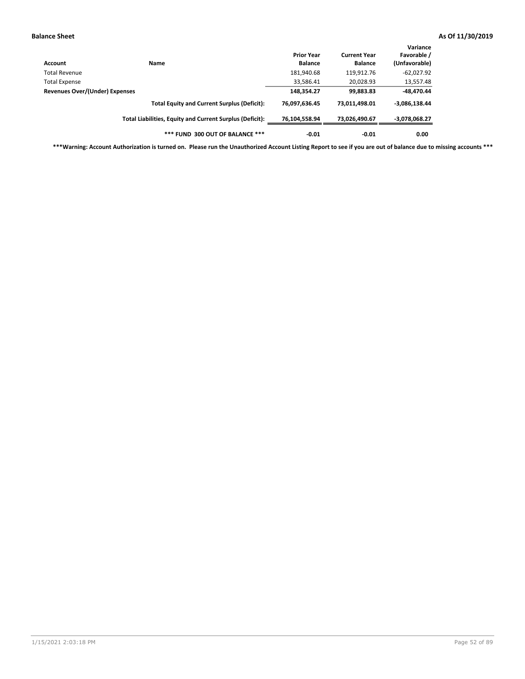| Account                               | Name                                                     | <b>Prior Year</b><br><b>Balance</b> | <b>Current Year</b><br><b>Balance</b> | Variance<br>Favorable /<br>(Unfavorable) |
|---------------------------------------|----------------------------------------------------------|-------------------------------------|---------------------------------------|------------------------------------------|
| Total Revenue                         |                                                          | 181,940.68                          | 119,912.76                            | $-62,027.92$                             |
| <b>Total Expense</b>                  |                                                          | 33,586.41                           | 20,028.93                             | 13,557.48                                |
| <b>Revenues Over/(Under) Expenses</b> |                                                          | 148,354.27                          | 99,883.83                             | -48,470.44                               |
|                                       | <b>Total Equity and Current Surplus (Deficit):</b>       | 76,097,636.45                       | 73,011,498.01                         | $-3,086,138.44$                          |
|                                       | Total Liabilities, Equity and Current Surplus (Deficit): | 76,104,558.94                       | 73,026,490.67                         | -3,078,068.27                            |
|                                       | *** FUND 300 OUT OF BALANCE ***                          | $-0.01$                             | $-0.01$                               | 0.00                                     |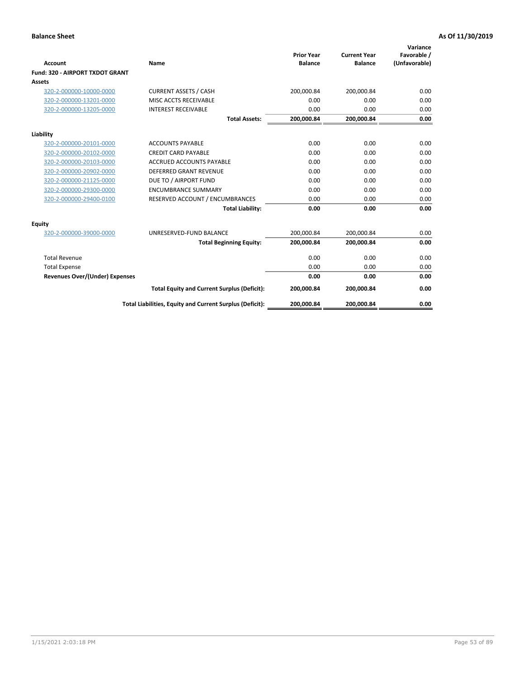|                                       |                                                          | <b>Prior Year</b> | <b>Current Year</b> | Variance<br>Favorable / |
|---------------------------------------|----------------------------------------------------------|-------------------|---------------------|-------------------------|
| <b>Account</b>                        | Name                                                     | <b>Balance</b>    | <b>Balance</b>      | (Unfavorable)           |
| Fund: 320 - AIRPORT TXDOT GRANT       |                                                          |                   |                     |                         |
| Assets                                |                                                          |                   |                     |                         |
| 320-2-000000-10000-0000               | <b>CURRENT ASSETS / CASH</b>                             | 200,000.84        | 200,000.84          | 0.00                    |
| 320-2-000000-13201-0000               | MISC ACCTS RECEIVABLE                                    | 0.00              | 0.00                | 0.00                    |
| 320-2-000000-13205-0000               | <b>INTEREST RECEIVABLE</b>                               | 0.00              | 0.00                | 0.00                    |
|                                       | <b>Total Assets:</b>                                     | 200,000.84        | 200,000.84          | 0.00                    |
| Liability                             |                                                          |                   |                     |                         |
| 320-2-000000-20101-0000               | <b>ACCOUNTS PAYABLE</b>                                  | 0.00              | 0.00                | 0.00                    |
| 320-2-000000-20102-0000               | <b>CREDIT CARD PAYABLE</b>                               | 0.00              | 0.00                | 0.00                    |
| 320-2-000000-20103-0000               | <b>ACCRUED ACCOUNTS PAYABLE</b>                          | 0.00              | 0.00                | 0.00                    |
| 320-2-000000-20902-0000               | <b>DEFERRED GRANT REVENUE</b>                            | 0.00              | 0.00                | 0.00                    |
| 320-2-000000-21125-0000               | DUE TO / AIRPORT FUND                                    | 0.00              | 0.00                | 0.00                    |
| 320-2-000000-29300-0000               | <b>ENCUMBRANCE SUMMARY</b>                               | 0.00              | 0.00                | 0.00                    |
| 320-2-000000-29400-0100               | RESERVED ACCOUNT / ENCUMBRANCES                          | 0.00              | 0.00                | 0.00                    |
|                                       | <b>Total Liability:</b>                                  | 0.00              | 0.00                | 0.00                    |
| <b>Equity</b>                         |                                                          |                   |                     |                         |
| 320-2-000000-39000-0000               | UNRESERVED-FUND BALANCE                                  | 200,000.84        | 200,000.84          | 0.00                    |
|                                       | <b>Total Beginning Equity:</b>                           | 200,000.84        | 200,000.84          | 0.00                    |
| <b>Total Revenue</b>                  |                                                          | 0.00              | 0.00                | 0.00                    |
| <b>Total Expense</b>                  |                                                          | 0.00              | 0.00                | 0.00                    |
| <b>Revenues Over/(Under) Expenses</b> |                                                          | 0.00              | 0.00                | 0.00                    |
|                                       | <b>Total Equity and Current Surplus (Deficit):</b>       | 200,000.84        | 200,000.84          | 0.00                    |
|                                       | Total Liabilities, Equity and Current Surplus (Deficit): | 200,000.84        | 200,000.84          | 0.00                    |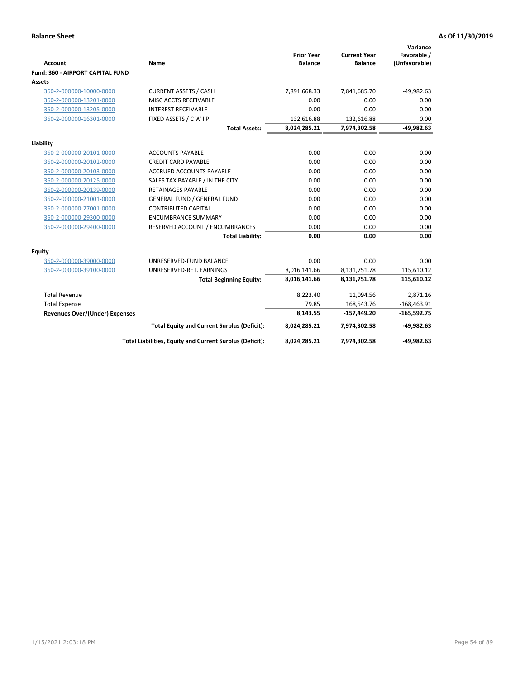| <b>Account</b>                        | Name                                                     | <b>Prior Year</b><br><b>Balance</b> | <b>Current Year</b><br><b>Balance</b> | Variance<br>Favorable /<br>(Unfavorable) |
|---------------------------------------|----------------------------------------------------------|-------------------------------------|---------------------------------------|------------------------------------------|
| Fund: 360 - AIRPORT CAPITAL FUND      |                                                          |                                     |                                       |                                          |
| <b>Assets</b>                         |                                                          |                                     |                                       |                                          |
| 360-2-000000-10000-0000               | <b>CURRENT ASSETS / CASH</b>                             | 7,891,668.33                        | 7,841,685.70                          | $-49,982.63$                             |
| 360-2-000000-13201-0000               | MISC ACCTS RECEIVABLE                                    | 0.00<br>0.00                        | 0.00<br>0.00                          | 0.00<br>0.00                             |
| 360-2-000000-13205-0000               | <b>INTEREST RECEIVABLE</b>                               |                                     |                                       |                                          |
| 360-2-000000-16301-0000               | FIXED ASSETS / C W I P                                   | 132,616.88                          | 132,616.88                            | 0.00                                     |
|                                       | <b>Total Assets:</b>                                     | 8,024,285.21                        | 7,974,302.58                          | $-49,982.63$                             |
| Liability                             |                                                          |                                     |                                       |                                          |
| 360-2-000000-20101-0000               | <b>ACCOUNTS PAYABLE</b>                                  | 0.00                                | 0.00                                  | 0.00                                     |
| 360-2-000000-20102-0000               | <b>CREDIT CARD PAYABLE</b>                               | 0.00                                | 0.00                                  | 0.00                                     |
| 360-2-000000-20103-0000               | <b>ACCRUED ACCOUNTS PAYABLE</b>                          | 0.00                                | 0.00                                  | 0.00                                     |
| 360-2-000000-20125-0000               | SALES TAX PAYABLE / IN THE CITY                          | 0.00                                | 0.00                                  | 0.00                                     |
| 360-2-000000-20139-0000               | <b>RETAINAGES PAYABLE</b>                                | 0.00                                | 0.00                                  | 0.00                                     |
| 360-2-000000-21001-0000               | <b>GENERAL FUND / GENERAL FUND</b>                       | 0.00                                | 0.00                                  | 0.00                                     |
| 360-2-000000-27001-0000               | <b>CONTRIBUTED CAPITAL</b>                               | 0.00                                | 0.00                                  | 0.00                                     |
| 360-2-000000-29300-0000               | <b>ENCUMBRANCE SUMMARY</b>                               | 0.00                                | 0.00                                  | 0.00                                     |
| 360-2-000000-29400-0000               | RESERVED ACCOUNT / ENCUMBRANCES                          | 0.00                                | 0.00                                  | 0.00                                     |
|                                       | <b>Total Liability:</b>                                  | 0.00                                | 0.00                                  | 0.00                                     |
| Equity                                |                                                          |                                     |                                       |                                          |
| 360-2-000000-39000-0000               | UNRESERVED-FUND BALANCE                                  | 0.00                                | 0.00                                  | 0.00                                     |
| 360-2-000000-39100-0000               | UNRESERVED-RET. EARNINGS                                 | 8,016,141.66                        | 8,131,751.78                          | 115,610.12                               |
|                                       | <b>Total Beginning Equity:</b>                           | 8,016,141.66                        | 8,131,751.78                          | 115,610.12                               |
| <b>Total Revenue</b>                  |                                                          | 8,223.40                            | 11,094.56                             | 2,871.16                                 |
| <b>Total Expense</b>                  |                                                          | 79.85                               | 168,543.76                            | $-168,463.91$                            |
| <b>Revenues Over/(Under) Expenses</b> |                                                          | 8,143.55                            | $-157,449.20$                         | $-165,592.75$                            |
|                                       | <b>Total Equity and Current Surplus (Deficit):</b>       | 8,024,285.21                        | 7,974,302.58                          | $-49,982.63$                             |
|                                       | Total Liabilities, Equity and Current Surplus (Deficit): | 8,024,285.21                        | 7,974,302.58                          | $-49,982.63$                             |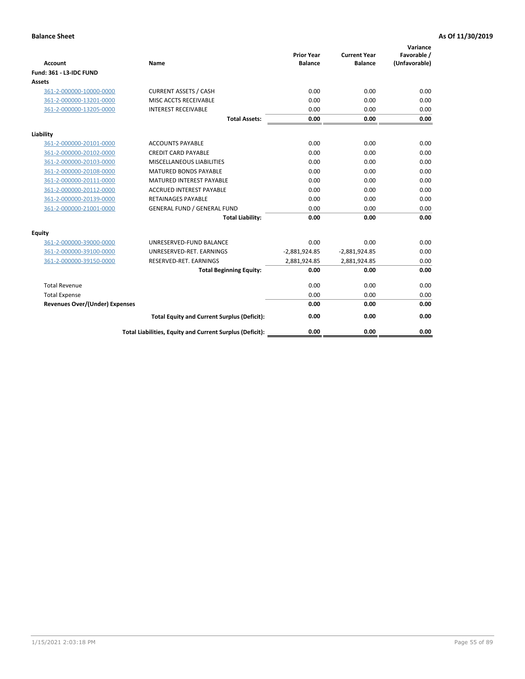| <b>Account</b>                        | Name                                                     | <b>Prior Year</b><br><b>Balance</b> | <b>Current Year</b><br><b>Balance</b> | Variance<br>Favorable /<br>(Unfavorable) |
|---------------------------------------|----------------------------------------------------------|-------------------------------------|---------------------------------------|------------------------------------------|
| Fund: 361 - L3-IDC FUND               |                                                          |                                     |                                       |                                          |
| <b>Assets</b>                         |                                                          |                                     |                                       |                                          |
| 361-2-000000-10000-0000               | <b>CURRENT ASSETS / CASH</b>                             | 0.00                                | 0.00                                  | 0.00                                     |
| 361-2-000000-13201-0000               | MISC ACCTS RECEIVABLE                                    | 0.00                                | 0.00                                  | 0.00                                     |
| 361-2-000000-13205-0000               | <b>INTEREST RECEIVABLE</b>                               | 0.00                                | 0.00                                  | 0.00                                     |
|                                       | <b>Total Assets:</b>                                     | 0.00                                | 0.00                                  | 0.00                                     |
| Liability                             |                                                          |                                     |                                       |                                          |
| 361-2-000000-20101-0000               | <b>ACCOUNTS PAYABLE</b>                                  | 0.00                                | 0.00                                  | 0.00                                     |
| 361-2-000000-20102-0000               | <b>CREDIT CARD PAYABLE</b>                               | 0.00                                | 0.00                                  | 0.00                                     |
| 361-2-000000-20103-0000               | MISCELLANEOUS LIABILITIES                                | 0.00                                | 0.00                                  | 0.00                                     |
| 361-2-000000-20108-0000               | <b>MATURED BONDS PAYABLE</b>                             | 0.00                                | 0.00                                  | 0.00                                     |
| 361-2-000000-20111-0000               | <b>MATURED INTEREST PAYABLE</b>                          | 0.00                                | 0.00                                  | 0.00                                     |
| 361-2-000000-20112-0000               | <b>ACCRUED INTEREST PAYABLE</b>                          | 0.00                                | 0.00                                  | 0.00                                     |
| 361-2-000000-20139-0000               | <b>RETAINAGES PAYABLE</b>                                | 0.00                                | 0.00                                  | 0.00                                     |
| 361-2-000000-21001-0000               | <b>GENERAL FUND / GENERAL FUND</b>                       | 0.00                                | 0.00                                  | 0.00                                     |
|                                       | <b>Total Liability:</b>                                  | 0.00                                | 0.00                                  | 0.00                                     |
| Equity                                |                                                          |                                     |                                       |                                          |
| 361-2-000000-39000-0000               | UNRESERVED-FUND BALANCE                                  | 0.00                                | 0.00                                  | 0.00                                     |
| 361-2-000000-39100-0000               | UNRESERVED-RET. EARNINGS                                 | $-2,881,924.85$                     | $-2,881,924.85$                       | 0.00                                     |
| 361-2-000000-39150-0000               | RESERVED-RET. EARNINGS                                   | 2,881,924.85                        | 2,881,924.85                          | 0.00                                     |
|                                       | <b>Total Beginning Equity:</b>                           | 0.00                                | 0.00                                  | 0.00                                     |
| <b>Total Revenue</b>                  |                                                          | 0.00                                | 0.00                                  | 0.00                                     |
| <b>Total Expense</b>                  |                                                          | 0.00                                | 0.00                                  | 0.00                                     |
| <b>Revenues Over/(Under) Expenses</b> |                                                          | 0.00                                | 0.00                                  | 0.00                                     |
|                                       | <b>Total Equity and Current Surplus (Deficit):</b>       | 0.00                                | 0.00                                  | 0.00                                     |
|                                       | Total Liabilities, Equity and Current Surplus (Deficit): | 0.00                                | 0.00                                  | 0.00                                     |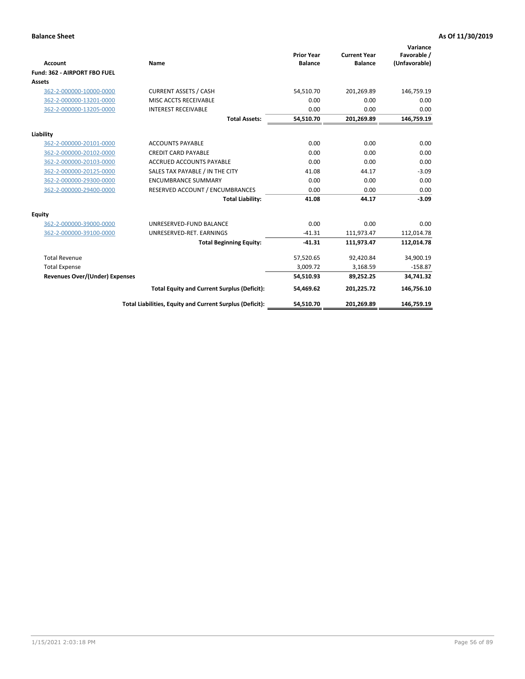|                                       |                                                          |                                     |                                       | Variance                     |
|---------------------------------------|----------------------------------------------------------|-------------------------------------|---------------------------------------|------------------------------|
| <b>Account</b>                        | Name                                                     | <b>Prior Year</b><br><b>Balance</b> | <b>Current Year</b><br><b>Balance</b> | Favorable /<br>(Unfavorable) |
| Fund: 362 - AIRPORT FBO FUEL          |                                                          |                                     |                                       |                              |
| Assets                                |                                                          |                                     |                                       |                              |
| 362-2-000000-10000-0000               | <b>CURRENT ASSETS / CASH</b>                             | 54.510.70                           | 201,269.89                            | 146,759.19                   |
| 362-2-000000-13201-0000               | MISC ACCTS RECEIVABLE                                    | 0.00                                | 0.00                                  | 0.00                         |
| 362-2-000000-13205-0000               | <b>INTEREST RECEIVABLE</b>                               | 0.00                                | 0.00                                  | 0.00                         |
|                                       | <b>Total Assets:</b>                                     | 54,510.70                           | 201,269.89                            | 146,759.19                   |
| Liability                             |                                                          |                                     |                                       |                              |
| 362-2-000000-20101-0000               | <b>ACCOUNTS PAYABLE</b>                                  | 0.00                                | 0.00                                  | 0.00                         |
| 362-2-000000-20102-0000               | <b>CREDIT CARD PAYABLE</b>                               | 0.00                                | 0.00                                  | 0.00                         |
| 362-2-000000-20103-0000               | <b>ACCRUED ACCOUNTS PAYABLE</b>                          | 0.00                                | 0.00                                  | 0.00                         |
| 362-2-000000-20125-0000               | SALES TAX PAYABLE / IN THE CITY                          | 41.08                               | 44.17                                 | $-3.09$                      |
| 362-2-000000-29300-0000               | <b>ENCUMBRANCE SUMMARY</b>                               | 0.00                                | 0.00                                  | 0.00                         |
| 362-2-000000-29400-0000               | RESERVED ACCOUNT / ENCUMBRANCES                          | 0.00                                | 0.00                                  | 0.00                         |
|                                       | <b>Total Liability:</b>                                  | 41.08                               | 44.17                                 | $-3.09$                      |
| <b>Equity</b>                         |                                                          |                                     |                                       |                              |
| 362-2-000000-39000-0000               | UNRESERVED-FUND BALANCE                                  | 0.00                                | 0.00                                  | 0.00                         |
| 362-2-000000-39100-0000               | UNRESERVED-RET. EARNINGS                                 | $-41.31$                            | 111,973.47                            | 112,014.78                   |
|                                       | <b>Total Beginning Equity:</b>                           | $-41.31$                            | 111,973.47                            | 112,014.78                   |
| <b>Total Revenue</b>                  |                                                          | 57,520.65                           | 92,420.84                             | 34,900.19                    |
| <b>Total Expense</b>                  |                                                          | 3,009.72                            | 3,168.59                              | $-158.87$                    |
| <b>Revenues Over/(Under) Expenses</b> |                                                          | 54,510.93                           | 89,252.25                             | 34,741.32                    |
|                                       | <b>Total Equity and Current Surplus (Deficit):</b>       | 54,469.62                           | 201,225.72                            | 146,756.10                   |
|                                       | Total Liabilities, Equity and Current Surplus (Deficit): | 54,510.70                           | 201,269.89                            | 146,759.19                   |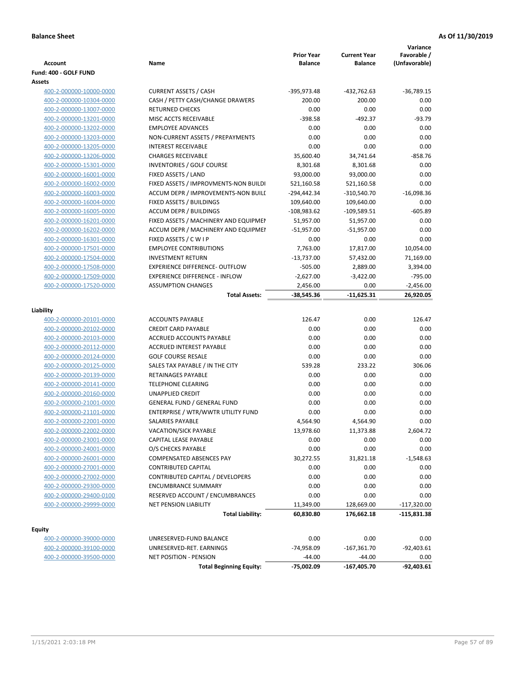| Account                                            | Name                                                         | <b>Prior Year</b><br><b>Balance</b> | <b>Current Year</b><br><b>Balance</b> | Variance<br>Favorable /<br>(Unfavorable) |
|----------------------------------------------------|--------------------------------------------------------------|-------------------------------------|---------------------------------------|------------------------------------------|
| Fund: 400 - GOLF FUND                              |                                                              |                                     |                                       |                                          |
| Assets                                             |                                                              |                                     |                                       |                                          |
| 400-2-000000-10000-0000                            | <b>CURRENT ASSETS / CASH</b>                                 | -395,973.48                         | -432,762.63                           | $-36,789.15$                             |
| 400-2-000000-10304-0000                            | CASH / PETTY CASH/CHANGE DRAWERS                             | 200.00                              | 200.00                                | 0.00                                     |
| 400-2-000000-13007-0000                            | <b>RETURNED CHECKS</b>                                       | 0.00                                | 0.00                                  | 0.00                                     |
| 400-2-000000-13201-0000                            | MISC ACCTS RECEIVABLE                                        | $-398.58$                           | $-492.37$                             | $-93.79$                                 |
| 400-2-000000-13202-0000                            | <b>EMPLOYEE ADVANCES</b>                                     | 0.00                                | 0.00                                  | 0.00                                     |
| 400-2-000000-13203-0000                            | NON-CURRENT ASSETS / PREPAYMENTS                             | 0.00                                | 0.00                                  | 0.00                                     |
| 400-2-000000-13205-0000                            | <b>INTEREST RECEIVABLE</b>                                   | 0.00                                | 0.00                                  | 0.00                                     |
| 400-2-000000-13206-0000                            | <b>CHARGES RECEIVABLE</b>                                    | 35,600.40                           | 34,741.64                             | $-858.76$                                |
| 400-2-000000-15301-0000                            | INVENTORIES / GOLF COURSE                                    | 8,301.68                            | 8,301.68                              | 0.00                                     |
| 400-2-000000-16001-0000                            | FIXED ASSETS / LAND                                          | 93,000.00                           | 93,000.00                             | 0.00                                     |
| 400-2-000000-16002-0000                            | FIXED ASSETS / IMPROVMENTS-NON BUILDI                        | 521,160.58                          | 521,160.58                            | 0.00                                     |
| 400-2-000000-16003-0000                            | ACCUM DEPR / IMPROVEMENTS-NON BUILI                          | -294,442.34                         | -310,540.70                           | $-16,098.36$                             |
| 400-2-000000-16004-0000                            | FIXED ASSETS / BUILDINGS                                     | 109,640.00                          | 109,640.00                            | 0.00                                     |
| 400-2-000000-16005-0000                            | <b>ACCUM DEPR / BUILDINGS</b>                                | $-108,983.62$                       | $-109,589.51$                         | $-605.89$                                |
| 400-2-000000-16201-0000                            | FIXED ASSETS / MACHINERY AND EQUIPMEN                        | 51,957.00                           | 51,957.00                             | 0.00                                     |
| 400-2-000000-16202-0000                            | ACCUM DEPR / MACHINERY AND EQUIPMEI                          | $-51,957.00$                        | $-51,957.00$                          | 0.00                                     |
| 400-2-000000-16301-0000                            | FIXED ASSETS / C W I P                                       | 0.00                                | 0.00                                  | 0.00                                     |
| 400-2-000000-17501-0000                            | <b>EMPLOYEE CONTRIBUTIONS</b>                                | 7,763.00                            | 17,817.00                             | 10,054.00                                |
| 400-2-000000-17504-0000                            | <b>INVESTMENT RETURN</b>                                     | $-13,737.00$                        | 57,432.00                             | 71,169.00                                |
| 400-2-000000-17508-0000                            | <b>EXPERIENCE DIFFERENCE- OUTFLOW</b>                        | $-505.00$                           | 2,889.00                              | 3,394.00                                 |
| 400-2-000000-17509-0000                            | <b>EXPERIENCE DIFFERENCE - INFLOW</b>                        | $-2,627.00$                         | $-3,422.00$                           | $-795.00$                                |
| 400-2-000000-17520-0000                            | <b>ASSUMPTION CHANGES</b>                                    | 2,456.00                            | 0.00                                  | $-2,456.00$                              |
|                                                    | <b>Total Assets:</b>                                         | $-38,545.36$                        | $-11,625.31$                          | 26,920.05                                |
|                                                    |                                                              |                                     |                                       |                                          |
| Liability                                          |                                                              |                                     |                                       |                                          |
| 400-2-000000-20101-0000                            | <b>ACCOUNTS PAYABLE</b>                                      | 126.47                              | 0.00                                  | 126.47                                   |
| 400-2-000000-20102-0000                            | <b>CREDIT CARD PAYABLE</b>                                   | 0.00                                | 0.00                                  | 0.00                                     |
| 400-2-000000-20103-0000                            | ACCRUED ACCOUNTS PAYABLE                                     | 0.00                                | 0.00                                  | 0.00                                     |
| 400-2-000000-20112-0000                            | <b>ACCRUED INTEREST PAYABLE</b>                              | 0.00                                | 0.00                                  | 0.00                                     |
| 400-2-000000-20124-0000                            | <b>GOLF COURSE RESALE</b>                                    | 0.00<br>539.28                      | 0.00                                  | 0.00<br>306.06                           |
| 400-2-000000-20125-0000                            | SALES TAX PAYABLE / IN THE CITY<br><b>RETAINAGES PAYABLE</b> | 0.00                                | 233.22<br>0.00                        | 0.00                                     |
| 400-2-000000-20139-0000<br>400-2-000000-20141-0000 | <b>TELEPHONE CLEARING</b>                                    | 0.00                                | 0.00                                  | 0.00                                     |
|                                                    | <b>UNAPPLIED CREDIT</b>                                      | 0.00                                | 0.00                                  | 0.00                                     |
| 400-2-000000-20160-0000<br>400-2-000000-21001-0000 | <b>GENERAL FUND / GENERAL FUND</b>                           | 0.00                                | 0.00                                  | 0.00                                     |
| 400-2-000000-21101-0000                            | ENTERPRISE / WTR/WWTR UTILITY FUND                           | 0.00                                | 0.00                                  | 0.00                                     |
| 400-2-000000-22001-0000                            | SALARIES PAYABLE                                             | 4,564.90                            | 4,564.90                              | 0.00                                     |
| 400-2-000000-22002-0000                            | VACATION/SICK PAYABLE                                        | 13,978.60                           | 11,373.88                             | 2,604.72                                 |
| 400-2-000000-23001-0000                            | CAPITAL LEASE PAYABLE                                        | 0.00                                | 0.00                                  | 0.00                                     |
| 400-2-000000-24001-0000                            | O/S CHECKS PAYABLE                                           | 0.00                                | 0.00                                  | 0.00                                     |
| 400-2-000000-26001-0000                            | COMPENSATED ABSENCES PAY                                     | 30,272.55                           | 31,821.18                             | $-1,548.63$                              |
| 400-2-000000-27001-0000                            | <b>CONTRIBUTED CAPITAL</b>                                   | 0.00                                | 0.00                                  | 0.00                                     |
| 400-2-000000-27002-0000                            | <b>CONTRIBUTED CAPITAL / DEVELOPERS</b>                      | 0.00                                | 0.00                                  | 0.00                                     |
| 400-2-000000-29300-0000                            | <b>ENCUMBRANCE SUMMARY</b>                                   | 0.00                                | 0.00                                  | 0.00                                     |
| 400-2-000000-29400-0100                            | RESERVED ACCOUNT / ENCUMBRANCES                              | 0.00                                | 0.00                                  | 0.00                                     |
| 400-2-000000-29999-0000                            | <b>NET PENSION LIABILITY</b>                                 | 11,349.00                           | 128,669.00                            | $-117,320.00$                            |
|                                                    | <b>Total Liability:</b>                                      | 60,830.80                           | 176,662.18                            | -115,831.38                              |
|                                                    |                                                              |                                     |                                       |                                          |
| <b>Equity</b>                                      |                                                              |                                     |                                       |                                          |
| 400-2-000000-39000-0000                            | UNRESERVED-FUND BALANCE                                      | 0.00                                | 0.00                                  | 0.00                                     |
| 400-2-000000-39100-0000                            | UNRESERVED-RET. EARNINGS                                     | -74,958.09                          | $-167,361.70$                         | $-92,403.61$                             |
| 400-2-000000-39500-0000                            | NET POSITION - PENSION                                       | $-44.00$                            | $-44.00$                              | 0.00                                     |
|                                                    | <b>Total Beginning Equity:</b>                               | -75,002.09                          | $-167,405.70$                         | $-92,403.61$                             |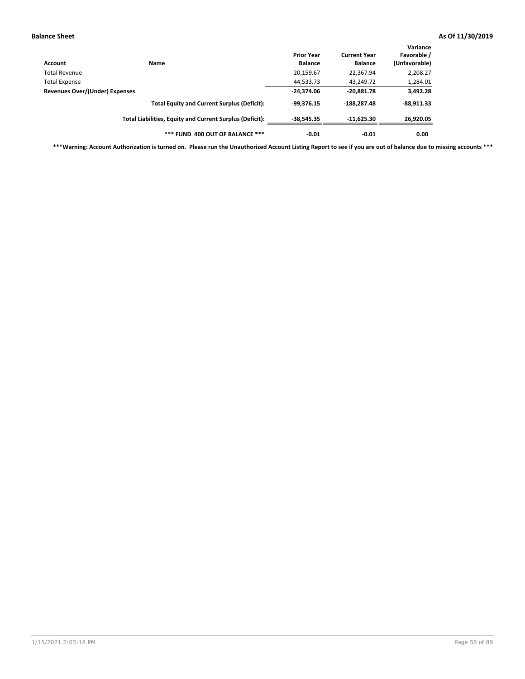| Account                        | Name                                                     | <b>Prior Year</b><br><b>Balance</b> | <b>Current Year</b><br><b>Balance</b> | Variance<br>Favorable /<br>(Unfavorable) |
|--------------------------------|----------------------------------------------------------|-------------------------------------|---------------------------------------|------------------------------------------|
| Total Revenue                  |                                                          | 20,159.67                           | 22,367.94                             | 2,208.27                                 |
| <b>Total Expense</b>           |                                                          | 44,533.73                           | 43,249.72                             | 1,284.01                                 |
| Revenues Over/(Under) Expenses | $-24,374.06$                                             | $-20,881.78$                        | 3,492.28                              |                                          |
|                                | <b>Total Equity and Current Surplus (Deficit):</b>       | $-99.376.15$                        | $-188.287.48$                         | $-88,911.33$                             |
|                                | Total Liabilities, Equity and Current Surplus (Deficit): | $-38.545.35$                        | $-11,625.30$                          | 26,920.05                                |
|                                | *** FUND 400 OUT OF BALANCE ***                          | $-0.01$                             | $-0.01$                               | 0.00                                     |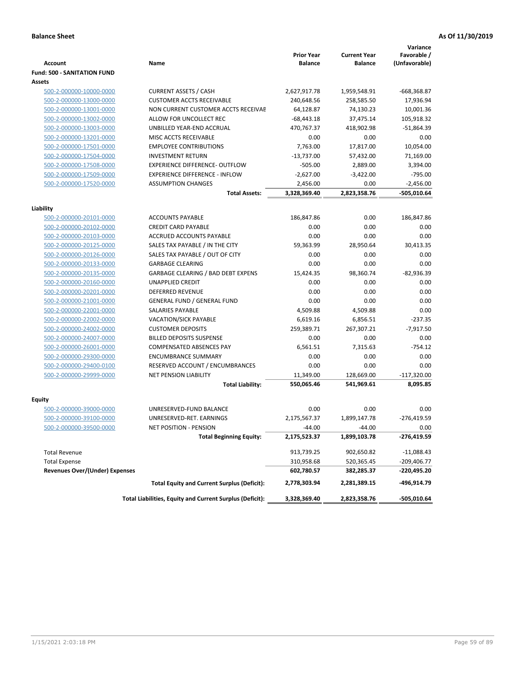|                                                    |                                                          | <b>Prior Year</b> | <b>Current Year</b> | Variance<br>Favorable / |
|----------------------------------------------------|----------------------------------------------------------|-------------------|---------------------|-------------------------|
| <b>Account</b>                                     | Name                                                     | <b>Balance</b>    | <b>Balance</b>      | (Unfavorable)           |
| <b>Fund: 500 - SANITATION FUND</b>                 |                                                          |                   |                     |                         |
| Assets                                             |                                                          |                   |                     |                         |
| 500-2-000000-10000-0000                            | <b>CURRENT ASSETS / CASH</b>                             | 2,627,917.78      | 1,959,548.91        | -668,368.87             |
| 500-2-000000-13000-0000                            | <b>CUSTOMER ACCTS RECEIVABLE</b>                         | 240,648.56        | 258,585.50          | 17,936.94               |
| 500-2-000000-13001-0000                            | NON CURRENT CUSTOMER ACCTS RECEIVAE                      | 64,128.87         | 74,130.23           | 10,001.36               |
| 500-2-000000-13002-0000                            | ALLOW FOR UNCOLLECT REC                                  | $-68,443.18$      | 37,475.14           | 105,918.32              |
| 500-2-000000-13003-0000                            | UNBILLED YEAR-END ACCRUAL                                | 470,767.37        | 418,902.98          | $-51,864.39$            |
| 500-2-000000-13201-0000                            | MISC ACCTS RECEIVABLE                                    | 0.00              | 0.00                | 0.00                    |
| 500-2-000000-17501-0000                            | <b>EMPLOYEE CONTRIBUTIONS</b>                            | 7.763.00          | 17.817.00           | 10,054.00               |
| 500-2-000000-17504-0000                            | <b>INVESTMENT RETURN</b>                                 | $-13,737.00$      | 57,432.00           | 71,169.00               |
| 500-2-000000-17508-0000                            | <b>EXPERIENCE DIFFERENCE- OUTFLOW</b>                    | $-505.00$         | 2,889.00            | 3,394.00                |
| 500-2-000000-17509-0000                            | <b>EXPERIENCE DIFFERENCE - INFLOW</b>                    | $-2,627.00$       | $-3,422.00$         | $-795.00$               |
| 500-2-000000-17520-0000                            | <b>ASSUMPTION CHANGES</b>                                | 2,456.00          | 0.00                | $-2,456.00$             |
|                                                    | <b>Total Assets:</b>                                     | 3,328,369.40      | 2,823,358.76        | -505,010.64             |
|                                                    |                                                          |                   |                     |                         |
| Liability                                          |                                                          |                   |                     |                         |
| 500-2-000000-20101-0000                            | <b>ACCOUNTS PAYABLE</b>                                  | 186,847.86        | 0.00                | 186,847.86              |
| 500-2-000000-20102-0000                            | <b>CREDIT CARD PAYABLE</b>                               | 0.00              | 0.00                | 0.00                    |
| 500-2-000000-20103-0000                            | <b>ACCRUED ACCOUNTS PAYABLE</b>                          | 0.00              | 0.00                | 0.00                    |
| 500-2-000000-20125-0000                            | SALES TAX PAYABLE / IN THE CITY                          | 59,363.99         | 28,950.64           | 30,413.35               |
| 500-2-000000-20126-0000                            | SALES TAX PAYABLE / OUT OF CITY                          | 0.00              | 0.00                | 0.00                    |
| 500-2-000000-20133-0000                            | <b>GARBAGE CLEARING</b>                                  | 0.00              | 0.00                | 0.00                    |
| 500-2-000000-20135-0000                            | GARBAGE CLEARING / BAD DEBT EXPENS                       | 15,424.35         | 98,360.74           | $-82,936.39$            |
| 500-2-000000-20160-0000                            | UNAPPLIED CREDIT                                         | 0.00              | 0.00                | 0.00                    |
| 500-2-000000-20201-0000                            | <b>DEFERRED REVENUE</b>                                  | 0.00              | 0.00                | 0.00                    |
| 500-2-000000-21001-0000                            | <b>GENERAL FUND / GENERAL FUND</b>                       | 0.00              | 0.00                | 0.00                    |
| 500-2-000000-22001-0000                            | SALARIES PAYABLE                                         | 4,509.88          | 4,509.88            | 0.00                    |
| 500-2-000000-22002-0000                            | <b>VACATION/SICK PAYABLE</b>                             | 6,619.16          | 6,856.51            | $-237.35$               |
| 500-2-000000-24002-0000                            | <b>CUSTOMER DEPOSITS</b>                                 | 259,389.71        | 267,307.21          | $-7,917.50$             |
| 500-2-000000-24007-0000                            | <b>BILLED DEPOSITS SUSPENSE</b>                          | 0.00              | 0.00                | 0.00                    |
| 500-2-000000-26001-0000                            | <b>COMPENSATED ABSENCES PAY</b>                          | 6,561.51          | 7,315.63            | $-754.12$               |
| 500-2-000000-29300-0000                            | <b>ENCUMBRANCE SUMMARY</b>                               | 0.00              | 0.00                | 0.00                    |
| 500-2-000000-29400-0100<br>500-2-000000-29999-0000 | RESERVED ACCOUNT / ENCUMBRANCES                          | 0.00              | 0.00                | 0.00                    |
|                                                    | <b>NET PENSION LIABILITY</b>                             | 11,349.00         | 128,669.00          | $-117,320.00$           |
|                                                    | <b>Total Liability:</b>                                  | 550,065.46        | 541,969.61          | 8,095.85                |
| Equity                                             |                                                          |                   |                     |                         |
| 500-2-000000-39000-0000                            | UNRESERVED-FUND BALANCE                                  | 0.00              | 0.00                | 0.00                    |
| 500-2-000000-39100-0000                            | UNRESERVED-RET. EARNINGS                                 | 2,175,567.37      | 1,899,147.78        | $-276,419.59$           |
| <u>500-2-000000-39500-0000</u>                     | NET POSITION - PENSION                                   | $-44.00$          | $-44.00$            | 0.00                    |
|                                                    | <b>Total Beginning Equity:</b>                           | 2,175,523.37      | 1,899,103.78        | -276,419.59             |
| <b>Total Revenue</b>                               |                                                          | 913,739.25        | 902,650.82          | $-11,088.43$            |
| <b>Total Expense</b>                               |                                                          | 310,958.68        | 520,365.45          | -209,406.77             |
| <b>Revenues Over/(Under) Expenses</b>              |                                                          | 602,780.57        | 382,285.37          | -220,495.20             |
|                                                    | <b>Total Equity and Current Surplus (Deficit):</b>       | 2,778,303.94      | 2,281,389.15        | -496,914.79             |
|                                                    | Total Liabilities, Equity and Current Surplus (Deficit): | 3,328,369.40      | 2,823,358.76        | -505,010.64             |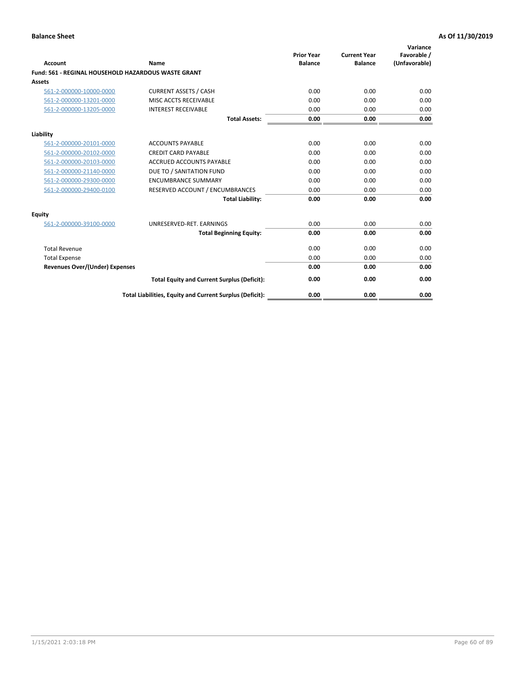| Account                               | Name                                                       | <b>Prior Year</b><br><b>Balance</b> | <b>Current Year</b><br><b>Balance</b> | Variance<br>Favorable /<br>(Unfavorable) |
|---------------------------------------|------------------------------------------------------------|-------------------------------------|---------------------------------------|------------------------------------------|
|                                       | <b>Fund: 561 - REGINAL HOUSEHOLD HAZARDOUS WASTE GRANT</b> |                                     |                                       |                                          |
| Assets                                |                                                            |                                     |                                       |                                          |
| 561-2-000000-10000-0000               | <b>CURRENT ASSETS / CASH</b>                               | 0.00                                | 0.00                                  | 0.00                                     |
| 561-2-000000-13201-0000               | MISC ACCTS RECEIVABLE                                      | 0.00                                | 0.00                                  | 0.00                                     |
| 561-2-000000-13205-0000               | <b>INTEREST RECEIVABLE</b>                                 | 0.00                                | 0.00                                  | 0.00                                     |
|                                       | <b>Total Assets:</b>                                       | 0.00                                | 0.00                                  | 0.00                                     |
| Liability                             |                                                            |                                     |                                       |                                          |
| 561-2-000000-20101-0000               | <b>ACCOUNTS PAYABLE</b>                                    | 0.00                                | 0.00                                  | 0.00                                     |
| 561-2-000000-20102-0000               | <b>CREDIT CARD PAYABLE</b>                                 | 0.00                                | 0.00                                  | 0.00                                     |
| 561-2-000000-20103-0000               | <b>ACCRUED ACCOUNTS PAYABLE</b>                            | 0.00                                | 0.00                                  | 0.00                                     |
| 561-2-000000-21140-0000               | DUE TO / SANITATION FUND                                   | 0.00                                | 0.00                                  | 0.00                                     |
| 561-2-000000-29300-0000               | <b>ENCUMBRANCE SUMMARY</b>                                 | 0.00                                | 0.00                                  | 0.00                                     |
| 561-2-000000-29400-0100               | RESERVED ACCOUNT / ENCUMBRANCES                            | 0.00                                | 0.00                                  | 0.00                                     |
|                                       | <b>Total Liability:</b>                                    | 0.00                                | 0.00                                  | 0.00                                     |
| <b>Equity</b>                         |                                                            |                                     |                                       |                                          |
| 561-2-000000-39100-0000               | UNRESERVED-RET. EARNINGS                                   | 0.00                                | 0.00                                  | 0.00                                     |
|                                       | <b>Total Beginning Equity:</b>                             | 0.00                                | 0.00                                  | 0.00                                     |
| <b>Total Revenue</b>                  |                                                            | 0.00                                | 0.00                                  | 0.00                                     |
| <b>Total Expense</b>                  |                                                            | 0.00                                | 0.00                                  | 0.00                                     |
| <b>Revenues Over/(Under) Expenses</b> |                                                            | 0.00                                | 0.00                                  | 0.00                                     |
|                                       | <b>Total Equity and Current Surplus (Deficit):</b>         | 0.00                                | 0.00                                  | 0.00                                     |
|                                       | Total Liabilities, Equity and Current Surplus (Deficit):   | 0.00                                | 0.00                                  | 0.00                                     |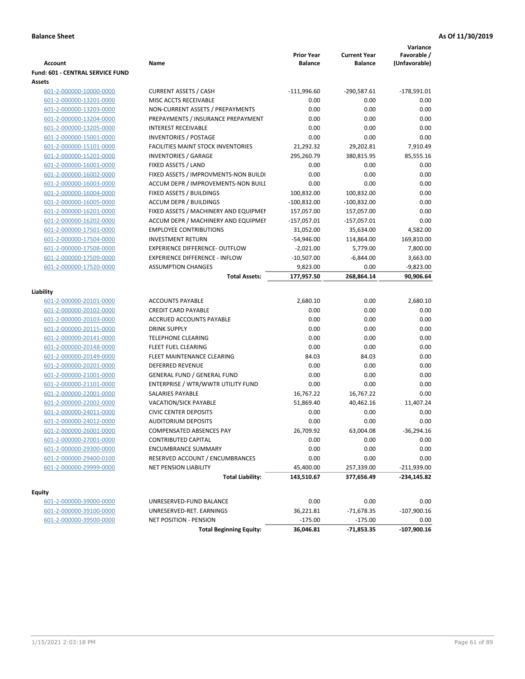|                                  |                                           |                                     |                                       | Variance                     |
|----------------------------------|-------------------------------------------|-------------------------------------|---------------------------------------|------------------------------|
| <b>Account</b>                   | Name                                      | <b>Prior Year</b><br><b>Balance</b> | <b>Current Year</b><br><b>Balance</b> | Favorable /<br>(Unfavorable) |
| Fund: 601 - CENTRAL SERVICE FUND |                                           |                                     |                                       |                              |
| <b>Assets</b>                    |                                           |                                     |                                       |                              |
| 601-2-000000-10000-0000          | <b>CURRENT ASSETS / CASH</b>              | $-111,996.60$                       | $-290,587.61$                         | $-178,591.01$                |
| 601-2-000000-13201-0000          | MISC ACCTS RECEIVABLE                     | 0.00                                | 0.00                                  | 0.00                         |
| 601-2-000000-13203-0000          | NON-CURRENT ASSETS / PREPAYMENTS          | 0.00                                | 0.00                                  | 0.00                         |
| 601-2-000000-13204-0000          | PREPAYMENTS / INSURANCE PREPAYMENT        | 0.00                                | 0.00                                  | 0.00                         |
| 601-2-000000-13205-0000          | <b>INTEREST RECEIVABLE</b>                | 0.00                                | 0.00                                  | 0.00                         |
| 601-2-000000-15001-0000          | <b>INVENTORIES / POSTAGE</b>              | 0.00                                | 0.00                                  | 0.00                         |
| 601-2-000000-15101-0000          | <b>FACILITIES MAINT STOCK INVENTORIES</b> | 21,292.32                           | 29,202.81                             | 7,910.49                     |
| 601-2-000000-15201-0000          | <b>INVENTORIES / GARAGE</b>               | 295,260.79                          | 380,815.95                            | 85,555.16                    |
| 601-2-000000-16001-0000          | FIXED ASSETS / LAND                       | 0.00                                | 0.00                                  | 0.00                         |
| 601-2-000000-16002-0000          | FIXED ASSETS / IMPROVMENTS-NON BUILDI     | 0.00                                | 0.00                                  | 0.00                         |
| 601-2-000000-16003-0000          | ACCUM DEPR / IMPROVEMENTS-NON BUILI       | 0.00                                | 0.00                                  | 0.00                         |
| 601-2-000000-16004-0000          | FIXED ASSETS / BUILDINGS                  | 100,832.00                          | 100,832.00                            | 0.00                         |
| 601-2-000000-16005-0000          | <b>ACCUM DEPR / BUILDINGS</b>             | $-100,832.00$                       | $-100,832.00$                         | 0.00                         |
| 601-2-000000-16201-0000          | FIXED ASSETS / MACHINERY AND EQUIPMEN     | 157,057.00                          | 157,057.00                            | 0.00                         |
| 601-2-000000-16202-0000          | ACCUM DEPR / MACHINERY AND EQUIPMEI       | $-157,057.01$                       | $-157,057.01$                         | 0.00                         |
| 601-2-000000-17501-0000          | <b>EMPLOYEE CONTRIBUTIONS</b>             | 31,052.00                           | 35,634.00                             | 4,582.00                     |
| 601-2-000000-17504-0000          | <b>INVESTMENT RETURN</b>                  | $-54,946.00$                        | 114,864.00                            | 169,810.00                   |
| 601-2-000000-17508-0000          | <b>EXPERIENCE DIFFERENCE- OUTFLOW</b>     | $-2,021.00$                         | 5,779.00                              | 7,800.00                     |
| 601-2-000000-17509-0000          | <b>EXPERIENCE DIFFERENCE - INFLOW</b>     | $-10,507.00$                        | $-6,844.00$                           | 3,663.00                     |
| 601-2-000000-17520-0000          | <b>ASSUMPTION CHANGES</b>                 | 9,823.00                            | 0.00                                  | $-9,823.00$                  |
|                                  | <b>Total Assets:</b>                      | 177,957.50                          | 268,864.14                            | 90,906.64                    |
|                                  |                                           |                                     |                                       |                              |
| Liability                        |                                           |                                     |                                       |                              |
| 601-2-000000-20101-0000          | <b>ACCOUNTS PAYABLE</b>                   | 2,680.10                            | 0.00                                  | 2,680.10                     |
| 601-2-000000-20102-0000          | <b>CREDIT CARD PAYABLE</b>                | 0.00                                | 0.00                                  | 0.00                         |
| 601-2-000000-20103-0000          | ACCRUED ACCOUNTS PAYABLE                  | 0.00                                | 0.00                                  | 0.00                         |
| 601-2-000000-20115-0000          | <b>DRINK SUPPLY</b>                       | 0.00                                | 0.00                                  | 0.00                         |
| 601-2-000000-20141-0000          | <b>TELEPHONE CLEARING</b>                 | 0.00                                | 0.00                                  | 0.00                         |
| 601-2-000000-20148-0000          | <b>FLEET FUEL CLEARING</b>                | 0.00                                | 0.00                                  | 0.00                         |
| 601-2-000000-20149-0000          | FLEET MAINTENANCE CLEARING                | 84.03                               | 84.03                                 | 0.00                         |
| 601-2-000000-20201-0000          | <b>DEFERRED REVENUE</b>                   | 0.00                                | 0.00                                  | 0.00                         |
| 601-2-000000-21001-0000          | <b>GENERAL FUND / GENERAL FUND</b>        | 0.00                                | 0.00                                  | 0.00                         |
| 601-2-000000-21101-0000          | ENTERPRISE / WTR/WWTR UTILITY FUND        | 0.00                                | 0.00                                  | 0.00                         |
| 601-2-000000-22001-0000          | SALARIES PAYABLE                          | 16,767.22                           | 16,767.22                             | 0.00                         |
| 601-2-000000-22002-0000          | VACATION/SICK PAYABLE                     | 51,869.40                           | 40,462.16                             | 11,407.24                    |
| 601-2-000000-24011-0000          | <b>CIVIC CENTER DEPOSITS</b>              | 0.00                                | 0.00                                  | 0.00                         |
| 601-2-000000-24012-0000          | <b>AUDITORIUM DEPOSITS</b>                | 0.00                                | 0.00                                  | 0.00                         |
| 601-2-000000-26001-0000          | COMPENSATED ABSENCES PAY                  | 26,709.92                           | 63,004.08                             | $-36,294.16$                 |
| 601-2-000000-27001-0000          | CONTRIBUTED CAPITAL                       | 0.00                                | 0.00                                  | 0.00                         |
| 601-2-000000-29300-0000          | <b>ENCUMBRANCE SUMMARY</b>                | 0.00                                | 0.00                                  | 0.00                         |
| 601-2-000000-29400-0100          | RESERVED ACCOUNT / ENCUMBRANCES           | 0.00                                | 0.00                                  | 0.00                         |
| 601-2-000000-29999-0000          | NET PENSION LIABILITY                     | 45,400.00                           | 257,339.00                            | $-211,939.00$                |
|                                  | <b>Total Liability:</b>                   | 143,510.67                          | 377,656.49                            | $-234,145.82$                |
|                                  |                                           |                                     |                                       |                              |
| Equity                           |                                           |                                     |                                       |                              |
| 601-2-000000-39000-0000          | UNRESERVED-FUND BALANCE                   | 0.00                                | 0.00                                  | 0.00                         |
| 601-2-000000-39100-0000          | UNRESERVED-RET. EARNINGS                  | 36,221.81                           | $-71,678.35$                          | $-107,900.16$                |
| 601-2-000000-39500-0000          | NET POSITION - PENSION                    | $-175.00$                           | $-175.00$                             | 0.00                         |
|                                  | <b>Total Beginning Equity:</b>            | 36,046.81                           | $-71,853.35$                          | $-107,900.16$                |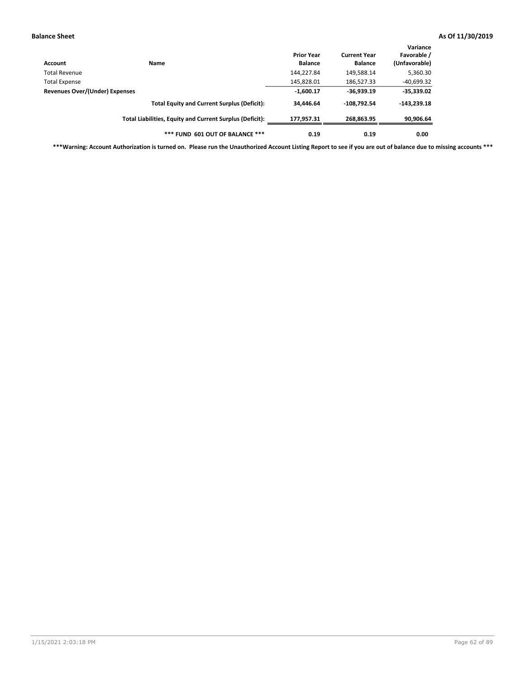| Account                                                                                                                       | <b>Name</b>                                              | <b>Prior Year</b><br><b>Balance</b> | <b>Current Year</b><br><b>Balance</b> | Variance<br>Favorable /<br>(Unfavorable) |
|-------------------------------------------------------------------------------------------------------------------------------|----------------------------------------------------------|-------------------------------------|---------------------------------------|------------------------------------------|
|                                                                                                                               |                                                          | 144,227.84                          | 149,588.14                            | 5,360.30                                 |
|                                                                                                                               |                                                          | 145,828.01                          | 186,527.33                            | $-40,699.32$                             |
| Total Revenue<br><b>Total Expense</b><br>Revenues Over/(Under) Expenses<br><b>Total Equity and Current Surplus (Deficit):</b> | $-1,600.17$                                              | $-36,939.19$                        | $-35,339.02$                          |                                          |
|                                                                                                                               |                                                          | 34,446.64                           | $-108.792.54$                         | $-143,239.18$                            |
|                                                                                                                               | Total Liabilities, Equity and Current Surplus (Deficit): | 177.957.31                          | 268,863.95                            | 90,906.64                                |
|                                                                                                                               | *** FUND 601 OUT OF BALANCE ***                          | 0.19                                | 0.19                                  | 0.00                                     |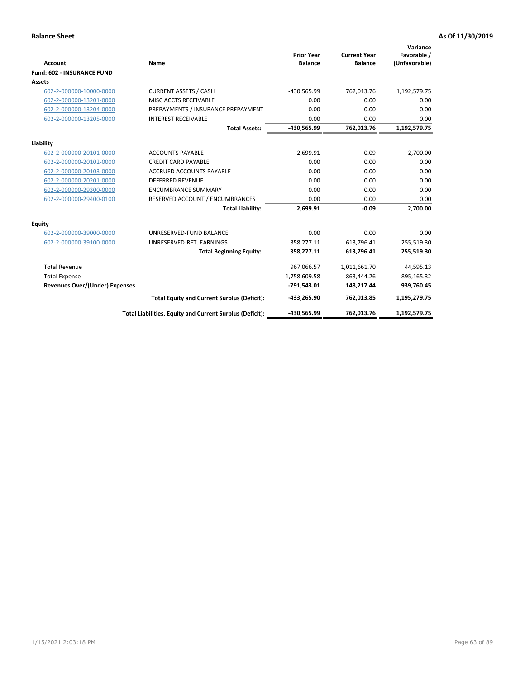|                                       |                                                          |                                     |                                       | Variance                     |
|---------------------------------------|----------------------------------------------------------|-------------------------------------|---------------------------------------|------------------------------|
| Account                               | Name                                                     | <b>Prior Year</b><br><b>Balance</b> | <b>Current Year</b><br><b>Balance</b> | Favorable /<br>(Unfavorable) |
| <b>Fund: 602 - INSURANCE FUND</b>     |                                                          |                                     |                                       |                              |
| Assets                                |                                                          |                                     |                                       |                              |
| 602-2-000000-10000-0000               | <b>CURRENT ASSETS / CASH</b>                             | -430,565.99                         | 762,013.76                            | 1,192,579.75                 |
| 602-2-000000-13201-0000               | MISC ACCTS RECEIVABLE                                    | 0.00                                | 0.00                                  | 0.00                         |
| 602-2-000000-13204-0000               | PREPAYMENTS / INSURANCE PREPAYMENT                       | 0.00                                | 0.00                                  | 0.00                         |
| 602-2-000000-13205-0000               | <b>INTEREST RECEIVABLE</b>                               | 0.00                                | 0.00                                  | 0.00                         |
|                                       | <b>Total Assets:</b>                                     | -430,565.99                         | 762,013.76                            | 1,192,579.75                 |
| Liability                             |                                                          |                                     |                                       |                              |
| 602-2-000000-20101-0000               | <b>ACCOUNTS PAYABLE</b>                                  | 2,699.91                            | $-0.09$                               | 2,700.00                     |
| 602-2-000000-20102-0000               | <b>CREDIT CARD PAYABLE</b>                               | 0.00                                | 0.00                                  | 0.00                         |
| 602-2-000000-20103-0000               | <b>ACCRUED ACCOUNTS PAYABLE</b>                          | 0.00                                | 0.00                                  | 0.00                         |
| 602-2-000000-20201-0000               | <b>DEFERRED REVENUE</b>                                  | 0.00                                | 0.00                                  | 0.00                         |
| 602-2-000000-29300-0000               | <b>ENCUMBRANCE SUMMARY</b>                               | 0.00                                | 0.00                                  | 0.00                         |
| 602-2-000000-29400-0100               | RESERVED ACCOUNT / ENCUMBRANCES                          | 0.00                                | 0.00                                  | 0.00                         |
|                                       | <b>Total Liability:</b>                                  | 2,699.91                            | $-0.09$                               | 2,700.00                     |
| Equity                                |                                                          |                                     |                                       |                              |
| 602-2-000000-39000-0000               | UNRESERVED-FUND BALANCE                                  | 0.00                                | 0.00                                  | 0.00                         |
| 602-2-000000-39100-0000               | UNRESERVED-RET. EARNINGS                                 | 358,277.11                          | 613,796.41                            | 255,519.30                   |
|                                       | <b>Total Beginning Equity:</b>                           | 358,277.11                          | 613,796.41                            | 255,519.30                   |
| <b>Total Revenue</b>                  |                                                          | 967,066.57                          | 1,011,661.70                          | 44,595.13                    |
| <b>Total Expense</b>                  |                                                          | 1,758,609.58                        | 863,444.26                            | 895,165.32                   |
| <b>Revenues Over/(Under) Expenses</b> |                                                          | $-791,543.01$                       | 148,217.44                            | 939,760.45                   |
|                                       | <b>Total Equity and Current Surplus (Deficit):</b>       | -433,265.90                         | 762,013.85                            | 1,195,279.75                 |
|                                       | Total Liabilities, Equity and Current Surplus (Deficit): | -430,565.99                         | 762,013.76                            | 1,192,579.75                 |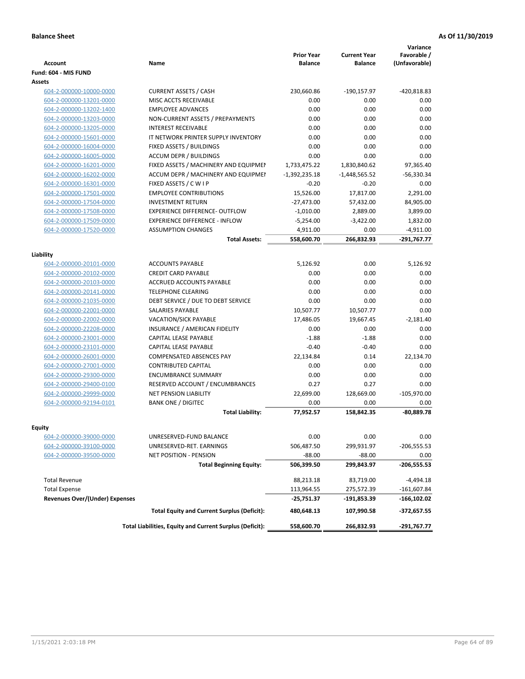| <b>Account</b>                        | <b>Name</b>                                              | <b>Prior Year</b><br><b>Balance</b> | <b>Current Year</b><br><b>Balance</b> | Variance<br>Favorable /<br>(Unfavorable) |
|---------------------------------------|----------------------------------------------------------|-------------------------------------|---------------------------------------|------------------------------------------|
| Fund: 604 - MIS FUND                  |                                                          |                                     |                                       |                                          |
| Assets                                |                                                          |                                     |                                       |                                          |
| 604-2-000000-10000-0000               | <b>CURRENT ASSETS / CASH</b>                             | 230,660.86                          | $-190,157.97$                         | -420,818.83                              |
| 604-2-000000-13201-0000               | MISC ACCTS RECEIVABLE                                    | 0.00                                | 0.00                                  | 0.00                                     |
| 604-2-000000-13202-1400               | <b>EMPLOYEE ADVANCES</b>                                 | 0.00                                | 0.00                                  | 0.00                                     |
| 604-2-000000-13203-0000               | NON-CURRENT ASSETS / PREPAYMENTS                         | 0.00                                | 0.00                                  | 0.00                                     |
| 604-2-000000-13205-0000               | <b>INTEREST RECEIVABLE</b>                               | 0.00                                | 0.00                                  | 0.00                                     |
| 604-2-000000-15601-0000               | IT NETWORK PRINTER SUPPLY INVENTORY                      | 0.00                                | 0.00                                  | 0.00                                     |
| 604-2-000000-16004-0000               | FIXED ASSETS / BUILDINGS                                 | 0.00                                | 0.00                                  | 0.00                                     |
| 604-2-000000-16005-0000               | <b>ACCUM DEPR / BUILDINGS</b>                            | 0.00                                | 0.00                                  | 0.00                                     |
| 604-2-000000-16201-0000               | FIXED ASSETS / MACHINERY AND EQUIPMEN                    | 1,733,475.22                        | 1,830,840.62                          | 97,365.40                                |
| 604-2-000000-16202-0000               | ACCUM DEPR / MACHINERY AND EQUIPMEI                      | $-1,392,235.18$                     | $-1,448,565.52$                       | $-56,330.34$                             |
| 604-2-000000-16301-0000               | FIXED ASSETS / C W I P                                   | $-0.20$                             | $-0.20$                               | 0.00                                     |
| 604-2-000000-17501-0000               | <b>EMPLOYEE CONTRIBUTIONS</b>                            | 15,526.00                           | 17,817.00                             | 2,291.00                                 |
| 604-2-000000-17504-0000               | <b>INVESTMENT RETURN</b>                                 | $-27,473.00$                        | 57,432.00                             | 84,905.00                                |
| 604-2-000000-17508-0000               | <b>EXPERIENCE DIFFERENCE- OUTFLOW</b>                    | $-1,010.00$                         | 2,889.00                              | 3,899.00                                 |
| 604-2-000000-17509-0000               | <b>EXPERIENCE DIFFERENCE - INFLOW</b>                    | $-5,254.00$                         | $-3,422.00$                           | 1,832.00                                 |
| 604-2-000000-17520-0000               | <b>ASSUMPTION CHANGES</b>                                | 4,911.00                            | 0.00                                  | $-4,911.00$                              |
|                                       | <b>Total Assets:</b>                                     | 558,600.70                          | 266,832.93                            | $-291,767.77$                            |
|                                       |                                                          |                                     |                                       |                                          |
| Liability                             |                                                          |                                     |                                       |                                          |
| 604-2-000000-20101-0000               | <b>ACCOUNTS PAYABLE</b>                                  | 5.126.92                            | 0.00                                  | 5,126.92                                 |
| 604-2-000000-20102-0000               | <b>CREDIT CARD PAYABLE</b>                               | 0.00                                | 0.00                                  | 0.00                                     |
| 604-2-000000-20103-0000               | <b>ACCRUED ACCOUNTS PAYABLE</b>                          | 0.00                                | 0.00                                  | 0.00                                     |
| 604-2-000000-20141-0000               | <b>TELEPHONE CLEARING</b>                                | 0.00                                | 0.00                                  | 0.00                                     |
| 604-2-000000-21035-0000               | DEBT SERVICE / DUE TO DEBT SERVICE                       | 0.00                                | 0.00                                  | 0.00                                     |
| 604-2-000000-22001-0000               | <b>SALARIES PAYABLE</b>                                  | 10,507.77                           | 10,507.77                             | 0.00                                     |
| 604-2-000000-22002-0000               | <b>VACATION/SICK PAYABLE</b>                             | 17,486.05                           | 19,667.45                             | $-2,181.40$                              |
| 604-2-000000-22208-0000               | INSURANCE / AMERICAN FIDELITY                            | 0.00                                | 0.00                                  | 0.00                                     |
| 604-2-000000-23001-0000               | CAPITAL LEASE PAYABLE                                    | $-1.88$                             | $-1.88$                               | 0.00                                     |
| 604-2-000000-23101-0000               | CAPITAL LEASE PAYABLE                                    | $-0.40$                             | $-0.40$                               | 0.00                                     |
| 604-2-000000-26001-0000               | <b>COMPENSATED ABSENCES PAY</b>                          | 22,134.84                           | 0.14                                  | 22,134.70                                |
| 604-2-000000-27001-0000               | <b>CONTRIBUTED CAPITAL</b>                               | 0.00                                | 0.00                                  | 0.00                                     |
| 604-2-000000-29300-0000               | <b>ENCUMBRANCE SUMMARY</b>                               | 0.00                                | 0.00                                  | 0.00                                     |
| 604-2-000000-29400-0100               | <b>RESERVED ACCOUNT / ENCUMBRANCES</b>                   | 0.27                                | 0.27                                  | 0.00                                     |
| 604-2-000000-29999-0000               | <b>NET PENSION LIABILITY</b>                             | 22,699.00                           | 128,669.00                            | $-105,970.00$                            |
| 604-2-000000-92194-0101               | <b>BANK ONE / DIGITEC</b>                                | 0.00                                | 0.00                                  | 0.00                                     |
|                                       | <b>Total Liability:</b>                                  | 77,952.57                           | 158,842.35                            | $-80,889.78$                             |
|                                       |                                                          |                                     |                                       |                                          |
| Equity                                |                                                          | 0.00                                |                                       |                                          |
| 604-2-000000-39000-0000               | UNRESERVED-FUND BALANCE                                  |                                     | 0.00                                  | 0.00                                     |
| 604-2-000000-39100-0000               | UNRESERVED-RET. EARNINGS                                 | 506,487.50                          | 299,931.97                            | $-206,555.53$                            |
| 604-2-000000-39500-0000               | NET POSITION - PENSION                                   | $-88.00$                            | $-88.00$                              | 0.00                                     |
|                                       | <b>Total Beginning Equity:</b>                           | 506,399.50                          | 299,843.97                            | -206,555.53                              |
| <b>Total Revenue</b>                  |                                                          | 88,213.18                           | 83,719.00                             | $-4,494.18$                              |
| <b>Total Expense</b>                  |                                                          | 113,964.55                          | 275,572.39                            | $-161,607.84$                            |
| <b>Revenues Over/(Under) Expenses</b> |                                                          | -25,751.37                          | $-191,853.39$                         | $-166, 102.02$                           |
|                                       | <b>Total Equity and Current Surplus (Deficit):</b>       | 480,648.13                          | 107,990.58                            | -372,657.55                              |
|                                       | Total Liabilities, Equity and Current Surplus (Deficit): | 558,600.70                          | 266,832.93                            | -291,767.77                              |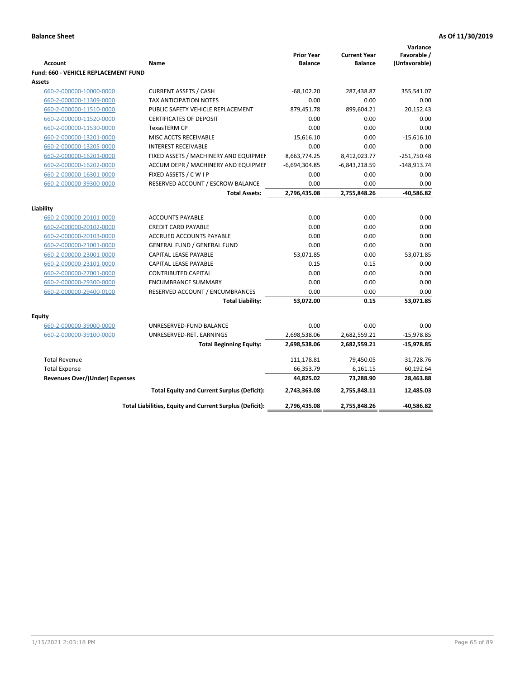|                                                    |                                                                    |                                     |                                       | Variance                     |
|----------------------------------------------------|--------------------------------------------------------------------|-------------------------------------|---------------------------------------|------------------------------|
| <b>Account</b>                                     | Name                                                               | <b>Prior Year</b><br><b>Balance</b> | <b>Current Year</b><br><b>Balance</b> | Favorable /<br>(Unfavorable) |
| Fund: 660 - VEHICLE REPLACEMENT FUND               |                                                                    |                                     |                                       |                              |
| Assets                                             |                                                                    |                                     |                                       |                              |
| 660-2-000000-10000-0000                            | <b>CURRENT ASSETS / CASH</b>                                       | $-68,102.20$                        | 287,438.87                            | 355,541.07                   |
| 660-2-000000-11309-0000                            | <b>TAX ANTICIPATION NOTES</b>                                      | 0.00                                | 0.00                                  | 0.00                         |
| 660-2-000000-11510-0000                            | PUBLIC SAFETY VEHICLE REPLACEMENT                                  | 879,451.78                          | 899,604.21                            | 20,152.43                    |
| 660-2-000000-11520-0000                            | <b>CERTIFICATES OF DEPOSIT</b>                                     | 0.00                                | 0.00                                  | 0.00                         |
| 660-2-000000-11530-0000                            | <b>TexasTERM CP</b>                                                | 0.00                                | 0.00                                  | 0.00                         |
| 660-2-000000-13201-0000                            | MISC ACCTS RECEIVABLE                                              | 15,616.10                           | 0.00                                  | $-15,616.10$                 |
| 660-2-000000-13205-0000                            | <b>INTEREST RECEIVABLE</b>                                         | 0.00                                | 0.00                                  | 0.00                         |
| 660-2-000000-16201-0000                            | FIXED ASSETS / MACHINERY AND EQUIPMEN                              | 8,663,774.25                        | 8,412,023.77                          | $-251,750.48$                |
| 660-2-000000-16202-0000                            | ACCUM DEPR / MACHINERY AND EQUIPMEI                                | $-6,694,304.85$                     | $-6,843,218.59$                       | $-148,913.74$                |
| 660-2-000000-16301-0000                            | FIXED ASSETS / C W I P                                             | 0.00                                | 0.00                                  | 0.00                         |
| 660-2-000000-39300-0000                            | RESERVED ACCOUNT / ESCROW BALANCE                                  | 0.00                                | 0.00                                  | 0.00                         |
|                                                    | <b>Total Assets:</b>                                               | 2,796,435.08                        | 2,755,848.26                          | -40,586.82                   |
|                                                    |                                                                    |                                     |                                       |                              |
| Liability                                          | <b>ACCOUNTS PAYABLE</b>                                            | 0.00                                | 0.00                                  |                              |
| 660-2-000000-20101-0000                            |                                                                    |                                     |                                       | 0.00                         |
| 660-2-000000-20102-0000                            | <b>CREDIT CARD PAYABLE</b><br>ACCRUED ACCOUNTS PAYABLE             | 0.00<br>0.00                        | 0.00<br>0.00                          | 0.00<br>0.00                 |
| 660-2-000000-20103-0000                            |                                                                    | 0.00                                | 0.00                                  | 0.00                         |
| 660-2-000000-21001-0000                            | <b>GENERAL FUND / GENERAL FUND</b><br><b>CAPITAL LEASE PAYABLE</b> | 53,071.85                           | 0.00                                  | 53,071.85                    |
| 660-2-000000-23001-0000<br>660-2-000000-23101-0000 | CAPITAL LEASE PAYABLE                                              | 0.15                                | 0.15                                  | 0.00                         |
| 660-2-000000-27001-0000                            | <b>CONTRIBUTED CAPITAL</b>                                         | 0.00                                | 0.00                                  | 0.00                         |
| 660-2-000000-29300-0000                            | <b>ENCUMBRANCE SUMMARY</b>                                         | 0.00                                | 0.00                                  | 0.00                         |
| 660-2-000000-29400-0100                            | RESERVED ACCOUNT / ENCUMBRANCES                                    | 0.00                                | 0.00                                  | 0.00                         |
|                                                    | <b>Total Liability:</b>                                            | 53,072.00                           | 0.15                                  | 53,071.85                    |
|                                                    |                                                                    |                                     |                                       |                              |
| Equity                                             |                                                                    |                                     |                                       |                              |
| 660-2-000000-39000-0000                            | UNRESERVED-FUND BALANCE                                            | 0.00                                | 0.00                                  | 0.00                         |
| 660-2-000000-39100-0000                            | UNRESERVED-RET. EARNINGS                                           | 2,698,538.06                        | 2,682,559.21                          | $-15,978.85$                 |
|                                                    | <b>Total Beginning Equity:</b>                                     | 2,698,538.06                        | 2,682,559.21                          | $-15,978.85$                 |
| <b>Total Revenue</b>                               |                                                                    | 111,178.81                          | 79,450.05                             | $-31,728.76$                 |
| <b>Total Expense</b>                               |                                                                    | 66,353.79                           | 6,161.15                              | 60,192.64                    |
| <b>Revenues Over/(Under) Expenses</b>              |                                                                    | 44,825.02                           | 73,288.90                             | 28,463.88                    |
|                                                    | <b>Total Equity and Current Surplus (Deficit):</b>                 | 2,743,363.08                        | 2,755,848.11                          | 12,485.03                    |
|                                                    | Total Liabilities, Equity and Current Surplus (Deficit):           | 2,796,435.08                        | 2,755,848.26                          | -40,586.82                   |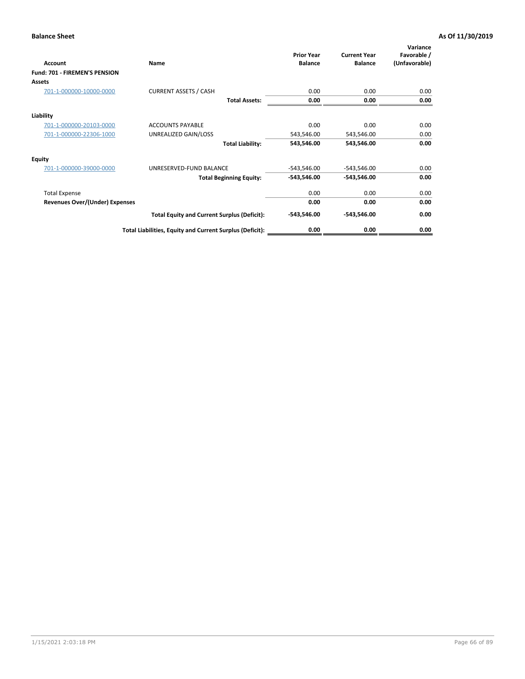| Account                               | Name                                                     | <b>Prior Year</b><br><b>Balance</b> | <b>Current Year</b><br><b>Balance</b> | Variance<br>Favorable /<br>(Unfavorable) |
|---------------------------------------|----------------------------------------------------------|-------------------------------------|---------------------------------------|------------------------------------------|
| <b>Fund: 701 - FIREMEN'S PENSION</b>  |                                                          |                                     |                                       |                                          |
| <b>Assets</b>                         |                                                          |                                     |                                       |                                          |
| 701-1-000000-10000-0000               | <b>CURRENT ASSETS / CASH</b>                             | 0.00                                | 0.00                                  | 0.00                                     |
|                                       | <b>Total Assets:</b>                                     | 0.00                                | 0.00                                  | 0.00                                     |
| Liability                             |                                                          |                                     |                                       |                                          |
| 701-1-000000-20103-0000               | <b>ACCOUNTS PAYABLE</b>                                  | 0.00                                | 0.00                                  | 0.00                                     |
| 701-1-000000-22306-1000               | UNREALIZED GAIN/LOSS                                     | 543,546.00                          | 543,546.00                            | 0.00                                     |
|                                       | <b>Total Liability:</b>                                  | 543,546.00                          | 543,546.00                            | 0.00                                     |
| <b>Equity</b>                         |                                                          |                                     |                                       |                                          |
| 701-1-000000-39000-0000               | UNRESERVED-FUND BALANCE                                  | $-543,546.00$                       | -543,546.00                           | 0.00                                     |
|                                       | <b>Total Beginning Equity:</b>                           | $-543,546.00$                       | $-543,546.00$                         | 0.00                                     |
| <b>Total Expense</b>                  |                                                          | 0.00                                | 0.00                                  | 0.00                                     |
| <b>Revenues Over/(Under) Expenses</b> |                                                          | 0.00                                | 0.00                                  | 0.00                                     |
|                                       | <b>Total Equity and Current Surplus (Deficit):</b>       | $-543,546.00$                       | $-543,546.00$                         | 0.00                                     |
|                                       | Total Liabilities, Equity and Current Surplus (Deficit): | 0.00                                | 0.00                                  | 0.00                                     |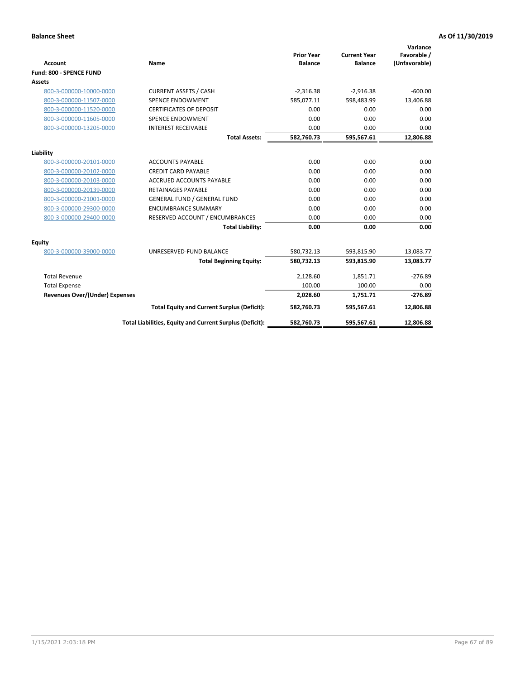|                                       |                                                          |                                     |                                       | Variance                     |
|---------------------------------------|----------------------------------------------------------|-------------------------------------|---------------------------------------|------------------------------|
| <b>Account</b>                        | Name                                                     | <b>Prior Year</b><br><b>Balance</b> | <b>Current Year</b><br><b>Balance</b> | Favorable /<br>(Unfavorable) |
| Fund: 800 - SPENCE FUND               |                                                          |                                     |                                       |                              |
| <b>Assets</b>                         |                                                          |                                     |                                       |                              |
|                                       |                                                          |                                     |                                       |                              |
| 800-3-000000-10000-0000               | <b>CURRENT ASSETS / CASH</b>                             | $-2,316.38$                         | $-2,916.38$                           | $-600.00$                    |
| 800-3-000000-11507-0000               | <b>SPENCE ENDOWMENT</b>                                  | 585,077.11                          | 598,483.99                            | 13,406.88                    |
| 800-3-000000-11520-0000               | <b>CERTIFICATES OF DEPOSIT</b>                           | 0.00                                | 0.00                                  | 0.00                         |
| 800-3-000000-11605-0000               | <b>SPENCE ENDOWMENT</b>                                  | 0.00                                | 0.00                                  | 0.00                         |
| 800-3-000000-13205-0000               | <b>INTEREST RECEIVABLE</b>                               | 0.00                                | 0.00                                  | 0.00                         |
|                                       | <b>Total Assets:</b>                                     | 582,760.73                          | 595,567.61                            | 12,806.88                    |
| Liability                             |                                                          |                                     |                                       |                              |
| 800-3-000000-20101-0000               | <b>ACCOUNTS PAYABLE</b>                                  | 0.00                                | 0.00                                  | 0.00                         |
| 800-3-000000-20102-0000               | <b>CREDIT CARD PAYABLE</b>                               | 0.00                                | 0.00                                  | 0.00                         |
| 800-3-000000-20103-0000               | <b>ACCRUED ACCOUNTS PAYABLE</b>                          | 0.00                                | 0.00                                  | 0.00                         |
| 800-3-000000-20139-0000               | <b>RETAINAGES PAYABLE</b>                                | 0.00                                | 0.00                                  | 0.00                         |
| 800-3-000000-21001-0000               | <b>GENERAL FUND / GENERAL FUND</b>                       | 0.00                                | 0.00                                  | 0.00                         |
| 800-3-000000-29300-0000               | <b>ENCUMBRANCE SUMMARY</b>                               | 0.00                                | 0.00                                  | 0.00                         |
| 800-3-000000-29400-0000               | RESERVED ACCOUNT / ENCUMBRANCES                          | 0.00                                | 0.00                                  | 0.00                         |
|                                       | <b>Total Liability:</b>                                  | 0.00                                | 0.00                                  | 0.00                         |
| <b>Equity</b>                         |                                                          |                                     |                                       |                              |
| 800-3-000000-39000-0000               | UNRESERVED-FUND BALANCE                                  | 580,732.13                          | 593,815.90                            | 13,083.77                    |
|                                       | <b>Total Beginning Equity:</b>                           | 580,732.13                          | 593,815.90                            | 13,083.77                    |
| <b>Total Revenue</b>                  |                                                          | 2,128.60                            | 1,851.71                              | $-276.89$                    |
| <b>Total Expense</b>                  |                                                          | 100.00                              | 100.00                                | 0.00                         |
| <b>Revenues Over/(Under) Expenses</b> |                                                          | 2,028.60                            | 1,751.71                              | $-276.89$                    |
|                                       | <b>Total Equity and Current Surplus (Deficit):</b>       | 582,760.73                          | 595,567.61                            | 12,806.88                    |
|                                       | Total Liabilities, Equity and Current Surplus (Deficit): | 582,760.73                          | 595,567.61                            | 12,806.88                    |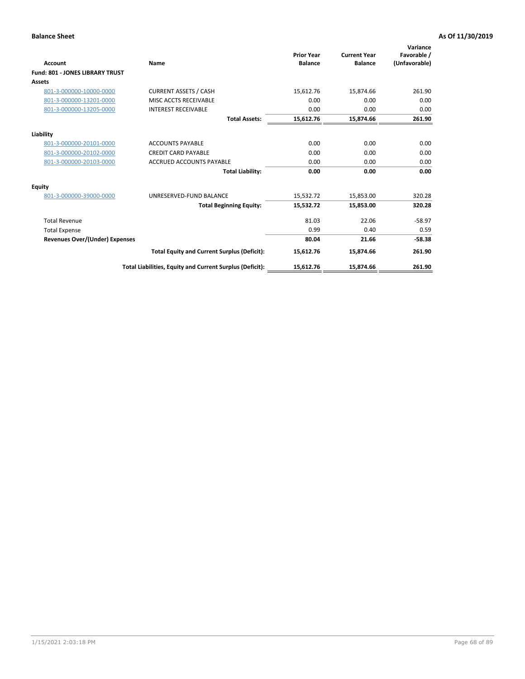| <b>Account</b>                         | Name                                                     | <b>Prior Year</b><br><b>Balance</b> | <b>Current Year</b><br><b>Balance</b> | Variance<br>Favorable /<br>(Unfavorable) |
|----------------------------------------|----------------------------------------------------------|-------------------------------------|---------------------------------------|------------------------------------------|
| <b>Fund: 801 - JONES LIBRARY TRUST</b> |                                                          |                                     |                                       |                                          |
| Assets                                 |                                                          |                                     |                                       |                                          |
| 801-3-000000-10000-0000                | <b>CURRENT ASSETS / CASH</b>                             | 15,612.76                           | 15,874.66                             | 261.90                                   |
| 801-3-000000-13201-0000                | MISC ACCTS RECEIVABLE                                    | 0.00                                | 0.00                                  | 0.00                                     |
| 801-3-000000-13205-0000                | <b>INTEREST RECEIVABLE</b>                               | 0.00                                | 0.00                                  | 0.00                                     |
|                                        | <b>Total Assets:</b>                                     | 15,612.76                           | 15,874.66                             | 261.90                                   |
| Liability                              |                                                          |                                     |                                       |                                          |
| 801-3-000000-20101-0000                | <b>ACCOUNTS PAYABLE</b>                                  | 0.00                                | 0.00                                  | 0.00                                     |
| 801-3-000000-20102-0000                | <b>CREDIT CARD PAYABLE</b>                               | 0.00                                | 0.00                                  | 0.00                                     |
| 801-3-000000-20103-0000                | <b>ACCRUED ACCOUNTS PAYABLE</b>                          | 0.00                                | 0.00                                  | 0.00                                     |
|                                        | <b>Total Liability:</b>                                  | 0.00                                | 0.00                                  | 0.00                                     |
| Equity                                 |                                                          |                                     |                                       |                                          |
| 801-3-000000-39000-0000                | UNRESERVED-FUND BALANCE                                  | 15,532.72                           | 15,853.00                             | 320.28                                   |
|                                        | <b>Total Beginning Equity:</b>                           | 15,532.72                           | 15,853.00                             | 320.28                                   |
| <b>Total Revenue</b>                   |                                                          | 81.03                               | 22.06                                 | $-58.97$                                 |
| <b>Total Expense</b>                   |                                                          | 0.99                                | 0.40                                  | 0.59                                     |
| <b>Revenues Over/(Under) Expenses</b>  |                                                          | 80.04                               | 21.66                                 | $-58.38$                                 |
|                                        | <b>Total Equity and Current Surplus (Deficit):</b>       | 15,612.76                           | 15,874.66                             | 261.90                                   |
|                                        | Total Liabilities, Equity and Current Surplus (Deficit): | 15,612.76                           | 15,874.66                             | 261.90                                   |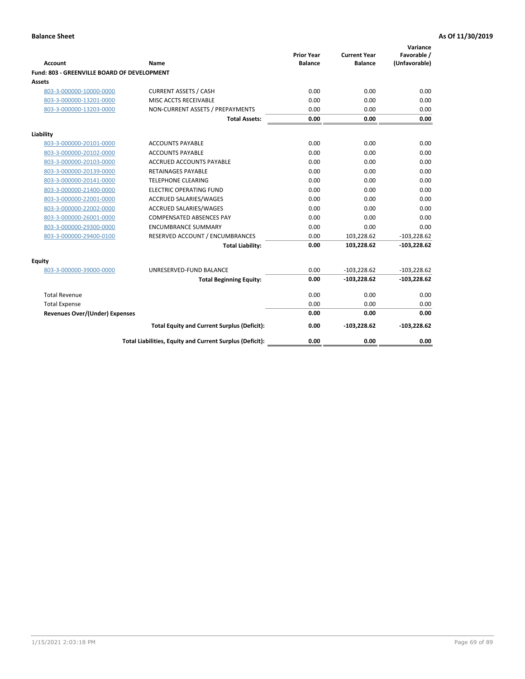| Account                                     | Name                                                     | <b>Prior Year</b><br><b>Balance</b> | <b>Current Year</b><br><b>Balance</b> | Variance<br>Favorable /<br>(Unfavorable) |
|---------------------------------------------|----------------------------------------------------------|-------------------------------------|---------------------------------------|------------------------------------------|
| Fund: 803 - GREENVILLE BOARD OF DEVELOPMENT |                                                          |                                     |                                       |                                          |
| Assets                                      |                                                          |                                     |                                       |                                          |
| 803-3-000000-10000-0000                     | <b>CURRENT ASSETS / CASH</b>                             | 0.00                                | 0.00                                  | 0.00                                     |
| 803-3-000000-13201-0000                     | MISC ACCTS RECEIVABLE                                    | 0.00                                | 0.00                                  | 0.00                                     |
| 803-3-000000-13203-0000                     | NON-CURRENT ASSETS / PREPAYMENTS                         | 0.00                                | 0.00                                  | 0.00                                     |
|                                             | <b>Total Assets:</b>                                     | 0.00                                | 0.00                                  | 0.00                                     |
| Liability                                   |                                                          |                                     |                                       |                                          |
| 803-3-000000-20101-0000                     | <b>ACCOUNTS PAYABLE</b>                                  | 0.00                                | 0.00                                  | 0.00                                     |
| 803-3-000000-20102-0000                     | <b>ACCOUNTS PAYABLE</b>                                  | 0.00                                | 0.00                                  | 0.00                                     |
| 803-3-000000-20103-0000                     | <b>ACCRUED ACCOUNTS PAYABLE</b>                          | 0.00                                | 0.00                                  | 0.00                                     |
| 803-3-000000-20139-0000                     | <b>RETAINAGES PAYABLE</b>                                | 0.00                                | 0.00                                  | 0.00                                     |
| 803-3-000000-20141-0000                     | <b>TELEPHONE CLEARING</b>                                | 0.00                                | 0.00                                  | 0.00                                     |
| 803-3-000000-21400-0000                     | <b>ELECTRIC OPERATING FUND</b>                           | 0.00                                | 0.00                                  | 0.00                                     |
| 803-3-000000-22001-0000                     | ACCRUED SALARIES/WAGES                                   | 0.00                                | 0.00                                  | 0.00                                     |
| 803-3-000000-22002-0000                     | <b>ACCRUED SALARIES/WAGES</b>                            | 0.00                                | 0.00                                  | 0.00                                     |
| 803-3-000000-26001-0000                     | <b>COMPENSATED ABSENCES PAY</b>                          | 0.00                                | 0.00                                  | 0.00                                     |
| 803-3-000000-29300-0000                     | <b>ENCUMBRANCE SUMMARY</b>                               | 0.00                                | 0.00                                  | 0.00                                     |
| 803-3-000000-29400-0100                     | RESERVED ACCOUNT / ENCUMBRANCES                          | 0.00                                | 103,228.62                            | $-103,228.62$                            |
|                                             | <b>Total Liability:</b>                                  | 0.00                                | 103,228.62                            | $-103,228.62$                            |
| Equity                                      |                                                          |                                     |                                       |                                          |
| 803-3-000000-39000-0000                     | UNRESERVED-FUND BALANCE                                  | 0.00                                | $-103,228.62$                         | $-103,228.62$                            |
|                                             | <b>Total Beginning Equity:</b>                           | 0.00                                | $-103,228.62$                         | $-103,228.62$                            |
| <b>Total Revenue</b>                        |                                                          | 0.00                                | 0.00                                  | 0.00                                     |
| <b>Total Expense</b>                        |                                                          | 0.00                                | 0.00                                  | 0.00                                     |
| <b>Revenues Over/(Under) Expenses</b>       |                                                          | 0.00                                | 0.00                                  | 0.00                                     |
|                                             | <b>Total Equity and Current Surplus (Deficit):</b>       | 0.00                                | $-103,228.62$                         | $-103,228.62$                            |
|                                             | Total Liabilities, Equity and Current Surplus (Deficit): | 0.00                                | 0.00                                  | 0.00                                     |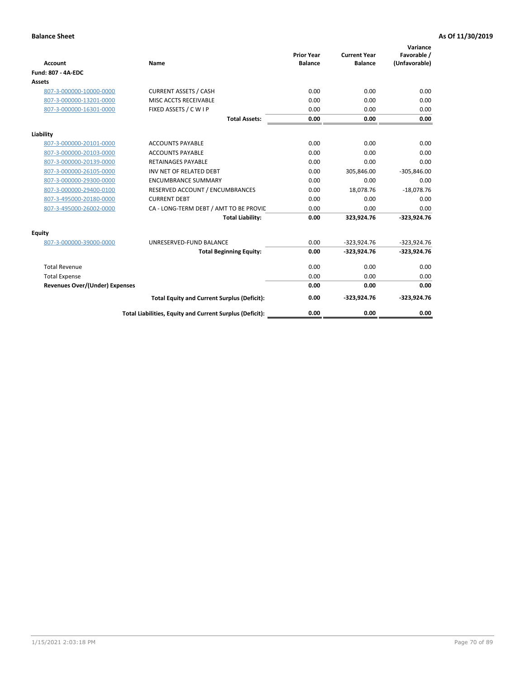| <b>Account</b>                 | Name                                                     | <b>Prior Year</b><br><b>Balance</b> | <b>Current Year</b><br><b>Balance</b> | Variance<br>Favorable /<br>(Unfavorable) |
|--------------------------------|----------------------------------------------------------|-------------------------------------|---------------------------------------|------------------------------------------|
| <b>Fund: 807 - 4A-EDC</b>      |                                                          |                                     |                                       |                                          |
| <b>Assets</b>                  |                                                          |                                     |                                       |                                          |
| 807-3-000000-10000-0000        | <b>CURRENT ASSETS / CASH</b>                             | 0.00                                | 0.00                                  | 0.00                                     |
| 807-3-000000-13201-0000        | MISC ACCTS RECEIVABLE                                    | 0.00                                | 0.00                                  | 0.00                                     |
| 807-3-000000-16301-0000        | FIXED ASSETS / C W I P                                   | 0.00                                | 0.00                                  | 0.00                                     |
|                                | <b>Total Assets:</b>                                     | 0.00                                | 0.00                                  | 0.00                                     |
| Liability                      |                                                          |                                     |                                       |                                          |
| 807-3-000000-20101-0000        | <b>ACCOUNTS PAYABLE</b>                                  | 0.00                                | 0.00                                  | 0.00                                     |
| 807-3-000000-20103-0000        | <b>ACCOUNTS PAYABLE</b>                                  | 0.00                                | 0.00                                  | 0.00                                     |
| 807-3-000000-20139-0000        | <b>RETAINAGES PAYABLE</b>                                | 0.00                                | 0.00                                  | 0.00                                     |
| 807-3-000000-26105-0000        | INV NET OF RELATED DEBT                                  | 0.00                                | 305,846.00                            | $-305,846.00$                            |
| 807-3-000000-29300-0000        | <b>ENCUMBRANCE SUMMARY</b>                               | 0.00                                | 0.00                                  | 0.00                                     |
| 807-3-000000-29400-0100        | RESERVED ACCOUNT / ENCUMBRANCES                          | 0.00                                | 18,078.76                             | $-18,078.76$                             |
| 807-3-495000-20180-0000        | <b>CURRENT DEBT</b>                                      | 0.00                                | 0.00                                  | 0.00                                     |
| 807-3-495000-26002-0000        | CA - LONG-TERM DEBT / AMT TO BE PROVIL                   | 0.00                                | 0.00                                  | 0.00                                     |
|                                | <b>Total Liability:</b>                                  | 0.00                                | 323,924.76                            | $-323,924.76$                            |
| Equity                         |                                                          |                                     |                                       |                                          |
| 807-3-000000-39000-0000        | UNRESERVED-FUND BALANCE                                  | 0.00                                | $-323,924.76$                         | $-323,924.76$                            |
|                                | <b>Total Beginning Equity:</b>                           | 0.00                                | $-323,924.76$                         | $-323,924.76$                            |
| <b>Total Revenue</b>           |                                                          | 0.00                                | 0.00                                  | 0.00                                     |
| <b>Total Expense</b>           |                                                          | 0.00                                | 0.00                                  | 0.00                                     |
| Revenues Over/(Under) Expenses |                                                          | 0.00                                | 0.00                                  | 0.00                                     |
|                                | <b>Total Equity and Current Surplus (Deficit):</b>       | 0.00                                | $-323,924.76$                         | $-323,924.76$                            |
|                                | Total Liabilities, Equity and Current Surplus (Deficit): | 0.00                                | 0.00                                  | 0.00                                     |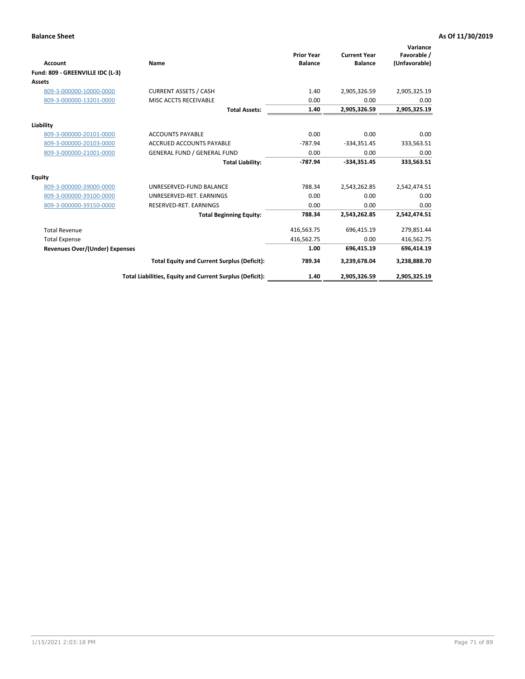| <b>Account</b>                   | Name                                                     | <b>Prior Year</b><br><b>Balance</b> | <b>Current Year</b><br><b>Balance</b> | Variance<br>Favorable /<br>(Unfavorable) |
|----------------------------------|----------------------------------------------------------|-------------------------------------|---------------------------------------|------------------------------------------|
| Fund: 809 - GREENVILLE IDC (L-3) |                                                          |                                     |                                       |                                          |
| <b>Assets</b>                    |                                                          |                                     |                                       |                                          |
| 809-3-000000-10000-0000          | <b>CURRENT ASSETS / CASH</b>                             | 1.40                                | 2,905,326.59                          | 2,905,325.19                             |
| 809-3-000000-13201-0000          | MISC ACCTS RECEIVABLE                                    | 0.00                                | 0.00                                  | 0.00                                     |
|                                  | <b>Total Assets:</b>                                     | 1.40                                | 2,905,326.59                          | 2,905,325.19                             |
| Liability                        |                                                          |                                     |                                       |                                          |
| 809-3-000000-20101-0000          | <b>ACCOUNTS PAYABLE</b>                                  | 0.00                                | 0.00                                  | 0.00                                     |
| 809-3-000000-20103-0000          | <b>ACCRUED ACCOUNTS PAYABLE</b>                          | $-787.94$                           | $-334,351.45$                         | 333,563.51                               |
| 809-3-000000-21001-0000          | <b>GENERAL FUND / GENERAL FUND</b>                       | 0.00                                | 0.00                                  | 0.00                                     |
|                                  | <b>Total Liability:</b>                                  | -787.94                             | $-334,351.45$                         | 333,563.51                               |
| <b>Equity</b>                    |                                                          |                                     |                                       |                                          |
| 809-3-000000-39000-0000          | UNRESERVED-FUND BALANCE                                  | 788.34                              | 2,543,262.85                          | 2,542,474.51                             |
| 809-3-000000-39100-0000          | UNRESERVED-RET, EARNINGS                                 | 0.00                                | 0.00                                  | 0.00                                     |
| 809-3-000000-39150-0000          | RESERVED-RET. EARNINGS                                   | 0.00                                | 0.00                                  | 0.00                                     |
|                                  | <b>Total Beginning Equity:</b>                           | 788.34                              | 2,543,262.85                          | 2,542,474.51                             |
| <b>Total Revenue</b>             |                                                          | 416,563.75                          | 696,415.19                            | 279,851.44                               |
| <b>Total Expense</b>             |                                                          | 416,562.75                          | 0.00                                  | 416,562.75                               |
| Revenues Over/(Under) Expenses   |                                                          | 1.00                                | 696,415.19                            | 696,414.19                               |
|                                  | <b>Total Equity and Current Surplus (Deficit):</b>       | 789.34                              | 3,239,678.04                          | 3,238,888.70                             |
|                                  | Total Liabilities, Equity and Current Surplus (Deficit): | 1.40                                | 2,905,326.59                          | 2,905,325.19                             |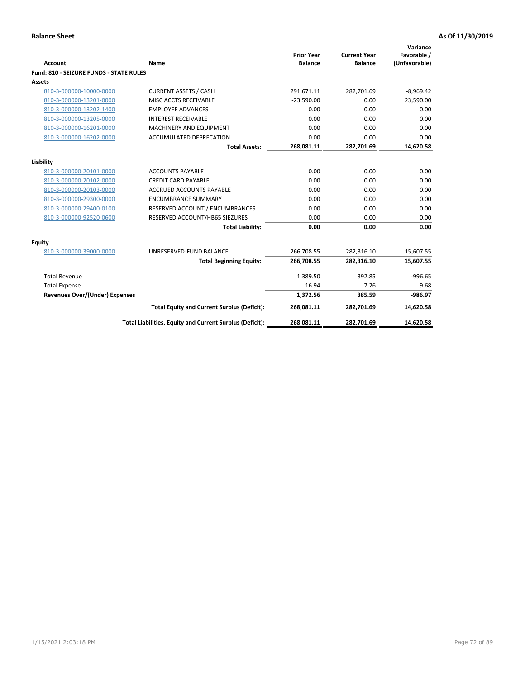| <b>Account</b>                                 | Name                                                     | <b>Prior Year</b><br><b>Balance</b> | <b>Current Year</b><br><b>Balance</b> | Variance<br>Favorable /<br>(Unfavorable) |
|------------------------------------------------|----------------------------------------------------------|-------------------------------------|---------------------------------------|------------------------------------------|
| <b>Fund: 810 - SEIZURE FUNDS - STATE RULES</b> |                                                          |                                     |                                       |                                          |
| <b>Assets</b>                                  |                                                          |                                     |                                       |                                          |
| 810-3-000000-10000-0000                        | <b>CURRENT ASSETS / CASH</b>                             | 291,671.11                          | 282,701.69                            | $-8,969.42$                              |
| 810-3-000000-13201-0000                        | MISC ACCTS RECEIVABLE                                    | $-23.590.00$                        | 0.00                                  | 23,590.00                                |
| 810-3-000000-13202-1400                        | <b>EMPLOYEE ADVANCES</b>                                 | 0.00                                | 0.00                                  | 0.00                                     |
| 810-3-000000-13205-0000                        | <b>INTEREST RECEIVABLE</b>                               | 0.00                                | 0.00                                  | 0.00                                     |
| 810-3-000000-16201-0000                        | MACHINERY AND EQUIPMENT                                  | 0.00                                | 0.00                                  | 0.00                                     |
| 810-3-000000-16202-0000                        | <b>ACCUMULATED DEPRECATION</b>                           | 0.00                                | 0.00                                  | 0.00                                     |
|                                                | <b>Total Assets:</b>                                     | 268,081.11                          | 282,701.69                            | 14,620.58                                |
|                                                |                                                          |                                     |                                       |                                          |
| Liability                                      |                                                          |                                     |                                       |                                          |
| 810-3-000000-20101-0000                        | <b>ACCOUNTS PAYABLE</b>                                  | 0.00                                | 0.00                                  | 0.00                                     |
| 810-3-000000-20102-0000                        | <b>CREDIT CARD PAYABLE</b>                               | 0.00                                | 0.00                                  | 0.00                                     |
| 810-3-000000-20103-0000                        | <b>ACCRUED ACCOUNTS PAYABLE</b>                          | 0.00                                | 0.00                                  | 0.00                                     |
| 810-3-000000-29300-0000                        | <b>ENCUMBRANCE SUMMARY</b>                               | 0.00                                | 0.00                                  | 0.00                                     |
| 810-3-000000-29400-0100                        | RESERVED ACCOUNT / ENCUMBRANCES                          | 0.00                                | 0.00                                  | 0.00                                     |
| 810-3-000000-92520-0600                        | RESERVED ACCOUNT/HB65 SIEZURES                           | 0.00                                | 0.00                                  | 0.00                                     |
|                                                | <b>Total Liability:</b>                                  | 0.00                                | 0.00                                  | 0.00                                     |
| Equity                                         |                                                          |                                     |                                       |                                          |
| 810-3-000000-39000-0000                        | UNRESERVED-FUND BALANCE                                  | 266,708.55                          | 282,316.10                            | 15,607.55                                |
|                                                | <b>Total Beginning Equity:</b>                           | 266,708.55                          | 282,316.10                            | 15,607.55                                |
| <b>Total Revenue</b>                           |                                                          | 1,389.50                            | 392.85                                | $-996.65$                                |
| <b>Total Expense</b>                           |                                                          | 16.94                               | 7.26                                  | 9.68                                     |
| Revenues Over/(Under) Expenses                 |                                                          | 1,372.56                            | 385.59                                | $-986.97$                                |
|                                                | <b>Total Equity and Current Surplus (Deficit):</b>       | 268,081.11                          | 282,701.69                            | 14,620.58                                |
|                                                | Total Liabilities, Equity and Current Surplus (Deficit): | 268,081.11                          | 282,701.69                            | 14,620.58                                |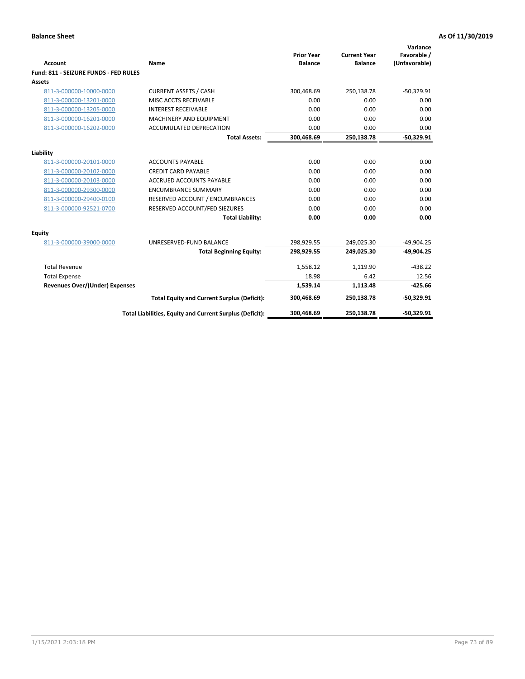| Account                               | Name                                                     | <b>Prior Year</b><br><b>Balance</b> | <b>Current Year</b><br><b>Balance</b> | Variance<br>Favorable /<br>(Unfavorable) |
|---------------------------------------|----------------------------------------------------------|-------------------------------------|---------------------------------------|------------------------------------------|
| Fund: 811 - SEIZURE FUNDS - FED RULES |                                                          |                                     |                                       |                                          |
| <b>Assets</b>                         |                                                          |                                     |                                       |                                          |
| 811-3-000000-10000-0000               | <b>CURRENT ASSETS / CASH</b>                             | 300,468.69                          | 250,138.78                            | $-50,329.91$                             |
| 811-3-000000-13201-0000               | MISC ACCTS RECEIVABLE                                    | 0.00                                | 0.00                                  | 0.00                                     |
| 811-3-000000-13205-0000               | <b>INTEREST RECEIVABLE</b>                               | 0.00                                | 0.00                                  | 0.00                                     |
| 811-3-000000-16201-0000               | <b>MACHINERY AND EQUIPMENT</b>                           | 0.00                                | 0.00                                  | 0.00                                     |
| 811-3-000000-16202-0000               | ACCUMULATED DEPRECATION                                  | 0.00                                | 0.00                                  | 0.00                                     |
|                                       | <b>Total Assets:</b>                                     | 300,468.69                          | 250,138.78                            | $-50,329.91$                             |
| Liability                             |                                                          |                                     |                                       |                                          |
| 811-3-000000-20101-0000               | <b>ACCOUNTS PAYABLE</b>                                  | 0.00                                | 0.00                                  | 0.00                                     |
| 811-3-000000-20102-0000               | <b>CREDIT CARD PAYABLE</b>                               | 0.00                                | 0.00                                  | 0.00                                     |
| 811-3-000000-20103-0000               | <b>ACCRUED ACCOUNTS PAYABLE</b>                          | 0.00                                | 0.00                                  | 0.00                                     |
| 811-3-000000-29300-0000               | <b>ENCUMBRANCE SUMMARY</b>                               | 0.00                                | 0.00                                  | 0.00                                     |
| 811-3-000000-29400-0100               | RESERVED ACCOUNT / ENCUMBRANCES                          | 0.00                                | 0.00                                  | 0.00                                     |
| 811-3-000000-92521-0700               | RESERVED ACCOUNT/FED SIEZURES                            | 0.00                                | 0.00                                  | 0.00                                     |
|                                       | <b>Total Liability:</b>                                  | 0.00                                | 0.00                                  | 0.00                                     |
| Equity                                |                                                          |                                     |                                       |                                          |
| 811-3-000000-39000-0000               | UNRESERVED-FUND BALANCE                                  | 298,929.55                          | 249,025.30                            | $-49,904.25$                             |
|                                       | <b>Total Beginning Equity:</b>                           | 298,929.55                          | 249,025.30                            | $-49,904.25$                             |
| <b>Total Revenue</b>                  |                                                          | 1.558.12                            | 1.119.90                              | $-438.22$                                |
| <b>Total Expense</b>                  |                                                          | 18.98                               | 6.42                                  | 12.56                                    |
| Revenues Over/(Under) Expenses        |                                                          | 1,539.14                            | 1,113.48                              | $-425.66$                                |
|                                       | <b>Total Equity and Current Surplus (Deficit):</b>       | 300,468.69                          | 250,138.78                            | $-50,329.91$                             |
|                                       | Total Liabilities, Equity and Current Surplus (Deficit): | 300,468.69                          | 250,138.78                            | $-50,329.91$                             |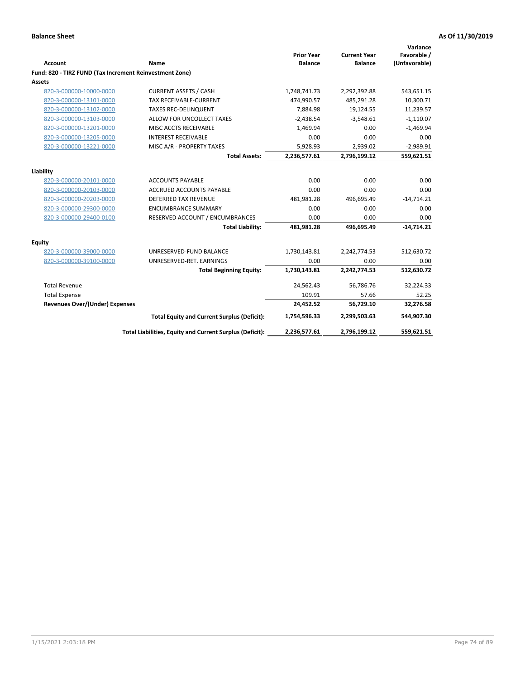|                                                         |                                                          | <b>Prior Year</b> | <b>Current Year</b> | Variance<br>Favorable / |
|---------------------------------------------------------|----------------------------------------------------------|-------------------|---------------------|-------------------------|
| <b>Account</b>                                          | Name                                                     | <b>Balance</b>    | <b>Balance</b>      | (Unfavorable)           |
| Fund: 820 - TIRZ FUND (Tax Increment Reinvestment Zone) |                                                          |                   |                     |                         |
| Assets                                                  |                                                          |                   |                     |                         |
| 820-3-000000-10000-0000                                 | <b>CURRENT ASSETS / CASH</b>                             | 1,748,741.73      | 2,292,392.88        | 543,651.15              |
| 820-3-000000-13101-0000                                 | <b>TAX RECEIVABLE-CURRENT</b>                            | 474,990.57        | 485,291.28          | 10,300.71               |
| 820-3-000000-13102-0000                                 | <b>TAXES REC-DELINQUENT</b>                              | 7,884.98          | 19,124.55           | 11,239.57               |
| 820-3-000000-13103-0000                                 | ALLOW FOR UNCOLLECT TAXES                                | $-2,438.54$       | $-3,548.61$         | $-1,110.07$             |
| 820-3-000000-13201-0000                                 | MISC ACCTS RECEIVABLE                                    | 1,469.94          | 0.00                | $-1,469.94$             |
| 820-3-000000-13205-0000                                 | <b>INTEREST RECEIVABLE</b>                               | 0.00              | 0.00                | 0.00                    |
| 820-3-000000-13221-0000                                 | MISC A/R - PROPERTY TAXES                                | 5,928.93          | 2,939.02            | $-2,989.91$             |
|                                                         | <b>Total Assets:</b>                                     | 2,236,577.61      | 2,796,199.12        | 559,621.51              |
| Liability                                               |                                                          |                   |                     |                         |
| 820-3-000000-20101-0000                                 | <b>ACCOUNTS PAYABLE</b>                                  | 0.00              | 0.00                | 0.00                    |
| 820-3-000000-20103-0000                                 | <b>ACCRUED ACCOUNTS PAYABLE</b>                          | 0.00              | 0.00                | 0.00                    |
| 820-3-000000-20203-0000                                 | <b>DEFERRED TAX REVENUE</b>                              | 481,981.28        | 496,695.49          | $-14,714.21$            |
| 820-3-000000-29300-0000                                 | <b>ENCUMBRANCE SUMMARY</b>                               | 0.00              | 0.00                | 0.00                    |
| 820-3-000000-29400-0100                                 | RESERVED ACCOUNT / ENCUMBRANCES                          | 0.00              | 0.00                | 0.00                    |
|                                                         | <b>Total Liability:</b>                                  | 481,981.28        | 496,695.49          | $-14,714.21$            |
| Equity                                                  |                                                          |                   |                     |                         |
| 820-3-000000-39000-0000                                 | UNRESERVED-FUND BALANCE                                  | 1,730,143.81      | 2,242,774.53        | 512,630.72              |
| 820-3-000000-39100-0000                                 | UNRESERVED-RET. EARNINGS                                 | 0.00              | 0.00                | 0.00                    |
|                                                         | <b>Total Beginning Equity:</b>                           | 1,730,143.81      | 2,242,774.53        | 512,630.72              |
| <b>Total Revenue</b>                                    |                                                          | 24,562.43         | 56,786.76           | 32,224.33               |
| <b>Total Expense</b>                                    |                                                          | 109.91            | 57.66               | 52.25                   |
| <b>Revenues Over/(Under) Expenses</b>                   |                                                          | 24,452.52         | 56,729.10           | 32,276.58               |
|                                                         | <b>Total Equity and Current Surplus (Deficit):</b>       | 1,754,596.33      | 2,299,503.63        | 544,907.30              |
|                                                         | Total Liabilities, Equity and Current Surplus (Deficit): | 2,236,577.61      | 2,796,199.12        | 559,621.51              |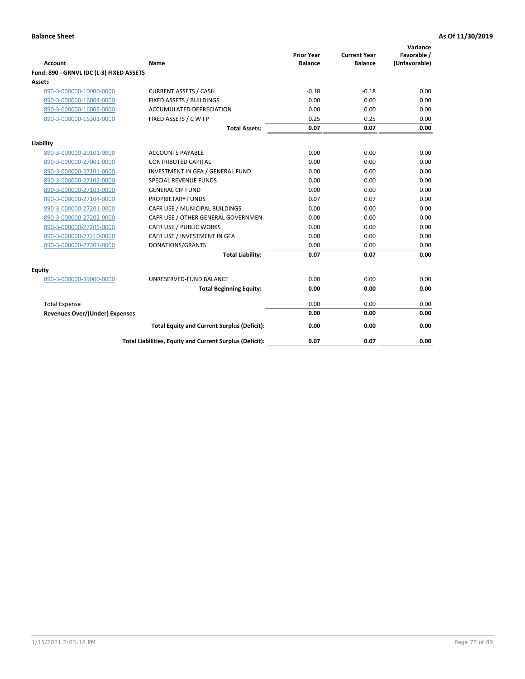| <b>Account</b>                           | Name                                                     | <b>Prior Year</b><br><b>Balance</b> | <b>Current Year</b><br><b>Balance</b> | Variance<br>Favorable /<br>(Unfavorable) |
|------------------------------------------|----------------------------------------------------------|-------------------------------------|---------------------------------------|------------------------------------------|
| Fund: 890 - GRNVL IDC (L-3) FIXED ASSETS |                                                          |                                     |                                       |                                          |
| <b>Assets</b>                            |                                                          |                                     |                                       |                                          |
| 890-3-000000-10000-0000                  | <b>CURRENT ASSETS / CASH</b>                             | $-0.18$                             | $-0.18$                               | 0.00                                     |
| 890-3-000000-16004-0000                  | FIXED ASSETS / BUILDINGS                                 | 0.00                                | 0.00                                  | 0.00                                     |
| 890-3-000000-16005-0000                  | <b>ACCUMULATED DEPRECIATION</b>                          | 0.00                                | 0.00                                  | 0.00                                     |
| 890-3-000000-16301-0000                  | FIXED ASSETS / C W I P                                   | 0.25                                | 0.25                                  | 0.00                                     |
|                                          | <b>Total Assets:</b>                                     | 0.07                                | 0.07                                  | 0.00                                     |
| Liability                                |                                                          |                                     |                                       |                                          |
| 890-3-000000-20101-0000                  | <b>ACCOUNTS PAYABLE</b>                                  | 0.00                                | 0.00                                  | 0.00                                     |
| 890-3-000000-27001-0000                  | <b>CONTRIBUTED CAPITAL</b>                               | 0.00                                | 0.00                                  | 0.00                                     |
| 890-3-000000-27101-0000                  | INVESTMENT IN GFA / GENERAL FUND                         | 0.00                                | 0.00                                  | 0.00                                     |
| 890-3-000000-27102-0000                  | <b>SPECIAL REVENUE FUNDS</b>                             | 0.00                                | 0.00                                  | 0.00                                     |
| 890-3-000000-27103-0000                  | <b>GENERAL CIP FUND</b>                                  | 0.00                                | 0.00                                  | 0.00                                     |
| 890-3-000000-27104-0000                  | PROPRIETARY FUNDS                                        | 0.07                                | 0.07                                  | 0.00                                     |
| 890-3-000000-27201-0000                  | CAFR USE / MUNICIPAL BUILDINGS                           | 0.00                                | 0.00                                  | 0.00                                     |
| 890-3-000000-27202-0000                  | CAFR USE / OTHER GENERAL GOVERNMEN                       | 0.00                                | 0.00                                  | 0.00                                     |
| 890-3-000000-27205-0000                  | CAFR USE / PUBLIC WORKS                                  | 0.00                                | 0.00                                  | 0.00                                     |
| 890-3-000000-27210-0000                  | CAFR USE / INVESTMENT IN GFA                             | 0.00                                | 0.00                                  | 0.00                                     |
| 890-3-000000-27301-0000                  | DONATIONS/GRANTS                                         | 0.00                                | 0.00                                  | 0.00                                     |
|                                          | <b>Total Liability:</b>                                  | 0.07                                | 0.07                                  | 0.00                                     |
| Equity                                   |                                                          |                                     |                                       |                                          |
| 890-3-000000-39000-0000                  | UNRESERVED-FUND BALANCE                                  | 0.00                                | 0.00                                  | 0.00                                     |
|                                          | <b>Total Beginning Equity:</b>                           | 0.00                                | 0.00                                  | 0.00                                     |
| <b>Total Expense</b>                     |                                                          | 0.00                                | 0.00                                  | 0.00                                     |
| Revenues Over/(Under) Expenses           |                                                          | 0.00                                | 0.00                                  | 0.00                                     |
|                                          | <b>Total Equity and Current Surplus (Deficit):</b>       | 0.00                                | 0.00                                  | 0.00                                     |
|                                          | Total Liabilities, Equity and Current Surplus (Deficit): | 0.07                                | 0.07                                  | 0.00                                     |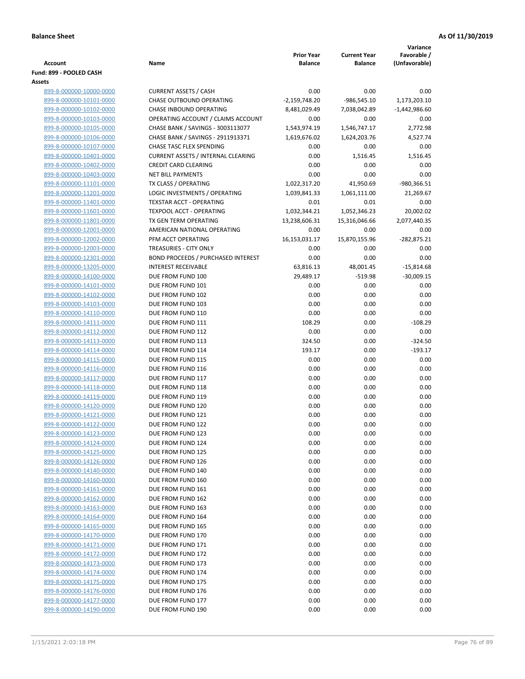|                                                    |                                              |                                     |                                       | Variance                     |
|----------------------------------------------------|----------------------------------------------|-------------------------------------|---------------------------------------|------------------------------|
| Account                                            | Name                                         | <b>Prior Year</b><br><b>Balance</b> | <b>Current Year</b><br><b>Balance</b> | Favorable /<br>(Unfavorable) |
| Fund: 899 - POOLED CASH                            |                                              |                                     |                                       |                              |
| Assets                                             |                                              |                                     |                                       |                              |
| 899-8-000000-10000-0000                            | <b>CURRENT ASSETS / CASH</b>                 | 0.00                                | 0.00                                  | 0.00                         |
| 899-8-000000-10101-0000                            | CHASE OUTBOUND OPERATING                     | $-2,159,748.20$                     | $-986,545.10$                         | 1,173,203.10                 |
| 899-8-000000-10102-0000                            | <b>CHASE INBOUND OPERATING</b>               | 8,481,029.49                        | 7,038,042.89                          | $-1,442,986.60$              |
| 899-8-000000-10103-0000                            | OPERATING ACCOUNT / CLAIMS ACCOUNT           | 0.00                                | 0.00                                  | 0.00                         |
| 899-8-000000-10105-0000                            | CHASE BANK / SAVINGS - 3003113077            | 1,543,974.19                        | 1,546,747.17                          | 2,772.98                     |
| 899-8-000000-10106-0000                            | CHASE BANK / SAVINGS - 2911913371            | 1,619,676.02                        | 1,624,203.76                          | 4,527.74                     |
| 899-8-000000-10107-0000                            | CHASE TASC FLEX SPENDING                     | 0.00                                | 0.00                                  | 0.00                         |
| 899-8-000000-10401-0000                            | <b>CURRENT ASSETS / INTERNAL CLEARING</b>    | 0.00                                | 1,516.45                              | 1,516.45                     |
| 899-8-000000-10402-0000                            | <b>CREDIT CARD CLEARING</b>                  | 0.00                                | 0.00                                  | 0.00                         |
| 899-8-000000-10403-0000                            | <b>NET BILL PAYMENTS</b>                     | 0.00                                | 0.00                                  | 0.00                         |
| 899-8-000000-11101-0000                            | TX CLASS / OPERATING                         | 1,022,317.20                        | 41,950.69                             | -980,366.51                  |
| 899-8-000000-11201-0000                            | LOGIC INVESTMENTS / OPERATING                | 1,039,841.33                        | 1,061,111.00                          | 21,269.67                    |
| 899-8-000000-11401-0000                            | <b>TEXSTAR ACCT - OPERATING</b>              | 0.01                                | 0.01                                  | 0.00                         |
| 899-8-000000-11601-0000                            | <b>TEXPOOL ACCT - OPERATING</b>              | 1,032,344.21                        | 1,052,346.23                          | 20,002.02                    |
| 899-8-000000-11801-0000                            | TX GEN TERM OPERATING                        | 13,238,606.31                       | 15,316,046.66                         | 2,077,440.35                 |
| 899-8-000000-12001-0000                            | AMERICAN NATIONAL OPERATING                  | 0.00                                | 0.00                                  | 0.00                         |
| 899-8-000000-12002-0000                            | PFM ACCT OPERATING<br>TREASURIES - CITY ONLY | 16,153,031.17<br>0.00               | 15,870,155.96<br>0.00                 | $-282,875.21$<br>0.00        |
| 899-8-000000-12003-0000<br>899-8-000000-12301-0000 | <b>BOND PROCEEDS / PURCHASED INTEREST</b>    | 0.00                                | 0.00                                  | 0.00                         |
| 899-8-000000-13205-0000                            | <b>INTEREST RECEIVABLE</b>                   | 63,816.13                           | 48,001.45                             | $-15,814.68$                 |
| 899-8-000000-14100-0000                            | DUE FROM FUND 100                            | 29,489.17                           | $-519.98$                             | $-30,009.15$                 |
| 899-8-000000-14101-0000                            | DUE FROM FUND 101                            | 0.00                                | 0.00                                  | 0.00                         |
| 899-8-000000-14102-0000                            | DUE FROM FUND 102                            | 0.00                                | 0.00                                  | 0.00                         |
| 899-8-000000-14103-0000                            | DUE FROM FUND 103                            | 0.00                                | 0.00                                  | 0.00                         |
| 899-8-000000-14110-0000                            | DUE FROM FUND 110                            | 0.00                                | 0.00                                  | 0.00                         |
| 899-8-000000-14111-0000                            | DUE FROM FUND 111                            | 108.29                              | 0.00                                  | $-108.29$                    |
| 899-8-000000-14112-0000                            | DUE FROM FUND 112                            | 0.00                                | 0.00                                  | 0.00                         |
| 899-8-000000-14113-0000                            | DUE FROM FUND 113                            | 324.50                              | 0.00                                  | $-324.50$                    |
| 899-8-000000-14114-0000                            | DUE FROM FUND 114                            | 193.17                              | 0.00                                  | $-193.17$                    |
| 899-8-000000-14115-0000                            | DUE FROM FUND 115                            | 0.00                                | 0.00                                  | 0.00                         |
| 899-8-000000-14116-0000                            | DUE FROM FUND 116                            | 0.00                                | 0.00                                  | 0.00                         |
| 899-8-000000-14117-0000                            | DUE FROM FUND 117                            | 0.00                                | 0.00                                  | 0.00                         |
| 899-8-000000-14118-0000                            | DUE FROM FUND 118                            | 0.00                                | 0.00                                  | 0.00                         |
| 899-8-000000-14119-0000                            | DUE FROM FUND 119                            | 0.00                                | 0.00                                  | 0.00                         |
| 899-8-000000-14120-0000                            | DUE FROM FUND 120                            | 0.00                                | 0.00                                  | 0.00                         |
| 899-8-000000-14121-0000                            | DUE FROM FUND 121                            | 0.00                                | 0.00                                  | 0.00                         |
| 899-8-000000-14122-0000                            | DUE FROM FUND 122                            | 0.00                                | 0.00                                  | 0.00                         |
| 899-8-000000-14123-0000                            | DUE FROM FUND 123                            | 0.00                                | 0.00                                  | 0.00                         |
| 899-8-000000-14124-0000<br>899-8-000000-14125-0000 | DUE FROM FUND 124<br>DUE FROM FUND 125       | 0.00<br>0.00                        | 0.00<br>0.00                          | 0.00<br>0.00                 |
| 899-8-000000-14126-0000                            | DUE FROM FUND 126                            | 0.00                                | 0.00                                  | 0.00                         |
| 899-8-000000-14140-0000                            | DUE FROM FUND 140                            | 0.00                                | 0.00                                  | 0.00                         |
| 899-8-000000-14160-0000                            | DUE FROM FUND 160                            | 0.00                                | 0.00                                  | 0.00                         |
| 899-8-000000-14161-0000                            | DUE FROM FUND 161                            | 0.00                                | 0.00                                  | 0.00                         |
| 899-8-000000-14162-0000                            | DUE FROM FUND 162                            | 0.00                                | 0.00                                  | 0.00                         |
| 899-8-000000-14163-0000                            | DUE FROM FUND 163                            | 0.00                                | 0.00                                  | 0.00                         |
| 899-8-000000-14164-0000                            | DUE FROM FUND 164                            | 0.00                                | 0.00                                  | 0.00                         |
| 899-8-000000-14165-0000                            | DUE FROM FUND 165                            | 0.00                                | 0.00                                  | 0.00                         |
| 899-8-000000-14170-0000                            | DUE FROM FUND 170                            | 0.00                                | 0.00                                  | 0.00                         |
| 899-8-000000-14171-0000                            | DUE FROM FUND 171                            | 0.00                                | 0.00                                  | 0.00                         |
| 899-8-000000-14172-0000                            | DUE FROM FUND 172                            | 0.00                                | 0.00                                  | 0.00                         |
| 899-8-000000-14173-0000                            | DUE FROM FUND 173                            | 0.00                                | 0.00                                  | 0.00                         |
| 899-8-000000-14174-0000                            | DUE FROM FUND 174                            | 0.00                                | 0.00                                  | 0.00                         |
| 899-8-000000-14175-0000                            | DUE FROM FUND 175                            | 0.00                                | 0.00                                  | 0.00                         |
| 899-8-000000-14176-0000                            | DUE FROM FUND 176                            | 0.00                                | 0.00                                  | 0.00                         |
| 899-8-000000-14177-0000                            | DUE FROM FUND 177                            | 0.00                                | 0.00                                  | 0.00                         |
| 899-8-000000-14190-0000                            | DUE FROM FUND 190                            | 0.00                                | 0.00                                  | 0.00                         |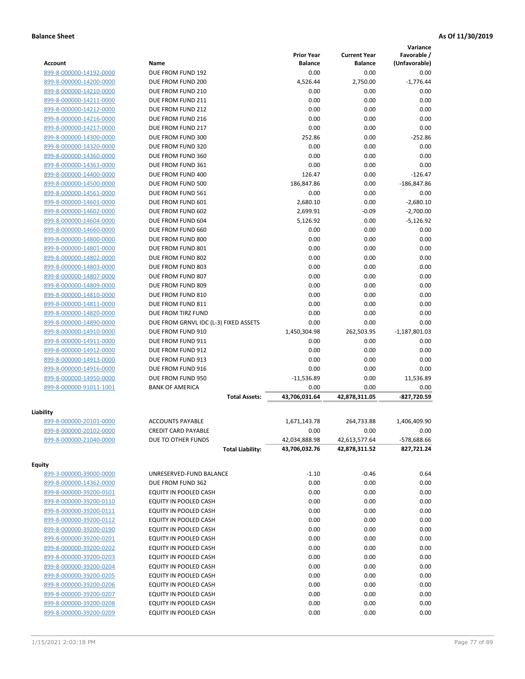|                         |                                       |                   |                     | Variance        |
|-------------------------|---------------------------------------|-------------------|---------------------|-----------------|
|                         |                                       | <b>Prior Year</b> | <b>Current Year</b> | Favorable /     |
| <b>Account</b>          | Name                                  | <b>Balance</b>    | <b>Balance</b>      | (Unfavorable)   |
| 899-8-000000-14192-0000 | DUE FROM FUND 192                     | 0.00              | 0.00                | 0.00            |
| 899-8-000000-14200-0000 | DUE FROM FUND 200                     | 4,526.44          | 2,750.00            | $-1,776.44$     |
| 899-8-000000-14210-0000 | DUE FROM FUND 210                     | 0.00              | 0.00                | 0.00            |
| 899-8-000000-14211-0000 | DUE FROM FUND 211                     | 0.00              | 0.00                | 0.00            |
| 899-8-000000-14212-0000 | DUE FROM FUND 212                     | 0.00              | 0.00                | 0.00            |
| 899-8-000000-14216-0000 | DUE FROM FUND 216                     | 0.00              | 0.00                | 0.00            |
| 899-8-000000-14217-0000 | DUE FROM FUND 217                     | 0.00              | 0.00                | 0.00            |
| 899-8-000000-14300-0000 | DUE FROM FUND 300                     | 252.86            | 0.00                | $-252.86$       |
| 899-8-000000-14320-0000 | DUE FROM FUND 320                     | 0.00              | 0.00                | 0.00            |
| 899-8-000000-14360-0000 | DUE FROM FUND 360                     | 0.00              | 0.00                | 0.00            |
| 899-8-000000-14361-0000 | DUE FROM FUND 361                     | 0.00              | 0.00                | 0.00            |
| 899-8-000000-14400-0000 | DUE FROM FUND 400                     | 126.47            | 0.00                | $-126.47$       |
| 899-8-000000-14500-0000 | DUE FROM FUND 500                     | 186,847.86        | 0.00                | $-186,847.86$   |
| 899-8-000000-14561-0000 | DUE FROM FUND 561                     | 0.00              | 0.00                | 0.00            |
| 899-8-000000-14601-0000 | DUE FROM FUND 601                     | 2,680.10          | 0.00                | $-2,680.10$     |
| 899-8-000000-14602-0000 | DUE FROM FUND 602                     | 2,699.91          | $-0.09$             | $-2,700.00$     |
| 899-8-000000-14604-0000 | DUE FROM FUND 604                     | 5,126.92          | 0.00                | $-5,126.92$     |
| 899-8-000000-14660-0000 | DUE FROM FUND 660                     | 0.00              | 0.00                | 0.00            |
| 899-8-000000-14800-0000 | DUE FROM FUND 800                     | 0.00              | 0.00                | 0.00            |
| 899-8-000000-14801-0000 | DUE FROM FUND 801                     | 0.00              | 0.00                | 0.00            |
| 899-8-000000-14802-0000 | DUE FROM FUND 802                     | 0.00              | 0.00                | 0.00            |
| 899-8-000000-14803-0000 | DUE FROM FUND 803                     | 0.00              | 0.00                | 0.00            |
| 899-8-000000-14807-0000 | DUE FROM FUND 807                     | 0.00              | 0.00                | 0.00            |
| 899-8-000000-14809-0000 | DUE FROM FUND 809                     | 0.00              | 0.00                | 0.00            |
| 899-8-000000-14810-0000 | DUE FROM FUND 810                     | 0.00              | 0.00                | 0.00            |
| 899-8-000000-14811-0000 | DUE FROM FUND 811                     | 0.00              | 0.00                | 0.00            |
| 899-8-000000-14820-0000 | DUE FROM TIRZ FUND                    | 0.00              | 0.00                | 0.00            |
| 899-8-000000-14890-0000 | DUE FROM GRNVL IDC (L-3) FIXED ASSETS | 0.00              | 0.00                | 0.00            |
| 899-8-000000-14910-0000 | DUE FROM FUND 910                     | 1,450,304.98      | 262,503.95          | $-1,187,801.03$ |
| 899-8-000000-14911-0000 | DUE FROM FUND 911                     | 0.00              | 0.00                | 0.00            |
| 899-8-000000-14912-0000 | DUE FROM FUND 912                     | 0.00              | 0.00                | 0.00            |
| 899-8-000000-14913-0000 | DUE FROM FUND 913                     | 0.00              | 0.00                | 0.00            |
| 899-8-000000-14916-0000 | DUE FROM FUND 916                     | 0.00              | 0.00                | 0.00            |
| 899-8-000000-14950-0000 | DUE FROM FUND 950                     | $-11,536.89$      | 0.00                | 11,536.89       |
| 899-8-000000-91011-1001 | <b>BANK OF AMERICA</b>                | 0.00              | 0.00                | 0.00            |
|                         | <b>Total Assets:</b>                  | 43,706,031.64     | 42.878.311.05       | -827.720.59     |
|                         |                                       |                   |                     |                 |
| Liability               |                                       |                   |                     |                 |
| 899-8-000000-20101-0000 | <b>ACCOUNTS PAYABLE</b>               | 1,671,143.78      | 264,733.88          | 1,406,409.90    |
| 899-8-000000-20102-0000 | <b>CREDIT CARD PAYABLE</b>            | 0.00              | 0.00                | 0.00            |
| 899-8-000000-21040-0000 | DUE TO OTHER FUNDS                    | 42,034,888.98     | 42,613,577.64       | -578,688.66     |
|                         | <b>Total Liability:</b>               | 43,706,032.76     | 42,878,311.52       | 827,721.24      |
|                         |                                       |                   |                     |                 |
| <b>Equity</b>           |                                       |                   |                     |                 |
| 899-3-000000-39000-0000 | UNRESERVED-FUND BALANCE               | $-1.10$           | $-0.46$             | 0.64            |
| 899-8-000000-14362-0000 | DUE FROM FUND 362                     | 0.00              | 0.00                | 0.00            |
| 899-8-000000-39200-0101 | EQUITY IN POOLED CASH                 | 0.00              | 0.00                | 0.00            |
| 899-8-000000-39200-0110 | EQUITY IN POOLED CASH                 | 0.00              | 0.00                | 0.00            |
| 899-8-000000-39200-0111 | EQUITY IN POOLED CASH                 | 0.00              | 0.00                | 0.00            |
| 899-8-000000-39200-0112 | EQUITY IN POOLED CASH                 | 0.00              | 0.00                | 0.00            |
| 899-8-000000-39200-0190 | EQUITY IN POOLED CASH                 | 0.00              | 0.00                | 0.00            |
| 899-8-000000-39200-0201 | EQUITY IN POOLED CASH                 | 0.00              | 0.00                | 0.00            |
| 899-8-000000-39200-0202 | EQUITY IN POOLED CASH                 | 0.00              | 0.00                | 0.00            |
| 899-8-000000-39200-0203 | EQUITY IN POOLED CASH                 | 0.00              | 0.00                | 0.00            |
| 899-8-000000-39200-0204 | EQUITY IN POOLED CASH                 | 0.00              | 0.00                | 0.00            |
| 899-8-000000-39200-0205 | EQUITY IN POOLED CASH                 | 0.00              | 0.00                | 0.00            |
| 899-8-000000-39200-0206 | EQUITY IN POOLED CASH                 | 0.00              | 0.00                | 0.00            |
| 899-8-000000-39200-0207 | EQUITY IN POOLED CASH                 | 0.00              | 0.00                | 0.00            |
| 899-8-000000-39200-0208 | EQUITY IN POOLED CASH                 | 0.00              | 0.00                | 0.00            |
| 899-8-000000-39200-0209 | EQUITY IN POOLED CASH                 | 0.00              | 0.00                | 0.00            |
|                         |                                       |                   |                     |                 |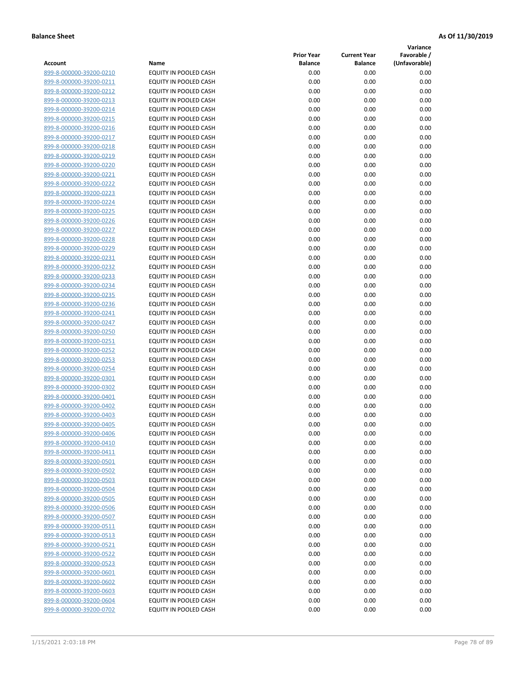**Variance**

| Account                                            | Name                                           | <b>Prior Year</b><br><b>Balance</b> | <b>Current Year</b><br><b>Balance</b> | Favorable /<br>(Unfavorable) |
|----------------------------------------------------|------------------------------------------------|-------------------------------------|---------------------------------------|------------------------------|
| 899-8-000000-39200-0210                            | EQUITY IN POOLED CASH                          | 0.00                                | 0.00                                  | 0.00                         |
| 899-8-000000-39200-0211                            | EQUITY IN POOLED CASH                          | 0.00                                | 0.00                                  | 0.00                         |
| 899-8-000000-39200-0212                            | EQUITY IN POOLED CASH                          | 0.00                                | 0.00                                  | 0.00                         |
| 899-8-000000-39200-0213                            | EQUITY IN POOLED CASH                          | 0.00                                | 0.00                                  | 0.00                         |
| 899-8-000000-39200-0214                            | <b>EQUITY IN POOLED CASH</b>                   | 0.00                                | 0.00                                  | 0.00                         |
| 899-8-000000-39200-0215                            | EQUITY IN POOLED CASH                          | 0.00                                | 0.00                                  | 0.00                         |
| 899-8-000000-39200-0216                            | EQUITY IN POOLED CASH                          | 0.00                                | 0.00                                  | 0.00                         |
| 899-8-000000-39200-0217                            | EQUITY IN POOLED CASH                          | 0.00                                | 0.00                                  | 0.00                         |
| 899-8-000000-39200-0218                            | EQUITY IN POOLED CASH                          | 0.00                                | 0.00                                  | 0.00                         |
| 899-8-000000-39200-0219                            | EQUITY IN POOLED CASH                          | 0.00                                | 0.00                                  | 0.00                         |
| 899-8-000000-39200-0220                            | EQUITY IN POOLED CASH                          | 0.00                                | 0.00                                  | 0.00                         |
| 899-8-000000-39200-0221                            | EQUITY IN POOLED CASH                          | 0.00                                | 0.00                                  | 0.00                         |
| 899-8-000000-39200-0222                            | EQUITY IN POOLED CASH                          | 0.00                                | 0.00                                  | 0.00                         |
| 899-8-000000-39200-0223                            | EQUITY IN POOLED CASH                          | 0.00                                | 0.00                                  | 0.00                         |
| 899-8-000000-39200-0224                            | EQUITY IN POOLED CASH                          | 0.00                                | 0.00                                  | 0.00                         |
| 899-8-000000-39200-0225                            | EQUITY IN POOLED CASH                          | 0.00                                | 0.00                                  | 0.00                         |
| 899-8-000000-39200-0226                            | EQUITY IN POOLED CASH                          | 0.00                                | 0.00                                  | 0.00                         |
| 899-8-000000-39200-0227                            | EQUITY IN POOLED CASH                          | 0.00                                | 0.00                                  | 0.00                         |
| 899-8-000000-39200-0228                            | EQUITY IN POOLED CASH                          | 0.00                                | 0.00                                  | 0.00                         |
| 899-8-000000-39200-0229                            | <b>EQUITY IN POOLED CASH</b>                   | 0.00                                | 0.00                                  | 0.00                         |
| 899-8-000000-39200-0231                            | <b>EQUITY IN POOLED CASH</b>                   | 0.00                                | 0.00                                  | 0.00                         |
| 899-8-000000-39200-0232                            | EQUITY IN POOLED CASH                          | 0.00                                | 0.00                                  | 0.00                         |
| 899-8-000000-39200-0233                            | EQUITY IN POOLED CASH                          | 0.00                                | 0.00                                  | 0.00                         |
| 899-8-000000-39200-0234                            | EQUITY IN POOLED CASH                          | 0.00                                | 0.00                                  | 0.00                         |
| 899-8-000000-39200-0235                            | EQUITY IN POOLED CASH                          | 0.00                                | 0.00                                  | 0.00                         |
| 899-8-000000-39200-0236                            | EQUITY IN POOLED CASH                          | 0.00                                | 0.00                                  | 0.00                         |
| 899-8-000000-39200-0241                            | EQUITY IN POOLED CASH                          | 0.00                                | 0.00                                  | 0.00                         |
| 899-8-000000-39200-0247                            | EQUITY IN POOLED CASH                          | 0.00                                | 0.00                                  | 0.00                         |
| 899-8-000000-39200-0250                            | EQUITY IN POOLED CASH                          | 0.00                                | 0.00                                  | 0.00                         |
| 899-8-000000-39200-0251                            | EQUITY IN POOLED CASH                          | 0.00                                | 0.00                                  | 0.00                         |
| 899-8-000000-39200-0252                            | EQUITY IN POOLED CASH                          | 0.00                                | 0.00                                  | 0.00                         |
| 899-8-000000-39200-0253                            | EQUITY IN POOLED CASH                          | 0.00                                | 0.00                                  | 0.00                         |
| 899-8-000000-39200-0254                            | EQUITY IN POOLED CASH                          | 0.00                                | 0.00                                  | 0.00                         |
| 899-8-000000-39200-0301<br>899-8-000000-39200-0302 | EQUITY IN POOLED CASH                          | 0.00<br>0.00                        | 0.00                                  | 0.00                         |
| 899-8-000000-39200-0401                            | EQUITY IN POOLED CASH<br>EQUITY IN POOLED CASH | 0.00                                | 0.00<br>0.00                          | 0.00<br>0.00                 |
| 899-8-000000-39200-0402                            | EQUITY IN POOLED CASH                          | 0.00                                | 0.00                                  | 0.00                         |
| 899-8-000000-39200-0403                            | EQUITY IN POOLED CASH                          | 0.00                                | 0.00                                  | 0.00                         |
| 899-8-000000-39200-0405                            | <b>EQUITY IN POOLED CASH</b>                   | 0.00                                | 0.00                                  | 0.00                         |
| 899-8-000000-39200-0406                            | EQUITY IN POOLED CASH                          | 0.00                                | 0.00                                  | 0.00                         |
| 899-8-000000-39200-0410                            | <b>EQUITY IN POOLED CASH</b>                   | 0.00                                | 0.00                                  | 0.00                         |
| 899-8-000000-39200-0411                            | EQUITY IN POOLED CASH                          | 0.00                                | 0.00                                  | 0.00                         |
| 899-8-000000-39200-0501                            | EQUITY IN POOLED CASH                          | 0.00                                | 0.00                                  | 0.00                         |
| 899-8-000000-39200-0502                            | EQUITY IN POOLED CASH                          | 0.00                                | 0.00                                  | 0.00                         |
| 899-8-000000-39200-0503                            | EQUITY IN POOLED CASH                          | 0.00                                | 0.00                                  | 0.00                         |
| 899-8-000000-39200-0504                            | <b>EQUITY IN POOLED CASH</b>                   | 0.00                                | 0.00                                  | 0.00                         |
| 899-8-000000-39200-0505                            | EQUITY IN POOLED CASH                          | 0.00                                | 0.00                                  | 0.00                         |
| 899-8-000000-39200-0506                            | EQUITY IN POOLED CASH                          | 0.00                                | 0.00                                  | 0.00                         |
| 899-8-000000-39200-0507                            | EQUITY IN POOLED CASH                          | 0.00                                | 0.00                                  | 0.00                         |
| 899-8-000000-39200-0511                            | <b>EQUITY IN POOLED CASH</b>                   | 0.00                                | 0.00                                  | 0.00                         |
| 899-8-000000-39200-0513                            | EQUITY IN POOLED CASH                          | 0.00                                | 0.00                                  | 0.00                         |
| 899-8-000000-39200-0521                            | EQUITY IN POOLED CASH                          | 0.00                                | 0.00                                  | 0.00                         |
| 899-8-000000-39200-0522                            | EQUITY IN POOLED CASH                          | 0.00                                | 0.00                                  | 0.00                         |
| 899-8-000000-39200-0523                            | EQUITY IN POOLED CASH                          | 0.00                                | 0.00                                  | 0.00                         |
| 899-8-000000-39200-0601                            | EQUITY IN POOLED CASH                          | 0.00                                | 0.00                                  | 0.00                         |
| 899-8-000000-39200-0602                            | EQUITY IN POOLED CASH                          | 0.00                                | 0.00                                  | 0.00                         |
| 899-8-000000-39200-0603                            | EQUITY IN POOLED CASH                          | 0.00                                | 0.00                                  | 0.00                         |
| 899-8-000000-39200-0604                            | EQUITY IN POOLED CASH                          | 0.00                                | 0.00                                  | 0.00                         |
| 899-8-000000-39200-0702                            | EQUITY IN POOLED CASH                          | 0.00                                | 0.00                                  | 0.00                         |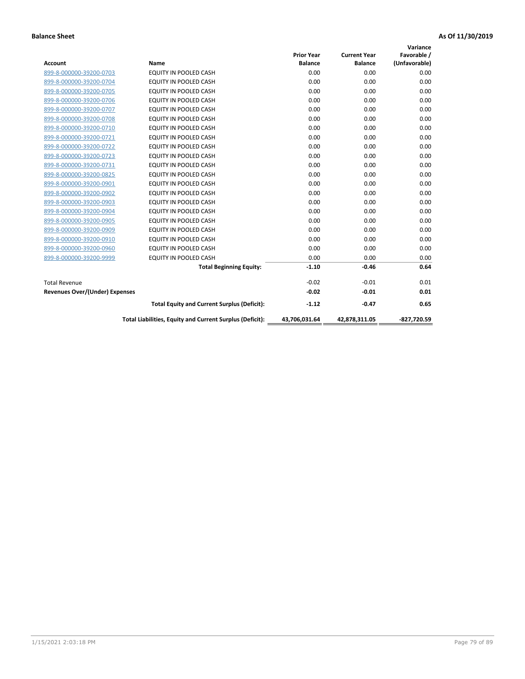| <b>Account</b>                 | Name                                                     | <b>Prior Year</b><br><b>Balance</b> | <b>Current Year</b><br><b>Balance</b> | Variance<br>Favorable /<br>(Unfavorable) |
|--------------------------------|----------------------------------------------------------|-------------------------------------|---------------------------------------|------------------------------------------|
| 899-8-000000-39200-0703        | <b>EQUITY IN POOLED CASH</b>                             | 0.00                                | 0.00                                  | 0.00                                     |
| 899-8-000000-39200-0704        | EQUITY IN POOLED CASH                                    | 0.00                                | 0.00                                  | 0.00                                     |
| 899-8-000000-39200-0705        | EQUITY IN POOLED CASH                                    | 0.00                                | 0.00                                  | 0.00                                     |
| 899-8-000000-39200-0706        | <b>EQUITY IN POOLED CASH</b>                             | 0.00                                | 0.00                                  | 0.00                                     |
| 899-8-000000-39200-0707        | <b>EQUITY IN POOLED CASH</b>                             | 0.00                                | 0.00                                  | 0.00                                     |
| 899-8-000000-39200-0708        | <b>EQUITY IN POOLED CASH</b>                             | 0.00                                | 0.00                                  | 0.00                                     |
| 899-8-000000-39200-0710        | <b>EQUITY IN POOLED CASH</b>                             | 0.00                                | 0.00                                  | 0.00                                     |
| 899-8-000000-39200-0721        | <b>EQUITY IN POOLED CASH</b>                             | 0.00                                | 0.00                                  | 0.00                                     |
| 899-8-000000-39200-0722        | EQUITY IN POOLED CASH                                    | 0.00                                | 0.00                                  | 0.00                                     |
| 899-8-000000-39200-0723        | <b>EQUITY IN POOLED CASH</b>                             | 0.00                                | 0.00                                  | 0.00                                     |
| 899-8-000000-39200-0731        | <b>EQUITY IN POOLED CASH</b>                             | 0.00                                | 0.00                                  | 0.00                                     |
| 899-8-000000-39200-0825        | <b>EQUITY IN POOLED CASH</b>                             | 0.00                                | 0.00                                  | 0.00                                     |
| 899-8-000000-39200-0901        | <b>EQUITY IN POOLED CASH</b>                             | 0.00                                | 0.00                                  | 0.00                                     |
| 899-8-000000-39200-0902        | EQUITY IN POOLED CASH                                    | 0.00                                | 0.00                                  | 0.00                                     |
| 899-8-000000-39200-0903        | <b>EQUITY IN POOLED CASH</b>                             | 0.00                                | 0.00                                  | 0.00                                     |
| 899-8-000000-39200-0904        | <b>EQUITY IN POOLED CASH</b>                             | 0.00                                | 0.00                                  | 0.00                                     |
| 899-8-000000-39200-0905        | EQUITY IN POOLED CASH                                    | 0.00                                | 0.00                                  | 0.00                                     |
| 899-8-000000-39200-0909        | EQUITY IN POOLED CASH                                    | 0.00                                | 0.00                                  | 0.00                                     |
| 899-8-000000-39200-0910        | <b>EQUITY IN POOLED CASH</b>                             | 0.00                                | 0.00                                  | 0.00                                     |
| 899-8-000000-39200-0960        | <b>EQUITY IN POOLED CASH</b>                             | 0.00                                | 0.00                                  | 0.00                                     |
| 899-8-000000-39200-9999        | <b>EQUITY IN POOLED CASH</b>                             | 0.00                                | 0.00                                  | 0.00                                     |
|                                | <b>Total Beginning Equity:</b>                           | $-1.10$                             | $-0.46$                               | 0.64                                     |
| <b>Total Revenue</b>           |                                                          | $-0.02$                             | $-0.01$                               | 0.01                                     |
| Revenues Over/(Under) Expenses |                                                          | $-0.02$                             | $-0.01$                               | 0.01                                     |
|                                | <b>Total Equity and Current Surplus (Deficit):</b>       | $-1.12$                             | $-0.47$                               | 0.65                                     |
|                                | Total Liabilities, Equity and Current Surplus (Deficit): | 43,706,031.64                       | 42,878,311.05                         | -827.720.59                              |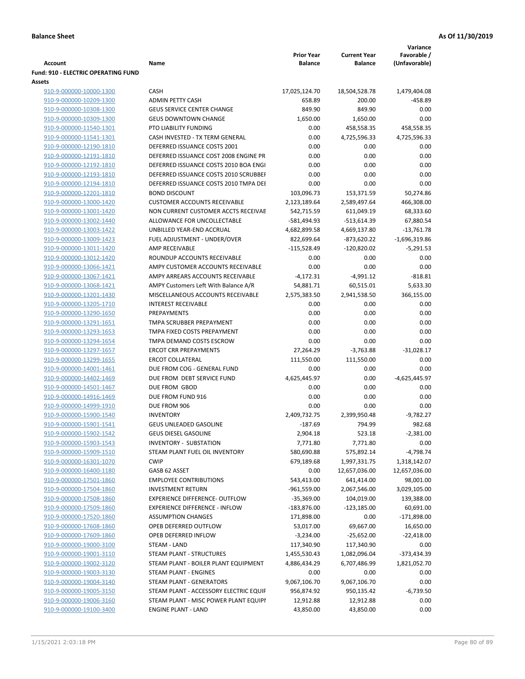|                                                    |                                                          |                                     |                                       | Variance                       |
|----------------------------------------------------|----------------------------------------------------------|-------------------------------------|---------------------------------------|--------------------------------|
| <b>Account</b>                                     | Name                                                     | <b>Prior Year</b><br><b>Balance</b> | <b>Current Year</b><br><b>Balance</b> | Favorable /<br>(Unfavorable)   |
| <b>Fund: 910 - ELECTRIC OPERATING FUND</b>         |                                                          |                                     |                                       |                                |
| Assets                                             |                                                          |                                     |                                       |                                |
| 910-9-000000-10000-1300                            | <b>CASH</b>                                              | 17,025,124.70                       | 18,504,528.78                         | 1,479,404.08                   |
| 910-9-000000-10209-1300                            | <b>ADMIN PETTY CASH</b>                                  | 658.89                              | 200.00                                | $-458.89$                      |
| 910-9-000000-10308-1300                            | <b>GEUS SERVICE CENTER CHANGE</b>                        | 849.90                              | 849.90                                | 0.00                           |
| 910-9-000000-10309-1300                            | <b>GEUS DOWNTOWN CHANGE</b>                              | 1,650.00                            | 1,650.00                              | 0.00                           |
| 910-9-000000-11540-1301                            | PTO LIABILITY FUNDING                                    | 0.00                                | 458,558.35                            | 458,558.35                     |
| 910-9-000000-11541-1301                            | CASH INVESTED - TX TERM GENERAL                          | 0.00                                | 4,725,596.33                          | 4,725,596.33                   |
| 910-9-000000-12190-1810                            | DEFERRED ISSUANCE COSTS 2001                             | 0.00                                | 0.00                                  | 0.00                           |
| 910-9-000000-12191-1810                            | DEFERRED ISSUANCE COST 2008 ENGINE PR                    | 0.00                                | 0.00                                  | 0.00                           |
| 910-9-000000-12192-1810                            | DEFERRED ISSUANCE COSTS 2010 BOA ENGI                    | 0.00                                | 0.00                                  | 0.00                           |
| 910-9-000000-12193-1810                            | DEFERRED ISSUANCE COSTS 2010 SCRUBBEI                    | 0.00                                | 0.00                                  | 0.00                           |
| 910-9-000000-12194-1810                            | DEFERRED ISSUANCE COSTS 2010 TMPA DEI                    | 0.00                                | 0.00                                  | 0.00                           |
| 910-9-000000-12201-1810                            | <b>BOND DISCOUNT</b>                                     | 103,096.73                          | 153,371.59                            | 50,274.86                      |
| 910-9-000000-13000-1420                            | <b>CUSTOMER ACCOUNTS RECEIVABLE</b>                      | 2,123,189.64                        | 2,589,497.64                          | 466,308.00                     |
| 910-9-000000-13001-1420                            | NON CURRENT CUSTOMER ACCTS RECEIVAE                      | 542,715.59                          | 611,049.19                            | 68,333.60                      |
| 910-9-000000-13002-1440                            | ALLOWANCE FOR UNCOLLECTABLE<br>UNBILLED YEAR-END ACCRUAL | -581,494.93                         | $-513,614.39$                         | 67,880.54<br>$-13,761.78$      |
| 910-9-000000-13003-1422<br>910-9-000000-13009-1423 | FUEL ADJUSTMENT - UNDER/OVER                             | 4,682,899.58<br>822,699.64          | 4,669,137.80<br>$-873,620.22$         |                                |
| 910-9-000000-13011-1420                            | AMP RECEIVABLE                                           | $-115,528.49$                       | $-120,820.02$                         | $-1,696,319.86$<br>$-5,291.53$ |
| 910-9-000000-13012-1420                            | ROUNDUP ACCOUNTS RECEIVABLE                              | 0.00                                | 0.00                                  | 0.00                           |
| 910-9-000000-13066-1421                            | AMPY CUSTOMER ACCOUNTS RECEIVABLE                        | 0.00                                | 0.00                                  | 0.00                           |
| 910-9-000000-13067-1421                            | AMPY ARREARS ACCOUNTS RECEIVABLE                         | $-4,172.31$                         | $-4,991.12$                           | $-818.81$                      |
| 910-9-000000-13068-1421                            | AMPY Customers Left With Balance A/R                     | 54,881.71                           | 60,515.01                             | 5,633.30                       |
| 910-9-000000-13201-1430                            | MISCELLANEOUS ACCOUNTS RECEIVABLE                        | 2,575,383.50                        | 2,941,538.50                          | 366,155.00                     |
| 910-9-000000-13205-1710                            | <b>INTEREST RECEIVABLE</b>                               | 0.00                                | 0.00                                  | 0.00                           |
| 910-9-000000-13290-1650                            | PREPAYMENTS                                              | 0.00                                | 0.00                                  | 0.00                           |
| 910-9-000000-13291-1651                            | TMPA SCRUBBER PREPAYMENT                                 | 0.00                                | 0.00                                  | 0.00                           |
| 910-9-000000-13293-1653                            | TMPA FIXED COSTS PREPAYMENT                              | 0.00                                | 0.00                                  | 0.00                           |
| 910-9-000000-13294-1654                            | TMPA DEMAND COSTS ESCROW                                 | 0.00                                | 0.00                                  | 0.00                           |
| 910-9-000000-13297-1657                            | <b>ERCOT CRR PREPAYMENTS</b>                             | 27,264.29                           | $-3,763.88$                           | $-31,028.17$                   |
| 910-9-000000-13299-1655                            | <b>ERCOT COLLATERAL</b>                                  | 111,550.00                          | 111,550.00                            | 0.00                           |
| 910-9-000000-14001-1461                            | DUE FROM COG - GENERAL FUND                              | 0.00                                | 0.00                                  | 0.00                           |
| 910-9-000000-14402-1469                            | DUE FROM DEBT SERVICE FUND                               | 4,625,445.97                        | 0.00                                  | $-4,625,445.97$                |
| 910-9-000000-14501-1467                            | DUE FROM GBOD                                            | 0.00                                | 0.00                                  | 0.00                           |
| 910-9-000000-14916-1469                            | DUE FROM FUND 916                                        | 0.00                                | 0.00                                  | 0.00                           |
| 910-9-000000-14999-1910                            | DUE FROM 906                                             | 0.00                                | 0.00                                  | 0.00                           |
| 910-9-000000-15900-1540                            | <b>INVENTORY</b>                                         | 2,409,732.75                        | 2,399,950.48                          | $-9,782.27$                    |
| 910-9-000000-15901-1541                            | <b>GEUS UNLEADED GASOLINE</b>                            | $-187.69$                           | 794.99                                | 982.68                         |
| 910-9-000000-15902-1542                            | <b>GEUS DIESEL GASOLINE</b>                              | 2,904.18                            | 523.18                                | $-2,381.00$                    |
| 910-9-000000-15903-1543                            | INVENTORY - SUBSTATION                                   | 7,771.80                            | 7,771.80                              | 0.00                           |
| 910-9-000000-15909-1510                            | STEAM PLANT FUEL OIL INVENTORY                           | 580,690.88                          | 575,892.14                            | $-4,798.74$                    |
| 910-9-000000-16301-1070                            | <b>CWIP</b>                                              | 679,189.68                          | 1,997,331.75                          | 1,318,142.07                   |
| 910-9-000000-16400-1180                            | GASB 62 ASSET                                            | 0.00                                | 12,657,036.00                         | 12,657,036.00                  |
| 910-9-000000-17501-1860                            | <b>EMPLOYEE CONTRIBUTIONS</b>                            | 543,413.00                          | 641,414.00                            | 98,001.00                      |
| 910-9-000000-17504-1860                            | <b>INVESTMENT RETURN</b>                                 | $-961,559.00$                       | 2,067,546.00                          | 3,029,105.00                   |
| 910-9-000000-17508-1860                            | <b>EXPERIENCE DIFFERENCE- OUTFLOW</b>                    | $-35,369.00$                        | 104,019.00                            | 139,388.00                     |
| 910-9-000000-17509-1860                            | <b>EXPERIENCE DIFFERENCE - INFLOW</b>                    | $-183,876.00$                       | $-123,185.00$                         | 60,691.00                      |
| 910-9-000000-17520-1860                            | <b>ASSUMPTION CHANGES</b>                                | 171,898.00                          | 0.00                                  | $-171,898.00$                  |
| 910-9-000000-17608-1860                            | OPEB DEFERRED OUTFLOW                                    | 53,017.00                           | 69,667.00                             | 16,650.00                      |
| 910-9-000000-17609-1860                            | OPEB DEFERRED INFLOW                                     | $-3,234.00$                         | $-25,652.00$                          | $-22,418.00$                   |
| 910-9-000000-19000-3100                            | STEAM - LAND                                             | 117,340.90                          | 117,340.90                            | 0.00                           |
| 910-9-000000-19001-3110                            | STEAM PLANT - STRUCTURES                                 | 1,455,530.43                        | 1,082,096.04                          | $-373,434.39$                  |
| 910-9-000000-19002-3120                            | STEAM PLANT - BOILER PLANT EQUIPMENT                     | 4,886,434.29                        | 6,707,486.99                          | 1,821,052.70                   |
| 910-9-000000-19003-3130                            | STEAM PLANT - ENGINES                                    | 0.00                                | 0.00                                  | 0.00                           |
| 910-9-000000-19004-3140                            | STEAM PLANT - GENERATORS                                 | 9,067,106.70                        | 9,067,106.70                          | 0.00                           |
| 910-9-000000-19005-3150                            | STEAM PLANT - ACCESSORY ELECTRIC EQUIF                   | 956,874.92                          | 950,135.42                            | $-6,739.50$                    |
| 910-9-000000-19006-3160                            | STEAM PLANT - MISC POWER PLANT EQUIPI                    | 12,912.88                           | 12,912.88                             | 0.00<br>0.00                   |
| 910-9-000000-19100-3400                            | <b>ENGINE PLANT - LAND</b>                               | 43,850.00                           | 43,850.00                             |                                |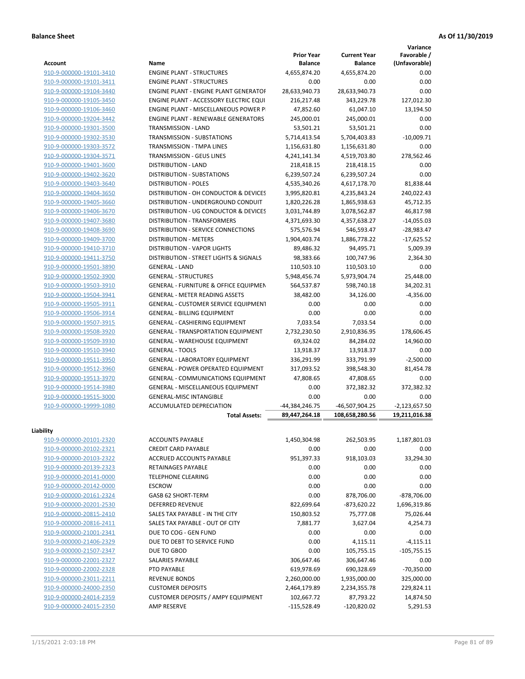**Variance**

| Account                 | Name                                                            | <b>Prior Year</b><br><b>Balance</b> | <b>Current Year</b><br><b>Balance</b> | Favorable /<br>(Unfavorable) |
|-------------------------|-----------------------------------------------------------------|-------------------------------------|---------------------------------------|------------------------------|
| 910-9-000000-19101-3410 | <b>ENGINE PLANT - STRUCTURES</b>                                | 4,655,874.20                        | 4,655,874.20                          | 0.00                         |
| 910-9-000000-19101-3411 | <b>ENGINE PLANT - STRUCTURES</b>                                | 0.00                                | 0.00                                  | 0.00                         |
| 910-9-000000-19104-3440 | ENGINE PLANT - ENGINE PLANT GENERATOF                           | 28,633,940.73                       | 28,633,940.73                         | 0.00                         |
| 910-9-000000-19105-3450 | <b>ENGINE PLANT - ACCESSORY ELECTRIC EQUI</b>                   | 216,217.48                          | 343,229.78                            | 127,012.30                   |
| 910-9-000000-19106-3460 | <b>ENGINE PLANT - MISCELLANEOUS POWER P</b>                     | 47,852.60                           | 61,047.10                             | 13,194.50                    |
| 910-9-000000-19204-3442 | <b>ENGINE PLANT - RENEWABLE GENERATORS</b>                      | 245,000.01                          | 245,000.01                            | 0.00                         |
| 910-9-000000-19301-3500 | TRANSMISSION - LAND                                             | 53,501.21                           | 53,501.21                             | 0.00                         |
| 910-9-000000-19302-3530 | TRANSMISSION - SUBSTATIONS                                      | 5,714,413.54                        | 5,704,403.83                          | $-10,009.71$                 |
| 910-9-000000-19303-3572 | TRANSMISSION - TMPA LINES                                       | 1,156,631.80                        | 1,156,631.80                          | 0.00                         |
| 910-9-000000-19304-3571 | <b>TRANSMISSION - GEUS LINES</b>                                | 4,241,141.34                        | 4,519,703.80                          | 278,562.46                   |
| 910-9-000000-19401-3600 | <b>DISTRIBUTION - LAND</b>                                      | 218,418.15                          | 218,418.15                            | 0.00                         |
| 910-9-000000-19402-3620 | <b>DISTRIBUTION - SUBSTATIONS</b>                               | 6,239,507.24                        | 6,239,507.24                          | 0.00                         |
| 910-9-000000-19403-3640 | <b>DISTRIBUTION - POLES</b>                                     | 4,535,340.26                        | 4,617,178.70                          | 81,838.44                    |
| 910-9-000000-19404-3650 | DISTRIBUTION - OH CONDUCTOR & DEVICES                           | 3,995,820.81                        | 4,235,843.24                          | 240,022.43                   |
| 910-9-000000-19405-3660 | DISTRIBUTION - UNDERGROUND CONDUIT                              | 1,820,226.28                        | 1,865,938.63                          | 45,712.35                    |
| 910-9-000000-19406-3670 | DISTRIBUTION - UG CONDUCTOR & DEVICES                           | 3,031,744.89                        | 3,078,562.87                          | 46,817.98                    |
| 910-9-000000-19407-3680 | <b>DISTRIBUTION - TRANSFORMERS</b>                              | 4,371,693.30                        | 4,357,638.27                          | $-14,055.03$                 |
| 910-9-000000-19408-3690 | DISTRIBUTION - SERVICE CONNECTIONS                              | 575,576.94                          | 546,593.47                            | $-28,983.47$                 |
| 910-9-000000-19409-3700 | <b>DISTRIBUTION - METERS</b>                                    | 1,904,403.74                        | 1,886,778.22                          | $-17,625.52$                 |
|                         | <b>DISTRIBUTION - VAPOR LIGHTS</b>                              | 89,486.32                           |                                       |                              |
| 910-9-000000-19410-3710 |                                                                 |                                     | 94,495.71                             | 5,009.39                     |
| 910-9-000000-19411-3750 | DISTRIBUTION - STREET LIGHTS & SIGNALS<br><b>GENERAL - LAND</b> | 98,383.66                           | 100,747.96                            | 2,364.30<br>0.00             |
| 910-9-000000-19501-3890 |                                                                 | 110,503.10                          | 110,503.10                            |                              |
| 910-9-000000-19502-3900 | <b>GENERAL - STRUCTURES</b>                                     | 5,948,456.74                        | 5,973,904.74                          | 25,448.00                    |
| 910-9-000000-19503-3910 | <b>GENERAL - FURNITURE &amp; OFFICE EQUIPMEN</b>                | 564,537.87                          | 598,740.18                            | 34,202.31                    |
| 910-9-000000-19504-3941 | <b>GENERAL - METER READING ASSETS</b>                           | 38,482.00                           | 34,126.00                             | $-4,356.00$                  |
| 910-9-000000-19505-3911 | GENERAL - CUSTOMER SERVICE EQUIPMENT                            | 0.00                                | 0.00                                  | 0.00                         |
| 910-9-000000-19506-3914 | <b>GENERAL - BILLING EQUIPMENT</b>                              | 0.00                                | 0.00                                  | 0.00                         |
| 910-9-000000-19507-3915 | GENERAL - CASHIERING EQUIPMENT                                  | 7,033.54                            | 7,033.54                              | 0.00                         |
| 910-9-000000-19508-3920 | <b>GENERAL - TRANSPORTATION EQUIPMENT</b>                       | 2,732,230.50                        | 2,910,836.95                          | 178,606.45                   |
| 910-9-000000-19509-3930 | GENERAL - WAREHOUSE EQUIPMENT                                   | 69,324.02                           | 84,284.02                             | 14,960.00                    |
| 910-9-000000-19510-3940 | <b>GENERAL - TOOLS</b>                                          | 13,918.37                           | 13,918.37                             | 0.00                         |
| 910-9-000000-19511-3950 | <b>GENERAL - LABORATORY EQUIPMENT</b>                           | 336,291.99                          | 333,791.99                            | $-2,500.00$                  |
| 910-9-000000-19512-3960 | <b>GENERAL - POWER OPERATED EQUIPMENT</b>                       | 317,093.52                          | 398,548.30                            | 81,454.78                    |
| 910-9-000000-19513-3970 | GENERAL - COMMUNICATIONS EQUIPMENT                              | 47,808.65                           | 47,808.65                             | 0.00                         |
| 910-9-000000-19514-3980 | <b>GENERAL - MISCELLANEOUS EQUIPMENT</b>                        | 0.00                                | 372,382.32                            | 372,382.32                   |
| 910-9-000000-19515-3000 | <b>GENERAL-MISC INTANGIBLE</b>                                  | 0.00                                | 0.00                                  | 0.00                         |
| 910-9-000000-19999-1080 | <b>ACCUMULATED DEPRECIATION</b>                                 | $-44,384,246.75$                    | -46,507,904.25                        | $-2,123,657.50$              |
|                         | <b>Total Assets:</b>                                            | 89,447,264.18                       | 108,658,280.56                        | 19,211,016.38                |
| Liability               |                                                                 |                                     |                                       |                              |
| 910-9-000000-20101-2320 | <b>ACCOUNTS PAYABLE</b>                                         | 1,450,304.98                        | 262,503.95                            | 1,187,801.03                 |
| 910-9-000000-20102-2321 | <b>CREDIT CARD PAYABLE</b>                                      | 0.00                                | 0.00                                  | 0.00                         |
| 910-9-000000-20103-2322 | ACCRUED ACCOUNTS PAYABLE                                        | 951,397.33                          | 918,103.03                            | 33,294.30                    |
| 910-9-000000-20139-2323 | RETAINAGES PAYABLE                                              | 0.00                                | 0.00                                  | 0.00                         |
| 910-9-000000-20141-0000 | <b>TELEPHONE CLEARING</b>                                       | 0.00                                | 0.00                                  | 0.00                         |
| 910-9-000000-20142-0000 | <b>ESCROW</b>                                                   | 0.00                                | 0.00                                  | 0.00                         |
| 910-9-000000-20161-2324 | GASB 62 SHORT-TERM                                              | 0.00                                | 878,706.00                            | $-878,706.00$                |
| 910-9-000000-20201-2530 | <b>DEFERRED REVENUE</b>                                         | 822,699.64                          | $-873,620.22$                         | 1,696,319.86                 |
| 910-9-000000-20815-2410 | SALES TAX PAYABLE - IN THE CITY                                 | 150,803.52                          | 75,777.08                             | 75,026.44                    |
| 910-9-000000-20816-2411 | SALES TAX PAYABLE - OUT OF CITY                                 | 7,881.77                            | 3,627.04                              | 4,254.73                     |
| 910-9-000000-21001-2341 | DUE TO COG - GEN FUND                                           | 0.00                                | 0.00                                  | 0.00                         |
| 910-9-000000-21406-2329 | DUE TO DEBT TO SERVICE FUND                                     | 0.00                                | 4,115.11                              | $-4,115.11$                  |
| 910-9-000000-21507-2347 | DUE TO GBOD                                                     | 0.00                                | 105,755.15                            | $-105,755.15$                |
| 910-9-000000-22001-2327 | SALARIES PAYABLE                                                | 306,647.46                          |                                       | 0.00                         |
|                         |                                                                 |                                     | 306,647.46                            |                              |
| 910-9-000000-22002-2328 | PTO PAYABLE                                                     | 619,978.69                          | 690,328.69                            | $-70,350.00$                 |
| 910-9-000000-23011-2211 | <b>REVENUE BONDS</b>                                            | 2,260,000.00                        | 1,935,000.00                          | 325,000.00                   |
| 910-9-000000-24000-2350 | <b>CUSTOMER DEPOSITS</b>                                        | 2,464,179.89                        | 2,234,355.78                          | 229,824.11                   |
| 910-9-000000-24014-2359 | <b>CUSTOMER DEPOSITS / AMPY EQUIPMENT</b>                       | 102,667.72                          | 87,793.22                             | 14,874.50                    |
| 910-9-000000-24015-2350 | AMP RESERVE                                                     | $-115,528.49$                       | $-120,820.02$                         | 5,291.53                     |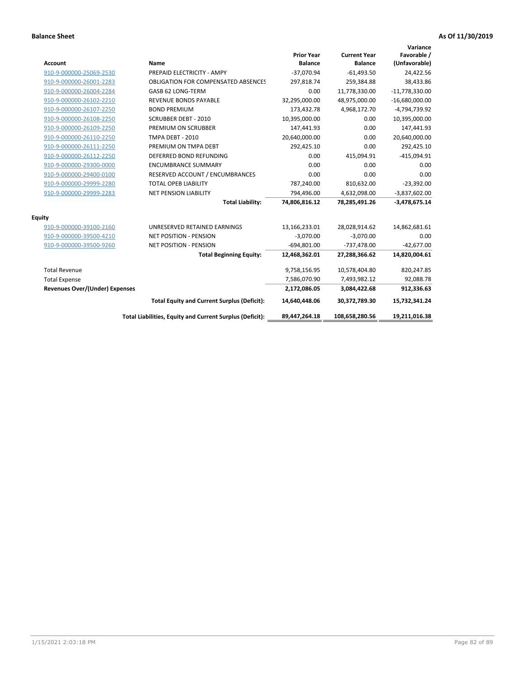| <b>Account</b>                        | Name                                                     | <b>Prior Year</b><br><b>Balance</b> | <b>Current Year</b><br><b>Balance</b> | Variance<br>Favorable /<br>(Unfavorable) |
|---------------------------------------|----------------------------------------------------------|-------------------------------------|---------------------------------------|------------------------------------------|
| 910-9-000000-25069-2530               | PREPAID ELECTRICITY - AMPY                               | $-37,070.94$                        | $-61,493.50$                          | 24,422.56                                |
| 910-9-000000-26001-2283               | <b>OBLIGATION FOR COMPENSATED ABSENCES</b>               | 297,818.74                          | 259,384.88                            | 38,433.86                                |
| 910-9-000000-26004-2284               | GASB 62 LONG-TERM                                        | 0.00                                | 11,778,330.00                         | $-11,778,330.00$                         |
| 910-9-000000-26102-2210               | <b>REVENUE BONDS PAYABLE</b>                             | 32,295,000.00                       | 48,975,000.00                         | $-16,680,000.00$                         |
| 910-9-000000-26107-2250               | <b>BOND PREMIUM</b>                                      | 173,432.78                          | 4,968,172.70                          | -4,794,739.92                            |
| 910-9-000000-26108-2250               | <b>SCRUBBER DEBT - 2010</b>                              | 10,395,000.00                       | 0.00                                  | 10,395,000.00                            |
| 910-9-000000-26109-2250               | PREMIUM ON SCRUBBER                                      | 147,441.93                          | 0.00                                  | 147,441.93                               |
| 910-9-000000-26110-2250               | <b>TMPA DEBT - 2010</b>                                  | 20,640,000.00                       | 0.00                                  | 20,640,000.00                            |
| 910-9-000000-26111-2250               | PREMIUM ON TMPA DEBT                                     | 292,425.10                          | 0.00                                  | 292,425.10                               |
| 910-9-000000-26112-2250               | DEFERRED BOND REFUNDING                                  | 0.00                                | 415,094.91                            | $-415,094.91$                            |
| 910-9-000000-29300-0000               | <b>ENCUMBRANCE SUMMARY</b>                               | 0.00                                | 0.00                                  | 0.00                                     |
| 910-9-000000-29400-0100               | RESERVED ACCOUNT / ENCUMBRANCES                          | 0.00                                | 0.00                                  | 0.00                                     |
| 910-9-000000-29999-2280               | <b>TOTAL OPEB LIABILITY</b>                              | 787,240.00                          | 810,632.00                            | $-23,392.00$                             |
| 910-9-000000-29999-2283               | NET PENSION LIABILITY                                    | 794,496.00                          | 4,632,098.00                          | $-3,837,602.00$                          |
|                                       | <b>Total Liability:</b>                                  | 74,806,816.12                       | 78,285,491.26                         | $-3,478,675.14$                          |
| <b>Equity</b>                         |                                                          |                                     |                                       |                                          |
| 910-9-000000-39100-2160               | UNRESERVED RETAINED EARNINGS                             | 13,166,233.01                       | 28,028,914.62                         | 14,862,681.61                            |
| 910-9-000000-39500-4210               | <b>NET POSITION - PENSION</b>                            | $-3,070.00$                         | $-3,070.00$                           | 0.00                                     |
| 910-9-000000-39500-9260               | <b>NET POSITION - PENSION</b>                            | $-694,801.00$                       | $-737,478.00$                         | $-42,677.00$                             |
|                                       | <b>Total Beginning Equity:</b>                           | 12,468,362.01                       | 27,288,366.62                         | 14,820,004.61                            |
| <b>Total Revenue</b>                  |                                                          | 9,758,156.95                        | 10,578,404.80                         | 820,247.85                               |
| <b>Total Expense</b>                  |                                                          | 7,586,070.90                        | 7,493,982.12                          | 92,088.78                                |
| <b>Revenues Over/(Under) Expenses</b> |                                                          | 2,172,086.05                        | 3,084,422.68                          | 912,336.63                               |
|                                       | <b>Total Equity and Current Surplus (Deficit):</b>       | 14,640,448.06                       | 30,372,789.30                         | 15,732,341.24                            |
|                                       | Total Liabilities, Equity and Current Surplus (Deficit): | 89,447,264.18                       | 108,658,280.56                        | 19,211,016.38                            |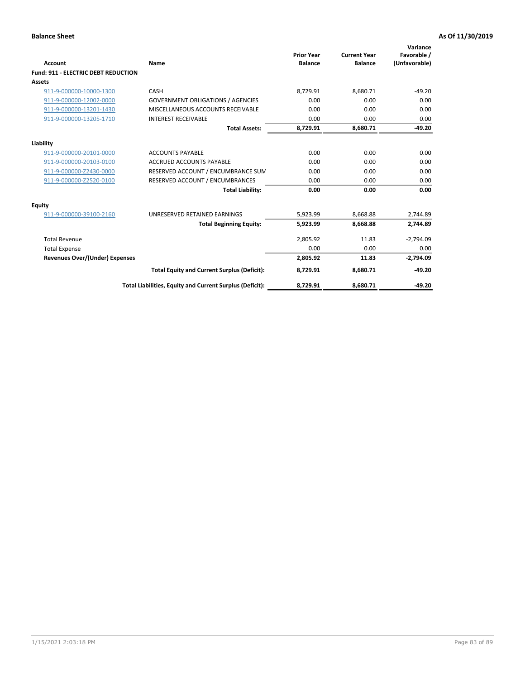| Account                                    | Name                                                     | <b>Prior Year</b><br><b>Balance</b> | <b>Current Year</b><br><b>Balance</b> | Variance<br>Favorable /<br>(Unfavorable) |
|--------------------------------------------|----------------------------------------------------------|-------------------------------------|---------------------------------------|------------------------------------------|
| <b>Fund: 911 - ELECTRIC DEBT REDUCTION</b> |                                                          |                                     |                                       |                                          |
| Assets                                     |                                                          |                                     |                                       |                                          |
| 911-9-000000-10000-1300                    | CASH                                                     | 8,729.91                            | 8,680.71                              | $-49.20$                                 |
| 911-9-000000-12002-0000                    | <b>GOVERNMENT OBLIGATIONS / AGENCIES</b>                 | 0.00                                | 0.00                                  | 0.00                                     |
| 911-9-000000-13201-1430                    | MISCELLANEOUS ACCOUNTS RECEIVABLE                        | 0.00                                | 0.00                                  | 0.00                                     |
| 911-9-000000-13205-1710                    | <b>INTEREST RECEIVABLE</b>                               | 0.00                                | 0.00                                  | 0.00                                     |
|                                            | <b>Total Assets:</b>                                     | 8,729.91                            | 8,680.71                              | $-49.20$                                 |
| Liability                                  |                                                          |                                     |                                       |                                          |
| 911-9-000000-20101-0000                    | <b>ACCOUNTS PAYABLE</b>                                  | 0.00                                | 0.00                                  | 0.00                                     |
| 911-9-000000-20103-0100                    | <b>ACCRUED ACCOUNTS PAYABLE</b>                          | 0.00                                | 0.00                                  | 0.00                                     |
| 911-9-000000-Z2430-0000                    | RESERVED ACCOUNT / ENCUMBRANCE SUM                       | 0.00                                | 0.00                                  | 0.00                                     |
| 911-9-000000-Z2520-0100                    | RESERVED ACCOUNT / ENCUMBRANCES                          | 0.00                                | 0.00                                  | 0.00                                     |
|                                            | <b>Total Liability:</b>                                  | 0.00                                | 0.00                                  | 0.00                                     |
| <b>Equity</b>                              |                                                          |                                     |                                       |                                          |
| 911-9-000000-39100-2160                    | UNRESERVED RETAINED EARNINGS                             | 5,923.99                            | 8,668.88                              | 2,744.89                                 |
|                                            | <b>Total Beginning Equity:</b>                           | 5,923.99                            | 8.668.88                              | 2,744.89                                 |
| <b>Total Revenue</b>                       |                                                          | 2,805.92                            | 11.83                                 | $-2,794.09$                              |
| <b>Total Expense</b>                       |                                                          | 0.00                                | 0.00                                  | 0.00                                     |
| <b>Revenues Over/(Under) Expenses</b>      |                                                          | 2,805.92                            | 11.83                                 | $-2,794.09$                              |
|                                            | <b>Total Equity and Current Surplus (Deficit):</b>       | 8,729.91                            | 8,680.71                              | $-49.20$                                 |
|                                            | Total Liabilities, Equity and Current Surplus (Deficit): | 8,729.91                            | 8,680.71                              | $-49.20$                                 |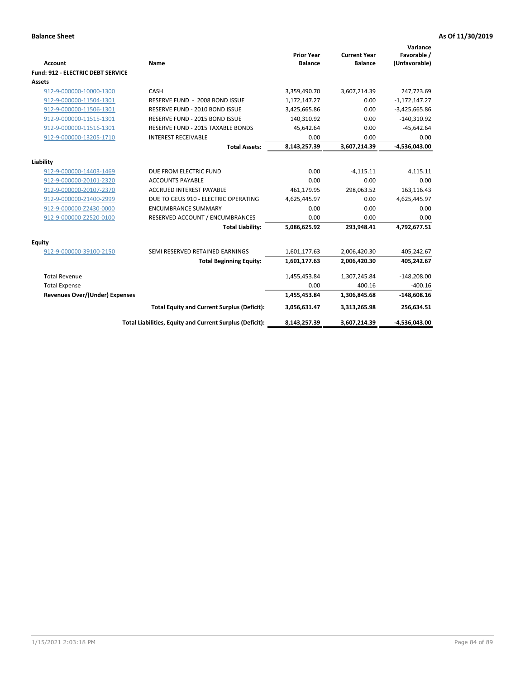| <b>Account</b>                           | Name                                                     | <b>Prior Year</b><br><b>Balance</b> | <b>Current Year</b><br><b>Balance</b> | Variance<br>Favorable /<br>(Unfavorable) |
|------------------------------------------|----------------------------------------------------------|-------------------------------------|---------------------------------------|------------------------------------------|
| <b>Fund: 912 - ELECTRIC DEBT SERVICE</b> |                                                          |                                     |                                       |                                          |
| <b>Assets</b>                            |                                                          |                                     |                                       |                                          |
| 912-9-000000-10000-1300                  | CASH                                                     | 3,359,490.70                        | 3,607,214.39                          | 247,723.69                               |
| 912-9-000000-11504-1301                  | RESERVE FUND - 2008 BOND ISSUE                           | 1,172,147.27                        | 0.00                                  | $-1,172,147.27$                          |
| 912-9-000000-11506-1301                  | RESERVE FUND - 2010 BOND ISSUE                           | 3,425,665.86                        | 0.00                                  | $-3,425,665.86$                          |
| 912-9-000000-11515-1301                  | RESERVE FUND - 2015 BOND ISSUE                           | 140,310.92                          | 0.00                                  | $-140,310.92$                            |
| 912-9-000000-11516-1301                  | RESERVE FUND - 2015 TAXABLE BONDS                        | 45,642.64                           | 0.00                                  | $-45,642.64$                             |
| 912-9-000000-13205-1710                  | <b>INTEREST RECEIVABLE</b>                               | 0.00                                | 0.00                                  | 0.00                                     |
|                                          | <b>Total Assets:</b>                                     | 8,143,257.39                        | 3,607,214.39                          | $-4,536,043.00$                          |
|                                          |                                                          |                                     |                                       |                                          |
| Liability                                |                                                          |                                     |                                       |                                          |
| 912-9-000000-14403-1469                  | DUE FROM ELECTRIC FUND                                   | 0.00                                | $-4,115.11$                           | 4,115.11                                 |
| 912-9-000000-20101-2320                  | <b>ACCOUNTS PAYABLE</b>                                  | 0.00                                | 0.00                                  | 0.00                                     |
| 912-9-000000-20107-2370                  | <b>ACCRUED INTEREST PAYABLE</b>                          | 461,179.95                          | 298,063.52                            | 163,116.43                               |
| 912-9-000000-21400-2999                  | DUE TO GEUS 910 - ELECTRIC OPERATING                     | 4,625,445.97                        | 0.00                                  | 4,625,445.97                             |
| 912-9-000000-Z2430-0000                  | <b>ENCUMBRANCE SUMMARY</b>                               | 0.00                                | 0.00                                  | 0.00                                     |
| 912-9-000000-Z2520-0100                  | RESERVED ACCOUNT / ENCUMBRANCES                          | 0.00                                | 0.00                                  | 0.00                                     |
|                                          | <b>Total Liability:</b>                                  | 5,086,625.92                        | 293,948.41                            | 4,792,677.51                             |
| Equity                                   |                                                          |                                     |                                       |                                          |
| 912-9-000000-39100-2150                  | SEMI RESERVED RETAINED EARNINGS                          | 1,601,177.63                        | 2,006,420.30                          | 405,242.67                               |
|                                          | <b>Total Beginning Equity:</b>                           | 1,601,177.63                        | 2,006,420.30                          | 405,242.67                               |
| <b>Total Revenue</b>                     |                                                          | 1,455,453.84                        | 1,307,245.84                          | $-148,208.00$                            |
| <b>Total Expense</b>                     |                                                          | 0.00                                | 400.16                                | $-400.16$                                |
| <b>Revenues Over/(Under) Expenses</b>    |                                                          | 1,455,453.84                        | 1,306,845.68                          | $-148,608.16$                            |
|                                          | <b>Total Equity and Current Surplus (Deficit):</b>       | 3,056,631.47                        | 3,313,265.98                          | 256,634.51                               |
|                                          | Total Liabilities, Equity and Current Surplus (Deficit): | 8,143,257.39                        | 3,607,214.39                          | -4,536,043.00                            |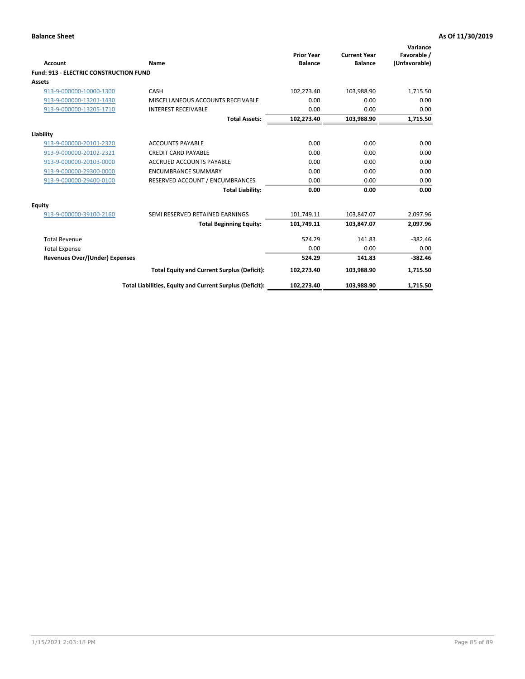| Account                                       | Name                                                     | <b>Prior Year</b><br><b>Balance</b> | <b>Current Year</b><br><b>Balance</b> | Variance<br>Favorable /<br>(Unfavorable) |
|-----------------------------------------------|----------------------------------------------------------|-------------------------------------|---------------------------------------|------------------------------------------|
| <b>Fund: 913 - ELECTRIC CONSTRUCTION FUND</b> |                                                          |                                     |                                       |                                          |
| <b>Assets</b>                                 |                                                          |                                     |                                       |                                          |
| 913-9-000000-10000-1300                       | CASH                                                     | 102,273.40                          | 103,988.90                            | 1,715.50                                 |
| 913-9-000000-13201-1430                       | MISCELLANEOUS ACCOUNTS RECEIVABLE                        | 0.00                                | 0.00                                  | 0.00                                     |
| 913-9-000000-13205-1710                       | <b>INTEREST RECEIVABLE</b>                               | 0.00                                | 0.00                                  | 0.00                                     |
|                                               | <b>Total Assets:</b>                                     | 102,273.40                          | 103,988.90                            | 1,715.50                                 |
| Liability                                     |                                                          |                                     |                                       |                                          |
| 913-9-000000-20101-2320                       | <b>ACCOUNTS PAYABLE</b>                                  | 0.00                                | 0.00                                  | 0.00                                     |
| 913-9-000000-20102-2321                       | <b>CREDIT CARD PAYABLE</b>                               | 0.00                                | 0.00                                  | 0.00                                     |
| 913-9-000000-20103-0000                       | <b>ACCRUED ACCOUNTS PAYABLE</b>                          | 0.00                                | 0.00                                  | 0.00                                     |
| 913-9-000000-29300-0000                       | <b>ENCUMBRANCE SUMMARY</b>                               | 0.00                                | 0.00                                  | 0.00                                     |
| 913-9-000000-29400-0100                       | RESERVED ACCOUNT / ENCUMBRANCES                          | 0.00                                | 0.00                                  | 0.00                                     |
|                                               | <b>Total Liability:</b>                                  | 0.00                                | 0.00                                  | 0.00                                     |
| Equity                                        |                                                          |                                     |                                       |                                          |
| 913-9-000000-39100-2160                       | SEMI RESERVED RETAINED EARNINGS                          | 101,749.11                          | 103,847.07                            | 2,097.96                                 |
|                                               | <b>Total Beginning Equity:</b>                           | 101,749.11                          | 103,847.07                            | 2,097.96                                 |
| <b>Total Revenue</b>                          |                                                          | 524.29                              | 141.83                                | $-382.46$                                |
| <b>Total Expense</b>                          |                                                          | 0.00                                | 0.00                                  | 0.00                                     |
| Revenues Over/(Under) Expenses                |                                                          | 524.29                              | 141.83                                | $-382.46$                                |
|                                               | <b>Total Equity and Current Surplus (Deficit):</b>       | 102,273.40                          | 103,988.90                            | 1,715.50                                 |
|                                               | Total Liabilities, Equity and Current Surplus (Deficit): | 102,273.40                          | 103,988.90                            | 1,715.50                                 |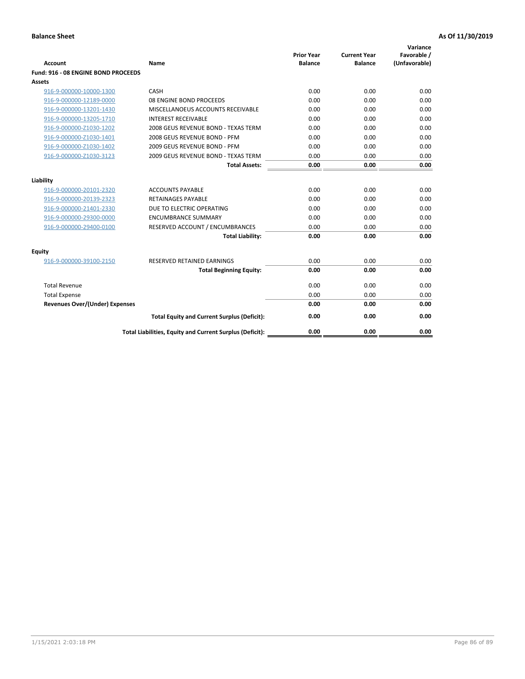| <b>Account</b>                        | Name                                                     | <b>Prior Year</b><br><b>Balance</b> | <b>Current Year</b><br><b>Balance</b> | Variance<br>Favorable /<br>(Unfavorable) |
|---------------------------------------|----------------------------------------------------------|-------------------------------------|---------------------------------------|------------------------------------------|
| Fund: 916 - 08 ENGINE BOND PROCEEDS   |                                                          |                                     |                                       |                                          |
| Assets                                |                                                          |                                     |                                       |                                          |
| 916-9-000000-10000-1300               | CASH                                                     | 0.00                                | 0.00                                  | 0.00                                     |
| 916-9-000000-12189-0000               | 08 ENGINE BOND PROCEEDS                                  | 0.00                                | 0.00                                  | 0.00                                     |
| 916-9-000000-13201-1430               | MISCELLANOEUS ACCOUNTS RECEIVABLE                        | 0.00                                | 0.00                                  | 0.00                                     |
| 916-9-000000-13205-1710               | <b>INTEREST RECEIVABLE</b>                               | 0.00                                | 0.00                                  | 0.00                                     |
| 916-9-000000-Z1030-1202               | 2008 GEUS REVENUE BOND - TEXAS TERM                      | 0.00                                | 0.00                                  | 0.00                                     |
| 916-9-000000-Z1030-1401               | 2008 GEUS REVENUE BOND - PFM                             | 0.00                                | 0.00                                  | 0.00                                     |
| 916-9-000000-Z1030-1402               | 2009 GEUS REVENUE BOND - PFM                             | 0.00                                | 0.00                                  | 0.00                                     |
| 916-9-000000-Z1030-3123               | 2009 GEUS REVENUE BOND - TEXAS TERM                      | 0.00                                | 0.00                                  | 0.00                                     |
|                                       | <b>Total Assets:</b>                                     | 0.00                                | 0.00                                  | 0.00                                     |
| Liability                             |                                                          |                                     |                                       |                                          |
| 916-9-000000-20101-2320               | <b>ACCOUNTS PAYABLE</b>                                  | 0.00                                | 0.00                                  | 0.00                                     |
| 916-9-000000-20139-2323               | RETAINAGES PAYABLE                                       | 0.00                                | 0.00                                  | 0.00                                     |
| 916-9-000000-21401-2330               | DUE TO ELECTRIC OPERATING                                | 0.00                                | 0.00                                  | 0.00                                     |
| 916-9-000000-29300-0000               | <b>ENCUMBRANCE SUMMARY</b>                               | 0.00                                | 0.00                                  | 0.00                                     |
| 916-9-000000-29400-0100               | RESERVED ACCOUNT / ENCUMBRANCES                          | 0.00                                | 0.00                                  | 0.00                                     |
|                                       | <b>Total Liability:</b>                                  | 0.00                                | 0.00                                  | 0.00                                     |
| Equity                                |                                                          |                                     |                                       |                                          |
| 916-9-000000-39100-2150               | <b>RESERVED RETAINED EARNINGS</b>                        | 0.00                                | 0.00                                  | 0.00                                     |
|                                       | <b>Total Beginning Equity:</b>                           | 0.00                                | 0.00                                  | 0.00                                     |
| <b>Total Revenue</b>                  |                                                          | 0.00                                | 0.00                                  | 0.00                                     |
| <b>Total Expense</b>                  |                                                          | 0.00                                | 0.00                                  | 0.00                                     |
| <b>Revenues Over/(Under) Expenses</b> |                                                          | 0.00                                | 0.00                                  | 0.00                                     |
|                                       | <b>Total Equity and Current Surplus (Deficit):</b>       | 0.00                                | 0.00                                  | 0.00                                     |
|                                       | Total Liabilities, Equity and Current Surplus (Deficit): | 0.00                                | 0.00                                  | 0.00                                     |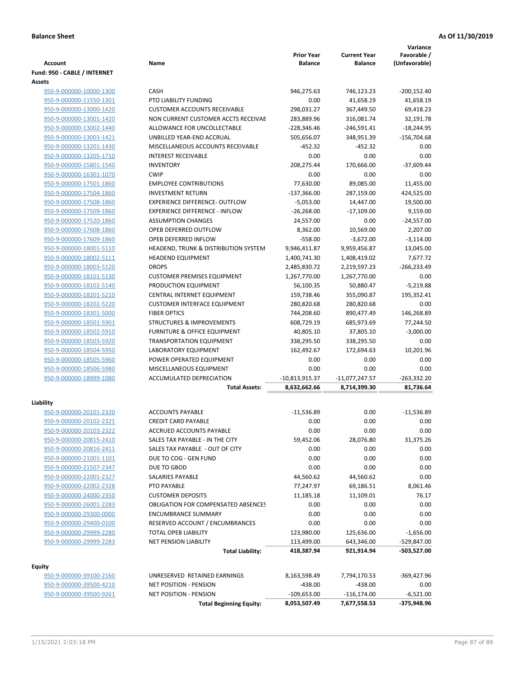|                                                    |                                                                    | <b>Prior Year</b>         | <b>Current Year</b>  | Variance<br>Favorable /  |
|----------------------------------------------------|--------------------------------------------------------------------|---------------------------|----------------------|--------------------------|
| <b>Account</b>                                     | Name                                                               | <b>Balance</b>            | <b>Balance</b>       | (Unfavorable)            |
| Fund: 950 - CABLE / INTERNET                       |                                                                    |                           |                      |                          |
| Assets                                             |                                                                    |                           |                      |                          |
| 950-9-000000-10000-1300                            | <b>CASH</b>                                                        | 946,275.63                | 746,123.23           | $-200,152.40$            |
| 950-9-000000-11550-1301                            | PTO LIABILITY FUNDING                                              | 0.00                      | 41,658.19            | 41,658.19                |
| 950-9-000000-13000-1420                            | <b>CUSTOMER ACCOUNTS RECEIVABLE</b>                                | 298,031.27                | 367,449.50           | 69,418.23                |
| 950-9-000000-13001-1420                            | NON CURRENT CUSTOMER ACCTS RECEIVAE                                | 283,889.96                | 316,081.74           | 32,191.78                |
| 950-9-000000-13002-1440                            | ALLOWANCE FOR UNCOLLECTABLE                                        | $-228,346.46$             | $-246,591.41$        | $-18,244.95$             |
| 950-9-000000-13003-1421                            | UNBILLED YEAR-END ACCRUAL                                          | 505,656.07                | 348,951.39           | $-156,704.68$            |
| 950-9-000000-13201-1430                            | MISCELLANEOUS ACCOUNTS RECEIVABLE                                  | $-452.32$                 | $-452.32$            | 0.00                     |
| 950-9-000000-13205-1710                            | <b>INTEREST RECEIVABLE</b>                                         | 0.00                      | 0.00                 | 0.00                     |
| 950-9-000000-15801-1540                            | <b>INVENTORY</b>                                                   | 208,275.44                | 170,666.00           | $-37,609.44$             |
| 950-9-000000-16301-1070                            | <b>CWIP</b>                                                        | 0.00                      | 0.00                 | 0.00                     |
| 950-9-000000-17501-1860                            | <b>EMPLOYEE CONTRIBUTIONS</b>                                      | 77,630.00                 | 89,085.00            | 11,455.00                |
| 950-9-000000-17504-1860                            | <b>INVESTMENT RETURN</b>                                           | $-137,366.00$             | 287,159.00           | 424,525.00               |
| 950-9-000000-17508-1860                            | <b>EXPERIENCE DIFFERENCE- OUTFLOW</b>                              | $-5,053.00$               | 14,447.00            | 19,500.00                |
| 950-9-000000-17509-1860<br>950-9-000000-17520-1860 | <b>EXPERIENCE DIFFERENCE - INFLOW</b><br><b>ASSUMPTION CHANGES</b> | $-26,268.00$<br>24,557.00 | $-17,109.00$<br>0.00 | 9,159.00<br>$-24,557.00$ |
| 950-9-000000-17608-1860                            | OPEB DEFERRED OUTFLOW                                              | 8,362.00                  | 10,569.00            | 2,207.00                 |
| 950-9-000000-17609-1860                            | OPEB DEFERRED INFLOW                                               | $-558.00$                 | $-3,672.00$          | $-3,114.00$              |
| 950-9-000000-18001-5110                            | HEADEND, TRUNK & DISTRIBUTION SYSTEM                               | 9,946,411.87              | 9,959,456.87         | 13,045.00                |
| 950-9-000000-18002-5111                            | <b>HEADEND EQUIPMENT</b>                                           | 1,400,741.30              | 1,408,419.02         | 7,677.72                 |
| 950-9-000000-18003-5120                            | <b>DROPS</b>                                                       | 2,485,830.72              | 2,219,597.23         | $-266,233.49$            |
| 950-9-000000-18101-5130                            | <b>CUSTOMER PREMISES EQUIPMENT</b>                                 | 1,267,770.00              | 1,267,770.00         | 0.00                     |
| 950-9-000000-18102-5140                            | PRODUCTION EQUIPMENT                                               | 56,100.35                 | 50,880.47            | $-5,219.88$              |
| 950-9-000000-18201-5210                            | CENTRAL INTERNET EQUIPMENT                                         | 159,738.46                | 355,090.87           | 195,352.41               |
| 950-9-000000-18202-5220                            | <b>CUSTOMER INTERFACE EQUIPMENT</b>                                | 280,820.68                | 280,820.68           | 0.00                     |
| 950-9-000000-18301-5000                            | <b>FIBER OPTICS</b>                                                | 744,208.60                | 890,477.49           | 146,268.89               |
| 950-9-000000-18501-5901                            | <b>STRUCTURES &amp; IMPROVEMENTS</b>                               | 608,729.19                | 685,973.69           | 77,244.50                |
| 950-9-000000-18502-5910                            | <b>FURNITURE &amp; OFFICE EQUIPMENT</b>                            | 40,805.10                 | 37,805.10            | $-3,000.00$              |
| 950-9-000000-18503-5920                            | <b>TRANSPORTATION EQUIPMENT</b>                                    | 338,295.50                | 338,295.50           | 0.00                     |
| 950-9-000000-18504-5950                            | LABORATORY EQUIPMENT                                               | 162,492.67                | 172,694.63           | 10,201.96                |
| 950-9-000000-18505-5960                            | POWER OPERATED EQUIPMENT                                           | 0.00                      | 0.00                 | 0.00                     |
| 950-9-000000-18506-5980                            | MISCELLANEOUS EQUIPMENT                                            | 0.00                      | 0.00                 | 0.00                     |
| 950-9-000000-18999-1080                            | <b>ACCUMULATED DEPRECIATION</b>                                    | $-10,813,915.37$          | $-11,077,247.57$     | $-263,332.20$            |
|                                                    | <b>Total Assets:</b>                                               | 8,632,662.66              | 8,714,399.30         | 81,736.64                |
| Liability                                          |                                                                    |                           |                      |                          |
| 950-9-000000-20101-2320                            | <b>ACCOUNTS PAYABLE</b>                                            | $-11,536.89$              | 0.00                 | $-11,536.89$             |
| 950-9-000000-20102-2321                            | <b>CREDIT CARD PAYABLE</b>                                         | 0.00                      | 0.00                 | 0.00                     |
| 950-9-000000-20103-2322                            | ACCRUED ACCOUNTS PAYABLE                                           | 0.00                      | 0.00                 | 0.00                     |
| 950-9-000000-20815-2410                            | SALES TAX PAYABLE - IN THE CITY                                    | 59,452.06                 | 28,076.80            | 31,375.26                |
| 950-9-000000-20816-2411                            | SALES TAX PAYABLE - OUT OF CITY                                    | 0.00                      | 0.00                 | 0.00                     |
| 950-9-000000-21001-1101                            | DUE TO COG - GEN FUND                                              | 0.00                      | 0.00                 | 0.00                     |
| 950-9-000000-21507-2347                            | DUE TO GBOD                                                        | 0.00                      | 0.00                 | 0.00                     |
| 950-9-000000-22001-2327                            | SALARIES PAYABLE                                                   | 44,560.62                 | 44,560.62            | 0.00                     |
| 950-9-000000-22002-2328                            | PTO PAYABLE                                                        | 77,247.97                 | 69,186.51            | 8,061.46                 |
| 950-9-000000-24000-2350                            | <b>CUSTOMER DEPOSITS</b>                                           | 11,185.18                 | 11,109.01            | 76.17                    |
| 950-9-000000-26001-2283                            | <b>OBLIGATION FOR COMPENSATED ABSENCES</b>                         | 0.00                      | 0.00                 | 0.00                     |
| 950-9-000000-29300-0000                            | <b>ENCUMBRANCE SUMMARY</b>                                         | 0.00                      | 0.00                 | 0.00                     |
| 950-9-000000-29400-0100                            | RESERVED ACCOUNT / ENCUMBRANCES                                    | 0.00                      | 0.00                 | 0.00                     |
| 950-9-000000-29999-2280                            | TOTAL OPEB LIABILITY                                               | 123,980.00                | 125,636.00           | $-1,656.00$              |
| 950-9-000000-29999-2283                            | NET PENSION LIABILITY                                              | 113,499.00                | 643,346.00           | -529,847.00              |
|                                                    | <b>Total Liability:</b>                                            | 418,387.94                | 921,914.94           | -503,527.00              |
|                                                    |                                                                    |                           |                      |                          |
| <b>Equity</b><br>950-9-000000-39100-2160           | UNRESERVED RETAINED EARNINGS                                       | 8,163,598.49              | 7,794,170.53         | -369,427.96              |
| 950-9-000000-39500-4210                            | NET POSITION - PENSION                                             | $-438.00$                 | $-438.00$            | 0.00                     |
| 950-9-000000-39500-9261                            | <b>NET POSITION - PENSION</b>                                      | $-109,653.00$             | $-116, 174.00$       | $-6,521.00$              |
|                                                    | <b>Total Beginning Equity:</b>                                     | 8,053,507.49              | 7,677,558.53         | -375,948.96              |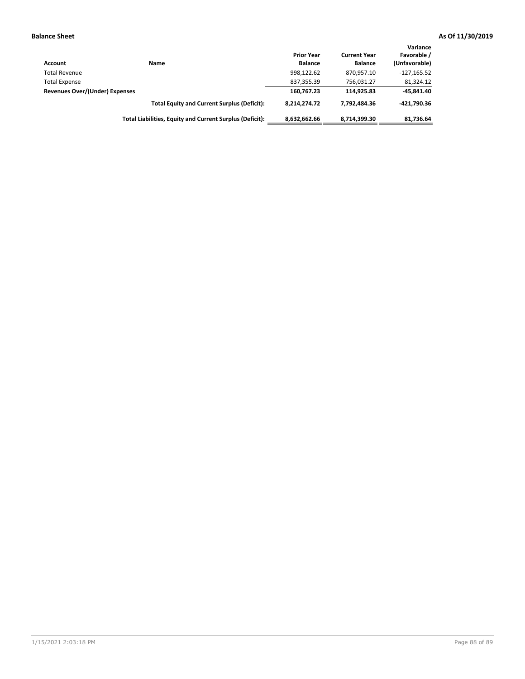| Account                        | Name                                                     | <b>Prior Year</b><br><b>Balance</b> | <b>Current Year</b><br><b>Balance</b> | Variance<br>Favorable /<br>(Unfavorable) |
|--------------------------------|----------------------------------------------------------|-------------------------------------|---------------------------------------|------------------------------------------|
| <b>Total Revenue</b>           |                                                          | 998.122.62                          | 870.957.10                            | $-127,165.52$                            |
| <b>Total Expense</b>           |                                                          | 837,355.39                          | 756.031.27                            | 81,324.12                                |
| Revenues Over/(Under) Expenses |                                                          | 160.767.23                          | 114.925.83                            | $-45,841.40$                             |
|                                | <b>Total Equity and Current Surplus (Deficit):</b>       | 8.214.274.72                        | 7.792.484.36                          | -421.790.36                              |
|                                | Total Liabilities, Equity and Current Surplus (Deficit): | 8,632,662.66                        | 8.714.399.30                          | 81,736.64                                |